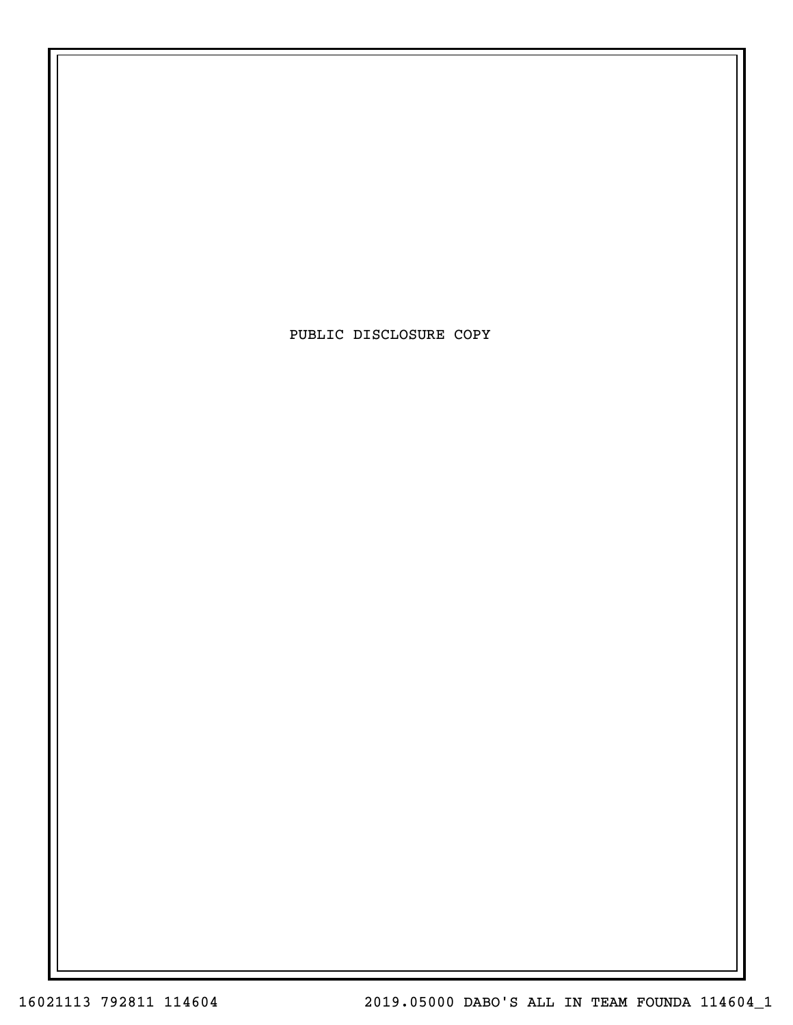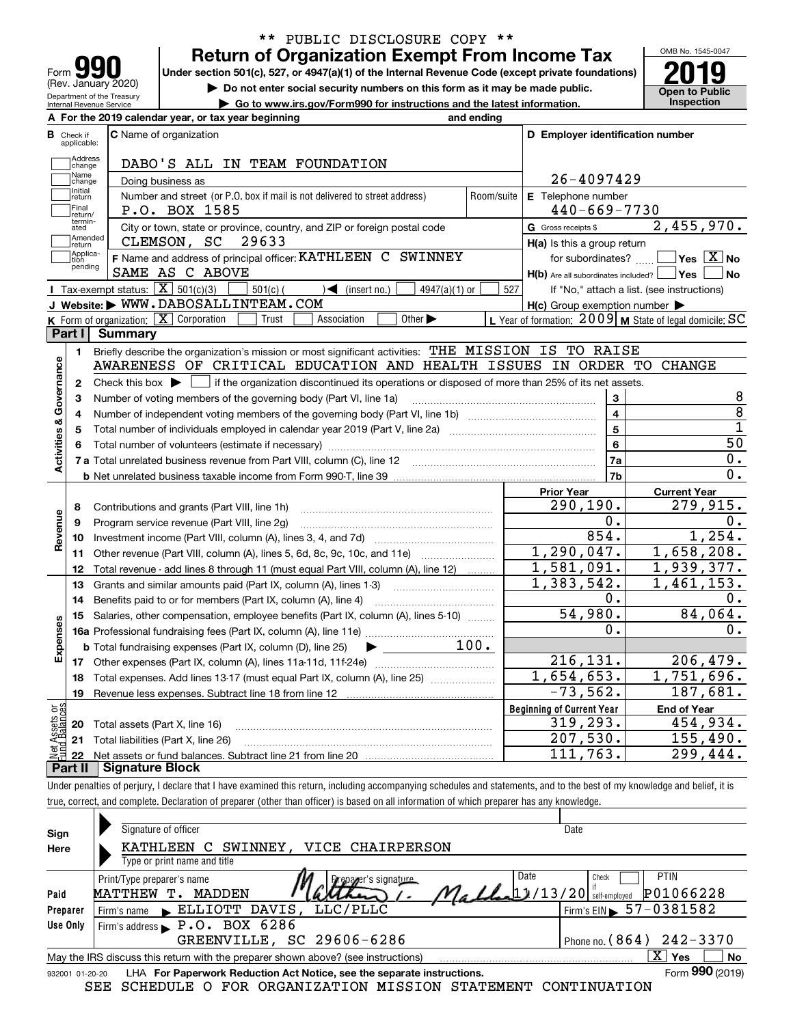| Form                                                          |
|---------------------------------------------------------------|
| (Rev. January 2020)                                           |
| Department of the Treasury<br><b>Internal Revenue Service</b> |

## **Return of Organization Exempt From Income Tax** \*\* PUBLIC DISCLOSURE COPY \*\*

Under section 501(c), 527, or 4947(a)(1) of the Internal Revenue Code (except private foundations) **2019** 

**| Do not enter social security numbers on this form as it may be made public.**

**| Go to www.irs.gov/Form990 for instructions and the latest information. Inspection**



|                            |                             | A For the 2019 calendar year, or tax year beginning                                                                                                 | and ending     |                                                                              |                                                           |
|----------------------------|-----------------------------|-----------------------------------------------------------------------------------------------------------------------------------------------------|----------------|------------------------------------------------------------------------------|-----------------------------------------------------------|
| В                          | Check if<br>applicable:     | <b>C</b> Name of organization                                                                                                                       |                | D Employer identification number                                             |                                                           |
|                            | Address<br>change           | DABO'S ALL IN TEAM FOUNDATION                                                                                                                       |                |                                                                              |                                                           |
|                            | Name<br>change              | Doing business as                                                                                                                                   |                | 26-4097429                                                                   |                                                           |
|                            | Initial<br>return           | Number and street (or P.O. box if mail is not delivered to street address)                                                                          | Room/suite     | E Telephone number                                                           |                                                           |
|                            | Final<br>return/            | P.O. BOX 1585                                                                                                                                       |                | $440 - 669 - 7730$                                                           |                                                           |
|                            | termin-<br>ated             | City or town, state or province, country, and ZIP or foreign postal code                                                                            |                | G Gross receipts \$                                                          | 2,455,970.                                                |
|                            | Amended<br>Ireturn          | 29633<br>CLEMSON, SC                                                                                                                                |                | H(a) Is this a group return                                                  |                                                           |
|                            | Applica-<br>tion<br>pending | F Name and address of principal officer: KATHLEEN C SWINNEY<br>SAME AS C ABOVE                                                                      |                | for subordinates?<br>$H(b)$ Are all subordinates included? $\Box$ Yes $\Box$ | $\sqrt{}$ Yes $\sqrt{X}$ No<br>∣ No                       |
|                            |                             | Tax-exempt status: $\boxed{\mathbf{X}}$ 501(c)(3) $\boxed{\mathbf{X}}$<br>$\sqrt{\frac{1}{1}}$ (insert no.)<br>501(c) (<br>$4947(a)(1)$ or          | 527            |                                                                              | If "No," attach a list. (see instructions)                |
|                            |                             | J Website: WWW.DABOSALLINTEAM.COM                                                                                                                   |                | $H(c)$ Group exemption number $\blacktriangleright$                          |                                                           |
|                            |                             | <b>K</b> Form of organization: $\boxed{\mathbf{X}}$ Corporation<br>Association<br>Other $\blacktriangleright$<br>Trust                              |                |                                                                              | L Year of formation: $2009$ M State of legal domicile: SC |
|                            | Part I                      | Summary                                                                                                                                             |                |                                                                              |                                                           |
|                            | 1.                          | Briefly describe the organization's mission or most significant activities: THE MISSION IS TO RAISE                                                 |                |                                                                              |                                                           |
|                            |                             | AWARENESS OF CRITICAL EDUCATION AND HEALTH ISSUES IN ORDER TO CHANGE                                                                                |                |                                                                              |                                                           |
| Activities & Governance    | $\mathbf{2}$                | Check this box $\blacktriangleright$ $\blacksquare$ if the organization discontinued its operations or disposed of more than 25% of its net assets. |                |                                                                              |                                                           |
|                            | 3                           | Number of voting members of the governing body (Part VI, line 1a)                                                                                   |                | 3                                                                            | 8                                                         |
|                            | 4                           |                                                                                                                                                     |                | $\overline{\mathbf{4}}$                                                      | $\overline{8}$                                            |
|                            | 5                           |                                                                                                                                                     | $\overline{5}$ | $\overline{1}$                                                               |                                                           |
|                            |                             |                                                                                                                                                     |                | 6                                                                            | 50                                                        |
|                            |                             |                                                                                                                                                     |                | 7a                                                                           | 0.                                                        |
|                            |                             |                                                                                                                                                     |                | 7b                                                                           | $0$ .                                                     |
|                            |                             |                                                                                                                                                     |                | <b>Prior Year</b>                                                            | <b>Current Year</b>                                       |
|                            | 8                           | Contributions and grants (Part VIII, line 1h)                                                                                                       |                | 290,190.                                                                     | 279,915.                                                  |
| Revenue                    | 9                           | Program service revenue (Part VIII, line 2g)                                                                                                        |                | 0.                                                                           | 0.                                                        |
|                            | 10                          |                                                                                                                                                     |                | 854.                                                                         | 1,254.                                                    |
|                            | 11                          | Other revenue (Part VIII, column (A), lines 5, 6d, 8c, 9c, 10c, and 11e)                                                                            |                | 1,290,047.                                                                   | 1,658,208.                                                |
|                            | 12                          | Total revenue - add lines 8 through 11 (must equal Part VIII, column (A), line 12)                                                                  |                | 1,581,091.                                                                   | 1,939,377.                                                |
|                            | 13                          | Grants and similar amounts paid (Part IX, column (A), lines 1-3)                                                                                    |                | 1,383,542.                                                                   | 1,461,153.                                                |
|                            | 14                          | Benefits paid to or for members (Part IX, column (A), line 4)                                                                                       |                | 0.                                                                           | 0.                                                        |
|                            | 15                          | Salaries, other compensation, employee benefits (Part IX, column (A), lines 5-10)                                                                   |                | 54,980.                                                                      | 84,064.                                                   |
| Expenses                   |                             |                                                                                                                                                     |                | 0.                                                                           | 0.                                                        |
|                            |                             | $\blacktriangleright$<br><b>b</b> Total fundraising expenses (Part IX, column (D), line 25)                                                         | 100.           |                                                                              |                                                           |
|                            |                             |                                                                                                                                                     |                | 216, 131.                                                                    | 206,479.                                                  |
|                            | 18                          | Total expenses. Add lines 13-17 (must equal Part IX, column (A), line 25)                                                                           |                | $\overline{1,654,653}$ .                                                     | $\overline{1,751,696}$ .                                  |
|                            | 19                          |                                                                                                                                                     |                | $-73,562.$                                                                   | $\overline{187,681}$ .                                    |
| ăğ                         |                             |                                                                                                                                                     |                | <b>Beginning of Current Year</b>                                             | <b>End of Year</b>                                        |
| Assets<br><b>Passets</b>   |                             | 20 Total assets (Part X, line 16)                                                                                                                   |                | 319, 293.                                                                    | 454,934.                                                  |
|                            |                             | 21 Total liabilities (Part X, line 26)                                                                                                              |                | 207,530.                                                                     | 155,490.                                                  |
| iet<br>D<br>D <sub>o</sub> | r+ 11                       | - Cianature Block                                                                                                                                   |                | 111,763.                                                                     | 299,444.                                                  |

**Part II Signature Block**

Under penalties of perjury, I declare that I have examined this return, including accompanying schedules and statements, and to the best of my knowledge and belief, it is true, correct, and complete. Declaration of preparer (other than officer) is based on all information of which preparer has any knowledge.

| Sign            | Signature of officer                                                                                           | Date                           |  |  |  |  |  |  |  |
|-----------------|----------------------------------------------------------------------------------------------------------------|--------------------------------|--|--|--|--|--|--|--|
| Here            | SWINNEY, VICE CHAIRPERSON<br>KATHLEEN C                                                                        |                                |  |  |  |  |  |  |  |
|                 | Type or print name and title                                                                                   |                                |  |  |  |  |  |  |  |
|                 | Date<br>Print/Type preparer's name                                                                             | <b>PTIN</b><br>Check           |  |  |  |  |  |  |  |
| Paid            | $20$ self-employed<br>MATTHEW<br>MADDEN<br>т.                                                                  | P01066228                      |  |  |  |  |  |  |  |
| Preparer        | ELLIOTT DAVIS, LLC/PLLC<br>Firm's name                                                                         | Firm's EIN $\, 57 - 0381582$   |  |  |  |  |  |  |  |
| Use Only        | Firm's address $\blacktriangleright$ P.O. BOX 6286                                                             |                                |  |  |  |  |  |  |  |
|                 | GREENVILLE, SC 29606-6286                                                                                      | Phone no. $(864)$ $242 - 3370$ |  |  |  |  |  |  |  |
|                 | $\mathbf{x}$<br>No<br>Yes<br>May the IRS discuss this return with the preparer shown above? (see instructions) |                                |  |  |  |  |  |  |  |
| 932001 01-20-20 | LHA For Paperwork Reduction Act Notice, see the separate instructions.                                         | Form 990 (2019)                |  |  |  |  |  |  |  |
|                 | SCHEDULE O FOR ORGANIZATION MISSION STATEMENT<br>SEE                                                           | CONTINUATION                   |  |  |  |  |  |  |  |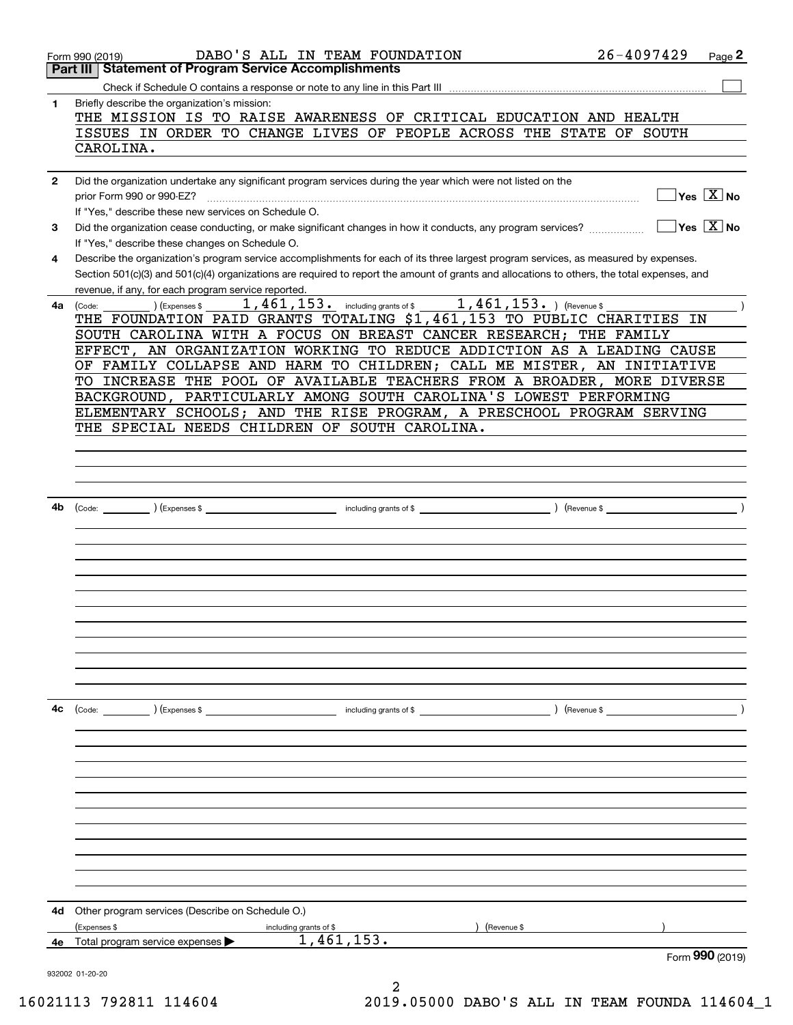|              | DABO'S ALL IN TEAM FOUNDATION<br>Form 990 (2019)                                                                                                                                                                                                                                     | $26 - 4097429$<br>Page 2               |
|--------------|--------------------------------------------------------------------------------------------------------------------------------------------------------------------------------------------------------------------------------------------------------------------------------------|----------------------------------------|
|              | Part III   Statement of Program Service Accomplishments                                                                                                                                                                                                                              |                                        |
|              |                                                                                                                                                                                                                                                                                      |                                        |
| 1            | Briefly describe the organization's mission:<br>THE MISSION IS TO RAISE AWARENESS OF CRITICAL EDUCATION AND HEALTH                                                                                                                                                                   |                                        |
|              | ISSUES IN ORDER TO CHANGE LIVES OF PEOPLE ACROSS THE STATE OF SOUTH<br>CAROLINA.                                                                                                                                                                                                     |                                        |
| $\mathbf{2}$ | Did the organization undertake any significant program services during the year which were not listed on the                                                                                                                                                                         |                                        |
|              | prior Form 990 or 990-EZ?<br>If "Yes," describe these new services on Schedule O.                                                                                                                                                                                                    | $\sqrt{}$ Yes $\sqrt{}$ X $\sqrt{}$ No |
| 3            | Did the organization cease conducting, or make significant changes in how it conducts, any program services?<br>If "Yes," describe these changes on Schedule O.                                                                                                                      | $\sqrt{}$ Yes $\sqrt{}$ X $\sqrt{}$ No |
| 4            | Describe the organization's program service accomplishments for each of its three largest program services, as measured by expenses.<br>Section 501(c)(3) and 501(c)(4) organizations are required to report the amount of grants and allocations to others, the total expenses, and |                                        |
|              | revenue, if any, for each program service reported.                                                                                                                                                                                                                                  |                                        |
| 4a l         | 1,461,153. including grants of \$1,461,153. The venue \$<br>(Expenses \$<br>(Code:<br>THE FOUNDATION PAID GRANTS TOTALING \$1,461,153 TO PUBLIC CHARITIES IN                                                                                                                         |                                        |
|              | SOUTH CAROLINA WITH A FOCUS ON BREAST CANCER RESEARCH; THE FAMILY                                                                                                                                                                                                                    |                                        |
|              | EFFECT, AN ORGANIZATION WORKING TO REDUCE ADDICTION AS A LEADING CAUSE                                                                                                                                                                                                               |                                        |
|              | OF FAMILY COLLAPSE AND HARM TO CHILDREN; CALL ME MISTER, AN INITIATIVE                                                                                                                                                                                                               |                                        |
|              | TO INCREASE THE POOL OF AVAILABLE TEACHERS FROM A BROADER, MORE DIVERSE                                                                                                                                                                                                              |                                        |
|              | BACKGROUND, PARTICULARLY AMONG SOUTH CAROLINA'S LOWEST PERFORMING                                                                                                                                                                                                                    |                                        |
|              | ELEMENTARY SCHOOLS; AND THE RISE PROGRAM, A PRESCHOOL PROGRAM SERVING                                                                                                                                                                                                                |                                        |
|              | THE SPECIAL NEEDS CHILDREN OF SOUTH CAROLINA.                                                                                                                                                                                                                                        |                                        |
|              |                                                                                                                                                                                                                                                                                      |                                        |
|              |                                                                                                                                                                                                                                                                                      |                                        |
|              |                                                                                                                                                                                                                                                                                      |                                        |
| 4b           |                                                                                                                                                                                                                                                                                      |                                        |
|              |                                                                                                                                                                                                                                                                                      |                                        |
|              |                                                                                                                                                                                                                                                                                      |                                        |
|              |                                                                                                                                                                                                                                                                                      |                                        |
|              |                                                                                                                                                                                                                                                                                      |                                        |
|              |                                                                                                                                                                                                                                                                                      |                                        |
|              |                                                                                                                                                                                                                                                                                      |                                        |
|              |                                                                                                                                                                                                                                                                                      |                                        |
|              |                                                                                                                                                                                                                                                                                      |                                        |
|              |                                                                                                                                                                                                                                                                                      |                                        |
|              |                                                                                                                                                                                                                                                                                      |                                        |
|              |                                                                                                                                                                                                                                                                                      |                                        |
| 4с           | (Code: ) (Expenses \$                                                                                                                                                                                                                                                                |                                        |
|              |                                                                                                                                                                                                                                                                                      |                                        |
|              |                                                                                                                                                                                                                                                                                      |                                        |
|              |                                                                                                                                                                                                                                                                                      |                                        |
|              |                                                                                                                                                                                                                                                                                      |                                        |
|              |                                                                                                                                                                                                                                                                                      |                                        |
|              |                                                                                                                                                                                                                                                                                      |                                        |
|              |                                                                                                                                                                                                                                                                                      |                                        |
|              |                                                                                                                                                                                                                                                                                      |                                        |
|              |                                                                                                                                                                                                                                                                                      |                                        |
|              |                                                                                                                                                                                                                                                                                      |                                        |
|              |                                                                                                                                                                                                                                                                                      |                                        |
| 4d           | Other program services (Describe on Schedule O.)                                                                                                                                                                                                                                     |                                        |
|              | (Expenses \$<br>(Revenue \$<br>including grants of \$                                                                                                                                                                                                                                |                                        |
| 4е           | 1,461,153.<br>Total program service expenses                                                                                                                                                                                                                                         |                                        |
|              |                                                                                                                                                                                                                                                                                      | Form 990 (2019)                        |
|              | 932002 01-20-20                                                                                                                                                                                                                                                                      |                                        |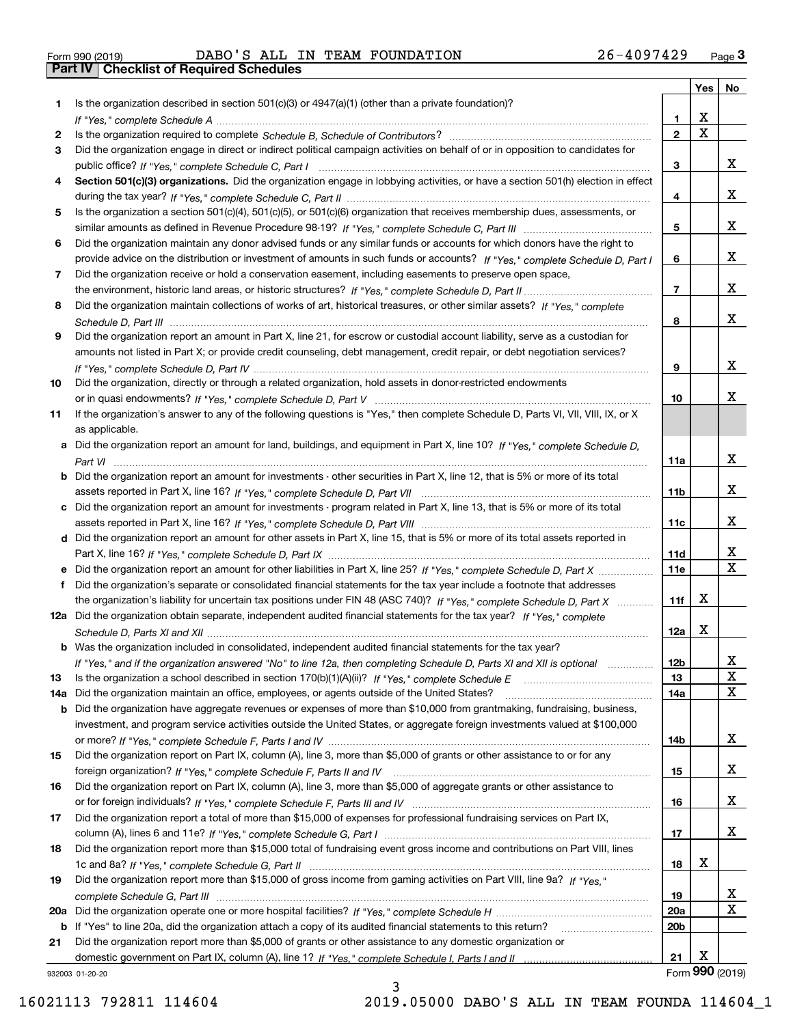| Form 990 (2019) |  |  |
|-----------------|--|--|

Form 990 (2019) DABO ' S ALL IN TEAM FOUNDATION 2 6 – 40 9 7 4 2 9 <sub>Page</sub> 3<br>**Part IV | Checklist of Required Schedules** 

|     |                                                                                                                                                 |                 | Yes                     | No              |
|-----|-------------------------------------------------------------------------------------------------------------------------------------------------|-----------------|-------------------------|-----------------|
| 1.  | Is the organization described in section $501(c)(3)$ or $4947(a)(1)$ (other than a private foundation)?                                         |                 |                         |                 |
|     |                                                                                                                                                 | 1               | X                       |                 |
| 2   |                                                                                                                                                 | $\overline{2}$  | $\overline{\mathbf{x}}$ |                 |
| 3   | Did the organization engage in direct or indirect political campaign activities on behalf of or in opposition to candidates for                 |                 |                         |                 |
|     |                                                                                                                                                 | 3               |                         | X.              |
| 4   | Section 501(c)(3) organizations. Did the organization engage in lobbying activities, or have a section 501(h) election in effect                |                 |                         |                 |
|     |                                                                                                                                                 | 4               |                         | x               |
| 5   | Is the organization a section 501(c)(4), 501(c)(5), or 501(c)(6) organization that receives membership dues, assessments, or                    |                 |                         |                 |
|     |                                                                                                                                                 | 5               |                         | x               |
| 6   | Did the organization maintain any donor advised funds or any similar funds or accounts for which donors have the right to                       |                 |                         |                 |
|     | provide advice on the distribution or investment of amounts in such funds or accounts? If "Yes," complete Schedule D, Part I                    | 6               |                         | x               |
| 7   | Did the organization receive or hold a conservation easement, including easements to preserve open space,                                       |                 |                         |                 |
|     |                                                                                                                                                 | $\overline{7}$  |                         | x               |
| 8   | Did the organization maintain collections of works of art, historical treasures, or other similar assets? If "Yes," complete                    |                 |                         |                 |
|     |                                                                                                                                                 | 8               |                         | x               |
| 9   | Did the organization report an amount in Part X, line 21, for escrow or custodial account liability, serve as a custodian for                   |                 |                         |                 |
|     | amounts not listed in Part X; or provide credit counseling, debt management, credit repair, or debt negotiation services?                       |                 |                         | X.              |
|     |                                                                                                                                                 | 9               |                         |                 |
| 10  | Did the organization, directly or through a related organization, hold assets in donor-restricted endowments                                    |                 |                         | x               |
|     |                                                                                                                                                 | 10              |                         |                 |
| 11  | If the organization's answer to any of the following questions is "Yes," then complete Schedule D, Parts VI, VII, VIII, IX, or X                |                 |                         |                 |
|     | as applicable.<br>a Did the organization report an amount for land, buildings, and equipment in Part X, line 10? If "Yes," complete Schedule D, |                 |                         |                 |
|     |                                                                                                                                                 | 11a             |                         | x               |
|     | <b>b</b> Did the organization report an amount for investments - other securities in Part X, line 12, that is 5% or more of its total           |                 |                         |                 |
|     |                                                                                                                                                 | 11 <sub>b</sub> |                         | x               |
|     | c Did the organization report an amount for investments - program related in Part X, line 13, that is 5% or more of its total                   |                 |                         |                 |
|     |                                                                                                                                                 | 11c             |                         | x               |
|     | d Did the organization report an amount for other assets in Part X, line 15, that is 5% or more of its total assets reported in                 |                 |                         |                 |
|     |                                                                                                                                                 | 11d             |                         | X               |
|     | e Did the organization report an amount for other liabilities in Part X, line 25? If "Yes," complete Schedule D, Part X                         | 11e             |                         | $\mathbf{x}$    |
| f   | Did the organization's separate or consolidated financial statements for the tax year include a footnote that addresses                         |                 |                         |                 |
|     | the organization's liability for uncertain tax positions under FIN 48 (ASC 740)? If "Yes," complete Schedule D, Part X                          | 11f             | x                       |                 |
|     | 12a Did the organization obtain separate, independent audited financial statements for the tax year? If "Yes," complete                         |                 |                         |                 |
|     |                                                                                                                                                 | 12a             | X                       |                 |
|     | b Was the organization included in consolidated, independent audited financial statements for the tax year?                                     |                 |                         |                 |
|     | If "Yes," and if the organization answered "No" to line 12a, then completing Schedule D, Parts XI and XII is optional                           | 12b             |                         | ᅀ               |
| 13  |                                                                                                                                                 | 13              |                         | X               |
| 14a | Did the organization maintain an office, employees, or agents outside of the United States?                                                     | 14a             |                         | x               |
|     | <b>b</b> Did the organization have aggregate revenues or expenses of more than \$10,000 from grantmaking, fundraising, business,                |                 |                         |                 |
|     | investment, and program service activities outside the United States, or aggregate foreign investments valued at \$100,000                      |                 |                         |                 |
|     |                                                                                                                                                 | 14b             |                         | x               |
| 15  | Did the organization report on Part IX, column (A), line 3, more than \$5,000 of grants or other assistance to or for any                       |                 |                         |                 |
|     |                                                                                                                                                 | 15              |                         | x               |
| 16  | Did the organization report on Part IX, column (A), line 3, more than \$5,000 of aggregate grants or other assistance to                        |                 |                         |                 |
|     |                                                                                                                                                 | 16              |                         | x               |
| 17  | Did the organization report a total of more than \$15,000 of expenses for professional fundraising services on Part IX,                         |                 |                         |                 |
|     |                                                                                                                                                 | 17              |                         | x               |
| 18  | Did the organization report more than \$15,000 total of fundraising event gross income and contributions on Part VIII, lines                    |                 |                         |                 |
|     |                                                                                                                                                 | 18              | x                       |                 |
| 19  | Did the organization report more than \$15,000 of gross income from gaming activities on Part VIII, line 9a? If "Yes."                          |                 |                         |                 |
|     |                                                                                                                                                 | 19              |                         | X               |
|     |                                                                                                                                                 | <b>20a</b>      |                         | x               |
|     | b If "Yes" to line 20a, did the organization attach a copy of its audited financial statements to this return?                                  | 20 <sub>b</sub> |                         |                 |
| 21  | Did the organization report more than \$5,000 of grants or other assistance to any domestic organization or                                     |                 |                         |                 |
|     |                                                                                                                                                 | 21              | Х                       |                 |
|     | 932003 01-20-20                                                                                                                                 |                 |                         | Form 990 (2019) |

3

932003 01-20-20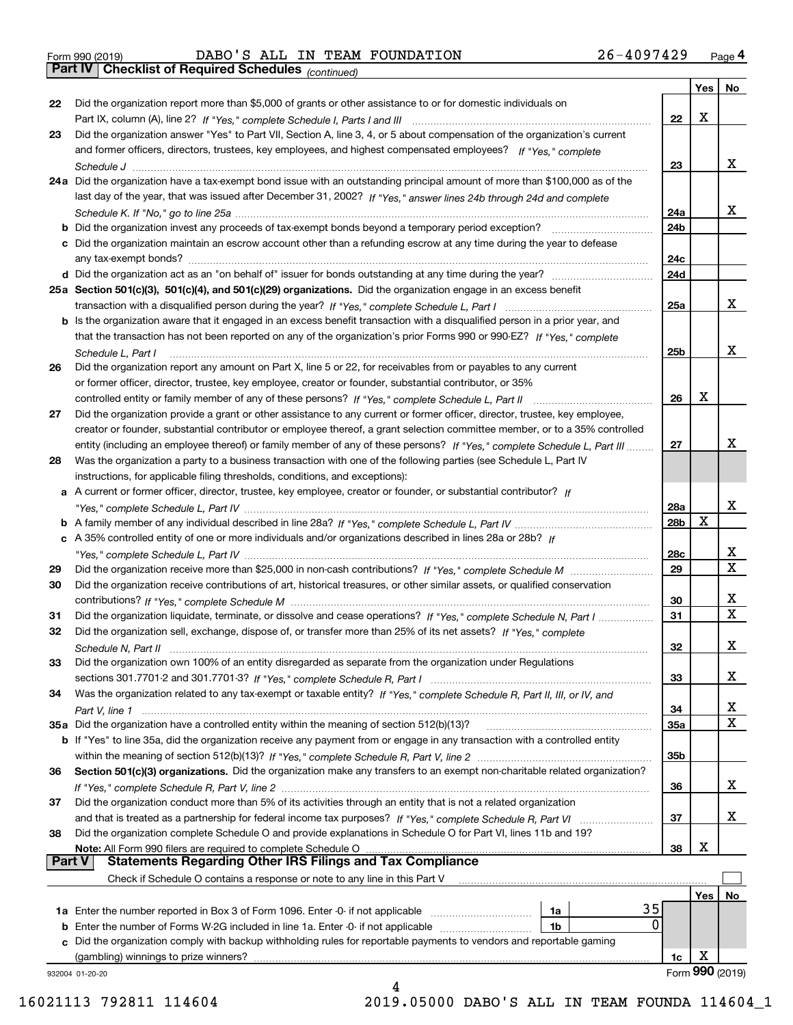| Form 990 (2019) |  |  |
|-----------------|--|--|

Form 990 (2019) DABO ' S ALL IN TEAM FOUNDATION 2 6 – 40 9 7 4 2 9 <sub>Page</sub> 4<br>**Part IV | Checklist of Required Schedules** <sub>(continued)</sub>

*(continued)*

|          |                                                                                                                                                                                                                                                         |                 |     | Yes   No         |
|----------|---------------------------------------------------------------------------------------------------------------------------------------------------------------------------------------------------------------------------------------------------------|-----------------|-----|------------------|
| 22       | Did the organization report more than \$5,000 of grants or other assistance to or for domestic individuals on                                                                                                                                           |                 |     |                  |
|          |                                                                                                                                                                                                                                                         | 22              | X   |                  |
| 23       | Did the organization answer "Yes" to Part VII, Section A, line 3, 4, or 5 about compensation of the organization's current                                                                                                                              |                 |     |                  |
|          | and former officers, directors, trustees, key employees, and highest compensated employees? If "Yes," complete                                                                                                                                          |                 |     |                  |
|          |                                                                                                                                                                                                                                                         | 23              |     | x                |
|          | 24a Did the organization have a tax-exempt bond issue with an outstanding principal amount of more than \$100,000 as of the                                                                                                                             |                 |     |                  |
|          | last day of the year, that was issued after December 31, 2002? If "Yes," answer lines 24b through 24d and complete                                                                                                                                      |                 |     |                  |
|          |                                                                                                                                                                                                                                                         | 24a             |     | x                |
|          | b Did the organization invest any proceeds of tax-exempt bonds beyond a temporary period exception?                                                                                                                                                     | 24b             |     |                  |
|          | c Did the organization maintain an escrow account other than a refunding escrow at any time during the year to defease                                                                                                                                  |                 |     |                  |
|          | any tax-exempt bonds?                                                                                                                                                                                                                                   | 24c             |     |                  |
|          |                                                                                                                                                                                                                                                         | 24d             |     |                  |
|          | 25a Section 501(c)(3), 501(c)(4), and 501(c)(29) organizations. Did the organization engage in an excess benefit                                                                                                                                        |                 |     | x                |
|          |                                                                                                                                                                                                                                                         | 25a             |     |                  |
|          | b Is the organization aware that it engaged in an excess benefit transaction with a disqualified person in a prior year, and                                                                                                                            |                 |     |                  |
|          | that the transaction has not been reported on any of the organization's prior Forms 990 or 990-EZ? If "Yes," complete                                                                                                                                   |                 |     | x                |
|          | Schedule L. Part I<br>Did the organization report any amount on Part X, line 5 or 22, for receivables from or payables to any current                                                                                                                   | 25b             |     |                  |
| 26       |                                                                                                                                                                                                                                                         |                 |     |                  |
|          | or former officer, director, trustee, key employee, creator or founder, substantial contributor, or 35%                                                                                                                                                 | 26              | X   |                  |
| 27       |                                                                                                                                                                                                                                                         |                 |     |                  |
|          | Did the organization provide a grant or other assistance to any current or former officer, director, trustee, key employee,                                                                                                                             |                 |     |                  |
|          | creator or founder, substantial contributor or employee thereof, a grant selection committee member, or to a 35% controlled<br>entity (including an employee thereof) or family member of any of these persons? If "Yes," complete Schedule L, Part III | 27              |     | x                |
| 28       | Was the organization a party to a business transaction with one of the following parties (see Schedule L, Part IV                                                                                                                                       |                 |     |                  |
|          | instructions, for applicable filing thresholds, conditions, and exceptions):                                                                                                                                                                            |                 |     |                  |
|          | a A current or former officer, director, trustee, key employee, creator or founder, or substantial contributor? If                                                                                                                                      |                 |     |                  |
|          |                                                                                                                                                                                                                                                         | 28a             |     | x                |
|          |                                                                                                                                                                                                                                                         | 28b             | х   |                  |
|          | c A 35% controlled entity of one or more individuals and/or organizations described in lines 28a or 28b? If                                                                                                                                             |                 |     |                  |
|          |                                                                                                                                                                                                                                                         | 28c             |     | x                |
| 29       |                                                                                                                                                                                                                                                         | 29              |     | $\mathbf X$      |
| 30       | Did the organization receive contributions of art, historical treasures, or other similar assets, or qualified conservation                                                                                                                             |                 |     |                  |
|          |                                                                                                                                                                                                                                                         | 30              |     | x                |
| 31       | Did the organization liquidate, terminate, or dissolve and cease operations? If "Yes," complete Schedule N, Part I                                                                                                                                      | 31              |     | $\mathbf x$      |
| 32       | Did the organization sell, exchange, dispose of, or transfer more than 25% of its net assets? If "Yes," complete                                                                                                                                        |                 |     |                  |
|          |                                                                                                                                                                                                                                                         | 32              |     | х                |
| 33       | Did the organization own 100% of an entity disregarded as separate from the organization under Regulations                                                                                                                                              |                 |     |                  |
|          |                                                                                                                                                                                                                                                         | 33              |     | х                |
| 34       | Was the organization related to any tax-exempt or taxable entity? If "Yes," complete Schedule R, Part II, III, or IV, and                                                                                                                               |                 |     |                  |
|          |                                                                                                                                                                                                                                                         | 34              |     | X                |
|          | 35a Did the organization have a controlled entity within the meaning of section 512(b)(13)?                                                                                                                                                             | 35a             |     | х                |
|          | b If "Yes" to line 35a, did the organization receive any payment from or engage in any transaction with a controlled entity                                                                                                                             |                 |     |                  |
|          |                                                                                                                                                                                                                                                         | 35 <sub>b</sub> |     |                  |
| 36       | Section 501(c)(3) organizations. Did the organization make any transfers to an exempt non-charitable related organization?                                                                                                                              |                 |     |                  |
|          |                                                                                                                                                                                                                                                         | 36              |     | x                |
| 37       | Did the organization conduct more than 5% of its activities through an entity that is not a related organization                                                                                                                                        |                 |     |                  |
|          | and that is treated as a partnership for federal income tax purposes? If "Yes," complete Schedule R, Part VI                                                                                                                                            | 37              |     | x                |
| 38       | Did the organization complete Schedule O and provide explanations in Schedule O for Part VI, lines 11b and 19?                                                                                                                                          |                 |     |                  |
|          | Note: All Form 990 filers are required to complete Schedule O                                                                                                                                                                                           | 38              | X   |                  |
| ∣ Part V | <b>Statements Regarding Other IRS Filings and Tax Compliance</b>                                                                                                                                                                                        |                 |     |                  |
|          | Check if Schedule O contains a response or note to any line in this Part V                                                                                                                                                                              |                 |     |                  |
|          |                                                                                                                                                                                                                                                         |                 | Yes | No               |
|          | 35<br>1a                                                                                                                                                                                                                                                |                 |     |                  |
|          | $\Omega$<br>1b                                                                                                                                                                                                                                          |                 |     |                  |
| c        | Did the organization comply with backup withholding rules for reportable payments to vendors and reportable gaming                                                                                                                                      |                 |     |                  |
|          | (gambling) winnings to prize winners?                                                                                                                                                                                                                   | 1c              | х   |                  |
|          | 932004 01-20-20                                                                                                                                                                                                                                         |                 |     | Form $990(2019)$ |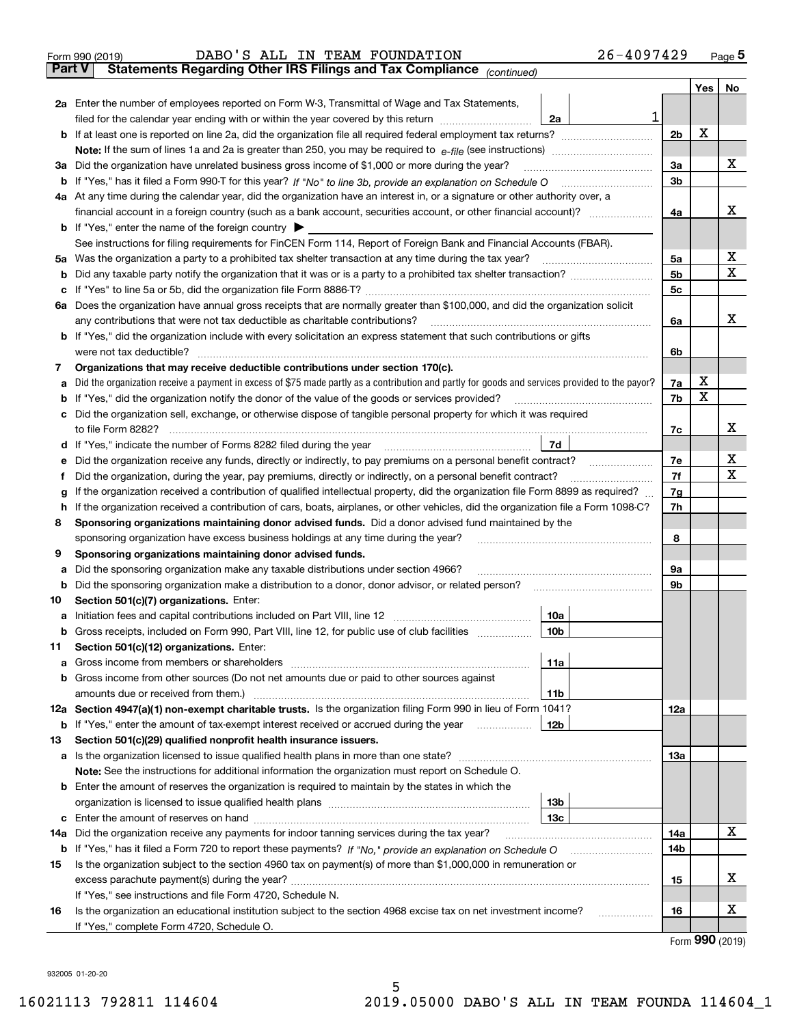|               | 26-4097429<br>DABO'S ALL IN TEAM FOUNDATION<br>Form 990 (2019)                                                                                                                                                                                   |                |      | $_{\text{Page}}$ 5 |
|---------------|--------------------------------------------------------------------------------------------------------------------------------------------------------------------------------------------------------------------------------------------------|----------------|------|--------------------|
| <b>Part V</b> | Statements Regarding Other IRS Filings and Tax Compliance (continued)                                                                                                                                                                            |                |      |                    |
|               |                                                                                                                                                                                                                                                  |                | Yes  | No                 |
|               | 2a Enter the number of employees reported on Form W-3, Transmittal of Wage and Tax Statements,                                                                                                                                                   |                |      |                    |
|               | 1<br>filed for the calendar year ending with or within the year covered by this return <i>manumumumum</i><br>2a                                                                                                                                  |                |      |                    |
|               |                                                                                                                                                                                                                                                  | 2 <sub>b</sub> | Х    |                    |
|               |                                                                                                                                                                                                                                                  |                |      |                    |
| За            | Did the organization have unrelated business gross income of \$1,000 or more during the year?                                                                                                                                                    | 3a             |      | х                  |
|               |                                                                                                                                                                                                                                                  | 3b             |      |                    |
|               | 4a At any time during the calendar year, did the organization have an interest in, or a signature or other authority over, a                                                                                                                     |                |      |                    |
|               |                                                                                                                                                                                                                                                  | 4a             |      | х                  |
|               | <b>b</b> If "Yes," enter the name of the foreign country $\blacktriangleright$                                                                                                                                                                   |                |      |                    |
|               | See instructions for filing requirements for FinCEN Form 114, Report of Foreign Bank and Financial Accounts (FBAR).                                                                                                                              |                |      |                    |
| 5a            | Was the organization a party to a prohibited tax shelter transaction at any time during the tax year?                                                                                                                                            | 5a             |      | х                  |
| b             |                                                                                                                                                                                                                                                  | 5b             |      | X                  |
| с             |                                                                                                                                                                                                                                                  | 5c             |      |                    |
|               | 6a Does the organization have annual gross receipts that are normally greater than \$100,000, and did the organization solicit                                                                                                                   |                |      |                    |
|               |                                                                                                                                                                                                                                                  | 6a             |      | х                  |
|               | <b>b</b> If "Yes," did the organization include with every solicitation an express statement that such contributions or gifts                                                                                                                    |                |      |                    |
|               | were not tax deductible?                                                                                                                                                                                                                         | 6b             |      |                    |
| 7             | Organizations that may receive deductible contributions under section 170(c).                                                                                                                                                                    |                |      |                    |
| а             | Did the organization receive a payment in excess of \$75 made partly as a contribution and partly for goods and services provided to the payor?                                                                                                  | 7a             | x    |                    |
| b             | If "Yes," did the organization notify the donor of the value of the goods or services provided?                                                                                                                                                  | 7b             | x    |                    |
| с             | Did the organization sell, exchange, or otherwise dispose of tangible personal property for which it was required                                                                                                                                |                |      |                    |
|               |                                                                                                                                                                                                                                                  | 7c             |      | х                  |
|               | 7d                                                                                                                                                                                                                                               |                |      | х                  |
| е             | Did the organization receive any funds, directly or indirectly, to pay premiums on a personal benefit contract?                                                                                                                                  | 7e<br>7f       |      | х                  |
| f             | Did the organization, during the year, pay premiums, directly or indirectly, on a personal benefit contract?<br>If the organization received a contribution of qualified intellectual property, did the organization file Form 8899 as required? | 7g             |      |                    |
| g             | If the organization received a contribution of cars, boats, airplanes, or other vehicles, did the organization file a Form 1098-C?                                                                                                               | 7h             |      |                    |
| h<br>8        | Sponsoring organizations maintaining donor advised funds. Did a donor advised fund maintained by the                                                                                                                                             |                |      |                    |
|               | sponsoring organization have excess business holdings at any time during the year?                                                                                                                                                               | 8              |      |                    |
| 9             | Sponsoring organizations maintaining donor advised funds.                                                                                                                                                                                        |                |      |                    |
| а             | Did the sponsoring organization make any taxable distributions under section 4966?                                                                                                                                                               | 9а             |      |                    |
| b             | Did the sponsoring organization make a distribution to a donor, donor advisor, or related person?                                                                                                                                                | 9b             |      |                    |
| 10            | Section 501(c)(7) organizations. Enter:                                                                                                                                                                                                          |                |      |                    |
|               | 10a                                                                                                                                                                                                                                              |                |      |                    |
|               |                                                                                                                                                                                                                                                  |                |      |                    |
| 11            | Section 501(c)(12) organizations. Enter:                                                                                                                                                                                                         |                |      |                    |
| a             | 11a                                                                                                                                                                                                                                              |                |      |                    |
|               | b Gross income from other sources (Do not net amounts due or paid to other sources against                                                                                                                                                       |                |      |                    |
|               | 11b                                                                                                                                                                                                                                              |                |      |                    |
|               | 12a Section 4947(a)(1) non-exempt charitable trusts. Is the organization filing Form 990 in lieu of Form 1041?                                                                                                                                   | 12a            |      |                    |
|               | 12b<br><b>b</b> If "Yes," enter the amount of tax-exempt interest received or accrued during the year                                                                                                                                            |                |      |                    |
| 13            | Section 501(c)(29) qualified nonprofit health insurance issuers.                                                                                                                                                                                 |                |      |                    |
|               | a Is the organization licensed to issue qualified health plans in more than one state?                                                                                                                                                           | 13a            |      |                    |
|               | Note: See the instructions for additional information the organization must report on Schedule O.                                                                                                                                                |                |      |                    |
|               | <b>b</b> Enter the amount of reserves the organization is required to maintain by the states in which the                                                                                                                                        |                |      |                    |
|               | 13b                                                                                                                                                                                                                                              |                |      |                    |
|               | 13с                                                                                                                                                                                                                                              |                |      |                    |
| 14a           | Did the organization receive any payments for indoor tanning services during the tax year?                                                                                                                                                       | 14a            |      | х                  |
|               | <b>b</b> If "Yes," has it filed a Form 720 to report these payments? If "No," provide an explanation on Schedule O                                                                                                                               | 14b            |      |                    |
| 15            | Is the organization subject to the section 4960 tax on payment(s) of more than \$1,000,000 in remuneration or                                                                                                                                    |                |      |                    |
|               |                                                                                                                                                                                                                                                  | 15             |      | х                  |
|               | If "Yes," see instructions and file Form 4720, Schedule N.                                                                                                                                                                                       |                |      |                    |
| 16            | Is the organization an educational institution subject to the section 4968 excise tax on net investment income?                                                                                                                                  | 16             |      | х                  |
|               | If "Yes," complete Form 4720, Schedule O.                                                                                                                                                                                                        |                |      |                    |
|               |                                                                                                                                                                                                                                                  |                | nnn. |                    |

Form (2019) **990**

932005 01-20-20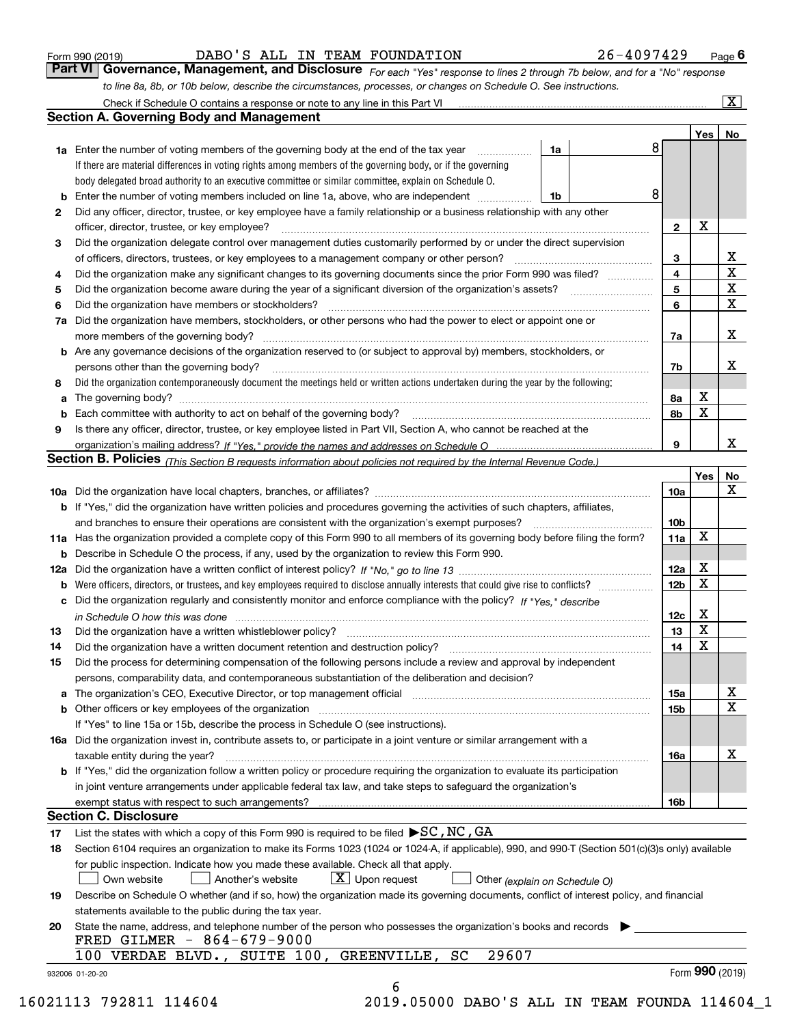|  | Form 990 (2019) |
|--|-----------------|
|  |                 |

DABO'S ALL IN TEAM FOUNDATION 26-4097429 Page 6

Check if Schedule O contains a response or note to any line in this Part VI ................

 $\boxed{\text{X}}$ 

*For each "Yes" response to lines 2 through 7b below, and for a "No" response to line 8a, 8b, or 10b below, describe the circumstances, processes, or changes on Schedule O. See instructions.* Form 990 (2019) **COMBING BY ACT AD BY ANGLE 11 TEAM FOUNDATION** 1968 2 6 - 40 9 7 4 29 Page 6<br>**Part VI Governance, Management, and Disclosure** For each "Yes" response to lines 2 through 7b below, and for a "No" response

|    |                                                                                                                                                                                                                                |                               |                         | Yes             | No                      |
|----|--------------------------------------------------------------------------------------------------------------------------------------------------------------------------------------------------------------------------------|-------------------------------|-------------------------|-----------------|-------------------------|
|    | <b>1a</b> Enter the number of voting members of the governing body at the end of the tax year                                                                                                                                  | 1a                            | 8                       |                 |                         |
|    | If there are material differences in voting rights among members of the governing body, or if the governing                                                                                                                    |                               |                         |                 |                         |
|    | body delegated broad authority to an executive committee or similar committee, explain on Schedule O.                                                                                                                          |                               |                         |                 |                         |
|    | <b>b</b> Enter the number of voting members included on line 1a, above, who are independent <i>manumum</i>                                                                                                                     | 1b                            | 8                       |                 |                         |
| 2  | Did any officer, director, trustee, or key employee have a family relationship or a business relationship with any other                                                                                                       |                               |                         |                 |                         |
|    | officer, director, trustee, or key employee?                                                                                                                                                                                   |                               | $\mathbf{2}$            | X               |                         |
| 3  | Did the organization delegate control over management duties customarily performed by or under the direct supervision                                                                                                          |                               |                         |                 |                         |
|    |                                                                                                                                                                                                                                |                               | 3                       |                 | X                       |
| 4  | Did the organization make any significant changes to its governing documents since the prior Form 990 was filed?                                                                                                               |                               | $\overline{\mathbf{4}}$ |                 | $\overline{\mathtt{x}}$ |
| 5  |                                                                                                                                                                                                                                |                               | 5                       |                 | $\overline{\mathbf{x}}$ |
| 6  | Did the organization have members or stockholders?                                                                                                                                                                             |                               | 6                       |                 | $\mathbf X$             |
| 7a | Did the organization have members, stockholders, or other persons who had the power to elect or appoint one or                                                                                                                 |                               |                         |                 |                         |
|    |                                                                                                                                                                                                                                |                               | 7a                      |                 | х                       |
|    | <b>b</b> Are any governance decisions of the organization reserved to (or subject to approval by) members, stockholders, or                                                                                                    |                               |                         |                 |                         |
|    | persons other than the governing body?                                                                                                                                                                                         |                               | 7b                      |                 | х                       |
|    | Did the organization contemporaneously document the meetings held or written actions undertaken during the year by the following:                                                                                              |                               |                         |                 |                         |
| 8  |                                                                                                                                                                                                                                |                               |                         | Х               |                         |
| a  |                                                                                                                                                                                                                                |                               | 8a                      | $\mathbf X$     |                         |
|    | Each committee with authority to act on behalf of the governing body? [11] manufacture manufacture with authority to act on behalf of the governing body? [11] manufacture with authority of the state with an action with the |                               | 8b                      |                 |                         |
| 9  | Is there any officer, director, trustee, or key employee listed in Part VII, Section A, who cannot be reached at the                                                                                                           |                               |                         |                 |                         |
|    |                                                                                                                                                                                                                                |                               | 9                       |                 | x                       |
|    | Section B. Policies <i>(This Section B requests information about policies not required by the Internal Revenue Code.)</i>                                                                                                     |                               |                         |                 |                         |
|    |                                                                                                                                                                                                                                |                               |                         | Yes             | <u>No</u>               |
|    |                                                                                                                                                                                                                                |                               | 10a                     |                 | X                       |
|    | <b>b</b> If "Yes," did the organization have written policies and procedures governing the activities of such chapters, affiliates,                                                                                            |                               |                         |                 |                         |
|    |                                                                                                                                                                                                                                |                               | 10b                     |                 |                         |
|    | 11a Has the organization provided a complete copy of this Form 990 to all members of its governing body before filing the form?                                                                                                |                               | 11a                     | X               |                         |
|    | <b>b</b> Describe in Schedule O the process, if any, used by the organization to review this Form 990.                                                                                                                         |                               |                         |                 |                         |
|    |                                                                                                                                                                                                                                |                               | 12a                     | Х               |                         |
| b  |                                                                                                                                                                                                                                |                               | 12 <sub>b</sub>         | X               |                         |
|    | c Did the organization regularly and consistently monitor and enforce compliance with the policy? If "Yes," describe                                                                                                           |                               |                         |                 |                         |
|    | in Schedule O how this was done measured and continuum control to the distribution of the state of the state o                                                                                                                 |                               | 12c                     | Х               |                         |
| 13 | Did the organization have a written whistleblower policy?                                                                                                                                                                      |                               | 13                      | $\mathbf X$     |                         |
| 14 | Did the organization have a written document retention and destruction policy? manufactured and the organization have a written document retention and destruction policy?                                                     |                               | 14                      | $\mathbf X$     |                         |
| 15 | Did the process for determining compensation of the following persons include a review and approval by independent                                                                                                             |                               |                         |                 |                         |
|    | persons, comparability data, and contemporaneous substantiation of the deliberation and decision?                                                                                                                              |                               |                         |                 |                         |
|    |                                                                                                                                                                                                                                |                               | ٦5а                     |                 | X                       |
|    | <b>b</b> Other officers or key employees of the organization                                                                                                                                                                   |                               | 15 <sub>b</sub>         |                 | $\mathbf X$             |
|    | If "Yes" to line 15a or 15b, describe the process in Schedule O (see instructions).                                                                                                                                            |                               |                         |                 |                         |
|    | 16a Did the organization invest in, contribute assets to, or participate in a joint venture or similar arrangement with a                                                                                                      |                               |                         |                 |                         |
|    | taxable entity during the year?                                                                                                                                                                                                |                               | 16a                     |                 | х                       |
|    | <b>b</b> If "Yes," did the organization follow a written policy or procedure requiring the organization to evaluate its participation                                                                                          |                               |                         |                 |                         |
|    | in joint venture arrangements under applicable federal tax law, and take steps to safeguard the organization's                                                                                                                 |                               |                         |                 |                         |
|    | exempt status with respect to such arrangements?                                                                                                                                                                               |                               | 16b                     |                 |                         |
|    | <b>Section C. Disclosure</b>                                                                                                                                                                                                   |                               |                         |                 |                         |
| 17 | List the states with which a copy of this Form 990 is required to be filed $\blacktriangleright$ SC, NC, GA                                                                                                                    |                               |                         |                 |                         |
| 18 | Section 6104 requires an organization to make its Forms 1023 (1024 or 1024-A, if applicable), 990, and 990-T (Section 501(c)(3)s only) available                                                                               |                               |                         |                 |                         |
|    |                                                                                                                                                                                                                                |                               |                         |                 |                         |
|    | for public inspection. Indicate how you made these available. Check all that apply.                                                                                                                                            |                               |                         |                 |                         |
|    | $X$ Upon request<br>Another's website<br>Own website                                                                                                                                                                           | Other (explain on Schedule O) |                         |                 |                         |
| 19 | Describe on Schedule O whether (and if so, how) the organization made its governing documents, conflict of interest policy, and financial                                                                                      |                               |                         |                 |                         |
|    | statements available to the public during the tax year.                                                                                                                                                                        |                               |                         |                 |                         |
| 20 | State the name, address, and telephone number of the person who possesses the organization's books and records                                                                                                                 |                               |                         |                 |                         |
|    | FRED GILMER - 864-679-9000                                                                                                                                                                                                     |                               |                         |                 |                         |
|    | 29607<br>100 VERDAE BLVD., SUITE 100, GREENVILLE,<br>SC                                                                                                                                                                        |                               |                         |                 |                         |
|    |                                                                                                                                                                                                                                |                               |                         | Form 990 (2019) |                         |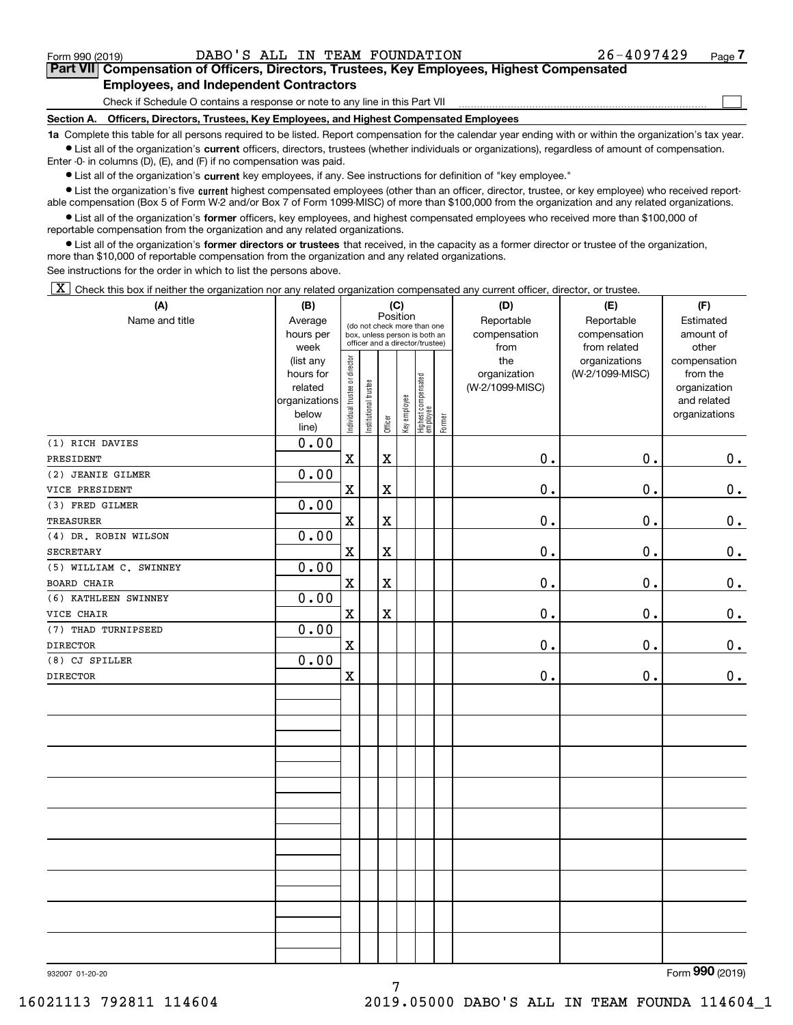$\mathcal{L}^{\text{max}}$ 

# **7Part VII Compensation of Officers, Directors, Trustees, Key Employees, Highest Compensated Employees, and Independent Contractors**

Check if Schedule O contains a response or note to any line in this Part VII

**Section A. Officers, Directors, Trustees, Key Employees, and Highest Compensated Employees**

**1a**  Complete this table for all persons required to be listed. Report compensation for the calendar year ending with or within the organization's tax year. **•** List all of the organization's current officers, directors, trustees (whether individuals or organizations), regardless of amount of compensation.

Enter -0- in columns (D), (E), and (F) if no compensation was paid.

 $\bullet$  List all of the organization's  $\,$ current key employees, if any. See instructions for definition of "key employee."

**•** List the organization's five current highest compensated employees (other than an officer, director, trustee, or key employee) who received reportable compensation (Box 5 of Form W-2 and/or Box 7 of Form 1099-MISC) of more than \$100,000 from the organization and any related organizations.

**•** List all of the organization's former officers, key employees, and highest compensated employees who received more than \$100,000 of reportable compensation from the organization and any related organizations.

**former directors or trustees**  ¥ List all of the organization's that received, in the capacity as a former director or trustee of the organization, more than \$10,000 of reportable compensation from the organization and any related organizations.

See instructions for the order in which to list the persons above.

 $\boxed{\textbf{X}}$  Check this box if neither the organization nor any related organization compensated any current officer, director, or trustee.

| (A)                    | (B)                  | (C)                                     |                                 | (D)         | (E)          | (F)                             |           |                     |                 |                          |
|------------------------|----------------------|-----------------------------------------|---------------------------------|-------------|--------------|---------------------------------|-----------|---------------------|-----------------|--------------------------|
| Name and title         | Average              | Position<br>(do not check more than one |                                 | Reportable  | Reportable   | Estimated                       |           |                     |                 |                          |
|                        | hours per            |                                         | box, unless person is both an   |             | compensation | compensation                    | amount of |                     |                 |                          |
|                        | week                 |                                         | officer and a director/trustee) |             | from         | from related                    | other     |                     |                 |                          |
|                        | (list any            |                                         |                                 |             |              |                                 |           | the<br>organization | organizations   | compensation             |
|                        | hours for<br>related |                                         |                                 |             |              |                                 |           | (W-2/1099-MISC)     | (W-2/1099-MISC) | from the<br>organization |
|                        | organizations        |                                         |                                 |             |              |                                 |           |                     |                 | and related              |
|                        | below                | ndividual trustee or director           | nstitutional trustee            |             |              |                                 |           |                     |                 | organizations            |
|                        | line)                |                                         |                                 | Officer     | Key employee | Highest compensated<br>employee | Former    |                     |                 |                          |
| (1) RICH DAVIES        | 0.00                 |                                         |                                 |             |              |                                 |           |                     |                 |                          |
| PRESIDENT              |                      | $\mathbf X$                             |                                 | $\mathbf X$ |              |                                 |           | $0$ .               | 0.              | 0.                       |
| (2) JEANIE GILMER      | 0.00                 |                                         |                                 |             |              |                                 |           |                     |                 |                          |
| VICE PRESIDENT         |                      | $\mathbf X$                             |                                 | $\mathbf X$ |              |                                 |           | 0.                  | 0.              | $\mathbf 0$ .            |
| (3) FRED GILMER        | 0.00                 |                                         |                                 |             |              |                                 |           |                     |                 |                          |
| <b>TREASURER</b>       |                      | $\mathbf X$                             |                                 | $\mathbf X$ |              |                                 |           | 0.                  | 0.              | $0$ .                    |
| (4) DR. ROBIN WILSON   | 0.00                 |                                         |                                 |             |              |                                 |           |                     |                 |                          |
| <b>SECRETARY</b>       |                      | $\mathbf X$                             |                                 | $\mathbf X$ |              |                                 |           | 0.                  | $\mathbf 0$ .   | $0_{.}$                  |
| (5) WILLIAM C. SWINNEY | 0.00                 |                                         |                                 |             |              |                                 |           |                     |                 |                          |
| <b>BOARD CHAIR</b>     |                      | $\mathbf X$                             |                                 | $\mathbf X$ |              |                                 |           | $0$ .               | 0.              | $\mathbf 0$ .            |
| (6) KATHLEEN SWINNEY   | 0.00                 |                                         |                                 |             |              |                                 |           |                     |                 |                          |
| VICE CHAIR             |                      | $\mathbf X$                             |                                 | $\mathbf X$ |              |                                 |           | $0$ .               | 0.              | 0.                       |
| (7) THAD TURNIPSEED    | 0.00                 |                                         |                                 |             |              |                                 |           |                     |                 |                          |
| <b>DIRECTOR</b>        |                      | $\mathbf x$                             |                                 |             |              |                                 |           | 0.                  | 0.              | $\mathbf 0$ .            |
| (8) CJ SPILLER         | 0.00                 |                                         |                                 |             |              |                                 |           |                     |                 |                          |
| <b>DIRECTOR</b>        |                      | $\mathbf X$                             |                                 |             |              |                                 |           | $\mathbf 0$ .       | 0.              | 0.                       |
|                        |                      |                                         |                                 |             |              |                                 |           |                     |                 |                          |
|                        |                      |                                         |                                 |             |              |                                 |           |                     |                 |                          |
|                        |                      |                                         |                                 |             |              |                                 |           |                     |                 |                          |
|                        |                      |                                         |                                 |             |              |                                 |           |                     |                 |                          |
|                        |                      |                                         |                                 |             |              |                                 |           |                     |                 |                          |
|                        |                      |                                         |                                 |             |              |                                 |           |                     |                 |                          |
|                        |                      |                                         |                                 |             |              |                                 |           |                     |                 |                          |
|                        |                      |                                         |                                 |             |              |                                 |           |                     |                 |                          |
|                        |                      |                                         |                                 |             |              |                                 |           |                     |                 |                          |
|                        |                      |                                         |                                 |             |              |                                 |           |                     |                 |                          |
|                        |                      |                                         |                                 |             |              |                                 |           |                     |                 |                          |
|                        |                      |                                         |                                 |             |              |                                 |           |                     |                 |                          |
|                        |                      |                                         |                                 |             |              |                                 |           |                     |                 |                          |
|                        |                      |                                         |                                 |             |              |                                 |           |                     |                 |                          |
|                        |                      |                                         |                                 |             |              |                                 |           |                     |                 |                          |
|                        |                      |                                         |                                 |             |              |                                 |           |                     |                 |                          |
|                        |                      |                                         |                                 |             |              |                                 |           |                     |                 |                          |
|                        |                      |                                         |                                 |             |              |                                 |           |                     |                 |                          |

7

932007 01-20-20

Form (2019) **990**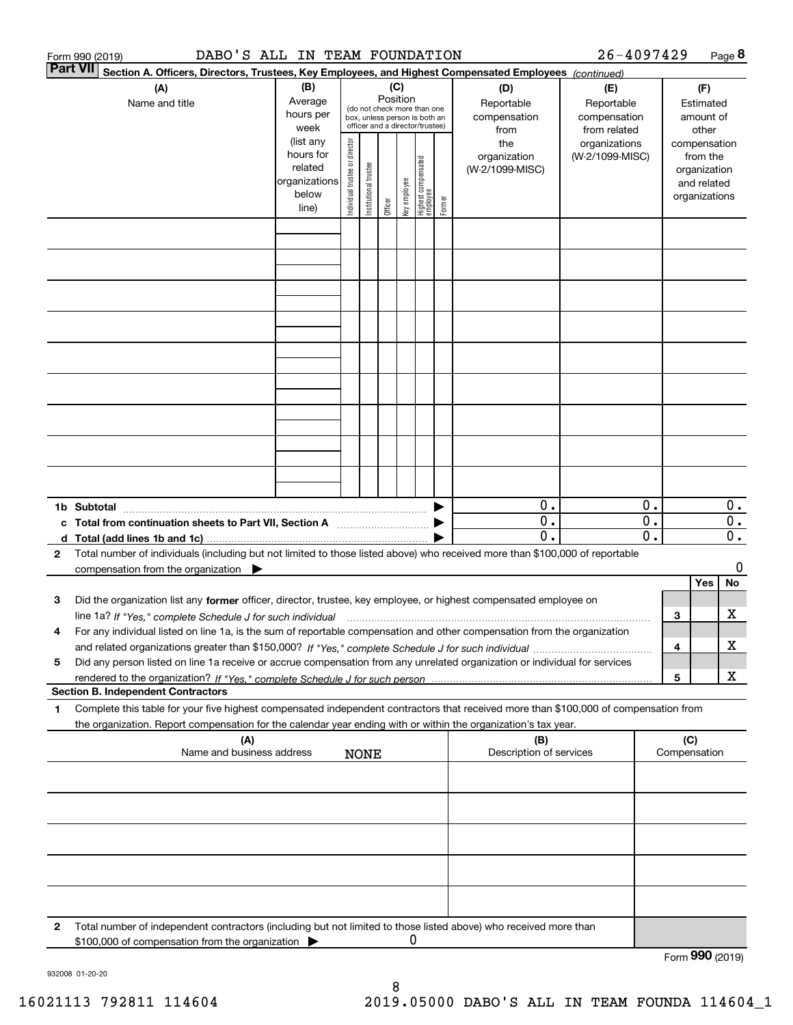|   | DABO'S ALL IN TEAM FOUNDATION<br>Form 990 (2019)                                                                                                                                                                                                                       |                                                                      |                                |                       |                 |              |                                                                                                 |        |                                           | 26-4097429                                        |                                                 |     |                                                                          | Page 8                                        |
|---|------------------------------------------------------------------------------------------------------------------------------------------------------------------------------------------------------------------------------------------------------------------------|----------------------------------------------------------------------|--------------------------------|-----------------------|-----------------|--------------|-------------------------------------------------------------------------------------------------|--------|-------------------------------------------|---------------------------------------------------|-------------------------------------------------|-----|--------------------------------------------------------------------------|-----------------------------------------------|
|   | <b>Part VII</b><br>Section A. Officers, Directors, Trustees, Key Employees, and Highest Compensated Employees (continued)                                                                                                                                              |                                                                      |                                |                       |                 |              |                                                                                                 |        |                                           |                                                   |                                                 |     |                                                                          |                                               |
|   | (A)<br>Name and title                                                                                                                                                                                                                                                  | (B)<br>Average<br>hours per<br>week                                  |                                |                       | (C)<br>Position |              | (do not check more than one<br>box, unless person is both an<br>officer and a director/trustee) |        | (D)<br>Reportable<br>compensation<br>from | (E)<br>Reportable<br>compensation<br>from related |                                                 |     | (F)<br>Estimated<br>amount of<br>other                                   |                                               |
|   |                                                                                                                                                                                                                                                                        | (list any<br>hours for<br>related<br>organizations<br>below<br>line) | Individual trustee or director | Institutional trustee | Officer         | key employee | Highest compensated<br>  employee                                                               | Former | the<br>organization<br>(W-2/1099-MISC)    | organizations<br>(W-2/1099-MISC)                  |                                                 |     | compensation<br>from the<br>organization<br>and related<br>organizations |                                               |
|   |                                                                                                                                                                                                                                                                        |                                                                      |                                |                       |                 |              |                                                                                                 |        |                                           |                                                   |                                                 |     |                                                                          |                                               |
|   |                                                                                                                                                                                                                                                                        |                                                                      |                                |                       |                 |              |                                                                                                 |        |                                           |                                                   |                                                 |     |                                                                          |                                               |
|   |                                                                                                                                                                                                                                                                        |                                                                      |                                |                       |                 |              |                                                                                                 |        |                                           |                                                   |                                                 |     |                                                                          |                                               |
|   |                                                                                                                                                                                                                                                                        |                                                                      |                                |                       |                 |              |                                                                                                 |        |                                           |                                                   |                                                 |     |                                                                          |                                               |
|   |                                                                                                                                                                                                                                                                        |                                                                      |                                |                       |                 |              |                                                                                                 |        |                                           |                                                   |                                                 |     |                                                                          |                                               |
|   |                                                                                                                                                                                                                                                                        |                                                                      |                                |                       |                 |              |                                                                                                 |        |                                           |                                                   |                                                 |     |                                                                          |                                               |
|   |                                                                                                                                                                                                                                                                        |                                                                      |                                |                       |                 |              |                                                                                                 |        |                                           |                                                   |                                                 |     |                                                                          |                                               |
|   |                                                                                                                                                                                                                                                                        |                                                                      |                                |                       |                 |              |                                                                                                 |        |                                           |                                                   |                                                 |     |                                                                          |                                               |
|   | 1b Subtotal                                                                                                                                                                                                                                                            |                                                                      |                                |                       |                 |              |                                                                                                 |        | 0.                                        |                                                   | 0.                                              |     |                                                                          | $0$ .                                         |
|   | c Total from continuation sheets to Part VII, Section A                                                                                                                                                                                                                |                                                                      |                                |                       |                 |              |                                                                                                 |        | $\mathbf{0}$ .<br>$\overline{0}$ .        |                                                   | $\overline{0}$ .<br>$\overline{\mathfrak{0}}$ . |     |                                                                          | $\overline{0}$ .<br>$\overline{\mathbf{0}}$ . |
| 2 | Total number of individuals (including but not limited to those listed above) who received more than \$100,000 of reportable<br>compensation from the organization $\blacktriangleright$                                                                               |                                                                      |                                |                       |                 |              |                                                                                                 |        |                                           |                                                   |                                                 |     |                                                                          | 0                                             |
| з | Did the organization list any former officer, director, trustee, key employee, or highest compensated employee on                                                                                                                                                      |                                                                      |                                |                       |                 |              |                                                                                                 |        |                                           |                                                   |                                                 |     | Yes                                                                      | No                                            |
| 4 | line 1a? If "Yes," complete Schedule J for such individual matches contained and the 1a? If "Yes," complete Schedule J for such individual<br>For any individual listed on line 1a, is the sum of reportable compensation and other compensation from the organization |                                                                      |                                |                       |                 |              |                                                                                                 |        |                                           |                                                   |                                                 | 3   |                                                                          | х                                             |
| 5 | Did any person listed on line 1a receive or accrue compensation from any unrelated organization or individual for services                                                                                                                                             |                                                                      |                                |                       |                 |              |                                                                                                 |        |                                           |                                                   |                                                 | 4   |                                                                          | х                                             |
|   | <b>Section B. Independent Contractors</b>                                                                                                                                                                                                                              |                                                                      |                                |                       |                 |              |                                                                                                 |        |                                           |                                                   |                                                 | 5   |                                                                          | X                                             |
| 1 | Complete this table for your five highest compensated independent contractors that received more than \$100,000 of compensation from<br>the organization. Report compensation for the calendar year ending with or within the organization's tax year.                 |                                                                      |                                |                       |                 |              |                                                                                                 |        |                                           |                                                   |                                                 |     |                                                                          |                                               |
|   | (A)<br>Name and business address                                                                                                                                                                                                                                       |                                                                      |                                | <b>NONE</b>           |                 |              |                                                                                                 |        | (B)<br>Description of services            |                                                   |                                                 | (C) | Compensation                                                             |                                               |
|   |                                                                                                                                                                                                                                                                        |                                                                      |                                |                       |                 |              |                                                                                                 |        |                                           |                                                   |                                                 |     |                                                                          |                                               |
|   |                                                                                                                                                                                                                                                                        |                                                                      |                                |                       |                 |              |                                                                                                 |        |                                           |                                                   |                                                 |     |                                                                          |                                               |
|   |                                                                                                                                                                                                                                                                        |                                                                      |                                |                       |                 |              |                                                                                                 |        |                                           |                                                   |                                                 |     |                                                                          |                                               |
|   |                                                                                                                                                                                                                                                                        |                                                                      |                                |                       |                 |              |                                                                                                 |        |                                           |                                                   |                                                 |     |                                                                          |                                               |
|   |                                                                                                                                                                                                                                                                        |                                                                      |                                |                       |                 |              |                                                                                                 |        |                                           |                                                   |                                                 |     |                                                                          |                                               |
| 2 | Total number of independent contractors (including but not limited to those listed above) who received more than<br>\$100,000 of compensation from the organization                                                                                                    |                                                                      |                                |                       |                 | 0            |                                                                                                 |        |                                           |                                                   |                                                 |     | Form 990 (2019)                                                          |                                               |
|   |                                                                                                                                                                                                                                                                        |                                                                      |                                |                       |                 |              |                                                                                                 |        |                                           |                                                   |                                                 |     |                                                                          |                                               |

932008 01-20-20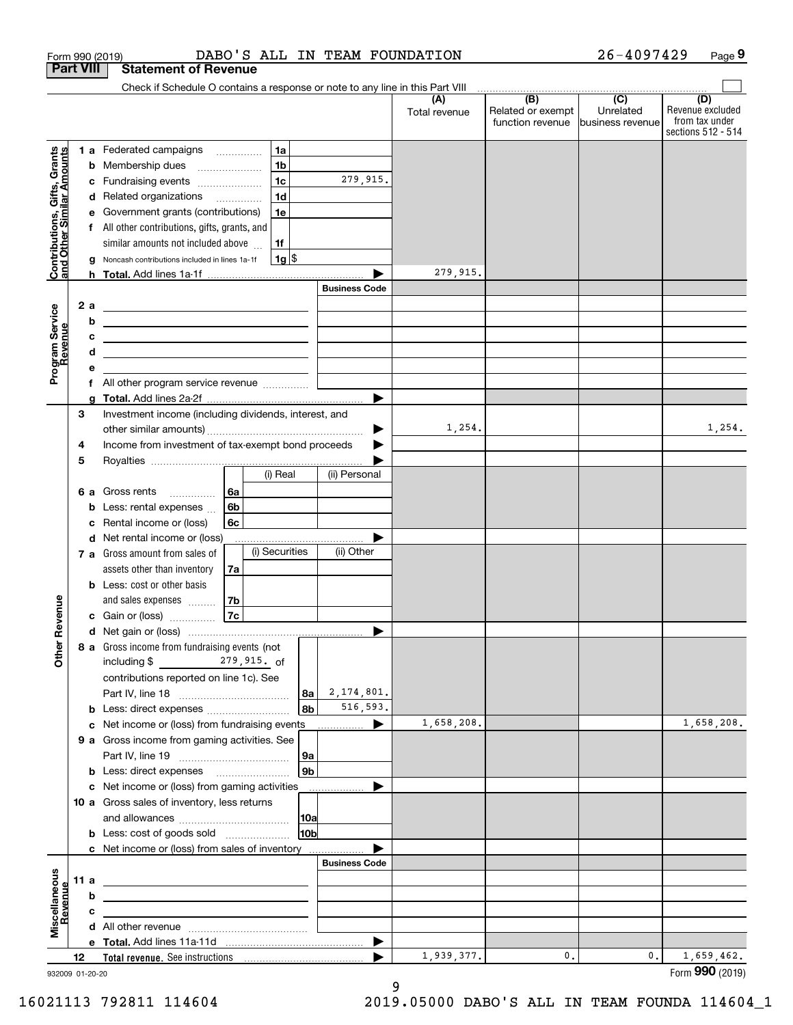| <b>Part VIII</b><br>Check if Schedule O contains a response or note to any line in this Part VIII<br>$\overline{(\mathsf{B})}$ $\overline{(\mathsf{C})}$<br>(D)<br>(A)<br>Related or exempt<br>Unrelated<br>Total revenue<br>function revenue<br>Ibusiness revenuel<br>Contributions, Gifts, Grants<br>and Other Similar Amounts<br>1 a Federated campaigns<br>1a<br>1 <sub>b</sub><br>Membership dues<br>b<br>1 <sub>c</sub><br>279,915.<br>Fundraising events<br>с<br>1 <sub>d</sub><br>d Related organizations<br>Government grants (contributions)<br>1e<br>е<br>f All other contributions, gifts, grants, and<br>similar amounts not included above<br>1f<br>$1g$ \$<br>Noncash contributions included in lines 1a-1f<br>g<br>279,915.<br><b>Business Code</b><br>Program Service<br>Revenue<br>2 a<br><u> 1989 - Johann Barn, fransk politik amerikansk politik (</u><br>b<br><u> 1980 - John Stone, amerikansk politiker (</u><br>с<br><u> Alexander (Alexander Alexander Alexander Alexander Alexander Alexander Alexander Alexander Alexander Alexander</u><br>d<br><u> 1989 - Johann Stein, mars an deus an deus Angelsen (b. 1989)</u><br>е<br><u> 1989 - Jan Alexandria (</u><br>f All other program service revenue<br>g<br>3<br>Investment income (including dividends, interest, and<br>1,254.<br>Income from investment of tax-exempt bond proceeds<br>4<br>5<br>(i) Real<br>(ii) Personal<br>6a<br>6 a Gross rents<br>6b<br>Less: rental expenses<br>b<br>Rental income or (loss)<br>6с<br>с<br>d Net rental income or (loss)<br>(i) Securities<br>(ii) Other<br>7 a Gross amount from sales of<br>assets other than inventory<br>7a<br><b>b</b> Less: cost or other basis<br>evenue<br>7b<br>and sales expenses<br>7c<br>c Gain or (loss)<br>œ<br>Other<br>8 a Gross income from fundraising events (not<br>including \$ 279, 915. of<br>contributions reported on line 1c). See<br>2, 174, 801.<br>  8a<br>516,593.<br>8b<br><b>b</b> Less: direct expenses <i></i><br>1,658,208.<br>c Net income or (loss) from fundraising events<br>▶<br>9 a Gross income from gaming activities. See<br> 9a<br>9 <sub>b</sub><br><b>b</b> Less: direct expenses <b>manually</b><br>c Net income or (loss) from gaming activities<br>.<br>10 a Gross sales of inventory, less returns<br> 10a<br>10b<br><b>b</b> Less: cost of goods sold<br>c Net income or (loss) from sales of inventory<br><b>Business Code</b><br>Miscellaneous<br>Revenue<br>11 a<br><u> 1989 - Johann Barbara, martin amerikan basar dan berasal dalam basar dalam basar dalam basar dalam basar dala</u><br>b<br><u> 1989 - Johann Stein, marwolaethau a bhann an t-Amhair ann an t-Amhair an t-Amhair an t-Amhair an t-Amhair an</u><br>с<br><u> 1989 - Johann Stein, mars an t-Amerikaansk ferskeiz (* 1958)</u><br>▶<br>1,659,462.<br>1,939,377.<br>0.<br>0.<br>12<br>932009 01-20-20 |  | DABO'S ALL IN TEAM FOUNDATION<br>Form 990 (2019) |  | 26-4097429 | Page 9                                                   |
|------------------------------------------------------------------------------------------------------------------------------------------------------------------------------------------------------------------------------------------------------------------------------------------------------------------------------------------------------------------------------------------------------------------------------------------------------------------------------------------------------------------------------------------------------------------------------------------------------------------------------------------------------------------------------------------------------------------------------------------------------------------------------------------------------------------------------------------------------------------------------------------------------------------------------------------------------------------------------------------------------------------------------------------------------------------------------------------------------------------------------------------------------------------------------------------------------------------------------------------------------------------------------------------------------------------------------------------------------------------------------------------------------------------------------------------------------------------------------------------------------------------------------------------------------------------------------------------------------------------------------------------------------------------------------------------------------------------------------------------------------------------------------------------------------------------------------------------------------------------------------------------------------------------------------------------------------------------------------------------------------------------------------------------------------------------------------------------------------------------------------------------------------------------------------------------------------------------------------------------------------------------------------------------------------------------------------------------------------------------------------------------------------------------------------------------------------------------------------------------------------------------------------------------------------------------------------------------------------------------------------------------------------------------------------------------------------------------------------------------------------------------------------------------------------------------------------------------------------------------------|--|--------------------------------------------------|--|------------|----------------------------------------------------------|
|                                                                                                                                                                                                                                                                                                                                                                                                                                                                                                                                                                                                                                                                                                                                                                                                                                                                                                                                                                                                                                                                                                                                                                                                                                                                                                                                                                                                                                                                                                                                                                                                                                                                                                                                                                                                                                                                                                                                                                                                                                                                                                                                                                                                                                                                                                                                                                                                                                                                                                                                                                                                                                                                                                                                                                                                                                                                        |  | <b>Statement of Revenue</b>                      |  |            |                                                          |
|                                                                                                                                                                                                                                                                                                                                                                                                                                                                                                                                                                                                                                                                                                                                                                                                                                                                                                                                                                                                                                                                                                                                                                                                                                                                                                                                                                                                                                                                                                                                                                                                                                                                                                                                                                                                                                                                                                                                                                                                                                                                                                                                                                                                                                                                                                                                                                                                                                                                                                                                                                                                                                                                                                                                                                                                                                                                        |  |                                                  |  |            |                                                          |
|                                                                                                                                                                                                                                                                                                                                                                                                                                                                                                                                                                                                                                                                                                                                                                                                                                                                                                                                                                                                                                                                                                                                                                                                                                                                                                                                                                                                                                                                                                                                                                                                                                                                                                                                                                                                                                                                                                                                                                                                                                                                                                                                                                                                                                                                                                                                                                                                                                                                                                                                                                                                                                                                                                                                                                                                                                                                        |  |                                                  |  |            | Revenue excluded<br>from tax under<br>sections 512 - 514 |
|                                                                                                                                                                                                                                                                                                                                                                                                                                                                                                                                                                                                                                                                                                                                                                                                                                                                                                                                                                                                                                                                                                                                                                                                                                                                                                                                                                                                                                                                                                                                                                                                                                                                                                                                                                                                                                                                                                                                                                                                                                                                                                                                                                                                                                                                                                                                                                                                                                                                                                                                                                                                                                                                                                                                                                                                                                                                        |  |                                                  |  |            |                                                          |
|                                                                                                                                                                                                                                                                                                                                                                                                                                                                                                                                                                                                                                                                                                                                                                                                                                                                                                                                                                                                                                                                                                                                                                                                                                                                                                                                                                                                                                                                                                                                                                                                                                                                                                                                                                                                                                                                                                                                                                                                                                                                                                                                                                                                                                                                                                                                                                                                                                                                                                                                                                                                                                                                                                                                                                                                                                                                        |  |                                                  |  |            |                                                          |
|                                                                                                                                                                                                                                                                                                                                                                                                                                                                                                                                                                                                                                                                                                                                                                                                                                                                                                                                                                                                                                                                                                                                                                                                                                                                                                                                                                                                                                                                                                                                                                                                                                                                                                                                                                                                                                                                                                                                                                                                                                                                                                                                                                                                                                                                                                                                                                                                                                                                                                                                                                                                                                                                                                                                                                                                                                                                        |  |                                                  |  |            |                                                          |
|                                                                                                                                                                                                                                                                                                                                                                                                                                                                                                                                                                                                                                                                                                                                                                                                                                                                                                                                                                                                                                                                                                                                                                                                                                                                                                                                                                                                                                                                                                                                                                                                                                                                                                                                                                                                                                                                                                                                                                                                                                                                                                                                                                                                                                                                                                                                                                                                                                                                                                                                                                                                                                                                                                                                                                                                                                                                        |  |                                                  |  |            |                                                          |
|                                                                                                                                                                                                                                                                                                                                                                                                                                                                                                                                                                                                                                                                                                                                                                                                                                                                                                                                                                                                                                                                                                                                                                                                                                                                                                                                                                                                                                                                                                                                                                                                                                                                                                                                                                                                                                                                                                                                                                                                                                                                                                                                                                                                                                                                                                                                                                                                                                                                                                                                                                                                                                                                                                                                                                                                                                                                        |  |                                                  |  |            |                                                          |
|                                                                                                                                                                                                                                                                                                                                                                                                                                                                                                                                                                                                                                                                                                                                                                                                                                                                                                                                                                                                                                                                                                                                                                                                                                                                                                                                                                                                                                                                                                                                                                                                                                                                                                                                                                                                                                                                                                                                                                                                                                                                                                                                                                                                                                                                                                                                                                                                                                                                                                                                                                                                                                                                                                                                                                                                                                                                        |  |                                                  |  |            |                                                          |
|                                                                                                                                                                                                                                                                                                                                                                                                                                                                                                                                                                                                                                                                                                                                                                                                                                                                                                                                                                                                                                                                                                                                                                                                                                                                                                                                                                                                                                                                                                                                                                                                                                                                                                                                                                                                                                                                                                                                                                                                                                                                                                                                                                                                                                                                                                                                                                                                                                                                                                                                                                                                                                                                                                                                                                                                                                                                        |  |                                                  |  |            |                                                          |
|                                                                                                                                                                                                                                                                                                                                                                                                                                                                                                                                                                                                                                                                                                                                                                                                                                                                                                                                                                                                                                                                                                                                                                                                                                                                                                                                                                                                                                                                                                                                                                                                                                                                                                                                                                                                                                                                                                                                                                                                                                                                                                                                                                                                                                                                                                                                                                                                                                                                                                                                                                                                                                                                                                                                                                                                                                                                        |  |                                                  |  |            |                                                          |
|                                                                                                                                                                                                                                                                                                                                                                                                                                                                                                                                                                                                                                                                                                                                                                                                                                                                                                                                                                                                                                                                                                                                                                                                                                                                                                                                                                                                                                                                                                                                                                                                                                                                                                                                                                                                                                                                                                                                                                                                                                                                                                                                                                                                                                                                                                                                                                                                                                                                                                                                                                                                                                                                                                                                                                                                                                                                        |  |                                                  |  |            |                                                          |
|                                                                                                                                                                                                                                                                                                                                                                                                                                                                                                                                                                                                                                                                                                                                                                                                                                                                                                                                                                                                                                                                                                                                                                                                                                                                                                                                                                                                                                                                                                                                                                                                                                                                                                                                                                                                                                                                                                                                                                                                                                                                                                                                                                                                                                                                                                                                                                                                                                                                                                                                                                                                                                                                                                                                                                                                                                                                        |  |                                                  |  |            |                                                          |
|                                                                                                                                                                                                                                                                                                                                                                                                                                                                                                                                                                                                                                                                                                                                                                                                                                                                                                                                                                                                                                                                                                                                                                                                                                                                                                                                                                                                                                                                                                                                                                                                                                                                                                                                                                                                                                                                                                                                                                                                                                                                                                                                                                                                                                                                                                                                                                                                                                                                                                                                                                                                                                                                                                                                                                                                                                                                        |  |                                                  |  |            |                                                          |
|                                                                                                                                                                                                                                                                                                                                                                                                                                                                                                                                                                                                                                                                                                                                                                                                                                                                                                                                                                                                                                                                                                                                                                                                                                                                                                                                                                                                                                                                                                                                                                                                                                                                                                                                                                                                                                                                                                                                                                                                                                                                                                                                                                                                                                                                                                                                                                                                                                                                                                                                                                                                                                                                                                                                                                                                                                                                        |  |                                                  |  |            |                                                          |
|                                                                                                                                                                                                                                                                                                                                                                                                                                                                                                                                                                                                                                                                                                                                                                                                                                                                                                                                                                                                                                                                                                                                                                                                                                                                                                                                                                                                                                                                                                                                                                                                                                                                                                                                                                                                                                                                                                                                                                                                                                                                                                                                                                                                                                                                                                                                                                                                                                                                                                                                                                                                                                                                                                                                                                                                                                                                        |  |                                                  |  |            |                                                          |
|                                                                                                                                                                                                                                                                                                                                                                                                                                                                                                                                                                                                                                                                                                                                                                                                                                                                                                                                                                                                                                                                                                                                                                                                                                                                                                                                                                                                                                                                                                                                                                                                                                                                                                                                                                                                                                                                                                                                                                                                                                                                                                                                                                                                                                                                                                                                                                                                                                                                                                                                                                                                                                                                                                                                                                                                                                                                        |  |                                                  |  |            |                                                          |
|                                                                                                                                                                                                                                                                                                                                                                                                                                                                                                                                                                                                                                                                                                                                                                                                                                                                                                                                                                                                                                                                                                                                                                                                                                                                                                                                                                                                                                                                                                                                                                                                                                                                                                                                                                                                                                                                                                                                                                                                                                                                                                                                                                                                                                                                                                                                                                                                                                                                                                                                                                                                                                                                                                                                                                                                                                                                        |  |                                                  |  |            |                                                          |
|                                                                                                                                                                                                                                                                                                                                                                                                                                                                                                                                                                                                                                                                                                                                                                                                                                                                                                                                                                                                                                                                                                                                                                                                                                                                                                                                                                                                                                                                                                                                                                                                                                                                                                                                                                                                                                                                                                                                                                                                                                                                                                                                                                                                                                                                                                                                                                                                                                                                                                                                                                                                                                                                                                                                                                                                                                                                        |  |                                                  |  |            |                                                          |
|                                                                                                                                                                                                                                                                                                                                                                                                                                                                                                                                                                                                                                                                                                                                                                                                                                                                                                                                                                                                                                                                                                                                                                                                                                                                                                                                                                                                                                                                                                                                                                                                                                                                                                                                                                                                                                                                                                                                                                                                                                                                                                                                                                                                                                                                                                                                                                                                                                                                                                                                                                                                                                                                                                                                                                                                                                                                        |  |                                                  |  |            |                                                          |
|                                                                                                                                                                                                                                                                                                                                                                                                                                                                                                                                                                                                                                                                                                                                                                                                                                                                                                                                                                                                                                                                                                                                                                                                                                                                                                                                                                                                                                                                                                                                                                                                                                                                                                                                                                                                                                                                                                                                                                                                                                                                                                                                                                                                                                                                                                                                                                                                                                                                                                                                                                                                                                                                                                                                                                                                                                                                        |  |                                                  |  |            |                                                          |
|                                                                                                                                                                                                                                                                                                                                                                                                                                                                                                                                                                                                                                                                                                                                                                                                                                                                                                                                                                                                                                                                                                                                                                                                                                                                                                                                                                                                                                                                                                                                                                                                                                                                                                                                                                                                                                                                                                                                                                                                                                                                                                                                                                                                                                                                                                                                                                                                                                                                                                                                                                                                                                                                                                                                                                                                                                                                        |  |                                                  |  |            | 1,254.                                                   |
|                                                                                                                                                                                                                                                                                                                                                                                                                                                                                                                                                                                                                                                                                                                                                                                                                                                                                                                                                                                                                                                                                                                                                                                                                                                                                                                                                                                                                                                                                                                                                                                                                                                                                                                                                                                                                                                                                                                                                                                                                                                                                                                                                                                                                                                                                                                                                                                                                                                                                                                                                                                                                                                                                                                                                                                                                                                                        |  |                                                  |  |            |                                                          |
|                                                                                                                                                                                                                                                                                                                                                                                                                                                                                                                                                                                                                                                                                                                                                                                                                                                                                                                                                                                                                                                                                                                                                                                                                                                                                                                                                                                                                                                                                                                                                                                                                                                                                                                                                                                                                                                                                                                                                                                                                                                                                                                                                                                                                                                                                                                                                                                                                                                                                                                                                                                                                                                                                                                                                                                                                                                                        |  |                                                  |  |            |                                                          |
|                                                                                                                                                                                                                                                                                                                                                                                                                                                                                                                                                                                                                                                                                                                                                                                                                                                                                                                                                                                                                                                                                                                                                                                                                                                                                                                                                                                                                                                                                                                                                                                                                                                                                                                                                                                                                                                                                                                                                                                                                                                                                                                                                                                                                                                                                                                                                                                                                                                                                                                                                                                                                                                                                                                                                                                                                                                                        |  |                                                  |  |            |                                                          |
|                                                                                                                                                                                                                                                                                                                                                                                                                                                                                                                                                                                                                                                                                                                                                                                                                                                                                                                                                                                                                                                                                                                                                                                                                                                                                                                                                                                                                                                                                                                                                                                                                                                                                                                                                                                                                                                                                                                                                                                                                                                                                                                                                                                                                                                                                                                                                                                                                                                                                                                                                                                                                                                                                                                                                                                                                                                                        |  |                                                  |  |            |                                                          |
|                                                                                                                                                                                                                                                                                                                                                                                                                                                                                                                                                                                                                                                                                                                                                                                                                                                                                                                                                                                                                                                                                                                                                                                                                                                                                                                                                                                                                                                                                                                                                                                                                                                                                                                                                                                                                                                                                                                                                                                                                                                                                                                                                                                                                                                                                                                                                                                                                                                                                                                                                                                                                                                                                                                                                                                                                                                                        |  |                                                  |  |            |                                                          |
|                                                                                                                                                                                                                                                                                                                                                                                                                                                                                                                                                                                                                                                                                                                                                                                                                                                                                                                                                                                                                                                                                                                                                                                                                                                                                                                                                                                                                                                                                                                                                                                                                                                                                                                                                                                                                                                                                                                                                                                                                                                                                                                                                                                                                                                                                                                                                                                                                                                                                                                                                                                                                                                                                                                                                                                                                                                                        |  |                                                  |  |            |                                                          |
|                                                                                                                                                                                                                                                                                                                                                                                                                                                                                                                                                                                                                                                                                                                                                                                                                                                                                                                                                                                                                                                                                                                                                                                                                                                                                                                                                                                                                                                                                                                                                                                                                                                                                                                                                                                                                                                                                                                                                                                                                                                                                                                                                                                                                                                                                                                                                                                                                                                                                                                                                                                                                                                                                                                                                                                                                                                                        |  |                                                  |  |            |                                                          |
|                                                                                                                                                                                                                                                                                                                                                                                                                                                                                                                                                                                                                                                                                                                                                                                                                                                                                                                                                                                                                                                                                                                                                                                                                                                                                                                                                                                                                                                                                                                                                                                                                                                                                                                                                                                                                                                                                                                                                                                                                                                                                                                                                                                                                                                                                                                                                                                                                                                                                                                                                                                                                                                                                                                                                                                                                                                                        |  |                                                  |  |            |                                                          |
|                                                                                                                                                                                                                                                                                                                                                                                                                                                                                                                                                                                                                                                                                                                                                                                                                                                                                                                                                                                                                                                                                                                                                                                                                                                                                                                                                                                                                                                                                                                                                                                                                                                                                                                                                                                                                                                                                                                                                                                                                                                                                                                                                                                                                                                                                                                                                                                                                                                                                                                                                                                                                                                                                                                                                                                                                                                                        |  |                                                  |  |            |                                                          |
|                                                                                                                                                                                                                                                                                                                                                                                                                                                                                                                                                                                                                                                                                                                                                                                                                                                                                                                                                                                                                                                                                                                                                                                                                                                                                                                                                                                                                                                                                                                                                                                                                                                                                                                                                                                                                                                                                                                                                                                                                                                                                                                                                                                                                                                                                                                                                                                                                                                                                                                                                                                                                                                                                                                                                                                                                                                                        |  |                                                  |  |            |                                                          |
|                                                                                                                                                                                                                                                                                                                                                                                                                                                                                                                                                                                                                                                                                                                                                                                                                                                                                                                                                                                                                                                                                                                                                                                                                                                                                                                                                                                                                                                                                                                                                                                                                                                                                                                                                                                                                                                                                                                                                                                                                                                                                                                                                                                                                                                                                                                                                                                                                                                                                                                                                                                                                                                                                                                                                                                                                                                                        |  |                                                  |  |            |                                                          |
|                                                                                                                                                                                                                                                                                                                                                                                                                                                                                                                                                                                                                                                                                                                                                                                                                                                                                                                                                                                                                                                                                                                                                                                                                                                                                                                                                                                                                                                                                                                                                                                                                                                                                                                                                                                                                                                                                                                                                                                                                                                                                                                                                                                                                                                                                                                                                                                                                                                                                                                                                                                                                                                                                                                                                                                                                                                                        |  |                                                  |  |            |                                                          |
|                                                                                                                                                                                                                                                                                                                                                                                                                                                                                                                                                                                                                                                                                                                                                                                                                                                                                                                                                                                                                                                                                                                                                                                                                                                                                                                                                                                                                                                                                                                                                                                                                                                                                                                                                                                                                                                                                                                                                                                                                                                                                                                                                                                                                                                                                                                                                                                                                                                                                                                                                                                                                                                                                                                                                                                                                                                                        |  |                                                  |  |            |                                                          |
|                                                                                                                                                                                                                                                                                                                                                                                                                                                                                                                                                                                                                                                                                                                                                                                                                                                                                                                                                                                                                                                                                                                                                                                                                                                                                                                                                                                                                                                                                                                                                                                                                                                                                                                                                                                                                                                                                                                                                                                                                                                                                                                                                                                                                                                                                                                                                                                                                                                                                                                                                                                                                                                                                                                                                                                                                                                                        |  |                                                  |  |            |                                                          |
|                                                                                                                                                                                                                                                                                                                                                                                                                                                                                                                                                                                                                                                                                                                                                                                                                                                                                                                                                                                                                                                                                                                                                                                                                                                                                                                                                                                                                                                                                                                                                                                                                                                                                                                                                                                                                                                                                                                                                                                                                                                                                                                                                                                                                                                                                                                                                                                                                                                                                                                                                                                                                                                                                                                                                                                                                                                                        |  |                                                  |  |            |                                                          |
|                                                                                                                                                                                                                                                                                                                                                                                                                                                                                                                                                                                                                                                                                                                                                                                                                                                                                                                                                                                                                                                                                                                                                                                                                                                                                                                                                                                                                                                                                                                                                                                                                                                                                                                                                                                                                                                                                                                                                                                                                                                                                                                                                                                                                                                                                                                                                                                                                                                                                                                                                                                                                                                                                                                                                                                                                                                                        |  |                                                  |  |            |                                                          |
|                                                                                                                                                                                                                                                                                                                                                                                                                                                                                                                                                                                                                                                                                                                                                                                                                                                                                                                                                                                                                                                                                                                                                                                                                                                                                                                                                                                                                                                                                                                                                                                                                                                                                                                                                                                                                                                                                                                                                                                                                                                                                                                                                                                                                                                                                                                                                                                                                                                                                                                                                                                                                                                                                                                                                                                                                                                                        |  |                                                  |  |            |                                                          |
|                                                                                                                                                                                                                                                                                                                                                                                                                                                                                                                                                                                                                                                                                                                                                                                                                                                                                                                                                                                                                                                                                                                                                                                                                                                                                                                                                                                                                                                                                                                                                                                                                                                                                                                                                                                                                                                                                                                                                                                                                                                                                                                                                                                                                                                                                                                                                                                                                                                                                                                                                                                                                                                                                                                                                                                                                                                                        |  |                                                  |  |            |                                                          |
|                                                                                                                                                                                                                                                                                                                                                                                                                                                                                                                                                                                                                                                                                                                                                                                                                                                                                                                                                                                                                                                                                                                                                                                                                                                                                                                                                                                                                                                                                                                                                                                                                                                                                                                                                                                                                                                                                                                                                                                                                                                                                                                                                                                                                                                                                                                                                                                                                                                                                                                                                                                                                                                                                                                                                                                                                                                                        |  |                                                  |  |            | 1,658,208.                                               |
|                                                                                                                                                                                                                                                                                                                                                                                                                                                                                                                                                                                                                                                                                                                                                                                                                                                                                                                                                                                                                                                                                                                                                                                                                                                                                                                                                                                                                                                                                                                                                                                                                                                                                                                                                                                                                                                                                                                                                                                                                                                                                                                                                                                                                                                                                                                                                                                                                                                                                                                                                                                                                                                                                                                                                                                                                                                                        |  |                                                  |  |            |                                                          |
|                                                                                                                                                                                                                                                                                                                                                                                                                                                                                                                                                                                                                                                                                                                                                                                                                                                                                                                                                                                                                                                                                                                                                                                                                                                                                                                                                                                                                                                                                                                                                                                                                                                                                                                                                                                                                                                                                                                                                                                                                                                                                                                                                                                                                                                                                                                                                                                                                                                                                                                                                                                                                                                                                                                                                                                                                                                                        |  |                                                  |  |            |                                                          |
|                                                                                                                                                                                                                                                                                                                                                                                                                                                                                                                                                                                                                                                                                                                                                                                                                                                                                                                                                                                                                                                                                                                                                                                                                                                                                                                                                                                                                                                                                                                                                                                                                                                                                                                                                                                                                                                                                                                                                                                                                                                                                                                                                                                                                                                                                                                                                                                                                                                                                                                                                                                                                                                                                                                                                                                                                                                                        |  |                                                  |  |            |                                                          |
|                                                                                                                                                                                                                                                                                                                                                                                                                                                                                                                                                                                                                                                                                                                                                                                                                                                                                                                                                                                                                                                                                                                                                                                                                                                                                                                                                                                                                                                                                                                                                                                                                                                                                                                                                                                                                                                                                                                                                                                                                                                                                                                                                                                                                                                                                                                                                                                                                                                                                                                                                                                                                                                                                                                                                                                                                                                                        |  |                                                  |  |            |                                                          |
|                                                                                                                                                                                                                                                                                                                                                                                                                                                                                                                                                                                                                                                                                                                                                                                                                                                                                                                                                                                                                                                                                                                                                                                                                                                                                                                                                                                                                                                                                                                                                                                                                                                                                                                                                                                                                                                                                                                                                                                                                                                                                                                                                                                                                                                                                                                                                                                                                                                                                                                                                                                                                                                                                                                                                                                                                                                                        |  |                                                  |  |            |                                                          |
|                                                                                                                                                                                                                                                                                                                                                                                                                                                                                                                                                                                                                                                                                                                                                                                                                                                                                                                                                                                                                                                                                                                                                                                                                                                                                                                                                                                                                                                                                                                                                                                                                                                                                                                                                                                                                                                                                                                                                                                                                                                                                                                                                                                                                                                                                                                                                                                                                                                                                                                                                                                                                                                                                                                                                                                                                                                                        |  |                                                  |  |            |                                                          |
|                                                                                                                                                                                                                                                                                                                                                                                                                                                                                                                                                                                                                                                                                                                                                                                                                                                                                                                                                                                                                                                                                                                                                                                                                                                                                                                                                                                                                                                                                                                                                                                                                                                                                                                                                                                                                                                                                                                                                                                                                                                                                                                                                                                                                                                                                                                                                                                                                                                                                                                                                                                                                                                                                                                                                                                                                                                                        |  |                                                  |  |            |                                                          |
|                                                                                                                                                                                                                                                                                                                                                                                                                                                                                                                                                                                                                                                                                                                                                                                                                                                                                                                                                                                                                                                                                                                                                                                                                                                                                                                                                                                                                                                                                                                                                                                                                                                                                                                                                                                                                                                                                                                                                                                                                                                                                                                                                                                                                                                                                                                                                                                                                                                                                                                                                                                                                                                                                                                                                                                                                                                                        |  |                                                  |  |            |                                                          |
|                                                                                                                                                                                                                                                                                                                                                                                                                                                                                                                                                                                                                                                                                                                                                                                                                                                                                                                                                                                                                                                                                                                                                                                                                                                                                                                                                                                                                                                                                                                                                                                                                                                                                                                                                                                                                                                                                                                                                                                                                                                                                                                                                                                                                                                                                                                                                                                                                                                                                                                                                                                                                                                                                                                                                                                                                                                                        |  |                                                  |  |            |                                                          |
|                                                                                                                                                                                                                                                                                                                                                                                                                                                                                                                                                                                                                                                                                                                                                                                                                                                                                                                                                                                                                                                                                                                                                                                                                                                                                                                                                                                                                                                                                                                                                                                                                                                                                                                                                                                                                                                                                                                                                                                                                                                                                                                                                                                                                                                                                                                                                                                                                                                                                                                                                                                                                                                                                                                                                                                                                                                                        |  |                                                  |  |            |                                                          |
|                                                                                                                                                                                                                                                                                                                                                                                                                                                                                                                                                                                                                                                                                                                                                                                                                                                                                                                                                                                                                                                                                                                                                                                                                                                                                                                                                                                                                                                                                                                                                                                                                                                                                                                                                                                                                                                                                                                                                                                                                                                                                                                                                                                                                                                                                                                                                                                                                                                                                                                                                                                                                                                                                                                                                                                                                                                                        |  |                                                  |  |            |                                                          |
|                                                                                                                                                                                                                                                                                                                                                                                                                                                                                                                                                                                                                                                                                                                                                                                                                                                                                                                                                                                                                                                                                                                                                                                                                                                                                                                                                                                                                                                                                                                                                                                                                                                                                                                                                                                                                                                                                                                                                                                                                                                                                                                                                                                                                                                                                                                                                                                                                                                                                                                                                                                                                                                                                                                                                                                                                                                                        |  |                                                  |  |            |                                                          |
|                                                                                                                                                                                                                                                                                                                                                                                                                                                                                                                                                                                                                                                                                                                                                                                                                                                                                                                                                                                                                                                                                                                                                                                                                                                                                                                                                                                                                                                                                                                                                                                                                                                                                                                                                                                                                                                                                                                                                                                                                                                                                                                                                                                                                                                                                                                                                                                                                                                                                                                                                                                                                                                                                                                                                                                                                                                                        |  |                                                  |  |            |                                                          |
|                                                                                                                                                                                                                                                                                                                                                                                                                                                                                                                                                                                                                                                                                                                                                                                                                                                                                                                                                                                                                                                                                                                                                                                                                                                                                                                                                                                                                                                                                                                                                                                                                                                                                                                                                                                                                                                                                                                                                                                                                                                                                                                                                                                                                                                                                                                                                                                                                                                                                                                                                                                                                                                                                                                                                                                                                                                                        |  |                                                  |  |            |                                                          |
|                                                                                                                                                                                                                                                                                                                                                                                                                                                                                                                                                                                                                                                                                                                                                                                                                                                                                                                                                                                                                                                                                                                                                                                                                                                                                                                                                                                                                                                                                                                                                                                                                                                                                                                                                                                                                                                                                                                                                                                                                                                                                                                                                                                                                                                                                                                                                                                                                                                                                                                                                                                                                                                                                                                                                                                                                                                                        |  |                                                  |  |            | Form 990 (2019)                                          |

932009 01-20-20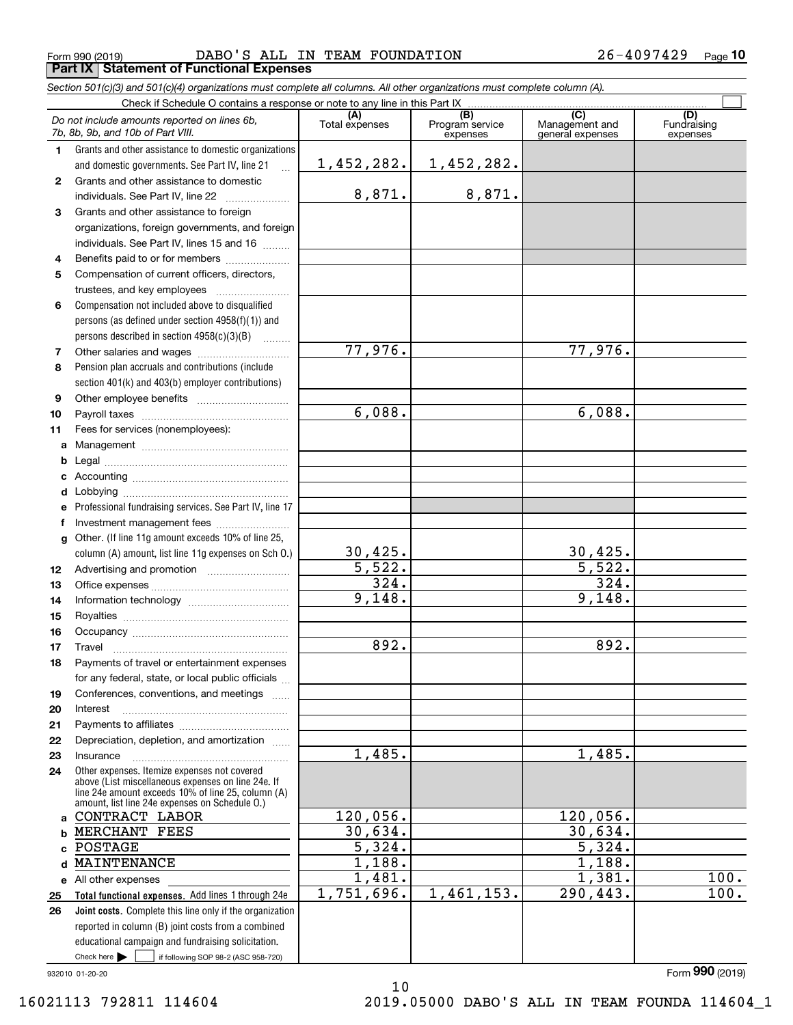Form 990 (2019) Page **Part IX Statement of Functional Expenses** DABO'S ALL IN TEAM FOUNDATION 26-4097429

*Section 501(c)(3) and 501(c)(4) organizations must complete all columns. All other organizations must complete column (A).*

|              | Do not include amounts reported on lines 6b,<br>7b, 8b, 9b, and 10b of Part VIII.                        | (A)<br>Total expenses | $\overline{(B)}$<br>Program service<br>expenses | $\overline{C}$<br>Management and<br>general expenses | (D)<br>Fundraising<br>expenses |  |  |  |  |  |
|--------------|----------------------------------------------------------------------------------------------------------|-----------------------|-------------------------------------------------|------------------------------------------------------|--------------------------------|--|--|--|--|--|
| 1            | Grants and other assistance to domestic organizations                                                    |                       |                                                 |                                                      |                                |  |  |  |  |  |
|              | and domestic governments. See Part IV, line 21                                                           | 1,452,282.            | 1,452,282.                                      |                                                      |                                |  |  |  |  |  |
| 2            | Grants and other assistance to domestic                                                                  |                       |                                                 |                                                      |                                |  |  |  |  |  |
|              | individuals. See Part IV, line 22                                                                        | 8,871.                | 8,871.                                          |                                                      |                                |  |  |  |  |  |
| 3            | Grants and other assistance to foreign                                                                   |                       |                                                 |                                                      |                                |  |  |  |  |  |
|              | organizations, foreign governments, and foreign                                                          |                       |                                                 |                                                      |                                |  |  |  |  |  |
|              | individuals. See Part IV, lines 15 and 16                                                                |                       |                                                 |                                                      |                                |  |  |  |  |  |
| 4            | Benefits paid to or for members                                                                          |                       |                                                 |                                                      |                                |  |  |  |  |  |
| 5            | Compensation of current officers, directors,                                                             |                       |                                                 |                                                      |                                |  |  |  |  |  |
|              | trustees, and key employees                                                                              |                       |                                                 |                                                      |                                |  |  |  |  |  |
| 6            | Compensation not included above to disqualified                                                          |                       |                                                 |                                                      |                                |  |  |  |  |  |
|              | persons (as defined under section $4958(f)(1)$ ) and                                                     |                       |                                                 |                                                      |                                |  |  |  |  |  |
|              | persons described in section 4958(c)(3)(B)                                                               |                       |                                                 |                                                      |                                |  |  |  |  |  |
| 7            |                                                                                                          | 77,976.               |                                                 | 77,976.                                              |                                |  |  |  |  |  |
| 8            | Pension plan accruals and contributions (include                                                         |                       |                                                 |                                                      |                                |  |  |  |  |  |
|              | section 401(k) and 403(b) employer contributions)                                                        |                       |                                                 |                                                      |                                |  |  |  |  |  |
| 9            |                                                                                                          |                       |                                                 |                                                      |                                |  |  |  |  |  |
| 10           |                                                                                                          | 6,088.                |                                                 | 6,088.                                               |                                |  |  |  |  |  |
| 11           | Fees for services (nonemployees):                                                                        |                       |                                                 |                                                      |                                |  |  |  |  |  |
| a            |                                                                                                          |                       |                                                 |                                                      |                                |  |  |  |  |  |
| b            |                                                                                                          |                       |                                                 |                                                      |                                |  |  |  |  |  |
| c            |                                                                                                          |                       |                                                 |                                                      |                                |  |  |  |  |  |
| d            |                                                                                                          |                       |                                                 |                                                      |                                |  |  |  |  |  |
| е            | Professional fundraising services. See Part IV, line 17                                                  |                       |                                                 |                                                      |                                |  |  |  |  |  |
| f            | Investment management fees                                                                               |                       |                                                 |                                                      |                                |  |  |  |  |  |
| $\mathbf{q}$ | Other. (If line 11g amount exceeds 10% of line 25,                                                       |                       |                                                 |                                                      |                                |  |  |  |  |  |
|              | column (A) amount, list line 11g expenses on Sch O.)                                                     | 30,425.               |                                                 | 30,425.                                              |                                |  |  |  |  |  |
| 12           |                                                                                                          | 5,522.                |                                                 | $\overline{5,522.}$                                  |                                |  |  |  |  |  |
| 13           |                                                                                                          | 324.<br>9,148.        |                                                 | 324.<br>9,148.                                       |                                |  |  |  |  |  |
| 14           |                                                                                                          |                       |                                                 |                                                      |                                |  |  |  |  |  |
| 15           |                                                                                                          |                       |                                                 |                                                      |                                |  |  |  |  |  |
| 16           |                                                                                                          | 892.                  |                                                 | 892.                                                 |                                |  |  |  |  |  |
| 17           | Travel                                                                                                   |                       |                                                 |                                                      |                                |  |  |  |  |  |
| 18           | Payments of travel or entertainment expenses<br>for any federal, state, or local public officials        |                       |                                                 |                                                      |                                |  |  |  |  |  |
| 19           | Conferences, conventions, and meetings                                                                   |                       |                                                 |                                                      |                                |  |  |  |  |  |
| 20           | Interest                                                                                                 |                       |                                                 |                                                      |                                |  |  |  |  |  |
| 21           |                                                                                                          |                       |                                                 |                                                      |                                |  |  |  |  |  |
| 22           | Depreciation, depletion, and amortization                                                                |                       |                                                 |                                                      |                                |  |  |  |  |  |
| 23           | Insurance                                                                                                | 1,485.                |                                                 | 1,485.                                               |                                |  |  |  |  |  |
| 24           | Other expenses. Itemize expenses not covered                                                             |                       |                                                 |                                                      |                                |  |  |  |  |  |
|              | above (List miscellaneous expenses on line 24e. If<br>line 24e amount exceeds 10% of line 25, column (A) |                       |                                                 |                                                      |                                |  |  |  |  |  |
|              | amount, list line 24e expenses on Schedule O.)                                                           |                       |                                                 |                                                      |                                |  |  |  |  |  |
| a            | CONTRACT LABOR                                                                                           | 120,056.              |                                                 | 120,056.                                             |                                |  |  |  |  |  |
| b            | MERCHANT FEES                                                                                            | 30,634.               |                                                 | 30,634.                                              |                                |  |  |  |  |  |
| c.           | POSTAGE                                                                                                  | 5,324.                |                                                 | 5,324.                                               |                                |  |  |  |  |  |
| d            | MAINTENANCE                                                                                              | $\overline{1,188}$ .  |                                                 | 1,188.                                               |                                |  |  |  |  |  |
|              | e All other expenses                                                                                     | 1,481.                |                                                 | 1,381.                                               | 100.                           |  |  |  |  |  |
| 25           | Total functional expenses. Add lines 1 through 24e                                                       | 1,751,696.            | 1,461,153.                                      | 290,443.                                             | 100.                           |  |  |  |  |  |
| 26           | Joint costs. Complete this line only if the organization                                                 |                       |                                                 |                                                      |                                |  |  |  |  |  |
|              | reported in column (B) joint costs from a combined                                                       |                       |                                                 |                                                      |                                |  |  |  |  |  |
|              | educational campaign and fundraising solicitation.                                                       |                       |                                                 |                                                      |                                |  |  |  |  |  |
|              | Check here $\blacktriangleright$<br>if following SOP 98-2 (ASC 958-720)                                  |                       |                                                 |                                                      |                                |  |  |  |  |  |

932010 01-20-20

Form (2019) **990**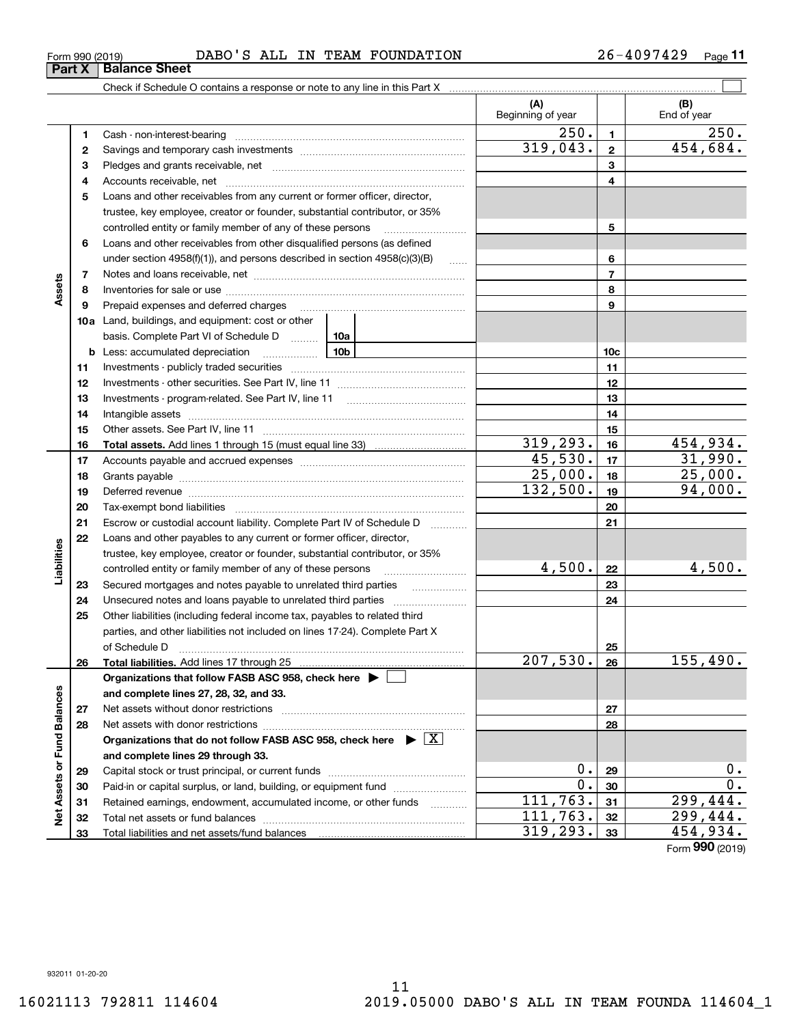#### Form 990 (2019) DABO'S ALL IN TEAM FOUNDATION 26-4097429 <sub>Page</sub> **Part X** Balance Sheet

Check if Schedule O contains a response or note to any line in this Part X

**(A) (B)** Beginning of year  $\begin{array}{|c|c|c|c|c|}\n\hline\n\end{array}$  End of year  $250.11$   $250.$ **11**Cash - non-interest-bearing ~~~~~~~~~~~~~~~~~~~~~~~~~  $319,043. | 2 | 454,684.$ **22**Savings and temporary cash investments ~~~~~~~~~~~~~~~~~~**33** Pledges and grants receivable, net  $\ldots$  **multimes contained and grants receivable**, net **multimes contained and grants receivable**, net **multimes contained and grants receivable** Accounts receivable, net ~~~~~~~~~~~~~~~~~~~~~~~~~~ **445**Loans and other receivables from any current or former officer, director, trustee, key employee, creator or founder, substantial contributor, or 35% controlled entity or family member of any of these persons ............................ **5**Loans and other receivables from other disqualified persons (as defined **6**under section  $4958(f)(1)$ , and persons described in section  $4958(c)(3)(B)$ **677**Notes and loans receivable, net ~~~~~~~~~~~~~~~~~~~~~~~ **Assets 88**Inventories for sale or use ~~~~~~~~~~~~~~~~~~~~~~~~~~ **99**Prepaid expenses and deferred charges ~~~~~~~~~~~~~~~~~~ **10a**Land, buildings, and equipment: cost or other basis. Complete Part VI of Schedule D will aller **10cb** Less: accumulated depreciation  $\ldots$  **10b 1111**Investments - publicly traded securities ~~~~~~~~~~~~~~~~~~~ **1212**Investments - other securities. See Part IV, line 11 ~~~~~~~~~~~~~~ **1313**Investments - program-related. See Part IV, line 11 [2010] [2010] [2010] [2010] [2010] [2010] [2010] [2010] [2 **1414**Intangible assets …………………………………………………………………………………… Other assets. See Part IV, line 11 ~~~~~~~~~~~~~~~~~~~~~~ **1515** $319,293.$   $16$   $454,934.$ **1616Total assets.**  Add lines 1 through 15 (must equal line 33)  $45,530.$   $17$   $31,990.$ **1717**Accounts payable and accrued expenses ~~~~~~~~~~~~~~~~~~  $25,000$ .  $18$  25,000. **1818**Grants payable ~~~~~~~~~~~~~~~~~~~~~~~~~~~~~~~ 132,500. 94,000. **1919**Deferred revenue ~~~~~~~~~~~~~~~~~~~~~~~~~~~~~~ **2020**Tax-exempt bond liabilities …………………………………………………………… Escrow or custodial account liability. Complete Part IV of Schedule D **212122**Loans and other payables to any current or former officer, director, iabilities **Liabilities** trustee, key employee, creator or founder, substantial contributor, or 35%  $4,500$ . | 22 | 4,500. **22**controlled entity or family member of any of these persons ~~~~~~~~~Secured mortgages and notes payable to unrelated third parties  $\ldots$ **2323**Unsecured notes and loans payable to unrelated third parties  $\ldots$ **242425**Other liabilities (including federal income tax, payables to related third parties, and other liabilities not included on lines 17-24). Complete Part X of Schedule D ~~~~~~~~~~~~~~~~~~~~~~~~~~~~~~~ **25** $207,530.$  26 155,490. **2626Total liabilities.**  Add lines 17 through 25 **Organizations that follow FASB ASC 958, check here** | Assets or Fund Balances **Net Assets or Fund Balances and complete lines 27, 28, 32, and 33. 2727**Net assets without donor restrictions ~~~~~~~~~~~~~~~~~~~~ **2828**Net assets with donor restrictions ~~~~~~~~~~~~~~~~~~~~~~Organizations that do not follow FASB ASC 958, check here  $\quadblacktriangleright\; \boxed{\mathrm{X}}$ **and complete lines 29 through 33.**  $0.29$  0. **2929**Capital stock or trust principal, or current funds ~~~~~~~~~~~~~~~ $0.$ |  $30$  |  $0.$ **3030**Paid-in or capital surplus, or land, building, or equipment fund www.commun.com  $111,763.$   $31$  299,444. **3131**Retained earnings, endowment, accumulated income, or other funds www.com ğ Total net assets or fund balances ~~~~~~~~~~~~~~~~~~~~~~  $111,763.$   $32 \mid 299,444.$ **3232** $319,293.$   $33$  454,934. Total liabilities and net assets/fund balances **3333**

 $\mathcal{L}^{\text{max}}$ 

Form (2019) **990**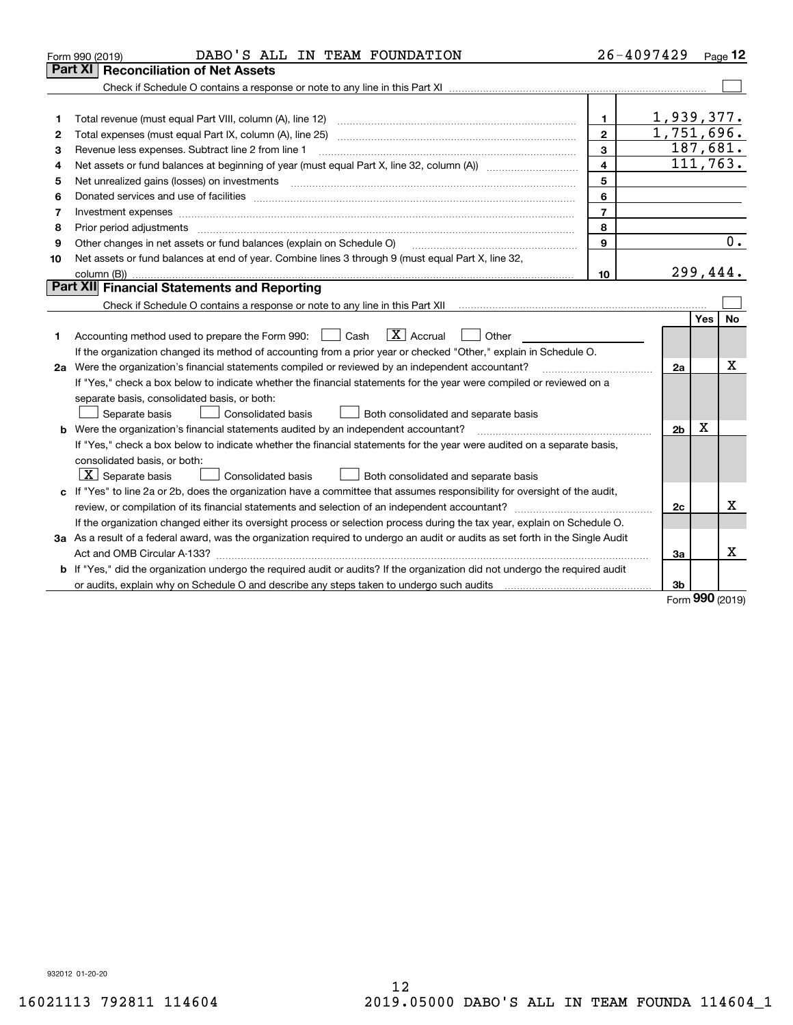|    | DABO'S ALL IN TEAM FOUNDATION<br>Form 990 (2019)                                                                                                                              |                | 26-4097429     |             | Page 12  |
|----|-------------------------------------------------------------------------------------------------------------------------------------------------------------------------------|----------------|----------------|-------------|----------|
|    | Part XI<br><b>Reconciliation of Net Assets</b>                                                                                                                                |                |                |             |          |
|    |                                                                                                                                                                               |                |                |             |          |
|    |                                                                                                                                                                               |                |                |             |          |
| 1  |                                                                                                                                                                               | 1.             | 1,939,377.     |             |          |
| 2  |                                                                                                                                                                               | $\mathbf{2}$   | 1,751,696.     |             |          |
| 3  | Revenue less expenses. Subtract line 2 from line 1                                                                                                                            | 3              |                |             | 187,681. |
| 4  |                                                                                                                                                                               | $\overline{4}$ |                |             | 111,763. |
| 5  | Net unrealized gains (losses) on investments                                                                                                                                  | 5              |                |             |          |
| 6  |                                                                                                                                                                               | 6              |                |             |          |
| 7  | Investment expenses                                                                                                                                                           | $\overline{7}$ |                |             |          |
| 8  | Prior period adjustments                                                                                                                                                      | 8              |                |             |          |
| 9  | Other changes in net assets or fund balances (explain on Schedule O)                                                                                                          | 9              |                |             | 0.       |
| 10 | Net assets or fund balances at end of year. Combine lines 3 through 9 (must equal Part X, line 32,                                                                            |                |                |             |          |
|    |                                                                                                                                                                               | 10             |                | 299,444.    |          |
|    | Part XII Financial Statements and Reporting                                                                                                                                   |                |                |             |          |
|    | Check if Schedule O contains a response or note to any line in this Part XII [11] [11] [11] [11] Check if Schedule O contains a response or note to any line in this Part XII |                |                |             |          |
|    |                                                                                                                                                                               |                |                | Yes         | No       |
| 1  | $\boxed{\mathbf{X}}$ Accrual<br>Accounting method used to prepare the Form 990: <u>I</u> Cash<br>Other                                                                        |                |                |             |          |
|    | If the organization changed its method of accounting from a prior year or checked "Other," explain in Schedule O.                                                             |                |                |             |          |
|    | 2a Were the organization's financial statements compiled or reviewed by an independent accountant?                                                                            |                | 2a             |             | x        |
|    | If "Yes," check a box below to indicate whether the financial statements for the year were compiled or reviewed on a                                                          |                |                |             |          |
|    | separate basis, consolidated basis, or both:                                                                                                                                  |                |                |             |          |
|    | Separate basis<br>Consolidated basis<br>Both consolidated and separate basis                                                                                                  |                |                |             |          |
|    | <b>b</b> Were the organization's financial statements audited by an independent accountant?                                                                                   |                | 2 <sub>b</sub> | $\mathbf X$ |          |
|    | If "Yes," check a box below to indicate whether the financial statements for the year were audited on a separate basis,                                                       |                |                |             |          |
|    | consolidated basis, or both:                                                                                                                                                  |                |                |             |          |
|    | $\lfloor x \rfloor$ Separate basis<br><b>Consolidated basis</b><br>Both consolidated and separate basis                                                                       |                |                |             |          |
|    | c If "Yes" to line 2a or 2b, does the organization have a committee that assumes responsibility for oversight of the audit,                                                   |                |                |             |          |
|    |                                                                                                                                                                               |                | 2c             |             | х        |
|    | If the organization changed either its oversight process or selection process during the tax year, explain on Schedule O.                                                     |                |                |             |          |
|    | 3a As a result of a federal award, was the organization required to undergo an audit or audits as set forth in the Single Audit                                               |                |                |             |          |
|    |                                                                                                                                                                               |                | 3a             |             | x        |
|    | b If "Yes," did the organization undergo the required audit or audits? If the organization did not undergo the required audit                                                 |                |                |             |          |
|    | or audits, explain why on Schedule O and describe any steps taken to undergo such audits manufactured content to                                                              |                | Зb             | nnn         |          |
|    |                                                                                                                                                                               |                |                |             |          |

Form (2019) **990**

932012 01-20-20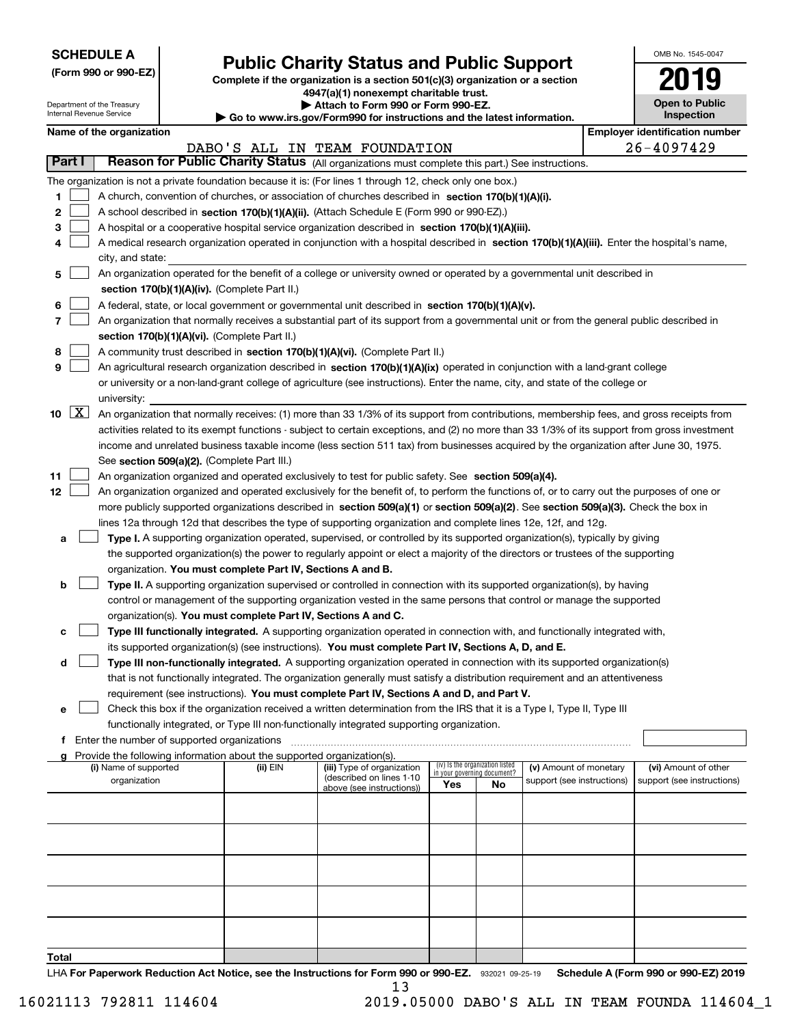| <b>SCHEDULE A</b> |
|-------------------|
|-------------------|

Department of the Treasury Internal Revenue Service

|  |  |  | (Form 990 or 990-EZ) |  |
|--|--|--|----------------------|--|
|--|--|--|----------------------|--|

# **Public Charity Status and Public Support**

**Complete if the organization is a section 501(c)(3) organization or a section 4947(a)(1) nonexempt charitable trust. | Attach to Form 990 or Form 990-EZ.** 

| <b>P</b> Allach to Form 330 of Form 330-LZ.                              |  |
|--------------------------------------------------------------------------|--|
| ► Go to www.irs.gov/Form990 for instructions and the latest information. |  |
|                                                                          |  |

OMB No. 1545-0047

**2019**

|                  |                     | Name of the organization                                                                                                                      |          |                               |                                    |                                 |                            | <b>Employer identification number</b> |
|------------------|---------------------|-----------------------------------------------------------------------------------------------------------------------------------------------|----------|-------------------------------|------------------------------------|---------------------------------|----------------------------|---------------------------------------|
|                  |                     |                                                                                                                                               |          | DABO'S ALL IN TEAM FOUNDATION |                                    |                                 |                            | 26-4097429                            |
|                  | Part I              | Reason for Public Charity Status (All organizations must complete this part.) See instructions.                                               |          |                               |                                    |                                 |                            |                                       |
|                  |                     | The organization is not a private foundation because it is: (For lines 1 through 12, check only one box.)                                     |          |                               |                                    |                                 |                            |                                       |
| 1.               |                     | A church, convention of churches, or association of churches described in section 170(b)(1)(A)(i).                                            |          |                               |                                    |                                 |                            |                                       |
| 2                |                     | A school described in section 170(b)(1)(A)(ii). (Attach Schedule E (Form 990 or 990-EZ).)                                                     |          |                               |                                    |                                 |                            |                                       |
| 3                |                     | A hospital or a cooperative hospital service organization described in section $170(b)(1)(A)(iii)$ .                                          |          |                               |                                    |                                 |                            |                                       |
| 4                |                     | A medical research organization operated in conjunction with a hospital described in section 170(b)(1)(A)(iii). Enter the hospital's name,    |          |                               |                                    |                                 |                            |                                       |
|                  |                     | city, and state:                                                                                                                              |          |                               |                                    |                                 |                            |                                       |
| 5                |                     | An organization operated for the benefit of a college or university owned or operated by a governmental unit described in                     |          |                               |                                    |                                 |                            |                                       |
|                  |                     |                                                                                                                                               |          |                               |                                    |                                 |                            |                                       |
|                  |                     | section 170(b)(1)(A)(iv). (Complete Part II.)                                                                                                 |          |                               |                                    |                                 |                            |                                       |
| 6                |                     | A federal, state, or local government or governmental unit described in section 170(b)(1)(A)(v).                                              |          |                               |                                    |                                 |                            |                                       |
| 7                |                     | An organization that normally receives a substantial part of its support from a governmental unit or from the general public described in     |          |                               |                                    |                                 |                            |                                       |
|                  |                     | section 170(b)(1)(A)(vi). (Complete Part II.)                                                                                                 |          |                               |                                    |                                 |                            |                                       |
| 8                |                     | A community trust described in section 170(b)(1)(A)(vi). (Complete Part II.)                                                                  |          |                               |                                    |                                 |                            |                                       |
| 9                |                     | An agricultural research organization described in section 170(b)(1)(A)(ix) operated in conjunction with a land-grant college                 |          |                               |                                    |                                 |                            |                                       |
|                  |                     | or university or a non-land-grant college of agriculture (see instructions). Enter the name, city, and state of the college or                |          |                               |                                    |                                 |                            |                                       |
|                  |                     | university:                                                                                                                                   |          |                               |                                    |                                 |                            |                                       |
| 10               | $\lfloor x \rfloor$ | An organization that normally receives: (1) more than 33 1/3% of its support from contributions, membership fees, and gross receipts from     |          |                               |                                    |                                 |                            |                                       |
|                  |                     | activities related to its exempt functions - subject to certain exceptions, and (2) no more than 33 1/3% of its support from gross investment |          |                               |                                    |                                 |                            |                                       |
|                  |                     | income and unrelated business taxable income (less section 511 tax) from businesses acquired by the organization after June 30, 1975.         |          |                               |                                    |                                 |                            |                                       |
|                  |                     | See section 509(a)(2). (Complete Part III.)                                                                                                   |          |                               |                                    |                                 |                            |                                       |
| 11               |                     | An organization organized and operated exclusively to test for public safety. See section 509(a)(4).                                          |          |                               |                                    |                                 |                            |                                       |
| 12 <sup>12</sup> |                     | An organization organized and operated exclusively for the benefit of, to perform the functions of, or to carry out the purposes of one or    |          |                               |                                    |                                 |                            |                                       |
|                  |                     | more publicly supported organizations described in section 509(a)(1) or section 509(a)(2). See section 509(a)(3). Check the box in            |          |                               |                                    |                                 |                            |                                       |
|                  |                     | lines 12a through 12d that describes the type of supporting organization and complete lines 12e, 12f, and 12g.                                |          |                               |                                    |                                 |                            |                                       |
| а                |                     | Type I. A supporting organization operated, supervised, or controlled by its supported organization(s), typically by giving                   |          |                               |                                    |                                 |                            |                                       |
|                  |                     | the supported organization(s) the power to regularly appoint or elect a majority of the directors or trustees of the supporting               |          |                               |                                    |                                 |                            |                                       |
|                  |                     | organization. You must complete Part IV, Sections A and B.                                                                                    |          |                               |                                    |                                 |                            |                                       |
| b                |                     | Type II. A supporting organization supervised or controlled in connection with its supported organization(s), by having                       |          |                               |                                    |                                 |                            |                                       |
|                  |                     | control or management of the supporting organization vested in the same persons that control or manage the supported                          |          |                               |                                    |                                 |                            |                                       |
|                  |                     | organization(s). You must complete Part IV, Sections A and C.                                                                                 |          |                               |                                    |                                 |                            |                                       |
| с                |                     | Type III functionally integrated. A supporting organization operated in connection with, and functionally integrated with,                    |          |                               |                                    |                                 |                            |                                       |
|                  |                     | its supported organization(s) (see instructions). You must complete Part IV, Sections A, D, and E.                                            |          |                               |                                    |                                 |                            |                                       |
| d                |                     | Type III non-functionally integrated. A supporting organization operated in connection with its supported organization(s)                     |          |                               |                                    |                                 |                            |                                       |
|                  |                     | that is not functionally integrated. The organization generally must satisfy a distribution requirement and an attentiveness                  |          |                               |                                    |                                 |                            |                                       |
|                  |                     | requirement (see instructions). You must complete Part IV, Sections A and D, and Part V.                                                      |          |                               |                                    |                                 |                            |                                       |
|                  |                     | Check this box if the organization received a written determination from the IRS that it is a Type I, Type II, Type III                       |          |                               |                                    |                                 |                            |                                       |
|                  |                     | functionally integrated, or Type III non-functionally integrated supporting organization.                                                     |          |                               |                                    |                                 |                            |                                       |
|                  |                     |                                                                                                                                               |          |                               |                                    |                                 |                            |                                       |
|                  |                     | f Enter the number of supported organizations                                                                                                 |          |                               |                                    |                                 |                            |                                       |
|                  |                     | g Provide the following information about the supported organization(s).<br>(i) Name of supported                                             | (ii) EIN | (iii) Type of organization    |                                    | (iv) Is the organization listed | (v) Amount of monetary     | (vi) Amount of other                  |
|                  |                     | organization                                                                                                                                  |          | (described on lines 1-10      | in your governing document?<br>Yes | No                              | support (see instructions) | support (see instructions)            |
|                  |                     |                                                                                                                                               |          | above (see instructions))     |                                    |                                 |                            |                                       |
|                  |                     |                                                                                                                                               |          |                               |                                    |                                 |                            |                                       |
|                  |                     |                                                                                                                                               |          |                               |                                    |                                 |                            |                                       |
|                  |                     |                                                                                                                                               |          |                               |                                    |                                 |                            |                                       |
|                  |                     |                                                                                                                                               |          |                               |                                    |                                 |                            |                                       |
|                  |                     |                                                                                                                                               |          |                               |                                    |                                 |                            |                                       |
|                  |                     |                                                                                                                                               |          |                               |                                    |                                 |                            |                                       |
|                  |                     |                                                                                                                                               |          |                               |                                    |                                 |                            |                                       |
|                  |                     |                                                                                                                                               |          |                               |                                    |                                 |                            |                                       |
|                  |                     |                                                                                                                                               |          |                               |                                    |                                 |                            |                                       |
|                  |                     |                                                                                                                                               |          |                               |                                    |                                 |                            |                                       |
| Total            |                     |                                                                                                                                               |          |                               |                                    |                                 |                            |                                       |

LHA For Paperwork Reduction Act Notice, see the Instructions for Form 990 or 990-EZ. 932021 09-25-19 Schedule A (Form 990 or 990-EZ) 2019 13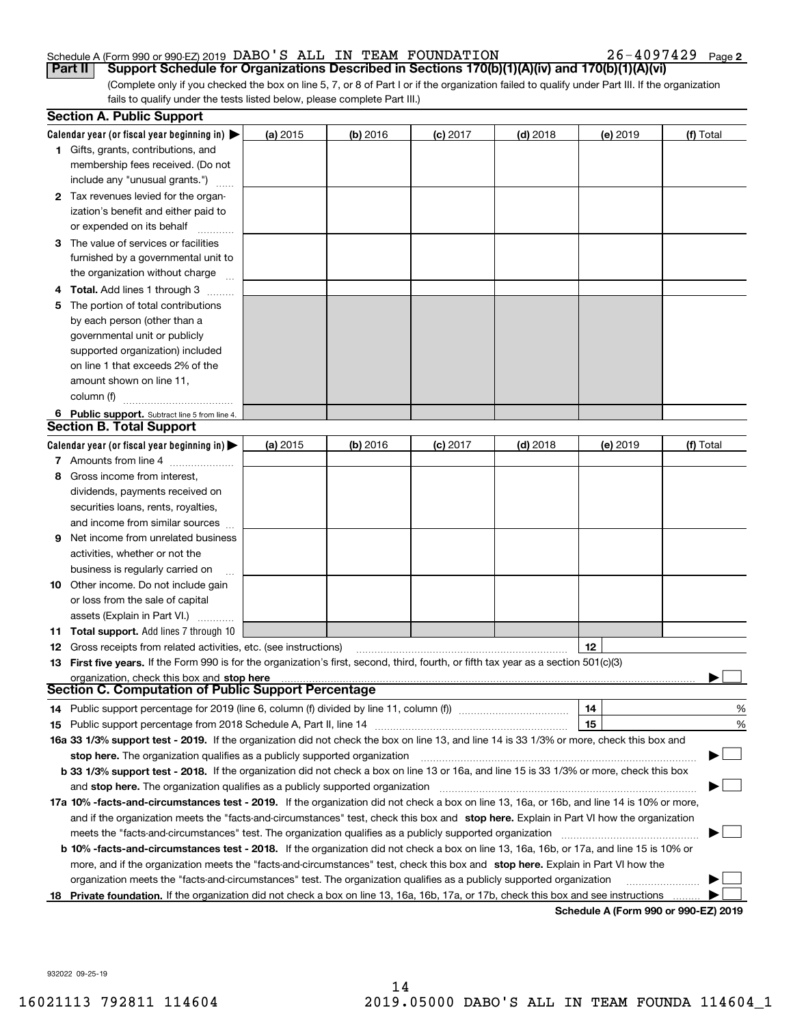#### Schedule A (Form 990 or 990-EZ) 2019 DABO'S ALL IN TEAM FOUNDATION  $_{\rm 26-4097429 \ \ \ \ \text{Page}}$ **Part II** | Support Schedule for Organizations Described in Sections 170(b)(1)(A)(iv) and 170(b)(1)(A)(vi)

**2**

(Complete only if you checked the box on line 5, 7, or 8 of Part I or if the organization failed to qualify under Part III. If the organization fails to qualify under the tests listed below, please complete Part III.)

| Calendar year (or fiscal year beginning in) $\blacktriangleright$<br>$(b)$ 2016<br>(a) 2015<br>$(c)$ 2017<br>$(d)$ 2018<br>(e) 2019<br><b>1</b> Gifts, grants, contributions, and<br>membership fees received. (Do not<br>include any "unusual grants.")<br><b>2</b> Tax revenues levied for the organ-<br>ization's benefit and either paid to<br>or expended on its behalf<br>3 The value of services or facilities<br>furnished by a governmental unit to<br>the organization without charge<br>4 Total. Add lines 1 through 3<br>The portion of total contributions<br>5.<br>by each person (other than a<br>governmental unit or publicly<br>supported organization) included | (f) Total |
|------------------------------------------------------------------------------------------------------------------------------------------------------------------------------------------------------------------------------------------------------------------------------------------------------------------------------------------------------------------------------------------------------------------------------------------------------------------------------------------------------------------------------------------------------------------------------------------------------------------------------------------------------------------------------------|-----------|
|                                                                                                                                                                                                                                                                                                                                                                                                                                                                                                                                                                                                                                                                                    |           |
|                                                                                                                                                                                                                                                                                                                                                                                                                                                                                                                                                                                                                                                                                    |           |
|                                                                                                                                                                                                                                                                                                                                                                                                                                                                                                                                                                                                                                                                                    |           |
|                                                                                                                                                                                                                                                                                                                                                                                                                                                                                                                                                                                                                                                                                    |           |
|                                                                                                                                                                                                                                                                                                                                                                                                                                                                                                                                                                                                                                                                                    |           |
|                                                                                                                                                                                                                                                                                                                                                                                                                                                                                                                                                                                                                                                                                    |           |
|                                                                                                                                                                                                                                                                                                                                                                                                                                                                                                                                                                                                                                                                                    |           |
|                                                                                                                                                                                                                                                                                                                                                                                                                                                                                                                                                                                                                                                                                    |           |
|                                                                                                                                                                                                                                                                                                                                                                                                                                                                                                                                                                                                                                                                                    |           |
|                                                                                                                                                                                                                                                                                                                                                                                                                                                                                                                                                                                                                                                                                    |           |
|                                                                                                                                                                                                                                                                                                                                                                                                                                                                                                                                                                                                                                                                                    |           |
|                                                                                                                                                                                                                                                                                                                                                                                                                                                                                                                                                                                                                                                                                    |           |
|                                                                                                                                                                                                                                                                                                                                                                                                                                                                                                                                                                                                                                                                                    |           |
|                                                                                                                                                                                                                                                                                                                                                                                                                                                                                                                                                                                                                                                                                    |           |
|                                                                                                                                                                                                                                                                                                                                                                                                                                                                                                                                                                                                                                                                                    |           |
| on line 1 that exceeds 2% of the                                                                                                                                                                                                                                                                                                                                                                                                                                                                                                                                                                                                                                                   |           |
| amount shown on line 11,                                                                                                                                                                                                                                                                                                                                                                                                                                                                                                                                                                                                                                                           |           |
| column (f)                                                                                                                                                                                                                                                                                                                                                                                                                                                                                                                                                                                                                                                                         |           |
| 6 Public support. Subtract line 5 from line 4.                                                                                                                                                                                                                                                                                                                                                                                                                                                                                                                                                                                                                                     |           |
| <b>Section B. Total Support</b>                                                                                                                                                                                                                                                                                                                                                                                                                                                                                                                                                                                                                                                    |           |
| Calendar year (or fiscal year beginning in)<br>$(d)$ 2018<br>(a) 2015<br>$(b)$ 2016<br>$(c)$ 2017<br>(e) 2019                                                                                                                                                                                                                                                                                                                                                                                                                                                                                                                                                                      | (f) Total |
| 7 Amounts from line 4                                                                                                                                                                                                                                                                                                                                                                                                                                                                                                                                                                                                                                                              |           |
| 8 Gross income from interest,                                                                                                                                                                                                                                                                                                                                                                                                                                                                                                                                                                                                                                                      |           |
| dividends, payments received on                                                                                                                                                                                                                                                                                                                                                                                                                                                                                                                                                                                                                                                    |           |
| securities loans, rents, royalties,                                                                                                                                                                                                                                                                                                                                                                                                                                                                                                                                                                                                                                                |           |
| and income from similar sources                                                                                                                                                                                                                                                                                                                                                                                                                                                                                                                                                                                                                                                    |           |
| Net income from unrelated business<br>9.                                                                                                                                                                                                                                                                                                                                                                                                                                                                                                                                                                                                                                           |           |
| activities, whether or not the                                                                                                                                                                                                                                                                                                                                                                                                                                                                                                                                                                                                                                                     |           |
| business is regularly carried on                                                                                                                                                                                                                                                                                                                                                                                                                                                                                                                                                                                                                                                   |           |
| <b>10</b> Other income. Do not include gain                                                                                                                                                                                                                                                                                                                                                                                                                                                                                                                                                                                                                                        |           |
| or loss from the sale of capital                                                                                                                                                                                                                                                                                                                                                                                                                                                                                                                                                                                                                                                   |           |
| assets (Explain in Part VI.)                                                                                                                                                                                                                                                                                                                                                                                                                                                                                                                                                                                                                                                       |           |
| <b>11 Total support.</b> Add lines 7 through 10                                                                                                                                                                                                                                                                                                                                                                                                                                                                                                                                                                                                                                    |           |
| 12<br><b>12</b> Gross receipts from related activities, etc. (see instructions)                                                                                                                                                                                                                                                                                                                                                                                                                                                                                                                                                                                                    |           |
| 13 First five years. If the Form 990 is for the organization's first, second, third, fourth, or fifth tax year as a section 501(c)(3)                                                                                                                                                                                                                                                                                                                                                                                                                                                                                                                                              |           |
| organization, check this box and stop here                                                                                                                                                                                                                                                                                                                                                                                                                                                                                                                                                                                                                                         |           |
| <b>Section C. Computation of Public Support Percentage</b>                                                                                                                                                                                                                                                                                                                                                                                                                                                                                                                                                                                                                         |           |
| 14<br>14 Public support percentage for 2019 (line 6, column (f) divided by line 11, column (f) <i>manumeronominimi</i> ng                                                                                                                                                                                                                                                                                                                                                                                                                                                                                                                                                          | %         |
| 15                                                                                                                                                                                                                                                                                                                                                                                                                                                                                                                                                                                                                                                                                 | $\%$      |
| 16a 33 1/3% support test - 2019. If the organization did not check the box on line 13, and line 14 is 33 1/3% or more, check this box and                                                                                                                                                                                                                                                                                                                                                                                                                                                                                                                                          |           |
| stop here. The organization qualifies as a publicly supported organization                                                                                                                                                                                                                                                                                                                                                                                                                                                                                                                                                                                                         |           |
| b 33 1/3% support test - 2018. If the organization did not check a box on line 13 or 16a, and line 15 is 33 1/3% or more, check this box                                                                                                                                                                                                                                                                                                                                                                                                                                                                                                                                           |           |
| and stop here. The organization qualifies as a publicly supported organization                                                                                                                                                                                                                                                                                                                                                                                                                                                                                                                                                                                                     |           |
| 17a 10% -facts-and-circumstances test - 2019. If the organization did not check a box on line 13, 16a, or 16b, and line 14 is 10% or more,                                                                                                                                                                                                                                                                                                                                                                                                                                                                                                                                         |           |
| and if the organization meets the "facts-and-circumstances" test, check this box and stop here. Explain in Part VI how the organization                                                                                                                                                                                                                                                                                                                                                                                                                                                                                                                                            |           |
| meets the "facts-and-circumstances" test. The organization qualifies as a publicly supported organization                                                                                                                                                                                                                                                                                                                                                                                                                                                                                                                                                                          |           |
| <b>b 10% -facts-and-circumstances test - 2018.</b> If the organization did not check a box on line 13, 16a, 16b, or 17a, and line 15 is 10% or                                                                                                                                                                                                                                                                                                                                                                                                                                                                                                                                     |           |
| more, and if the organization meets the "facts-and-circumstances" test, check this box and stop here. Explain in Part VI how the                                                                                                                                                                                                                                                                                                                                                                                                                                                                                                                                                   |           |
| organization meets the "facts-and-circumstances" test. The organization qualifies as a publicly supported organization                                                                                                                                                                                                                                                                                                                                                                                                                                                                                                                                                             |           |
| Private foundation. If the organization did not check a box on line 13, 16a, 16b, 17a, or 17b, check this box and see instructions<br>18<br>Schedule A (Form 990 or 990-F7) 2019                                                                                                                                                                                                                                                                                                                                                                                                                                                                                                   |           |

**Schedule A (Form 990 or 990-EZ) 2019**

932022 09-25-19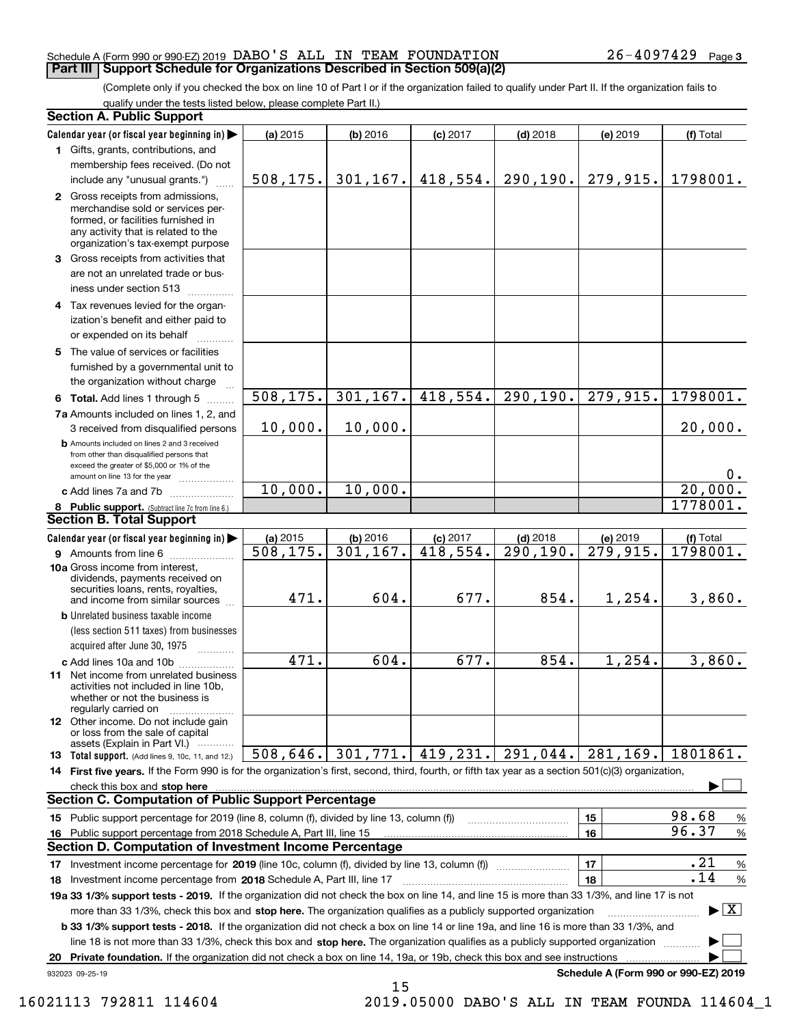#### Schedule A (Form 990 or 990-EZ) 2019 DABO'S ALL IN TEAM FOUNDATION  $_{\rm 26-4097429 \ \ \ \ \text{Page}}$ **Part III Support Schedule for Organizations Described in Section 509(a)(2)**

(Complete only if you checked the box on line 10 of Part I or if the organization failed to qualify under Part II. If the organization fails to qualify under the tests listed below, please complete Part II.)

|    | <b>Section A. Public Support</b>                                                                                                                                                         |           |            |            |                       |                                      |                                          |
|----|------------------------------------------------------------------------------------------------------------------------------------------------------------------------------------------|-----------|------------|------------|-----------------------|--------------------------------------|------------------------------------------|
|    | Calendar year (or fiscal year beginning in)                                                                                                                                              | (a) 2015  | (b) 2016   | $(c)$ 2017 | $(d)$ 2018            | (e) 2019                             | (f) Total                                |
|    | 1 Gifts, grants, contributions, and                                                                                                                                                      |           |            |            |                       |                                      |                                          |
|    | membership fees received. (Do not                                                                                                                                                        |           |            |            |                       |                                      |                                          |
|    | include any "unusual grants.")                                                                                                                                                           | 508, 175. | 301, 167.  | 418,554.   | 290, 190.             | 279,915.                             | 1798001.                                 |
|    | 2 Gross receipts from admissions,<br>merchandise sold or services per-<br>formed, or facilities furnished in<br>any activity that is related to the<br>organization's tax-exempt purpose |           |            |            |                       |                                      |                                          |
|    | 3 Gross receipts from activities that<br>are not an unrelated trade or bus-<br>iness under section 513                                                                                   |           |            |            |                       |                                      |                                          |
|    | 4 Tax revenues levied for the organ-<br>ization's benefit and either paid to<br>or expended on its behalf                                                                                |           |            |            |                       |                                      |                                          |
|    | 5 The value of services or facilities<br>furnished by a governmental unit to<br>the organization without charge                                                                          |           |            |            |                       |                                      |                                          |
|    | 6 Total. Add lines 1 through 5                                                                                                                                                           | 508, 175. | 301, 167.  | 418,554.   | 290, 190.             | 279,915.                             | 1798001.                                 |
|    | 7a Amounts included on lines 1, 2, and<br>3 received from disqualified persons                                                                                                           | 10,000.   | 10,000.    |            |                       |                                      | 20,000.                                  |
|    | <b>b</b> Amounts included on lines 2 and 3 received<br>from other than disqualified persons that<br>exceed the greater of \$5,000 or 1% of the<br>amount on line 13 for the year         |           |            |            |                       |                                      | 0.                                       |
|    | c Add lines 7a and 7b                                                                                                                                                                    | 10,000.   | 10,000.    |            |                       |                                      | 20,000.                                  |
|    | 8 Public support. (Subtract line 7c from line 6.)                                                                                                                                        |           |            |            |                       |                                      | 1778001.                                 |
|    | <b>Section B. Total Support</b>                                                                                                                                                          |           |            |            |                       |                                      |                                          |
|    | Calendar year (or fiscal year beginning in)                                                                                                                                              | (a) 2015  | $(b)$ 2016 | $(c)$ 2017 | $(d)$ 2018            | (e) 2019                             | (f) Total                                |
|    | <b>9</b> Amounts from line 6                                                                                                                                                             | 508, 175. | 301, 167.  | 418,554.   | 290, 190.             | 279,915.                             | 1798001.                                 |
|    | 10a Gross income from interest,<br>dividends, payments received on<br>securities loans, rents, royalties,<br>and income from similar sources                                             | 471.      | 604.       | 677.       | 854.                  | 1,254.                               | 3,860.                                   |
|    | <b>b</b> Unrelated business taxable income                                                                                                                                               |           |            |            |                       |                                      |                                          |
|    | (less section 511 taxes) from businesses<br>acquired after June 30, 1975                                                                                                                 |           |            |            |                       |                                      |                                          |
|    | c Add lines 10a and 10b                                                                                                                                                                  | 471.      | 604.       | 677.       | 854.                  | 1,254.                               | 3,860.                                   |
|    | 11 Net income from unrelated business<br>activities not included in line 10b,<br>whether or not the business is<br>regularly carried on                                                  |           |            |            |                       |                                      |                                          |
|    | <b>12</b> Other income. Do not include gain<br>or loss from the sale of capital<br>assets (Explain in Part VI.)                                                                          |           |            |            |                       |                                      |                                          |
|    | 13 Total support. (Add lines 9, 10c, 11, and 12.)                                                                                                                                        | 508,646.  | 301,771.   |            | 419, 231.   291, 044. | 281, 169.                            | 1801861.                                 |
|    | 14 First five years. If the Form 990 is for the organization's first, second, third, fourth, or fifth tax year as a section 501(c)(3) organization,                                      |           |            |            |                       |                                      |                                          |
|    | check this box and stop here www.array.com/www.array.com/www.array.com/www.array.com/www.array.com/www.array.c                                                                           |           |            |            |                       |                                      |                                          |
|    | <b>Section C. Computation of Public Support Percentage</b>                                                                                                                               |           |            |            |                       |                                      |                                          |
|    | 15 Public support percentage for 2019 (line 8, column (f), divided by line 13, column (f))                                                                                               |           |            |            |                       | 15                                   | 98.68<br>$\%$                            |
|    | 16 Public support percentage from 2018 Schedule A, Part III, line 15                                                                                                                     |           |            |            |                       | 16                                   | 96.37<br>%                               |
|    | <b>Section D. Computation of Investment Income Percentage</b>                                                                                                                            |           |            |            |                       |                                      |                                          |
|    | 17 Investment income percentage for 2019 (line 10c, column (f), divided by line 13, column (f))                                                                                          |           |            |            |                       | 17                                   | .21<br>%                                 |
|    | <b>18</b> Investment income percentage from <b>2018</b> Schedule A, Part III, line 17                                                                                                    |           |            |            |                       | 18                                   | .14<br>%                                 |
|    | 19a 33 1/3% support tests - 2019. If the organization did not check the box on line 14, and line 15 is more than 33 1/3%, and line 17 is not                                             |           |            |            |                       |                                      |                                          |
|    | more than 33 1/3%, check this box and stop here. The organization qualifies as a publicly supported organization                                                                         |           |            |            |                       |                                      | $\blacktriangleright$ $\boxed{\text{X}}$ |
|    | <b>b 33 1/3% support tests - 2018.</b> If the organization did not check a box on line 14 or line 19a, and line 16 is more than 33 1/3%, and                                             |           |            |            |                       |                                      |                                          |
|    | line 18 is not more than 33 1/3%, check this box and stop here. The organization qualifies as a publicly supported organization                                                          |           |            |            |                       |                                      |                                          |
| 20 | Private foundation. If the organization did not check a box on line 14, 19a, or 19b, check this box and see instructions                                                                 |           |            |            |                       |                                      |                                          |
|    | 932023 09-25-19                                                                                                                                                                          |           |            |            |                       | Schedule A (Form 990 or 990-EZ) 2019 |                                          |

 <sup>16021113 792811 114604 2019.05000</sup> DABO'S ALL IN TEAM FOUNDA 114604\_1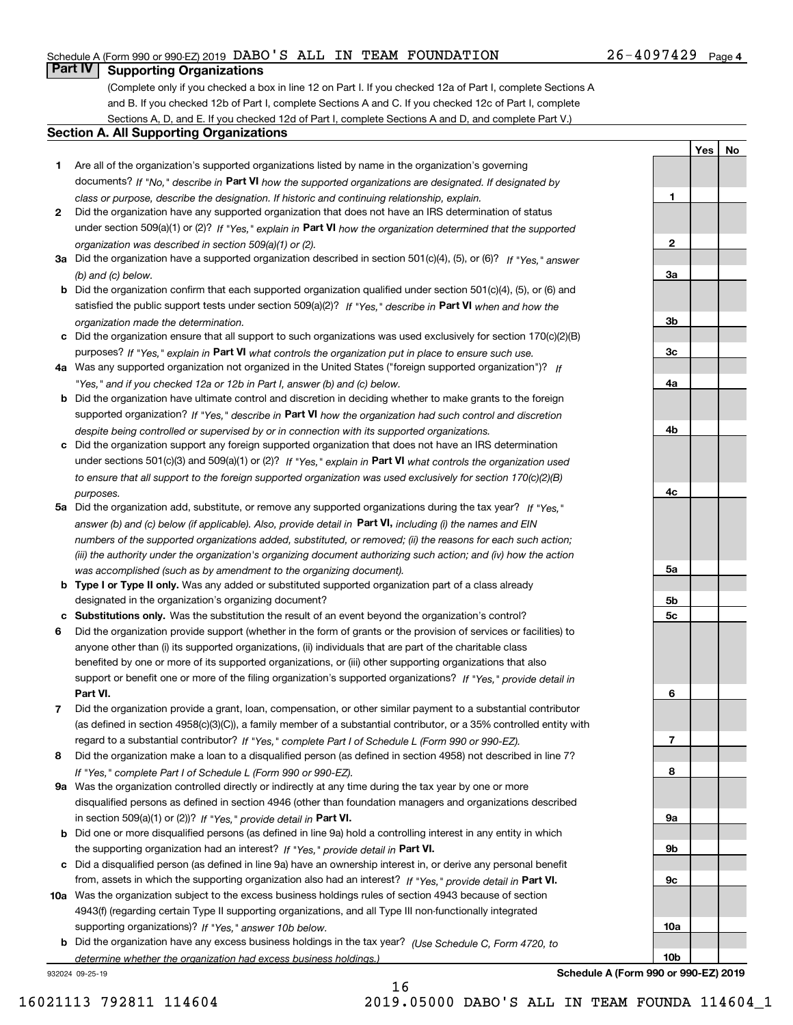#### Schedule A (Form 990 or 990-EZ) 2019 DABO'S ALL IN TEAM FOUNDATION  $_{\rm 26-4097429 \ \ \ \ \text{Page}}$

## **Part IV Supporting Organizations**

(Complete only if you checked a box in line 12 on Part I. If you checked 12a of Part I, complete Sections A and B. If you checked 12b of Part I, complete Sections A and C. If you checked 12c of Part I, complete Sections A, D, and E. If you checked 12d of Part I, complete Sections A and D, and complete Part V.)

#### **Section A. All Supporting Organizations**

- **1** Are all of the organization's supported organizations listed by name in the organization's governing documents? If "No," describe in **Part VI** how the supported organizations are designated. If designated by *class or purpose, describe the designation. If historic and continuing relationship, explain.*
- **2** Did the organization have any supported organization that does not have an IRS determination of status under section 509(a)(1) or (2)? If "Yes," explain in Part VI how the organization determined that the supported *organization was described in section 509(a)(1) or (2).*
- **3a** Did the organization have a supported organization described in section 501(c)(4), (5), or (6)? If "Yes," answer *(b) and (c) below.*
- **b** Did the organization confirm that each supported organization qualified under section 501(c)(4), (5), or (6) and satisfied the public support tests under section 509(a)(2)? If "Yes," describe in **Part VI** when and how the *organization made the determination.*
- **c**Did the organization ensure that all support to such organizations was used exclusively for section 170(c)(2)(B) purposes? If "Yes," explain in **Part VI** what controls the organization put in place to ensure such use.
- **4a***If* Was any supported organization not organized in the United States ("foreign supported organization")? *"Yes," and if you checked 12a or 12b in Part I, answer (b) and (c) below.*
- **b** Did the organization have ultimate control and discretion in deciding whether to make grants to the foreign supported organization? If "Yes," describe in **Part VI** how the organization had such control and discretion *despite being controlled or supervised by or in connection with its supported organizations.*
- **c** Did the organization support any foreign supported organization that does not have an IRS determination under sections 501(c)(3) and 509(a)(1) or (2)? If "Yes," explain in **Part VI** what controls the organization used *to ensure that all support to the foreign supported organization was used exclusively for section 170(c)(2)(B) purposes.*
- **5a** Did the organization add, substitute, or remove any supported organizations during the tax year? If "Yes," answer (b) and (c) below (if applicable). Also, provide detail in **Part VI,** including (i) the names and EIN *numbers of the supported organizations added, substituted, or removed; (ii) the reasons for each such action; (iii) the authority under the organization's organizing document authorizing such action; and (iv) how the action was accomplished (such as by amendment to the organizing document).*
- **b** Type I or Type II only. Was any added or substituted supported organization part of a class already designated in the organization's organizing document?
- **cSubstitutions only.**  Was the substitution the result of an event beyond the organization's control?
- **6** Did the organization provide support (whether in the form of grants or the provision of services or facilities) to **Part VI.** *If "Yes," provide detail in* support or benefit one or more of the filing organization's supported organizations? anyone other than (i) its supported organizations, (ii) individuals that are part of the charitable class benefited by one or more of its supported organizations, or (iii) other supporting organizations that also
- **7**Did the organization provide a grant, loan, compensation, or other similar payment to a substantial contributor *If "Yes," complete Part I of Schedule L (Form 990 or 990-EZ).* regard to a substantial contributor? (as defined in section 4958(c)(3)(C)), a family member of a substantial contributor, or a 35% controlled entity with
- **8** Did the organization make a loan to a disqualified person (as defined in section 4958) not described in line 7? *If "Yes," complete Part I of Schedule L (Form 990 or 990-EZ).*
- **9a** Was the organization controlled directly or indirectly at any time during the tax year by one or more in section 509(a)(1) or (2))? If "Yes," *provide detail in* <code>Part VI.</code> disqualified persons as defined in section 4946 (other than foundation managers and organizations described
- **b** Did one or more disqualified persons (as defined in line 9a) hold a controlling interest in any entity in which the supporting organization had an interest? If "Yes," provide detail in P**art VI**.
- **c**Did a disqualified person (as defined in line 9a) have an ownership interest in, or derive any personal benefit from, assets in which the supporting organization also had an interest? If "Yes," provide detail in P**art VI.**
- **10a** Was the organization subject to the excess business holdings rules of section 4943 because of section supporting organizations)? If "Yes," answer 10b below. 4943(f) (regarding certain Type II supporting organizations, and all Type III non-functionally integrated
- **b** Did the organization have any excess business holdings in the tax year? (Use Schedule C, Form 4720, to *determine whether the organization had excess business holdings.)*

932024 09-25-19

**Schedule A (Form 990 or 990-EZ) 2019**

**10b**

**1**

**YesNo**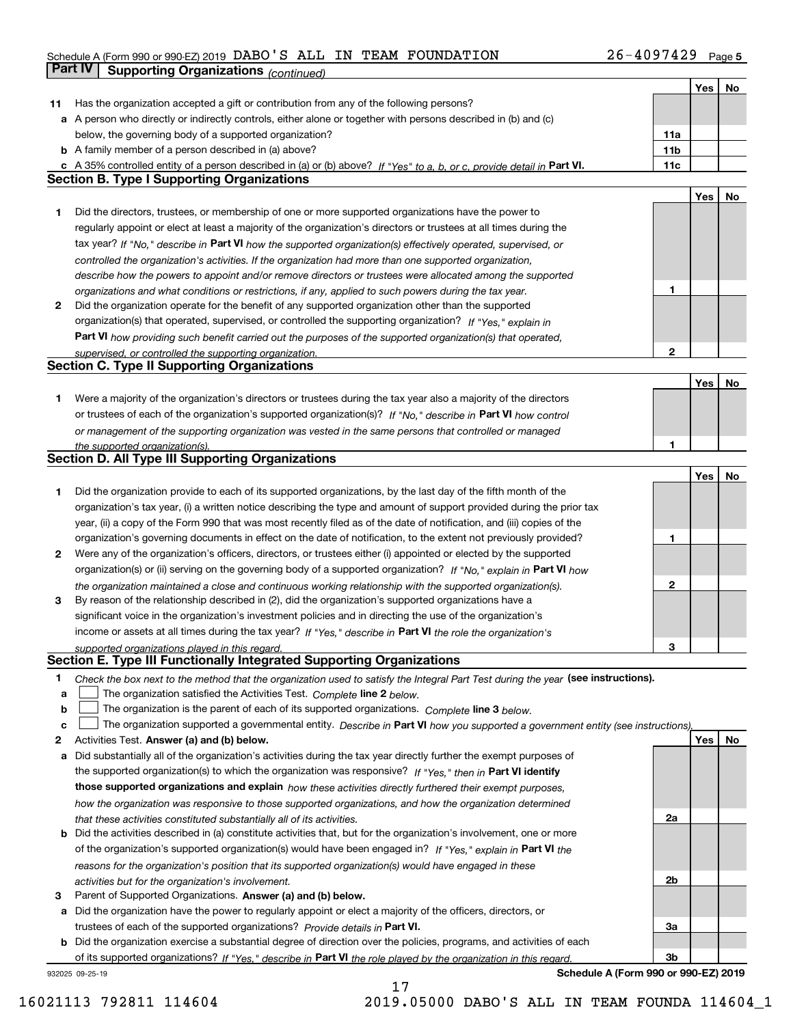## Schedule A (Form 990 or 990-EZ) 2019 DABO'S ALL IN TEAM FOUNDATION  $_{\rm 26-4097429 \ \ \ \ \text{Page}}$ **Part IV** Supporting Organizations *(continued)*

| Has the organization accepted a gift or contribution from any of the following persons?<br>11<br>a A person who directly or indirectly controls, either alone or together with persons described in (b) and (c)<br>below, the governing body of a supported organization?<br>11a<br>11 <sub>b</sub><br><b>b</b> A family member of a person described in (a) above?<br>11c<br>c A 35% controlled entity of a person described in (a) or (b) above? If "Yes" to a, b, or c, provide detail in Part VI.<br><b>Section B. Type I Supporting Organizations</b><br>Yes<br>Did the directors, trustees, or membership of one or more supported organizations have the power to<br>1<br>regularly appoint or elect at least a majority of the organization's directors or trustees at all times during the<br>tax year? If "No," describe in Part VI how the supported organization(s) effectively operated, supervised, or<br>controlled the organization's activities. If the organization had more than one supported organization,<br>describe how the powers to appoint and/or remove directors or trustees were allocated among the supported<br>1<br>organizations and what conditions or restrictions, if any, applied to such powers during the tax year.<br>Did the organization operate for the benefit of any supported organization other than the supported<br>2<br>organization(s) that operated, supervised, or controlled the supporting organization? If "Yes," explain in<br>Part VI how providing such benefit carried out the purposes of the supported organization(s) that operated,<br>$\mathbf{2}$<br>supervised, or controlled the supporting organization.<br><b>Section C. Type II Supporting Organizations</b><br>Yes<br>Were a majority of the organization's directors or trustees during the tax year also a majority of the directors<br>1<br>or trustees of each of the organization's supported organization(s)? If "No," describe in Part VI how control<br>or management of the supporting organization was vested in the same persons that controlled or managed<br>the supported organization(s).<br>Section D. All Type III Supporting Organizations<br>Yes<br>Did the organization provide to each of its supported organizations, by the last day of the fifth month of the<br>1<br>organization's tax year, (i) a written notice describing the type and amount of support provided during the prior tax<br>year, (ii) a copy of the Form 990 that was most recently filed as of the date of notification, and (iii) copies of the<br>organization's governing documents in effect on the date of notification, to the extent not previously provided?<br>1<br>Were any of the organization's officers, directors, or trustees either (i) appointed or elected by the supported<br>$\mathbf{2}$<br>organization(s) or (ii) serving on the governing body of a supported organization? If "No," explain in Part VI how<br>2<br>the organization maintained a close and continuous working relationship with the supported organization(s).<br>By reason of the relationship described in (2), did the organization's supported organizations have a<br>3<br>significant voice in the organization's investment policies and in directing the use of the organization's<br>income or assets at all times during the tax year? If "Yes," describe in Part VI the role the organization's<br>3<br>supported organizations played in this regard.<br>Section E. Type III Functionally Integrated Supporting Organizations<br>1<br>Check the box next to the method that the organization used to satisfy the Integral Part Test during the year (see instructions).<br>The organization satisfied the Activities Test. Complete line 2 below.<br>а<br>The organization is the parent of each of its supported organizations. Complete line 3 below.<br>b<br>The organization supported a governmental entity. Describe in Part VI how you supported a government entity (see instructions).<br>c<br>Activities Test. Answer (a) and (b) below.<br>Yes<br>2<br>Did substantially all of the organization's activities during the tax year directly further the exempt purposes of<br>a<br>the supported organization(s) to which the organization was responsive? If "Yes," then in Part VI identify<br>those supported organizations and explain how these activities directly furthered their exempt purposes,<br>how the organization was responsive to those supported organizations, and how the organization determined<br>2a<br>that these activities constituted substantially all of its activities.<br><b>b</b> Did the activities described in (a) constitute activities that, but for the organization's involvement, one or more<br>of the organization's supported organization(s) would have been engaged in? If "Yes," explain in Part VI the<br>reasons for the organization's position that its supported organization(s) would have engaged in these<br>2b<br>activities but for the organization's involvement.<br>Parent of Supported Organizations. Answer (a) and (b) below.<br>3<br>Did the organization have the power to regularly appoint or elect a majority of the officers, directors, or<br>a<br>trustees of each of the supported organizations? Provide details in Part VI.<br>За<br><b>b</b> Did the organization exercise a substantial degree of direction over the policies, programs, and activities of each |                                                                                                                   |    | Yes | No |
|----------------------------------------------------------------------------------------------------------------------------------------------------------------------------------------------------------------------------------------------------------------------------------------------------------------------------------------------------------------------------------------------------------------------------------------------------------------------------------------------------------------------------------------------------------------------------------------------------------------------------------------------------------------------------------------------------------------------------------------------------------------------------------------------------------------------------------------------------------------------------------------------------------------------------------------------------------------------------------------------------------------------------------------------------------------------------------------------------------------------------------------------------------------------------------------------------------------------------------------------------------------------------------------------------------------------------------------------------------------------------------------------------------------------------------------------------------------------------------------------------------------------------------------------------------------------------------------------------------------------------------------------------------------------------------------------------------------------------------------------------------------------------------------------------------------------------------------------------------------------------------------------------------------------------------------------------------------------------------------------------------------------------------------------------------------------------------------------------------------------------------------------------------------------------------------------------------------------------------------------------------------------------------------------------------------------------------------------------------------------------------------------------------------------------------------------------------------------------------------------------------------------------------------------------------------------------------------------------------------------------------------------------------------------------------------------------------------------------------------------------------------------------------------------------------------------------------------------------------------------------------------------------------------------------------------------------------------------------------------------------------------------------------------------------------------------------------------------------------------------------------------------------------------------------------------------------------------------------------------------------------------------------------------------------------------------------------------------------------------------------------------------------------------------------------------------------------------------------------------------------------------------------------------------------------------------------------------------------------------------------------------------------------------------------------------------------------------------------------------------------------------------------------------------------------------------------------------------------------------------------------------------------------------------------------------------------------------------------------------------------------------------------------------------------------------------------------------------------------------------------------------------------------------------------------------------------------------------------------------------------------------------------------------------------------------------------------------------------------------------------------------------------------------------------------------------------------------------------------------------------------------------------------------------------------------------------------------------------------------------------------------------------------------------------------------------------------------------------------------------------------------------------------------------------------------------------------------------------------------------------------------------------------------------------------------------------------------------------------------------------------------------------------------------------------------------------------------------------------------------------------------------------------------------------------------------------------------------------------------------------------------------------------------------------------------------------------------------------------------------------------------------------------------------------------------------------------------------------------|-------------------------------------------------------------------------------------------------------------------|----|-----|----|
|                                                                                                                                                                                                                                                                                                                                                                                                                                                                                                                                                                                                                                                                                                                                                                                                                                                                                                                                                                                                                                                                                                                                                                                                                                                                                                                                                                                                                                                                                                                                                                                                                                                                                                                                                                                                                                                                                                                                                                                                                                                                                                                                                                                                                                                                                                                                                                                                                                                                                                                                                                                                                                                                                                                                                                                                                                                                                                                                                                                                                                                                                                                                                                                                                                                                                                                                                                                                                                                                                                                                                                                                                                                                                                                                                                                                                                                                                                                                                                                                                                                                                                                                                                                                                                                                                                                                                                                                                                                                                                                                                                                                                                                                                                                                                                                                                                                                                                                                                                                                                                                                                                                                                                                                                                                                                                                                                                                                                                                                                  |                                                                                                                   |    |     |    |
|                                                                                                                                                                                                                                                                                                                                                                                                                                                                                                                                                                                                                                                                                                                                                                                                                                                                                                                                                                                                                                                                                                                                                                                                                                                                                                                                                                                                                                                                                                                                                                                                                                                                                                                                                                                                                                                                                                                                                                                                                                                                                                                                                                                                                                                                                                                                                                                                                                                                                                                                                                                                                                                                                                                                                                                                                                                                                                                                                                                                                                                                                                                                                                                                                                                                                                                                                                                                                                                                                                                                                                                                                                                                                                                                                                                                                                                                                                                                                                                                                                                                                                                                                                                                                                                                                                                                                                                                                                                                                                                                                                                                                                                                                                                                                                                                                                                                                                                                                                                                                                                                                                                                                                                                                                                                                                                                                                                                                                                                                  |                                                                                                                   |    |     |    |
|                                                                                                                                                                                                                                                                                                                                                                                                                                                                                                                                                                                                                                                                                                                                                                                                                                                                                                                                                                                                                                                                                                                                                                                                                                                                                                                                                                                                                                                                                                                                                                                                                                                                                                                                                                                                                                                                                                                                                                                                                                                                                                                                                                                                                                                                                                                                                                                                                                                                                                                                                                                                                                                                                                                                                                                                                                                                                                                                                                                                                                                                                                                                                                                                                                                                                                                                                                                                                                                                                                                                                                                                                                                                                                                                                                                                                                                                                                                                                                                                                                                                                                                                                                                                                                                                                                                                                                                                                                                                                                                                                                                                                                                                                                                                                                                                                                                                                                                                                                                                                                                                                                                                                                                                                                                                                                                                                                                                                                                                                  |                                                                                                                   |    |     |    |
|                                                                                                                                                                                                                                                                                                                                                                                                                                                                                                                                                                                                                                                                                                                                                                                                                                                                                                                                                                                                                                                                                                                                                                                                                                                                                                                                                                                                                                                                                                                                                                                                                                                                                                                                                                                                                                                                                                                                                                                                                                                                                                                                                                                                                                                                                                                                                                                                                                                                                                                                                                                                                                                                                                                                                                                                                                                                                                                                                                                                                                                                                                                                                                                                                                                                                                                                                                                                                                                                                                                                                                                                                                                                                                                                                                                                                                                                                                                                                                                                                                                                                                                                                                                                                                                                                                                                                                                                                                                                                                                                                                                                                                                                                                                                                                                                                                                                                                                                                                                                                                                                                                                                                                                                                                                                                                                                                                                                                                                                                  |                                                                                                                   |    |     |    |
|                                                                                                                                                                                                                                                                                                                                                                                                                                                                                                                                                                                                                                                                                                                                                                                                                                                                                                                                                                                                                                                                                                                                                                                                                                                                                                                                                                                                                                                                                                                                                                                                                                                                                                                                                                                                                                                                                                                                                                                                                                                                                                                                                                                                                                                                                                                                                                                                                                                                                                                                                                                                                                                                                                                                                                                                                                                                                                                                                                                                                                                                                                                                                                                                                                                                                                                                                                                                                                                                                                                                                                                                                                                                                                                                                                                                                                                                                                                                                                                                                                                                                                                                                                                                                                                                                                                                                                                                                                                                                                                                                                                                                                                                                                                                                                                                                                                                                                                                                                                                                                                                                                                                                                                                                                                                                                                                                                                                                                                                                  |                                                                                                                   |    |     |    |
|                                                                                                                                                                                                                                                                                                                                                                                                                                                                                                                                                                                                                                                                                                                                                                                                                                                                                                                                                                                                                                                                                                                                                                                                                                                                                                                                                                                                                                                                                                                                                                                                                                                                                                                                                                                                                                                                                                                                                                                                                                                                                                                                                                                                                                                                                                                                                                                                                                                                                                                                                                                                                                                                                                                                                                                                                                                                                                                                                                                                                                                                                                                                                                                                                                                                                                                                                                                                                                                                                                                                                                                                                                                                                                                                                                                                                                                                                                                                                                                                                                                                                                                                                                                                                                                                                                                                                                                                                                                                                                                                                                                                                                                                                                                                                                                                                                                                                                                                                                                                                                                                                                                                                                                                                                                                                                                                                                                                                                                                                  |                                                                                                                   |    |     |    |
|                                                                                                                                                                                                                                                                                                                                                                                                                                                                                                                                                                                                                                                                                                                                                                                                                                                                                                                                                                                                                                                                                                                                                                                                                                                                                                                                                                                                                                                                                                                                                                                                                                                                                                                                                                                                                                                                                                                                                                                                                                                                                                                                                                                                                                                                                                                                                                                                                                                                                                                                                                                                                                                                                                                                                                                                                                                                                                                                                                                                                                                                                                                                                                                                                                                                                                                                                                                                                                                                                                                                                                                                                                                                                                                                                                                                                                                                                                                                                                                                                                                                                                                                                                                                                                                                                                                                                                                                                                                                                                                                                                                                                                                                                                                                                                                                                                                                                                                                                                                                                                                                                                                                                                                                                                                                                                                                                                                                                                                                                  |                                                                                                                   |    |     | No |
|                                                                                                                                                                                                                                                                                                                                                                                                                                                                                                                                                                                                                                                                                                                                                                                                                                                                                                                                                                                                                                                                                                                                                                                                                                                                                                                                                                                                                                                                                                                                                                                                                                                                                                                                                                                                                                                                                                                                                                                                                                                                                                                                                                                                                                                                                                                                                                                                                                                                                                                                                                                                                                                                                                                                                                                                                                                                                                                                                                                                                                                                                                                                                                                                                                                                                                                                                                                                                                                                                                                                                                                                                                                                                                                                                                                                                                                                                                                                                                                                                                                                                                                                                                                                                                                                                                                                                                                                                                                                                                                                                                                                                                                                                                                                                                                                                                                                                                                                                                                                                                                                                                                                                                                                                                                                                                                                                                                                                                                                                  |                                                                                                                   |    |     |    |
|                                                                                                                                                                                                                                                                                                                                                                                                                                                                                                                                                                                                                                                                                                                                                                                                                                                                                                                                                                                                                                                                                                                                                                                                                                                                                                                                                                                                                                                                                                                                                                                                                                                                                                                                                                                                                                                                                                                                                                                                                                                                                                                                                                                                                                                                                                                                                                                                                                                                                                                                                                                                                                                                                                                                                                                                                                                                                                                                                                                                                                                                                                                                                                                                                                                                                                                                                                                                                                                                                                                                                                                                                                                                                                                                                                                                                                                                                                                                                                                                                                                                                                                                                                                                                                                                                                                                                                                                                                                                                                                                                                                                                                                                                                                                                                                                                                                                                                                                                                                                                                                                                                                                                                                                                                                                                                                                                                                                                                                                                  |                                                                                                                   |    |     |    |
|                                                                                                                                                                                                                                                                                                                                                                                                                                                                                                                                                                                                                                                                                                                                                                                                                                                                                                                                                                                                                                                                                                                                                                                                                                                                                                                                                                                                                                                                                                                                                                                                                                                                                                                                                                                                                                                                                                                                                                                                                                                                                                                                                                                                                                                                                                                                                                                                                                                                                                                                                                                                                                                                                                                                                                                                                                                                                                                                                                                                                                                                                                                                                                                                                                                                                                                                                                                                                                                                                                                                                                                                                                                                                                                                                                                                                                                                                                                                                                                                                                                                                                                                                                                                                                                                                                                                                                                                                                                                                                                                                                                                                                                                                                                                                                                                                                                                                                                                                                                                                                                                                                                                                                                                                                                                                                                                                                                                                                                                                  |                                                                                                                   |    |     |    |
|                                                                                                                                                                                                                                                                                                                                                                                                                                                                                                                                                                                                                                                                                                                                                                                                                                                                                                                                                                                                                                                                                                                                                                                                                                                                                                                                                                                                                                                                                                                                                                                                                                                                                                                                                                                                                                                                                                                                                                                                                                                                                                                                                                                                                                                                                                                                                                                                                                                                                                                                                                                                                                                                                                                                                                                                                                                                                                                                                                                                                                                                                                                                                                                                                                                                                                                                                                                                                                                                                                                                                                                                                                                                                                                                                                                                                                                                                                                                                                                                                                                                                                                                                                                                                                                                                                                                                                                                                                                                                                                                                                                                                                                                                                                                                                                                                                                                                                                                                                                                                                                                                                                                                                                                                                                                                                                                                                                                                                                                                  |                                                                                                                   |    |     |    |
|                                                                                                                                                                                                                                                                                                                                                                                                                                                                                                                                                                                                                                                                                                                                                                                                                                                                                                                                                                                                                                                                                                                                                                                                                                                                                                                                                                                                                                                                                                                                                                                                                                                                                                                                                                                                                                                                                                                                                                                                                                                                                                                                                                                                                                                                                                                                                                                                                                                                                                                                                                                                                                                                                                                                                                                                                                                                                                                                                                                                                                                                                                                                                                                                                                                                                                                                                                                                                                                                                                                                                                                                                                                                                                                                                                                                                                                                                                                                                                                                                                                                                                                                                                                                                                                                                                                                                                                                                                                                                                                                                                                                                                                                                                                                                                                                                                                                                                                                                                                                                                                                                                                                                                                                                                                                                                                                                                                                                                                                                  |                                                                                                                   |    |     |    |
|                                                                                                                                                                                                                                                                                                                                                                                                                                                                                                                                                                                                                                                                                                                                                                                                                                                                                                                                                                                                                                                                                                                                                                                                                                                                                                                                                                                                                                                                                                                                                                                                                                                                                                                                                                                                                                                                                                                                                                                                                                                                                                                                                                                                                                                                                                                                                                                                                                                                                                                                                                                                                                                                                                                                                                                                                                                                                                                                                                                                                                                                                                                                                                                                                                                                                                                                                                                                                                                                                                                                                                                                                                                                                                                                                                                                                                                                                                                                                                                                                                                                                                                                                                                                                                                                                                                                                                                                                                                                                                                                                                                                                                                                                                                                                                                                                                                                                                                                                                                                                                                                                                                                                                                                                                                                                                                                                                                                                                                                                  |                                                                                                                   |    |     |    |
|                                                                                                                                                                                                                                                                                                                                                                                                                                                                                                                                                                                                                                                                                                                                                                                                                                                                                                                                                                                                                                                                                                                                                                                                                                                                                                                                                                                                                                                                                                                                                                                                                                                                                                                                                                                                                                                                                                                                                                                                                                                                                                                                                                                                                                                                                                                                                                                                                                                                                                                                                                                                                                                                                                                                                                                                                                                                                                                                                                                                                                                                                                                                                                                                                                                                                                                                                                                                                                                                                                                                                                                                                                                                                                                                                                                                                                                                                                                                                                                                                                                                                                                                                                                                                                                                                                                                                                                                                                                                                                                                                                                                                                                                                                                                                                                                                                                                                                                                                                                                                                                                                                                                                                                                                                                                                                                                                                                                                                                                                  |                                                                                                                   |    |     |    |
|                                                                                                                                                                                                                                                                                                                                                                                                                                                                                                                                                                                                                                                                                                                                                                                                                                                                                                                                                                                                                                                                                                                                                                                                                                                                                                                                                                                                                                                                                                                                                                                                                                                                                                                                                                                                                                                                                                                                                                                                                                                                                                                                                                                                                                                                                                                                                                                                                                                                                                                                                                                                                                                                                                                                                                                                                                                                                                                                                                                                                                                                                                                                                                                                                                                                                                                                                                                                                                                                                                                                                                                                                                                                                                                                                                                                                                                                                                                                                                                                                                                                                                                                                                                                                                                                                                                                                                                                                                                                                                                                                                                                                                                                                                                                                                                                                                                                                                                                                                                                                                                                                                                                                                                                                                                                                                                                                                                                                                                                                  |                                                                                                                   |    |     |    |
|                                                                                                                                                                                                                                                                                                                                                                                                                                                                                                                                                                                                                                                                                                                                                                                                                                                                                                                                                                                                                                                                                                                                                                                                                                                                                                                                                                                                                                                                                                                                                                                                                                                                                                                                                                                                                                                                                                                                                                                                                                                                                                                                                                                                                                                                                                                                                                                                                                                                                                                                                                                                                                                                                                                                                                                                                                                                                                                                                                                                                                                                                                                                                                                                                                                                                                                                                                                                                                                                                                                                                                                                                                                                                                                                                                                                                                                                                                                                                                                                                                                                                                                                                                                                                                                                                                                                                                                                                                                                                                                                                                                                                                                                                                                                                                                                                                                                                                                                                                                                                                                                                                                                                                                                                                                                                                                                                                                                                                                                                  |                                                                                                                   |    |     |    |
|                                                                                                                                                                                                                                                                                                                                                                                                                                                                                                                                                                                                                                                                                                                                                                                                                                                                                                                                                                                                                                                                                                                                                                                                                                                                                                                                                                                                                                                                                                                                                                                                                                                                                                                                                                                                                                                                                                                                                                                                                                                                                                                                                                                                                                                                                                                                                                                                                                                                                                                                                                                                                                                                                                                                                                                                                                                                                                                                                                                                                                                                                                                                                                                                                                                                                                                                                                                                                                                                                                                                                                                                                                                                                                                                                                                                                                                                                                                                                                                                                                                                                                                                                                                                                                                                                                                                                                                                                                                                                                                                                                                                                                                                                                                                                                                                                                                                                                                                                                                                                                                                                                                                                                                                                                                                                                                                                                                                                                                                                  |                                                                                                                   |    |     |    |
|                                                                                                                                                                                                                                                                                                                                                                                                                                                                                                                                                                                                                                                                                                                                                                                                                                                                                                                                                                                                                                                                                                                                                                                                                                                                                                                                                                                                                                                                                                                                                                                                                                                                                                                                                                                                                                                                                                                                                                                                                                                                                                                                                                                                                                                                                                                                                                                                                                                                                                                                                                                                                                                                                                                                                                                                                                                                                                                                                                                                                                                                                                                                                                                                                                                                                                                                                                                                                                                                                                                                                                                                                                                                                                                                                                                                                                                                                                                                                                                                                                                                                                                                                                                                                                                                                                                                                                                                                                                                                                                                                                                                                                                                                                                                                                                                                                                                                                                                                                                                                                                                                                                                                                                                                                                                                                                                                                                                                                                                                  |                                                                                                                   |    |     |    |
|                                                                                                                                                                                                                                                                                                                                                                                                                                                                                                                                                                                                                                                                                                                                                                                                                                                                                                                                                                                                                                                                                                                                                                                                                                                                                                                                                                                                                                                                                                                                                                                                                                                                                                                                                                                                                                                                                                                                                                                                                                                                                                                                                                                                                                                                                                                                                                                                                                                                                                                                                                                                                                                                                                                                                                                                                                                                                                                                                                                                                                                                                                                                                                                                                                                                                                                                                                                                                                                                                                                                                                                                                                                                                                                                                                                                                                                                                                                                                                                                                                                                                                                                                                                                                                                                                                                                                                                                                                                                                                                                                                                                                                                                                                                                                                                                                                                                                                                                                                                                                                                                                                                                                                                                                                                                                                                                                                                                                                                                                  |                                                                                                                   |    |     | No |
|                                                                                                                                                                                                                                                                                                                                                                                                                                                                                                                                                                                                                                                                                                                                                                                                                                                                                                                                                                                                                                                                                                                                                                                                                                                                                                                                                                                                                                                                                                                                                                                                                                                                                                                                                                                                                                                                                                                                                                                                                                                                                                                                                                                                                                                                                                                                                                                                                                                                                                                                                                                                                                                                                                                                                                                                                                                                                                                                                                                                                                                                                                                                                                                                                                                                                                                                                                                                                                                                                                                                                                                                                                                                                                                                                                                                                                                                                                                                                                                                                                                                                                                                                                                                                                                                                                                                                                                                                                                                                                                                                                                                                                                                                                                                                                                                                                                                                                                                                                                                                                                                                                                                                                                                                                                                                                                                                                                                                                                                                  |                                                                                                                   |    |     |    |
|                                                                                                                                                                                                                                                                                                                                                                                                                                                                                                                                                                                                                                                                                                                                                                                                                                                                                                                                                                                                                                                                                                                                                                                                                                                                                                                                                                                                                                                                                                                                                                                                                                                                                                                                                                                                                                                                                                                                                                                                                                                                                                                                                                                                                                                                                                                                                                                                                                                                                                                                                                                                                                                                                                                                                                                                                                                                                                                                                                                                                                                                                                                                                                                                                                                                                                                                                                                                                                                                                                                                                                                                                                                                                                                                                                                                                                                                                                                                                                                                                                                                                                                                                                                                                                                                                                                                                                                                                                                                                                                                                                                                                                                                                                                                                                                                                                                                                                                                                                                                                                                                                                                                                                                                                                                                                                                                                                                                                                                                                  |                                                                                                                   |    |     |    |
|                                                                                                                                                                                                                                                                                                                                                                                                                                                                                                                                                                                                                                                                                                                                                                                                                                                                                                                                                                                                                                                                                                                                                                                                                                                                                                                                                                                                                                                                                                                                                                                                                                                                                                                                                                                                                                                                                                                                                                                                                                                                                                                                                                                                                                                                                                                                                                                                                                                                                                                                                                                                                                                                                                                                                                                                                                                                                                                                                                                                                                                                                                                                                                                                                                                                                                                                                                                                                                                                                                                                                                                                                                                                                                                                                                                                                                                                                                                                                                                                                                                                                                                                                                                                                                                                                                                                                                                                                                                                                                                                                                                                                                                                                                                                                                                                                                                                                                                                                                                                                                                                                                                                                                                                                                                                                                                                                                                                                                                                                  |                                                                                                                   |    |     |    |
|                                                                                                                                                                                                                                                                                                                                                                                                                                                                                                                                                                                                                                                                                                                                                                                                                                                                                                                                                                                                                                                                                                                                                                                                                                                                                                                                                                                                                                                                                                                                                                                                                                                                                                                                                                                                                                                                                                                                                                                                                                                                                                                                                                                                                                                                                                                                                                                                                                                                                                                                                                                                                                                                                                                                                                                                                                                                                                                                                                                                                                                                                                                                                                                                                                                                                                                                                                                                                                                                                                                                                                                                                                                                                                                                                                                                                                                                                                                                                                                                                                                                                                                                                                                                                                                                                                                                                                                                                                                                                                                                                                                                                                                                                                                                                                                                                                                                                                                                                                                                                                                                                                                                                                                                                                                                                                                                                                                                                                                                                  |                                                                                                                   |    |     |    |
|                                                                                                                                                                                                                                                                                                                                                                                                                                                                                                                                                                                                                                                                                                                                                                                                                                                                                                                                                                                                                                                                                                                                                                                                                                                                                                                                                                                                                                                                                                                                                                                                                                                                                                                                                                                                                                                                                                                                                                                                                                                                                                                                                                                                                                                                                                                                                                                                                                                                                                                                                                                                                                                                                                                                                                                                                                                                                                                                                                                                                                                                                                                                                                                                                                                                                                                                                                                                                                                                                                                                                                                                                                                                                                                                                                                                                                                                                                                                                                                                                                                                                                                                                                                                                                                                                                                                                                                                                                                                                                                                                                                                                                                                                                                                                                                                                                                                                                                                                                                                                                                                                                                                                                                                                                                                                                                                                                                                                                                                                  |                                                                                                                   |    |     |    |
|                                                                                                                                                                                                                                                                                                                                                                                                                                                                                                                                                                                                                                                                                                                                                                                                                                                                                                                                                                                                                                                                                                                                                                                                                                                                                                                                                                                                                                                                                                                                                                                                                                                                                                                                                                                                                                                                                                                                                                                                                                                                                                                                                                                                                                                                                                                                                                                                                                                                                                                                                                                                                                                                                                                                                                                                                                                                                                                                                                                                                                                                                                                                                                                                                                                                                                                                                                                                                                                                                                                                                                                                                                                                                                                                                                                                                                                                                                                                                                                                                                                                                                                                                                                                                                                                                                                                                                                                                                                                                                                                                                                                                                                                                                                                                                                                                                                                                                                                                                                                                                                                                                                                                                                                                                                                                                                                                                                                                                                                                  |                                                                                                                   |    |     | No |
|                                                                                                                                                                                                                                                                                                                                                                                                                                                                                                                                                                                                                                                                                                                                                                                                                                                                                                                                                                                                                                                                                                                                                                                                                                                                                                                                                                                                                                                                                                                                                                                                                                                                                                                                                                                                                                                                                                                                                                                                                                                                                                                                                                                                                                                                                                                                                                                                                                                                                                                                                                                                                                                                                                                                                                                                                                                                                                                                                                                                                                                                                                                                                                                                                                                                                                                                                                                                                                                                                                                                                                                                                                                                                                                                                                                                                                                                                                                                                                                                                                                                                                                                                                                                                                                                                                                                                                                                                                                                                                                                                                                                                                                                                                                                                                                                                                                                                                                                                                                                                                                                                                                                                                                                                                                                                                                                                                                                                                                                                  |                                                                                                                   |    |     |    |
|                                                                                                                                                                                                                                                                                                                                                                                                                                                                                                                                                                                                                                                                                                                                                                                                                                                                                                                                                                                                                                                                                                                                                                                                                                                                                                                                                                                                                                                                                                                                                                                                                                                                                                                                                                                                                                                                                                                                                                                                                                                                                                                                                                                                                                                                                                                                                                                                                                                                                                                                                                                                                                                                                                                                                                                                                                                                                                                                                                                                                                                                                                                                                                                                                                                                                                                                                                                                                                                                                                                                                                                                                                                                                                                                                                                                                                                                                                                                                                                                                                                                                                                                                                                                                                                                                                                                                                                                                                                                                                                                                                                                                                                                                                                                                                                                                                                                                                                                                                                                                                                                                                                                                                                                                                                                                                                                                                                                                                                                                  |                                                                                                                   |    |     |    |
|                                                                                                                                                                                                                                                                                                                                                                                                                                                                                                                                                                                                                                                                                                                                                                                                                                                                                                                                                                                                                                                                                                                                                                                                                                                                                                                                                                                                                                                                                                                                                                                                                                                                                                                                                                                                                                                                                                                                                                                                                                                                                                                                                                                                                                                                                                                                                                                                                                                                                                                                                                                                                                                                                                                                                                                                                                                                                                                                                                                                                                                                                                                                                                                                                                                                                                                                                                                                                                                                                                                                                                                                                                                                                                                                                                                                                                                                                                                                                                                                                                                                                                                                                                                                                                                                                                                                                                                                                                                                                                                                                                                                                                                                                                                                                                                                                                                                                                                                                                                                                                                                                                                                                                                                                                                                                                                                                                                                                                                                                  |                                                                                                                   |    |     |    |
|                                                                                                                                                                                                                                                                                                                                                                                                                                                                                                                                                                                                                                                                                                                                                                                                                                                                                                                                                                                                                                                                                                                                                                                                                                                                                                                                                                                                                                                                                                                                                                                                                                                                                                                                                                                                                                                                                                                                                                                                                                                                                                                                                                                                                                                                                                                                                                                                                                                                                                                                                                                                                                                                                                                                                                                                                                                                                                                                                                                                                                                                                                                                                                                                                                                                                                                                                                                                                                                                                                                                                                                                                                                                                                                                                                                                                                                                                                                                                                                                                                                                                                                                                                                                                                                                                                                                                                                                                                                                                                                                                                                                                                                                                                                                                                                                                                                                                                                                                                                                                                                                                                                                                                                                                                                                                                                                                                                                                                                                                  |                                                                                                                   |    |     |    |
|                                                                                                                                                                                                                                                                                                                                                                                                                                                                                                                                                                                                                                                                                                                                                                                                                                                                                                                                                                                                                                                                                                                                                                                                                                                                                                                                                                                                                                                                                                                                                                                                                                                                                                                                                                                                                                                                                                                                                                                                                                                                                                                                                                                                                                                                                                                                                                                                                                                                                                                                                                                                                                                                                                                                                                                                                                                                                                                                                                                                                                                                                                                                                                                                                                                                                                                                                                                                                                                                                                                                                                                                                                                                                                                                                                                                                                                                                                                                                                                                                                                                                                                                                                                                                                                                                                                                                                                                                                                                                                                                                                                                                                                                                                                                                                                                                                                                                                                                                                                                                                                                                                                                                                                                                                                                                                                                                                                                                                                                                  |                                                                                                                   |    |     |    |
|                                                                                                                                                                                                                                                                                                                                                                                                                                                                                                                                                                                                                                                                                                                                                                                                                                                                                                                                                                                                                                                                                                                                                                                                                                                                                                                                                                                                                                                                                                                                                                                                                                                                                                                                                                                                                                                                                                                                                                                                                                                                                                                                                                                                                                                                                                                                                                                                                                                                                                                                                                                                                                                                                                                                                                                                                                                                                                                                                                                                                                                                                                                                                                                                                                                                                                                                                                                                                                                                                                                                                                                                                                                                                                                                                                                                                                                                                                                                                                                                                                                                                                                                                                                                                                                                                                                                                                                                                                                                                                                                                                                                                                                                                                                                                                                                                                                                                                                                                                                                                                                                                                                                                                                                                                                                                                                                                                                                                                                                                  |                                                                                                                   |    |     |    |
|                                                                                                                                                                                                                                                                                                                                                                                                                                                                                                                                                                                                                                                                                                                                                                                                                                                                                                                                                                                                                                                                                                                                                                                                                                                                                                                                                                                                                                                                                                                                                                                                                                                                                                                                                                                                                                                                                                                                                                                                                                                                                                                                                                                                                                                                                                                                                                                                                                                                                                                                                                                                                                                                                                                                                                                                                                                                                                                                                                                                                                                                                                                                                                                                                                                                                                                                                                                                                                                                                                                                                                                                                                                                                                                                                                                                                                                                                                                                                                                                                                                                                                                                                                                                                                                                                                                                                                                                                                                                                                                                                                                                                                                                                                                                                                                                                                                                                                                                                                                                                                                                                                                                                                                                                                                                                                                                                                                                                                                                                  |                                                                                                                   |    |     |    |
|                                                                                                                                                                                                                                                                                                                                                                                                                                                                                                                                                                                                                                                                                                                                                                                                                                                                                                                                                                                                                                                                                                                                                                                                                                                                                                                                                                                                                                                                                                                                                                                                                                                                                                                                                                                                                                                                                                                                                                                                                                                                                                                                                                                                                                                                                                                                                                                                                                                                                                                                                                                                                                                                                                                                                                                                                                                                                                                                                                                                                                                                                                                                                                                                                                                                                                                                                                                                                                                                                                                                                                                                                                                                                                                                                                                                                                                                                                                                                                                                                                                                                                                                                                                                                                                                                                                                                                                                                                                                                                                                                                                                                                                                                                                                                                                                                                                                                                                                                                                                                                                                                                                                                                                                                                                                                                                                                                                                                                                                                  |                                                                                                                   |    |     |    |
|                                                                                                                                                                                                                                                                                                                                                                                                                                                                                                                                                                                                                                                                                                                                                                                                                                                                                                                                                                                                                                                                                                                                                                                                                                                                                                                                                                                                                                                                                                                                                                                                                                                                                                                                                                                                                                                                                                                                                                                                                                                                                                                                                                                                                                                                                                                                                                                                                                                                                                                                                                                                                                                                                                                                                                                                                                                                                                                                                                                                                                                                                                                                                                                                                                                                                                                                                                                                                                                                                                                                                                                                                                                                                                                                                                                                                                                                                                                                                                                                                                                                                                                                                                                                                                                                                                                                                                                                                                                                                                                                                                                                                                                                                                                                                                                                                                                                                                                                                                                                                                                                                                                                                                                                                                                                                                                                                                                                                                                                                  |                                                                                                                   |    |     |    |
|                                                                                                                                                                                                                                                                                                                                                                                                                                                                                                                                                                                                                                                                                                                                                                                                                                                                                                                                                                                                                                                                                                                                                                                                                                                                                                                                                                                                                                                                                                                                                                                                                                                                                                                                                                                                                                                                                                                                                                                                                                                                                                                                                                                                                                                                                                                                                                                                                                                                                                                                                                                                                                                                                                                                                                                                                                                                                                                                                                                                                                                                                                                                                                                                                                                                                                                                                                                                                                                                                                                                                                                                                                                                                                                                                                                                                                                                                                                                                                                                                                                                                                                                                                                                                                                                                                                                                                                                                                                                                                                                                                                                                                                                                                                                                                                                                                                                                                                                                                                                                                                                                                                                                                                                                                                                                                                                                                                                                                                                                  |                                                                                                                   |    |     |    |
|                                                                                                                                                                                                                                                                                                                                                                                                                                                                                                                                                                                                                                                                                                                                                                                                                                                                                                                                                                                                                                                                                                                                                                                                                                                                                                                                                                                                                                                                                                                                                                                                                                                                                                                                                                                                                                                                                                                                                                                                                                                                                                                                                                                                                                                                                                                                                                                                                                                                                                                                                                                                                                                                                                                                                                                                                                                                                                                                                                                                                                                                                                                                                                                                                                                                                                                                                                                                                                                                                                                                                                                                                                                                                                                                                                                                                                                                                                                                                                                                                                                                                                                                                                                                                                                                                                                                                                                                                                                                                                                                                                                                                                                                                                                                                                                                                                                                                                                                                                                                                                                                                                                                                                                                                                                                                                                                                                                                                                                                                  |                                                                                                                   |    |     |    |
|                                                                                                                                                                                                                                                                                                                                                                                                                                                                                                                                                                                                                                                                                                                                                                                                                                                                                                                                                                                                                                                                                                                                                                                                                                                                                                                                                                                                                                                                                                                                                                                                                                                                                                                                                                                                                                                                                                                                                                                                                                                                                                                                                                                                                                                                                                                                                                                                                                                                                                                                                                                                                                                                                                                                                                                                                                                                                                                                                                                                                                                                                                                                                                                                                                                                                                                                                                                                                                                                                                                                                                                                                                                                                                                                                                                                                                                                                                                                                                                                                                                                                                                                                                                                                                                                                                                                                                                                                                                                                                                                                                                                                                                                                                                                                                                                                                                                                                                                                                                                                                                                                                                                                                                                                                                                                                                                                                                                                                                                                  |                                                                                                                   |    |     |    |
|                                                                                                                                                                                                                                                                                                                                                                                                                                                                                                                                                                                                                                                                                                                                                                                                                                                                                                                                                                                                                                                                                                                                                                                                                                                                                                                                                                                                                                                                                                                                                                                                                                                                                                                                                                                                                                                                                                                                                                                                                                                                                                                                                                                                                                                                                                                                                                                                                                                                                                                                                                                                                                                                                                                                                                                                                                                                                                                                                                                                                                                                                                                                                                                                                                                                                                                                                                                                                                                                                                                                                                                                                                                                                                                                                                                                                                                                                                                                                                                                                                                                                                                                                                                                                                                                                                                                                                                                                                                                                                                                                                                                                                                                                                                                                                                                                                                                                                                                                                                                                                                                                                                                                                                                                                                                                                                                                                                                                                                                                  |                                                                                                                   |    |     |    |
|                                                                                                                                                                                                                                                                                                                                                                                                                                                                                                                                                                                                                                                                                                                                                                                                                                                                                                                                                                                                                                                                                                                                                                                                                                                                                                                                                                                                                                                                                                                                                                                                                                                                                                                                                                                                                                                                                                                                                                                                                                                                                                                                                                                                                                                                                                                                                                                                                                                                                                                                                                                                                                                                                                                                                                                                                                                                                                                                                                                                                                                                                                                                                                                                                                                                                                                                                                                                                                                                                                                                                                                                                                                                                                                                                                                                                                                                                                                                                                                                                                                                                                                                                                                                                                                                                                                                                                                                                                                                                                                                                                                                                                                                                                                                                                                                                                                                                                                                                                                                                                                                                                                                                                                                                                                                                                                                                                                                                                                                                  |                                                                                                                   |    |     |    |
|                                                                                                                                                                                                                                                                                                                                                                                                                                                                                                                                                                                                                                                                                                                                                                                                                                                                                                                                                                                                                                                                                                                                                                                                                                                                                                                                                                                                                                                                                                                                                                                                                                                                                                                                                                                                                                                                                                                                                                                                                                                                                                                                                                                                                                                                                                                                                                                                                                                                                                                                                                                                                                                                                                                                                                                                                                                                                                                                                                                                                                                                                                                                                                                                                                                                                                                                                                                                                                                                                                                                                                                                                                                                                                                                                                                                                                                                                                                                                                                                                                                                                                                                                                                                                                                                                                                                                                                                                                                                                                                                                                                                                                                                                                                                                                                                                                                                                                                                                                                                                                                                                                                                                                                                                                                                                                                                                                                                                                                                                  |                                                                                                                   |    |     |    |
|                                                                                                                                                                                                                                                                                                                                                                                                                                                                                                                                                                                                                                                                                                                                                                                                                                                                                                                                                                                                                                                                                                                                                                                                                                                                                                                                                                                                                                                                                                                                                                                                                                                                                                                                                                                                                                                                                                                                                                                                                                                                                                                                                                                                                                                                                                                                                                                                                                                                                                                                                                                                                                                                                                                                                                                                                                                                                                                                                                                                                                                                                                                                                                                                                                                                                                                                                                                                                                                                                                                                                                                                                                                                                                                                                                                                                                                                                                                                                                                                                                                                                                                                                                                                                                                                                                                                                                                                                                                                                                                                                                                                                                                                                                                                                                                                                                                                                                                                                                                                                                                                                                                                                                                                                                                                                                                                                                                                                                                                                  |                                                                                                                   |    |     |    |
|                                                                                                                                                                                                                                                                                                                                                                                                                                                                                                                                                                                                                                                                                                                                                                                                                                                                                                                                                                                                                                                                                                                                                                                                                                                                                                                                                                                                                                                                                                                                                                                                                                                                                                                                                                                                                                                                                                                                                                                                                                                                                                                                                                                                                                                                                                                                                                                                                                                                                                                                                                                                                                                                                                                                                                                                                                                                                                                                                                                                                                                                                                                                                                                                                                                                                                                                                                                                                                                                                                                                                                                                                                                                                                                                                                                                                                                                                                                                                                                                                                                                                                                                                                                                                                                                                                                                                                                                                                                                                                                                                                                                                                                                                                                                                                                                                                                                                                                                                                                                                                                                                                                                                                                                                                                                                                                                                                                                                                                                                  |                                                                                                                   |    |     | No |
|                                                                                                                                                                                                                                                                                                                                                                                                                                                                                                                                                                                                                                                                                                                                                                                                                                                                                                                                                                                                                                                                                                                                                                                                                                                                                                                                                                                                                                                                                                                                                                                                                                                                                                                                                                                                                                                                                                                                                                                                                                                                                                                                                                                                                                                                                                                                                                                                                                                                                                                                                                                                                                                                                                                                                                                                                                                                                                                                                                                                                                                                                                                                                                                                                                                                                                                                                                                                                                                                                                                                                                                                                                                                                                                                                                                                                                                                                                                                                                                                                                                                                                                                                                                                                                                                                                                                                                                                                                                                                                                                                                                                                                                                                                                                                                                                                                                                                                                                                                                                                                                                                                                                                                                                                                                                                                                                                                                                                                                                                  |                                                                                                                   |    |     |    |
|                                                                                                                                                                                                                                                                                                                                                                                                                                                                                                                                                                                                                                                                                                                                                                                                                                                                                                                                                                                                                                                                                                                                                                                                                                                                                                                                                                                                                                                                                                                                                                                                                                                                                                                                                                                                                                                                                                                                                                                                                                                                                                                                                                                                                                                                                                                                                                                                                                                                                                                                                                                                                                                                                                                                                                                                                                                                                                                                                                                                                                                                                                                                                                                                                                                                                                                                                                                                                                                                                                                                                                                                                                                                                                                                                                                                                                                                                                                                                                                                                                                                                                                                                                                                                                                                                                                                                                                                                                                                                                                                                                                                                                                                                                                                                                                                                                                                                                                                                                                                                                                                                                                                                                                                                                                                                                                                                                                                                                                                                  |                                                                                                                   |    |     |    |
|                                                                                                                                                                                                                                                                                                                                                                                                                                                                                                                                                                                                                                                                                                                                                                                                                                                                                                                                                                                                                                                                                                                                                                                                                                                                                                                                                                                                                                                                                                                                                                                                                                                                                                                                                                                                                                                                                                                                                                                                                                                                                                                                                                                                                                                                                                                                                                                                                                                                                                                                                                                                                                                                                                                                                                                                                                                                                                                                                                                                                                                                                                                                                                                                                                                                                                                                                                                                                                                                                                                                                                                                                                                                                                                                                                                                                                                                                                                                                                                                                                                                                                                                                                                                                                                                                                                                                                                                                                                                                                                                                                                                                                                                                                                                                                                                                                                                                                                                                                                                                                                                                                                                                                                                                                                                                                                                                                                                                                                                                  |                                                                                                                   |    |     |    |
|                                                                                                                                                                                                                                                                                                                                                                                                                                                                                                                                                                                                                                                                                                                                                                                                                                                                                                                                                                                                                                                                                                                                                                                                                                                                                                                                                                                                                                                                                                                                                                                                                                                                                                                                                                                                                                                                                                                                                                                                                                                                                                                                                                                                                                                                                                                                                                                                                                                                                                                                                                                                                                                                                                                                                                                                                                                                                                                                                                                                                                                                                                                                                                                                                                                                                                                                                                                                                                                                                                                                                                                                                                                                                                                                                                                                                                                                                                                                                                                                                                                                                                                                                                                                                                                                                                                                                                                                                                                                                                                                                                                                                                                                                                                                                                                                                                                                                                                                                                                                                                                                                                                                                                                                                                                                                                                                                                                                                                                                                  |                                                                                                                   |    |     |    |
|                                                                                                                                                                                                                                                                                                                                                                                                                                                                                                                                                                                                                                                                                                                                                                                                                                                                                                                                                                                                                                                                                                                                                                                                                                                                                                                                                                                                                                                                                                                                                                                                                                                                                                                                                                                                                                                                                                                                                                                                                                                                                                                                                                                                                                                                                                                                                                                                                                                                                                                                                                                                                                                                                                                                                                                                                                                                                                                                                                                                                                                                                                                                                                                                                                                                                                                                                                                                                                                                                                                                                                                                                                                                                                                                                                                                                                                                                                                                                                                                                                                                                                                                                                                                                                                                                                                                                                                                                                                                                                                                                                                                                                                                                                                                                                                                                                                                                                                                                                                                                                                                                                                                                                                                                                                                                                                                                                                                                                                                                  |                                                                                                                   |    |     |    |
|                                                                                                                                                                                                                                                                                                                                                                                                                                                                                                                                                                                                                                                                                                                                                                                                                                                                                                                                                                                                                                                                                                                                                                                                                                                                                                                                                                                                                                                                                                                                                                                                                                                                                                                                                                                                                                                                                                                                                                                                                                                                                                                                                                                                                                                                                                                                                                                                                                                                                                                                                                                                                                                                                                                                                                                                                                                                                                                                                                                                                                                                                                                                                                                                                                                                                                                                                                                                                                                                                                                                                                                                                                                                                                                                                                                                                                                                                                                                                                                                                                                                                                                                                                                                                                                                                                                                                                                                                                                                                                                                                                                                                                                                                                                                                                                                                                                                                                                                                                                                                                                                                                                                                                                                                                                                                                                                                                                                                                                                                  |                                                                                                                   |    |     |    |
|                                                                                                                                                                                                                                                                                                                                                                                                                                                                                                                                                                                                                                                                                                                                                                                                                                                                                                                                                                                                                                                                                                                                                                                                                                                                                                                                                                                                                                                                                                                                                                                                                                                                                                                                                                                                                                                                                                                                                                                                                                                                                                                                                                                                                                                                                                                                                                                                                                                                                                                                                                                                                                                                                                                                                                                                                                                                                                                                                                                                                                                                                                                                                                                                                                                                                                                                                                                                                                                                                                                                                                                                                                                                                                                                                                                                                                                                                                                                                                                                                                                                                                                                                                                                                                                                                                                                                                                                                                                                                                                                                                                                                                                                                                                                                                                                                                                                                                                                                                                                                                                                                                                                                                                                                                                                                                                                                                                                                                                                                  |                                                                                                                   |    |     |    |
|                                                                                                                                                                                                                                                                                                                                                                                                                                                                                                                                                                                                                                                                                                                                                                                                                                                                                                                                                                                                                                                                                                                                                                                                                                                                                                                                                                                                                                                                                                                                                                                                                                                                                                                                                                                                                                                                                                                                                                                                                                                                                                                                                                                                                                                                                                                                                                                                                                                                                                                                                                                                                                                                                                                                                                                                                                                                                                                                                                                                                                                                                                                                                                                                                                                                                                                                                                                                                                                                                                                                                                                                                                                                                                                                                                                                                                                                                                                                                                                                                                                                                                                                                                                                                                                                                                                                                                                                                                                                                                                                                                                                                                                                                                                                                                                                                                                                                                                                                                                                                                                                                                                                                                                                                                                                                                                                                                                                                                                                                  |                                                                                                                   |    |     |    |
|                                                                                                                                                                                                                                                                                                                                                                                                                                                                                                                                                                                                                                                                                                                                                                                                                                                                                                                                                                                                                                                                                                                                                                                                                                                                                                                                                                                                                                                                                                                                                                                                                                                                                                                                                                                                                                                                                                                                                                                                                                                                                                                                                                                                                                                                                                                                                                                                                                                                                                                                                                                                                                                                                                                                                                                                                                                                                                                                                                                                                                                                                                                                                                                                                                                                                                                                                                                                                                                                                                                                                                                                                                                                                                                                                                                                                                                                                                                                                                                                                                                                                                                                                                                                                                                                                                                                                                                                                                                                                                                                                                                                                                                                                                                                                                                                                                                                                                                                                                                                                                                                                                                                                                                                                                                                                                                                                                                                                                                                                  |                                                                                                                   |    |     |    |
|                                                                                                                                                                                                                                                                                                                                                                                                                                                                                                                                                                                                                                                                                                                                                                                                                                                                                                                                                                                                                                                                                                                                                                                                                                                                                                                                                                                                                                                                                                                                                                                                                                                                                                                                                                                                                                                                                                                                                                                                                                                                                                                                                                                                                                                                                                                                                                                                                                                                                                                                                                                                                                                                                                                                                                                                                                                                                                                                                                                                                                                                                                                                                                                                                                                                                                                                                                                                                                                                                                                                                                                                                                                                                                                                                                                                                                                                                                                                                                                                                                                                                                                                                                                                                                                                                                                                                                                                                                                                                                                                                                                                                                                                                                                                                                                                                                                                                                                                                                                                                                                                                                                                                                                                                                                                                                                                                                                                                                                                                  |                                                                                                                   |    |     |    |
|                                                                                                                                                                                                                                                                                                                                                                                                                                                                                                                                                                                                                                                                                                                                                                                                                                                                                                                                                                                                                                                                                                                                                                                                                                                                                                                                                                                                                                                                                                                                                                                                                                                                                                                                                                                                                                                                                                                                                                                                                                                                                                                                                                                                                                                                                                                                                                                                                                                                                                                                                                                                                                                                                                                                                                                                                                                                                                                                                                                                                                                                                                                                                                                                                                                                                                                                                                                                                                                                                                                                                                                                                                                                                                                                                                                                                                                                                                                                                                                                                                                                                                                                                                                                                                                                                                                                                                                                                                                                                                                                                                                                                                                                                                                                                                                                                                                                                                                                                                                                                                                                                                                                                                                                                                                                                                                                                                                                                                                                                  |                                                                                                                   |    |     |    |
|                                                                                                                                                                                                                                                                                                                                                                                                                                                                                                                                                                                                                                                                                                                                                                                                                                                                                                                                                                                                                                                                                                                                                                                                                                                                                                                                                                                                                                                                                                                                                                                                                                                                                                                                                                                                                                                                                                                                                                                                                                                                                                                                                                                                                                                                                                                                                                                                                                                                                                                                                                                                                                                                                                                                                                                                                                                                                                                                                                                                                                                                                                                                                                                                                                                                                                                                                                                                                                                                                                                                                                                                                                                                                                                                                                                                                                                                                                                                                                                                                                                                                                                                                                                                                                                                                                                                                                                                                                                                                                                                                                                                                                                                                                                                                                                                                                                                                                                                                                                                                                                                                                                                                                                                                                                                                                                                                                                                                                                                                  |                                                                                                                   |    |     |    |
|                                                                                                                                                                                                                                                                                                                                                                                                                                                                                                                                                                                                                                                                                                                                                                                                                                                                                                                                                                                                                                                                                                                                                                                                                                                                                                                                                                                                                                                                                                                                                                                                                                                                                                                                                                                                                                                                                                                                                                                                                                                                                                                                                                                                                                                                                                                                                                                                                                                                                                                                                                                                                                                                                                                                                                                                                                                                                                                                                                                                                                                                                                                                                                                                                                                                                                                                                                                                                                                                                                                                                                                                                                                                                                                                                                                                                                                                                                                                                                                                                                                                                                                                                                                                                                                                                                                                                                                                                                                                                                                                                                                                                                                                                                                                                                                                                                                                                                                                                                                                                                                                                                                                                                                                                                                                                                                                                                                                                                                                                  |                                                                                                                   |    |     |    |
|                                                                                                                                                                                                                                                                                                                                                                                                                                                                                                                                                                                                                                                                                                                                                                                                                                                                                                                                                                                                                                                                                                                                                                                                                                                                                                                                                                                                                                                                                                                                                                                                                                                                                                                                                                                                                                                                                                                                                                                                                                                                                                                                                                                                                                                                                                                                                                                                                                                                                                                                                                                                                                                                                                                                                                                                                                                                                                                                                                                                                                                                                                                                                                                                                                                                                                                                                                                                                                                                                                                                                                                                                                                                                                                                                                                                                                                                                                                                                                                                                                                                                                                                                                                                                                                                                                                                                                                                                                                                                                                                                                                                                                                                                                                                                                                                                                                                                                                                                                                                                                                                                                                                                                                                                                                                                                                                                                                                                                                                                  | of its supported organizations? If "Yes," describe in Part VI the role played by the organization in this regard. | 3b |     |    |

17

932025 09-25-19

**Schedule A (Form 990 or 990-EZ) 2019**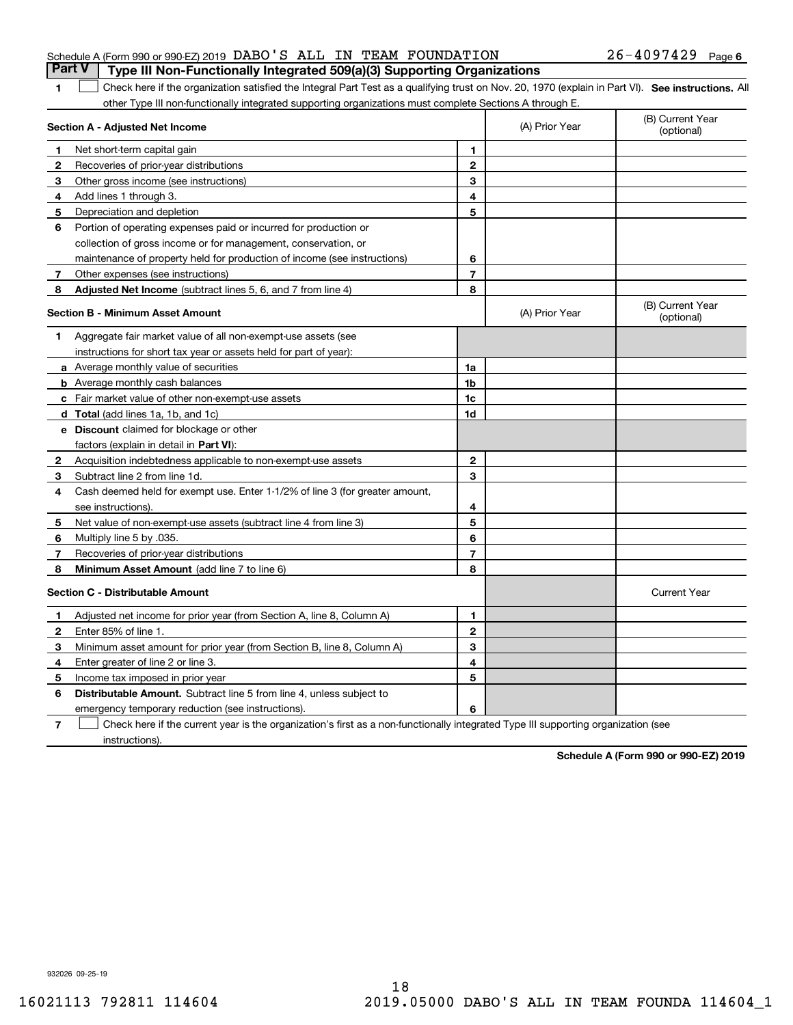| Schedule A (Form 990 or 990-EZ) 2019 DABO 'S ALL IN TEAM FOUNDATION |  |                                                                                       | $26 - 4097429$ Page 6 |  |
|---------------------------------------------------------------------|--|---------------------------------------------------------------------------------------|-----------------------|--|
|                                                                     |  | <b>Part V</b> Type III Non-Functionally Integrated 509(a)(3) Supporting Organizations |                       |  |

| 1 Check here if the organization satisfied the Integral Part Test as a qualifying trust on Nov. 20, 1970 (explain in Part VI). See instructions. All |  |
|------------------------------------------------------------------------------------------------------------------------------------------------------|--|
| other Type III non-functionally integrated supporting organizations must complete Sections A through E.                                              |  |
|                                                                                                                                                      |  |

| Section A - Adjusted Net Income |                                                                                                                                   |                | (A) Prior Year | (B) Current Year<br>(optional) |
|---------------------------------|-----------------------------------------------------------------------------------------------------------------------------------|----------------|----------------|--------------------------------|
| 1                               | Net short-term capital gain                                                                                                       | 1              |                |                                |
| 2                               | Recoveries of prior-year distributions                                                                                            | $\overline{2}$ |                |                                |
| 3                               | Other gross income (see instructions)                                                                                             | 3              |                |                                |
| 4                               | Add lines 1 through 3.                                                                                                            | 4              |                |                                |
| 5                               | Depreciation and depletion                                                                                                        | 5              |                |                                |
| 6                               | Portion of operating expenses paid or incurred for production or                                                                  |                |                |                                |
|                                 | collection of gross income or for management, conservation, or                                                                    |                |                |                                |
|                                 | maintenance of property held for production of income (see instructions)                                                          | 6              |                |                                |
| 7                               | Other expenses (see instructions)                                                                                                 | $\overline{7}$ |                |                                |
| 8                               | Adjusted Net Income (subtract lines 5, 6, and 7 from line 4)                                                                      | 8              |                |                                |
|                                 | <b>Section B - Minimum Asset Amount</b>                                                                                           |                | (A) Prior Year | (B) Current Year<br>(optional) |
| 1                               | Aggregate fair market value of all non-exempt-use assets (see                                                                     |                |                |                                |
|                                 | instructions for short tax year or assets held for part of year):                                                                 |                |                |                                |
|                                 | <b>a</b> Average monthly value of securities                                                                                      | 1a             |                |                                |
|                                 | <b>b</b> Average monthly cash balances                                                                                            | 1 <sub>b</sub> |                |                                |
|                                 | c Fair market value of other non-exempt-use assets                                                                                | 1c             |                |                                |
|                                 | d Total (add lines 1a, 1b, and 1c)                                                                                                | 1d             |                |                                |
|                                 | e Discount claimed for blockage or other                                                                                          |                |                |                                |
|                                 | factors (explain in detail in Part VI):                                                                                           |                |                |                                |
| 2                               | Acquisition indebtedness applicable to non-exempt-use assets                                                                      | $\mathbf{2}$   |                |                                |
| 3                               | Subtract line 2 from line 1d.                                                                                                     | 3              |                |                                |
| 4                               | Cash deemed held for exempt use. Enter 1-1/2% of line 3 (for greater amount,                                                      |                |                |                                |
|                                 | see instructions).                                                                                                                | 4              |                |                                |
| 5                               | Net value of non-exempt-use assets (subtract line 4 from line 3)                                                                  | 5              |                |                                |
| 6                               | Multiply line 5 by .035.                                                                                                          | 6              |                |                                |
| 7                               | Recoveries of prior-year distributions                                                                                            | $\overline{7}$ |                |                                |
| 8                               | Minimum Asset Amount (add line 7 to line 6)                                                                                       | 8              |                |                                |
|                                 | <b>Section C - Distributable Amount</b>                                                                                           |                |                | <b>Current Year</b>            |
| 1                               | Adjusted net income for prior year (from Section A, line 8, Column A)                                                             | 1              |                |                                |
| 2                               | Enter 85% of line 1.                                                                                                              | $\mathbf{2}$   |                |                                |
| 3                               | Minimum asset amount for prior year (from Section B, line 8, Column A)                                                            | 3              |                |                                |
| 4                               | Enter greater of line 2 or line 3.                                                                                                | 4              |                |                                |
| 5                               | Income tax imposed in prior year                                                                                                  | 5              |                |                                |
| 6                               | <b>Distributable Amount.</b> Subtract line 5 from line 4, unless subject to                                                       |                |                |                                |
|                                 | emergency temporary reduction (see instructions).                                                                                 | 6              |                |                                |
| 7                               | Check here if the current year is the organization's first as a non-functionally integrated Type III supporting organization (see |                |                |                                |

instructions).

**Schedule A (Form 990 or 990-EZ) 2019**

932026 09-25-19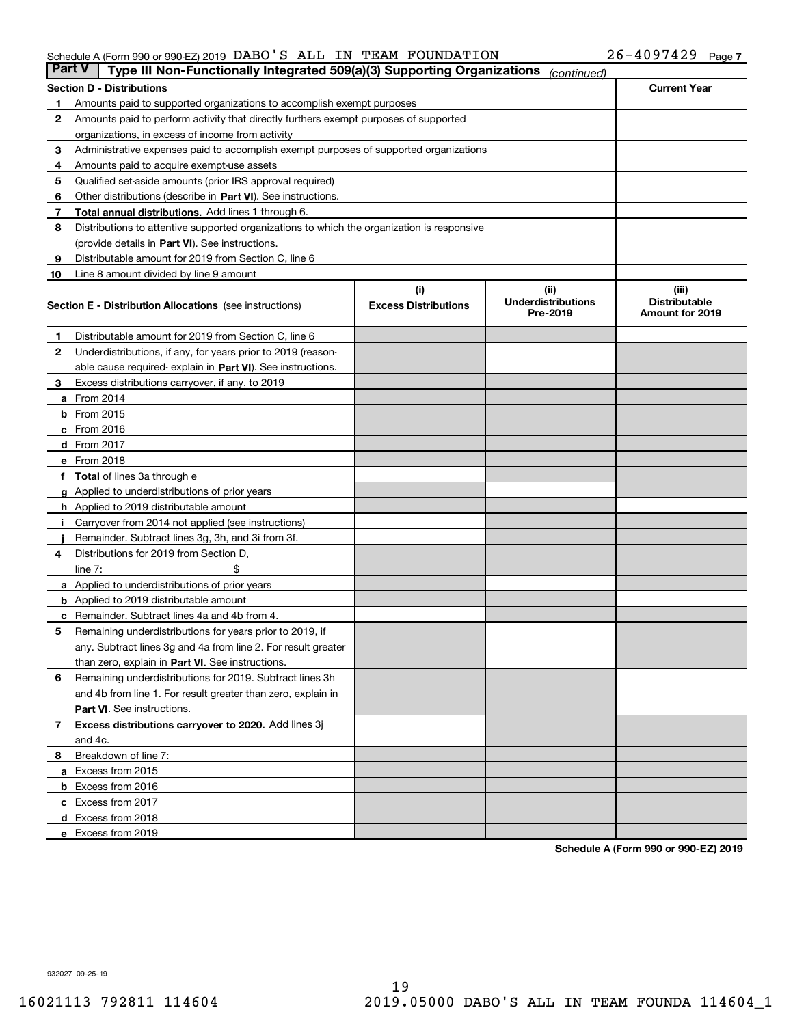#### Schedule A (Form 990 or 990-EZ) 2019 DABO'S ALL IN TEAM FOUNDATION  $_{\rm 26-4097429 \ \ \ \ \text{Page}}$

| <b>Part V</b> | Type III Non-Functionally Integrated 509(a)(3) Supporting Organizations                    |                             | (continued)                           |                                         |
|---------------|--------------------------------------------------------------------------------------------|-----------------------------|---------------------------------------|-----------------------------------------|
|               | <b>Section D - Distributions</b>                                                           |                             |                                       | <b>Current Year</b>                     |
| 1             | Amounts paid to supported organizations to accomplish exempt purposes                      |                             |                                       |                                         |
| 2             | Amounts paid to perform activity that directly furthers exempt purposes of supported       |                             |                                       |                                         |
|               | organizations, in excess of income from activity                                           |                             |                                       |                                         |
| 3             | Administrative expenses paid to accomplish exempt purposes of supported organizations      |                             |                                       |                                         |
| 4             | Amounts paid to acquire exempt-use assets                                                  |                             |                                       |                                         |
| 5             | Qualified set-aside amounts (prior IRS approval required)                                  |                             |                                       |                                         |
| 6             | Other distributions (describe in Part VI). See instructions.                               |                             |                                       |                                         |
| 7             | <b>Total annual distributions.</b> Add lines 1 through 6.                                  |                             |                                       |                                         |
| 8             | Distributions to attentive supported organizations to which the organization is responsive |                             |                                       |                                         |
|               | (provide details in Part VI). See instructions.                                            |                             |                                       |                                         |
| 9             | Distributable amount for 2019 from Section C, line 6                                       |                             |                                       |                                         |
| 10            | Line 8 amount divided by line 9 amount                                                     |                             |                                       |                                         |
|               |                                                                                            | (i)                         | (iii)                                 | (iii)                                   |
|               | <b>Section E - Distribution Allocations</b> (see instructions)                             | <b>Excess Distributions</b> | <b>Underdistributions</b><br>Pre-2019 | <b>Distributable</b><br>Amount for 2019 |
| 1             | Distributable amount for 2019 from Section C, line 6                                       |                             |                                       |                                         |
| 2             | Underdistributions, if any, for years prior to 2019 (reason-                               |                             |                                       |                                         |
|               | able cause required- explain in Part VI). See instructions.                                |                             |                                       |                                         |
| З             | Excess distributions carryover, if any, to 2019                                            |                             |                                       |                                         |
|               | <b>a</b> From 2014                                                                         |                             |                                       |                                         |
|               | <b>b</b> From 2015                                                                         |                             |                                       |                                         |
|               | $c$ From 2016                                                                              |                             |                                       |                                         |
|               | d From 2017                                                                                |                             |                                       |                                         |
|               | e From 2018                                                                                |                             |                                       |                                         |
|               | Total of lines 3a through e                                                                |                             |                                       |                                         |
| g             | Applied to underdistributions of prior years                                               |                             |                                       |                                         |
|               | <b>h</b> Applied to 2019 distributable amount                                              |                             |                                       |                                         |
|               | Carryover from 2014 not applied (see instructions)                                         |                             |                                       |                                         |
|               | Remainder. Subtract lines 3g, 3h, and 3i from 3f.                                          |                             |                                       |                                         |
| 4             | Distributions for 2019 from Section D,                                                     |                             |                                       |                                         |
|               | line $7:$                                                                                  |                             |                                       |                                         |
|               | <b>a</b> Applied to underdistributions of prior years                                      |                             |                                       |                                         |
|               | <b>b</b> Applied to 2019 distributable amount                                              |                             |                                       |                                         |
|               | c Remainder. Subtract lines 4a and 4b from 4.                                              |                             |                                       |                                         |
| 5             | Remaining underdistributions for years prior to 2019, if                                   |                             |                                       |                                         |
|               | any. Subtract lines 3g and 4a from line 2. For result greater                              |                             |                                       |                                         |
|               | than zero, explain in Part VI. See instructions.                                           |                             |                                       |                                         |
| 6             | Remaining underdistributions for 2019. Subtract lines 3h                                   |                             |                                       |                                         |
|               | and 4b from line 1. For result greater than zero, explain in                               |                             |                                       |                                         |
|               | Part VI. See instructions.                                                                 |                             |                                       |                                         |
| 7             | Excess distributions carryover to 2020. Add lines 3j                                       |                             |                                       |                                         |
|               | and 4c.                                                                                    |                             |                                       |                                         |
| 8             | Breakdown of line 7:                                                                       |                             |                                       |                                         |
|               | a Excess from 2015                                                                         |                             |                                       |                                         |
|               | <b>b</b> Excess from 2016                                                                  |                             |                                       |                                         |
|               | c Excess from 2017                                                                         |                             |                                       |                                         |
|               | d Excess from 2018                                                                         |                             |                                       |                                         |
|               | e Excess from 2019                                                                         |                             |                                       |                                         |
|               |                                                                                            |                             |                                       |                                         |

**Schedule A (Form 990 or 990-EZ) 2019**

932027 09-25-19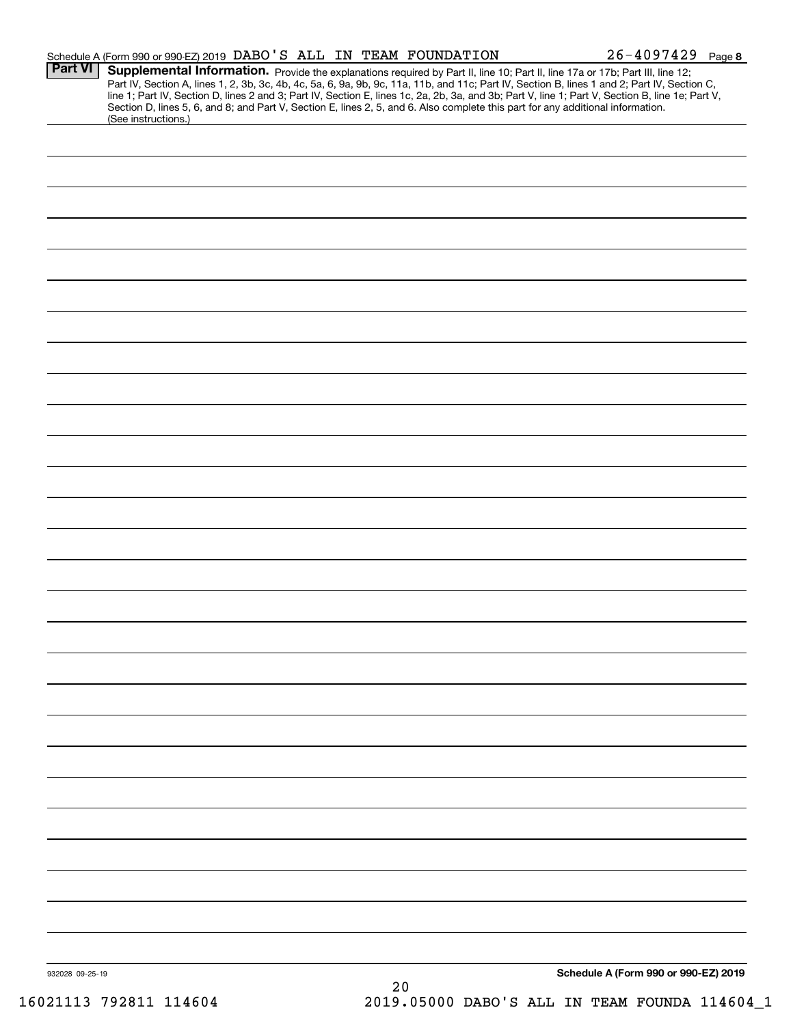|                 | Schedule A (Form 990 or 990-EZ) 2019 DABO'S ALL IN TEAM FOUNDATION                                                                                                                                                                                                                                                                                                                                                                                                                                                                                                                          | $26 - 4097429$ Page 8                |  |
|-----------------|---------------------------------------------------------------------------------------------------------------------------------------------------------------------------------------------------------------------------------------------------------------------------------------------------------------------------------------------------------------------------------------------------------------------------------------------------------------------------------------------------------------------------------------------------------------------------------------------|--------------------------------------|--|
| <b>Part VI</b>  | Supplemental Information. Provide the explanations required by Part II, line 10; Part II, line 17a or 17b; Part III, line 12;<br>Part IV, Section A, lines 1, 2, 3b, 3c, 4b, 4c, 5a, 6, 9a, 9b, 9c, 11a, 11b, and 11c; Part IV, Section B, lines 1 and 2; Part IV, Section C,<br>line 1; Part IV, Section D, lines 2 and 3; Part IV, Section E, lines 1c, 2a, 2b, 3a, and 3b; Part V, line 1; Part V, Section B, line 1e; Part V,<br>Section D, lines 5, 6, and 8; and Part V, Section E, lines 2, 5, and 6. Also complete this part for any additional information.<br>(See instructions.) |                                      |  |
|                 |                                                                                                                                                                                                                                                                                                                                                                                                                                                                                                                                                                                             |                                      |  |
|                 |                                                                                                                                                                                                                                                                                                                                                                                                                                                                                                                                                                                             |                                      |  |
|                 |                                                                                                                                                                                                                                                                                                                                                                                                                                                                                                                                                                                             |                                      |  |
|                 |                                                                                                                                                                                                                                                                                                                                                                                                                                                                                                                                                                                             |                                      |  |
|                 |                                                                                                                                                                                                                                                                                                                                                                                                                                                                                                                                                                                             |                                      |  |
|                 |                                                                                                                                                                                                                                                                                                                                                                                                                                                                                                                                                                                             |                                      |  |
|                 |                                                                                                                                                                                                                                                                                                                                                                                                                                                                                                                                                                                             |                                      |  |
|                 |                                                                                                                                                                                                                                                                                                                                                                                                                                                                                                                                                                                             |                                      |  |
|                 |                                                                                                                                                                                                                                                                                                                                                                                                                                                                                                                                                                                             |                                      |  |
|                 |                                                                                                                                                                                                                                                                                                                                                                                                                                                                                                                                                                                             |                                      |  |
|                 |                                                                                                                                                                                                                                                                                                                                                                                                                                                                                                                                                                                             |                                      |  |
|                 |                                                                                                                                                                                                                                                                                                                                                                                                                                                                                                                                                                                             |                                      |  |
|                 |                                                                                                                                                                                                                                                                                                                                                                                                                                                                                                                                                                                             |                                      |  |
|                 |                                                                                                                                                                                                                                                                                                                                                                                                                                                                                                                                                                                             |                                      |  |
|                 |                                                                                                                                                                                                                                                                                                                                                                                                                                                                                                                                                                                             |                                      |  |
|                 |                                                                                                                                                                                                                                                                                                                                                                                                                                                                                                                                                                                             |                                      |  |
|                 |                                                                                                                                                                                                                                                                                                                                                                                                                                                                                                                                                                                             |                                      |  |
|                 |                                                                                                                                                                                                                                                                                                                                                                                                                                                                                                                                                                                             |                                      |  |
|                 |                                                                                                                                                                                                                                                                                                                                                                                                                                                                                                                                                                                             |                                      |  |
|                 |                                                                                                                                                                                                                                                                                                                                                                                                                                                                                                                                                                                             |                                      |  |
|                 |                                                                                                                                                                                                                                                                                                                                                                                                                                                                                                                                                                                             |                                      |  |
|                 |                                                                                                                                                                                                                                                                                                                                                                                                                                                                                                                                                                                             |                                      |  |
|                 |                                                                                                                                                                                                                                                                                                                                                                                                                                                                                                                                                                                             |                                      |  |
|                 |                                                                                                                                                                                                                                                                                                                                                                                                                                                                                                                                                                                             |                                      |  |
|                 |                                                                                                                                                                                                                                                                                                                                                                                                                                                                                                                                                                                             |                                      |  |
|                 |                                                                                                                                                                                                                                                                                                                                                                                                                                                                                                                                                                                             |                                      |  |
|                 |                                                                                                                                                                                                                                                                                                                                                                                                                                                                                                                                                                                             |                                      |  |
|                 |                                                                                                                                                                                                                                                                                                                                                                                                                                                                                                                                                                                             |                                      |  |
|                 |                                                                                                                                                                                                                                                                                                                                                                                                                                                                                                                                                                                             |                                      |  |
|                 |                                                                                                                                                                                                                                                                                                                                                                                                                                                                                                                                                                                             |                                      |  |
|                 |                                                                                                                                                                                                                                                                                                                                                                                                                                                                                                                                                                                             |                                      |  |
| 932028 09-25-19 | 20                                                                                                                                                                                                                                                                                                                                                                                                                                                                                                                                                                                          | Schedule A (Form 990 or 990-EZ) 2019 |  |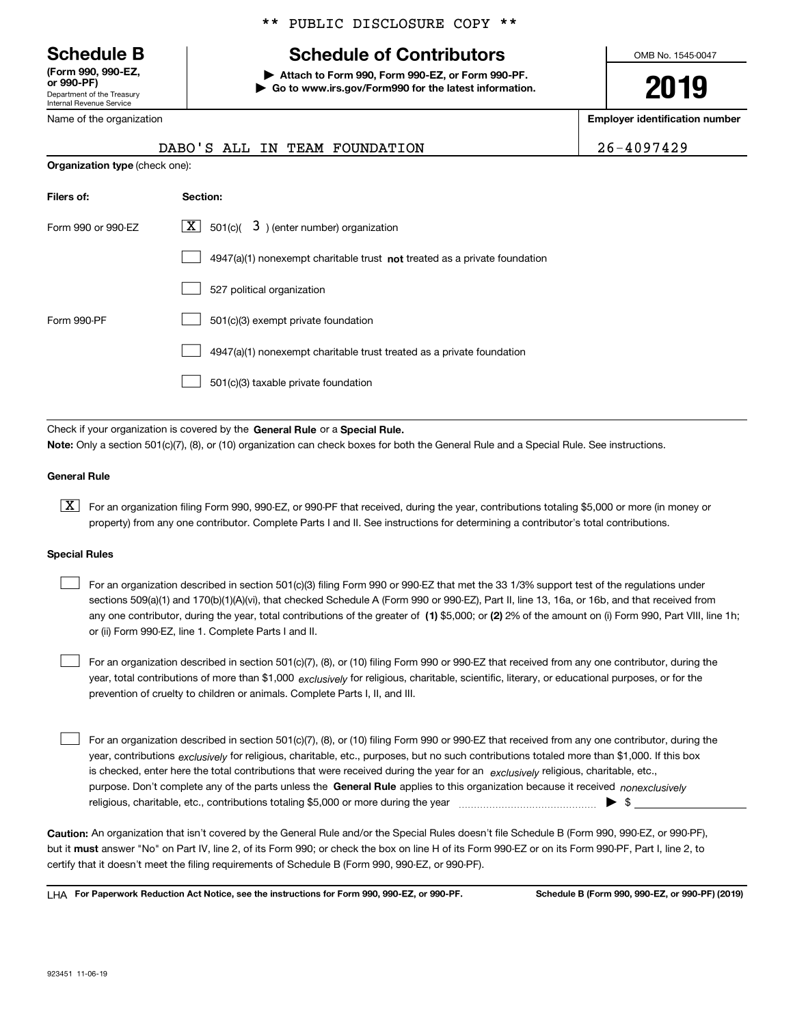Department of the Treasury Internal Revenue Service **(Form 990, 990-EZ, or 990-PF)**

#### \*\* PUBLIC DISCLOSURE COPY \*\*

# **Schedule B Schedule of Contributors**

**| Attach to Form 990, Form 990-EZ, or Form 990-PF. | Go to www.irs.gov/Form990 for the latest information.** OMB No. 1545-0047

# **2019**

**Employer identification number**

26-4097429

| Name of the organization              |          |  |  |  |                               |  |
|---------------------------------------|----------|--|--|--|-------------------------------|--|
|                                       |          |  |  |  | DABO'S ALL IN TEAM FOUNDATION |  |
| <b>Organization type</b> (check one): |          |  |  |  |                               |  |
| Filers of:                            | Section: |  |  |  |                               |  |

| Form 990 or 990-EZ | $\lfloor x \rfloor$ 501(c)( 3) (enter number) organization                  |
|--------------------|-----------------------------------------------------------------------------|
|                    | $4947(a)(1)$ nonexempt charitable trust not treated as a private foundation |
|                    | 527 political organization                                                  |
| Form 990-PF        | 501(c)(3) exempt private foundation                                         |
|                    | 4947(a)(1) nonexempt charitable trust treated as a private foundation       |
|                    | 501(c)(3) taxable private foundation                                        |

Check if your organization is covered by the **General Rule** or a **Special Rule. Note:**  Only a section 501(c)(7), (8), or (10) organization can check boxes for both the General Rule and a Special Rule. See instructions.

#### **General Rule**

 $\boxed{\textbf{X}}$  For an organization filing Form 990, 990-EZ, or 990-PF that received, during the year, contributions totaling \$5,000 or more (in money or property) from any one contributor. Complete Parts I and II. See instructions for determining a contributor's total contributions.

#### **Special Rules**

any one contributor, during the year, total contributions of the greater of  $\,$  (1) \$5,000; or **(2)** 2% of the amount on (i) Form 990, Part VIII, line 1h; For an organization described in section 501(c)(3) filing Form 990 or 990-EZ that met the 33 1/3% support test of the regulations under sections 509(a)(1) and 170(b)(1)(A)(vi), that checked Schedule A (Form 990 or 990-EZ), Part II, line 13, 16a, or 16b, and that received from or (ii) Form 990-EZ, line 1. Complete Parts I and II.  $\mathcal{L}^{\text{max}}$ 

year, total contributions of more than \$1,000 *exclusively* for religious, charitable, scientific, literary, or educational purposes, or for the For an organization described in section 501(c)(7), (8), or (10) filing Form 990 or 990-EZ that received from any one contributor, during the prevention of cruelty to children or animals. Complete Parts I, II, and III.  $\mathcal{L}^{\text{max}}$ 

purpose. Don't complete any of the parts unless the **General Rule** applies to this organization because it received *nonexclusively* year, contributions <sub>exclusively</sub> for religious, charitable, etc., purposes, but no such contributions totaled more than \$1,000. If this box is checked, enter here the total contributions that were received during the year for an  $\;$ exclusively religious, charitable, etc., For an organization described in section 501(c)(7), (8), or (10) filing Form 990 or 990-EZ that received from any one contributor, during the religious, charitable, etc., contributions totaling \$5,000 or more during the year  $\Box$ — $\Box$   $\Box$  $\mathcal{L}^{\text{max}}$ 

**Caution:**  An organization that isn't covered by the General Rule and/or the Special Rules doesn't file Schedule B (Form 990, 990-EZ, or 990-PF),  **must** but it answer "No" on Part IV, line 2, of its Form 990; or check the box on line H of its Form 990-EZ or on its Form 990-PF, Part I, line 2, to certify that it doesn't meet the filing requirements of Schedule B (Form 990, 990-EZ, or 990-PF).

**For Paperwork Reduction Act Notice, see the instructions for Form 990, 990-EZ, or 990-PF. Schedule B (Form 990, 990-EZ, or 990-PF) (2019)** LHA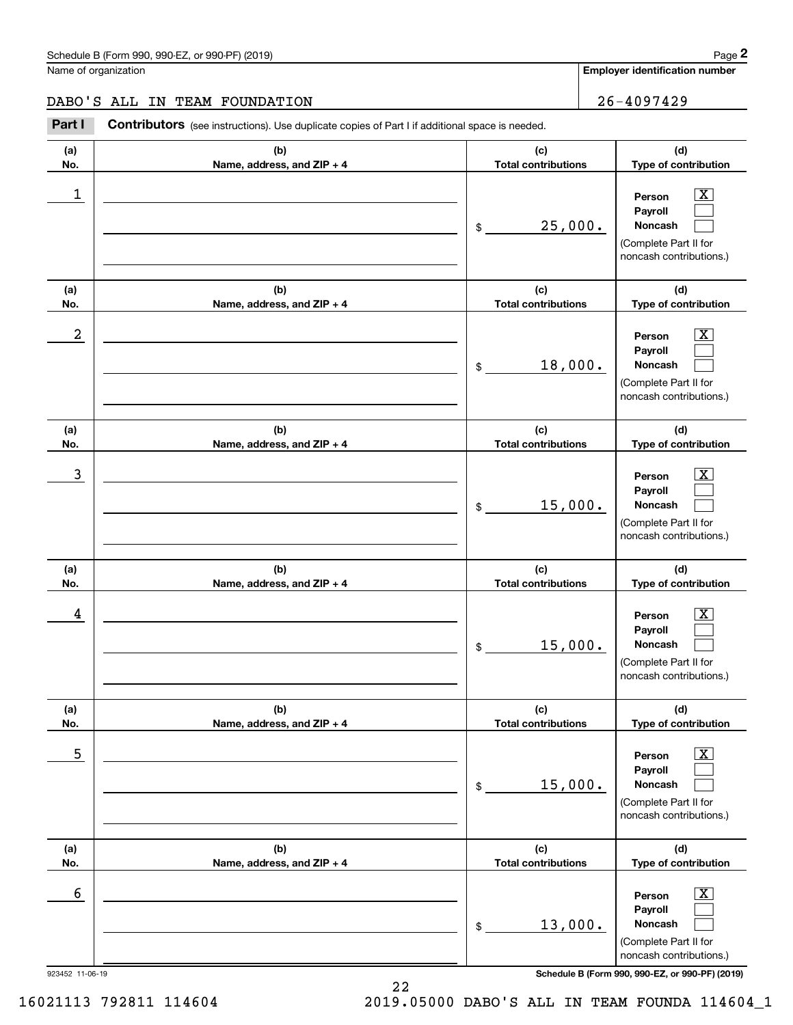**(d) Type of contribution**

#### DABO'S ALL IN TEAM FOUNDATION 26-4097429

**(a) No.(b) Name, address, and ZIP + 4 (c) Total contributions** Chedule B (Form 990, 990-EZ, or 990-PF) (2019)<br> **26 ALL IN TEAM FOUNDATION**<br>
Part I **Contributors** (see instructions). Use duplicate copies of Part I if additional space is needed.

| 1                    |                                   | 25,000.<br>\$                     | $\overline{\textbf{X}}$<br>Person<br>Payroll<br><b>Noncash</b><br>(Complete Part II for<br>noncash contributions.)                                  |
|----------------------|-----------------------------------|-----------------------------------|-----------------------------------------------------------------------------------------------------------------------------------------------------|
| (a)<br>No.           | (b)<br>Name, address, and ZIP + 4 | (c)<br><b>Total contributions</b> | (d)<br>Type of contribution                                                                                                                         |
| 2                    |                                   | 18,000.<br>\$                     | $\overline{\text{X}}$<br>Person<br>Payroll<br>Noncash<br>(Complete Part II for<br>noncash contributions.)                                           |
| (a)<br>No.           | (b)<br>Name, address, and ZIP + 4 | (c)<br><b>Total contributions</b> | (d)<br>Type of contribution                                                                                                                         |
| 3                    |                                   | 15,000.<br>\$                     | $\overline{\mathbf{X}}$<br>Person<br>Payroll<br><b>Noncash</b><br>(Complete Part II for<br>noncash contributions.)                                  |
| (a)<br>No.           | (b)<br>Name, address, and ZIP + 4 | (c)<br><b>Total contributions</b> | (d)<br>Type of contribution                                                                                                                         |
| 4                    |                                   | 15,000.<br>\$                     | $\overline{\mathbf{X}}$<br>Person<br>Payroll<br><b>Noncash</b><br>(Complete Part II for<br>noncash contributions.)                                  |
| (a)<br>No.           | (b)<br>Name, address, and ZIP + 4 | (c)<br><b>Total contributions</b> | (d)<br>Type of contribution                                                                                                                         |
| 5                    |                                   | 15,000.<br>\$                     | $\boxed{\textbf{X}}$<br>Person<br>Payroll<br>Noncash<br>(Complete Part II for<br>noncash contributions.)                                            |
| (a)<br>No.           | (b)<br>Name, address, and ZIP + 4 | (c)<br><b>Total contributions</b> | (d)<br>Type of contribution                                                                                                                         |
| 6<br>923452 11-06-19 |                                   | 13,000.<br>\$                     | $\mathbf{X}$<br>Person<br>Payroll<br>Noncash<br>(Complete Part II for<br>noncash contributions.)<br>Schedule B (Form 990, 990-EZ, or 990-PF) (2019) |

16021113 792811 114604 2019.05000 DABO'S ALL IN TEAM FOUNDA 114604\_1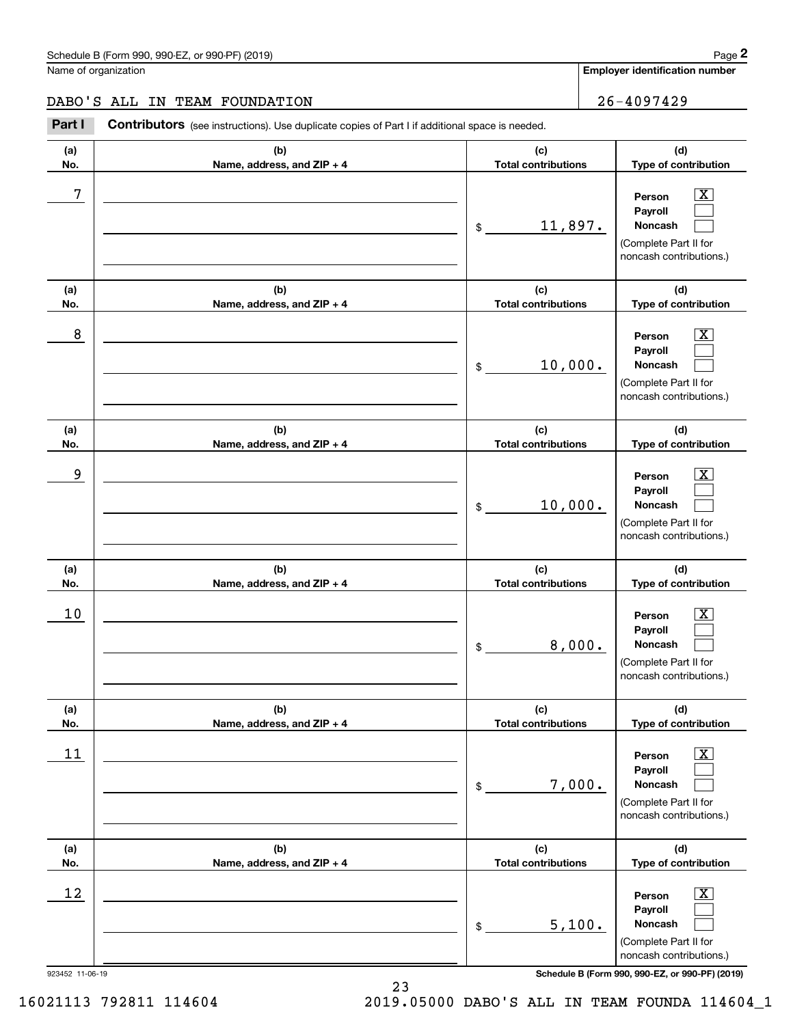**(d)**

 $|X|$  $\mathcal{L}^{\text{max}}$  $\mathcal{L}^{\text{max}}$ 

 $\boxed{\text{X}}$  $\mathcal{L}^{\text{max}}$  $\mathcal{L}^{\text{max}}$ 

 $|X|$  $\mathcal{L}^{\text{max}}$  $\mathcal{L}^{\text{max}}$ 

 $\boxed{\text{X}}$  $\mathcal{L}^{\text{max}}$  $\mathcal{L}^{\text{max}}$ 

**(d)**

**(d)**

**(d)**

**(a)No.(b)Name, address, and ZIP + 4 (c)Total contributions Type of contribution PersonPayrollNoncash (a)No.(b)Name, address, and ZIP + 4 (c)Total contributions Type of contribution PersonPayrollNoncash (a)No.(b)Name, address, and ZIP + 4 (c)Total contributions Type of contribution PersonPayrollNoncash (a) No.(b) Name, address, and ZIP + 4 (c) Total contributions Type of contribution PersonPayrollNoncash (a)(b)(c)**Schedule B (Form 990, 990-EZ, or 990-PF) (2019) **Page 2** Page 1 and 2011 **Page 2** Page 2 **Page 2** Page 1 and 2011 **Page 2** Name of organization Contributors (see instructions). Use duplicate copies of Part I if additional space is needed. \$(Complete Part II for noncash contributions.) \$(Complete Part II for noncash contributions.) \$(Complete Part II for noncash contributions.) \$(Complete Part II for noncash contributions.) Chedule B (Form 990, 990-EZ, or 990-PF) (2019)<br> **2Part I 26-4097429**<br> **2Part I Contributors** (see instructions). Use duplicate copies of Part I if additional space is needed. 7 X 11,897. 8 X 10,000. example and the set of the set of the set of the set of the set of the set of the set of the set of the set of 10,000.  $10$  Person  $\overline{\text{X}}$ 8,000. DABO'S ALL IN TEAM FOUNDATION 26-4097429

|                              |                            | (d)                                                                                                           |
|------------------------------|----------------------------|---------------------------------------------------------------------------------------------------------------|
| Name, address, and $ZIP + 4$ | <b>Total contributions</b> | Type of contribution                                                                                          |
|                              | 7,000.<br>\$               | $\boxed{\text{X}}$<br>Person<br>Payroll<br><b>Noncash</b><br>(Complete Part II for<br>noncash contributions.) |
|                              |                            | (d)                                                                                                           |
| Name, address, and $ZIP + 4$ | <b>Total contributions</b> | Type of contribution                                                                                          |
|                              | 5,100.<br>\$               | $\boxed{\text{X}}$<br>Person<br>Payroll<br><b>Noncash</b>                                                     |
|                              | (b)<br>(b)                 | (c)<br>(c)                                                                                                    |

923452 11-06-19 **Schedule B (Form 990, 990-EZ, or 990-PF) (2019)**

noncash contributions.)

16021113 792811 114604 2019.05000 DABO'S ALL IN TEAM FOUNDA 114604\_1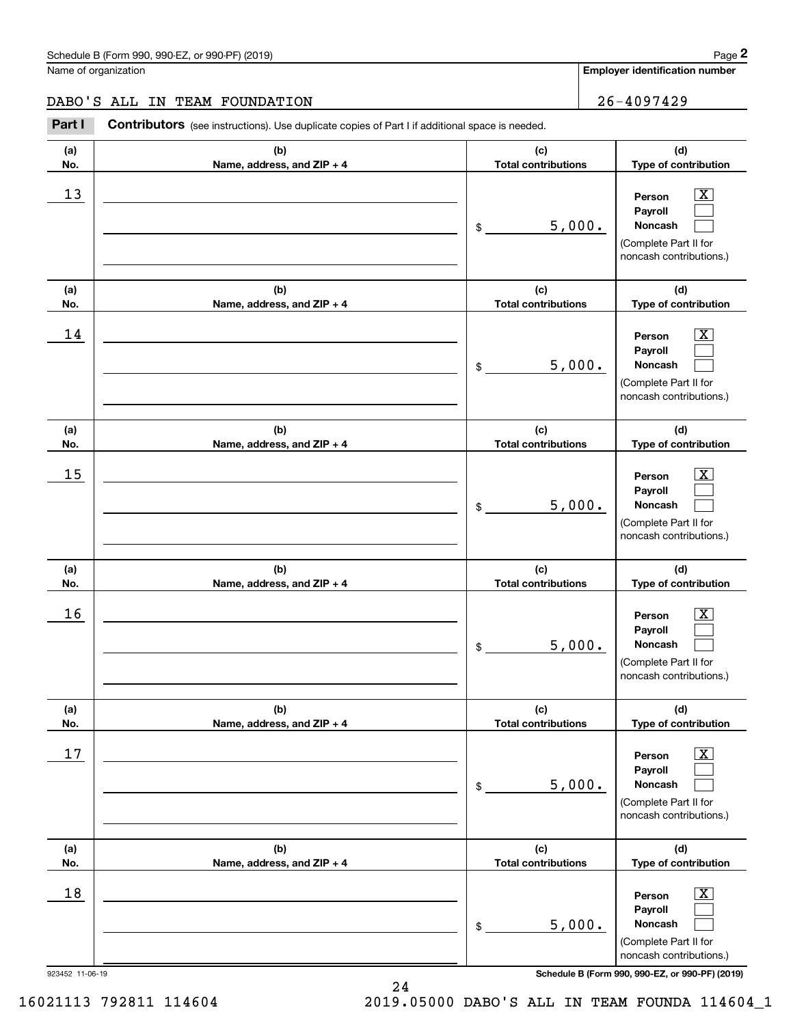**(d)**

 $|X|$  $\mathcal{L}^{\text{max}}$  $\mathcal{L}^{\text{max}}$ 

 $\boxed{\text{X}}$  $\mathcal{L}^{\text{max}}$  $\mathcal{L}^{\text{max}}$ 

 $|X|$  $\mathcal{L}^{\text{max}}$  $\mathcal{L}^{\text{max}}$ 

 $\boxed{\text{X}}$  $\mathcal{L}^{\text{max}}$  $\mathcal{L}^{\text{max}}$ 

**(d)**

**(d)**

**(d)**

**(d)**

**(a)No.(b)Name, address, and ZIP + 4 (c)Total contributions Type of contribution PersonPayrollNoncash (a)No.(b)Name, address, and ZIP + 4 (c)Total contributions Type of contribution PersonPayrollNoncash (a)No.(b)Name, address, and ZIP + 4 (c)Total contributions Type of contribution PersonPayrollNoncash (a) No.(b) Name, address, and ZIP + 4 (c) Total contributions Type of contribution PersonPayrollNoncash (a) No.(b) Name, address, and ZIP + 4 (c) Total contributions Type of contribution** Schedule B (Form 990, 990-EZ, or 990-PF) (2019) **Page 2** Page 1 and 2011 **Page 2** Page 2 **Page 2** Page 1 and 2011 **Page 2** Name of organization Contributors (see instructions). Use duplicate copies of Part I if additional space is needed. \$(Complete Part II for noncash contributions.) \$(Complete Part II for noncash contributions.) \$(Complete Part II for noncash contributions.) \$(Complete Part II for noncash contributions.) \$Chedule B (Form 990, 990-EZ, or 990-PF) (2019)<br> **2Part I 26-4097429**<br> **2Part I Contributors** (see instructions). Use duplicate copies of Part I if additional space is needed.  $13$  Person X 5,000.  $14$  Person X 5,000.  $15$  Person X 5,000.  $16$  Person X 5,000. 5,000. DABO'S ALL IN TEAM FOUNDATION 26-4097429

| 17  |                              | 5,000.<br>\$               | $\overline{\text{X}}$<br>Person<br><b>Payroll</b><br><b>Noncash</b><br>(Complete Part II for<br>noncash contributions.) |
|-----|------------------------------|----------------------------|-------------------------------------------------------------------------------------------------------------------------|
| (a) | (b)                          | (c)                        | (d)                                                                                                                     |
| No. | Name, address, and $ZIP + 4$ | <b>Total contributions</b> | Type of contribution                                                                                                    |
| 18  |                              | 5,000.<br>\$               | $\boxed{\text{X}}$<br>Person<br>Payroll<br>Noncash<br>(Complete Part II for<br>noncash contributions.)                  |

923452 11-06-19 **Schedule B (Form 990, 990-EZ, or 990-PF) (2019)**

16021113 792811 114604 2019.05000 DABO'S ALL IN TEAM FOUNDA 114604\_1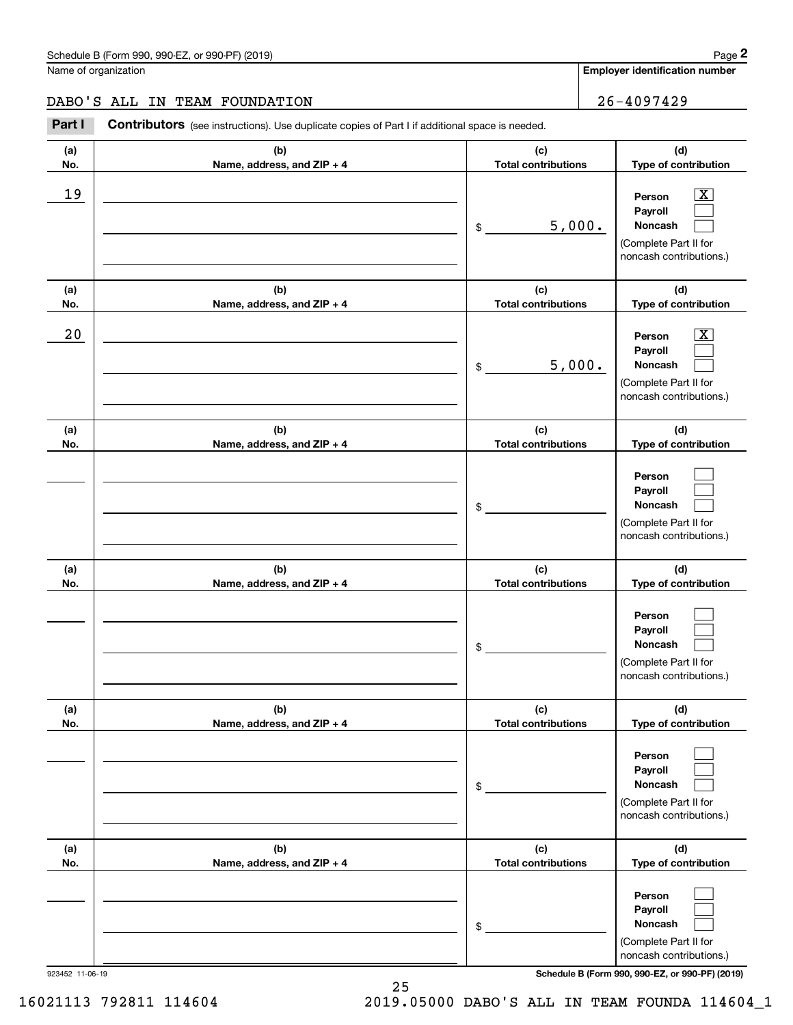**(a)No.(b)Name, address, and ZIP + 4 (c)Total contributions (d)Type of contribution PersonPayrollNoncash (a)No.(b)Name, address, and ZIP + 4 (c)Total contributions (d)Type of contribution PersonPayrollNoncash (a)No.(b)Name, address, and ZIP + 4 (c)Total contributions (d)Type of contribution PersonPayrollNoncash (a) No.(b) Name, address, and ZIP + 4 (c) Total contributions (d) Type of contribution PersonPayrollNoncash(a) No.(b) Name, address, and ZIP + 4 (c) Total contributions (d) Type of contribution PersonPayrollNoncash(a) No.(b)Name, address, and ZIP + 4 (c) Total contributions (d)Type of contribution PersonPayrollNoncash** Contributors (see instructions). Use duplicate copies of Part I if additional space is needed. \$(Complete Part II for noncash contributions.) \$(Complete Part II for noncash contributions.) \$(Complete Part II for noncash contributions.) \$(Complete Part II for noncash contributions.) \$(Complete Part II for noncash contributions.) \$Chedule B (Form 990, 990-EZ, or 990-PF) (2019)<br> **2Part I 26-4097429**<br> **2Part I Contributors** (see instructions). Use duplicate copies of Part I if additional space is needed.  $|X|$  $\mathcal{L}^{\text{max}}$  $\mathcal{L}^{\text{max}}$  $\boxed{\text{X}}$  $\mathcal{L}^{\text{max}}$  $\mathcal{L}^{\text{max}}$  $\mathcal{L}^{\text{max}}$  $\mathcal{L}^{\text{max}}$  $\mathcal{L}^{\text{max}}$  $\mathcal{L}^{\text{max}}$  $\mathcal{L}^{\text{max}}$  $\mathcal{L}^{\text{max}}$  $\mathcal{L}^{\text{max}}$  $\mathcal{L}^{\text{max}}$  $\mathcal{L}^{\text{max}}$  $\mathcal{L}^{\text{max}}$  $\mathcal{L}^{\text{max}}$  $\mathcal{L}^{\text{max}}$ 19 X 5,000.  $20$  | Person  $\overline{\text{X}}$ 5,000. DABO'S ALL IN TEAM FOUNDATION 26-4097429

923452 11-06-19 **Schedule B (Form 990, 990-EZ, or 990-PF) (2019)**

(Complete Part II for noncash contributions.)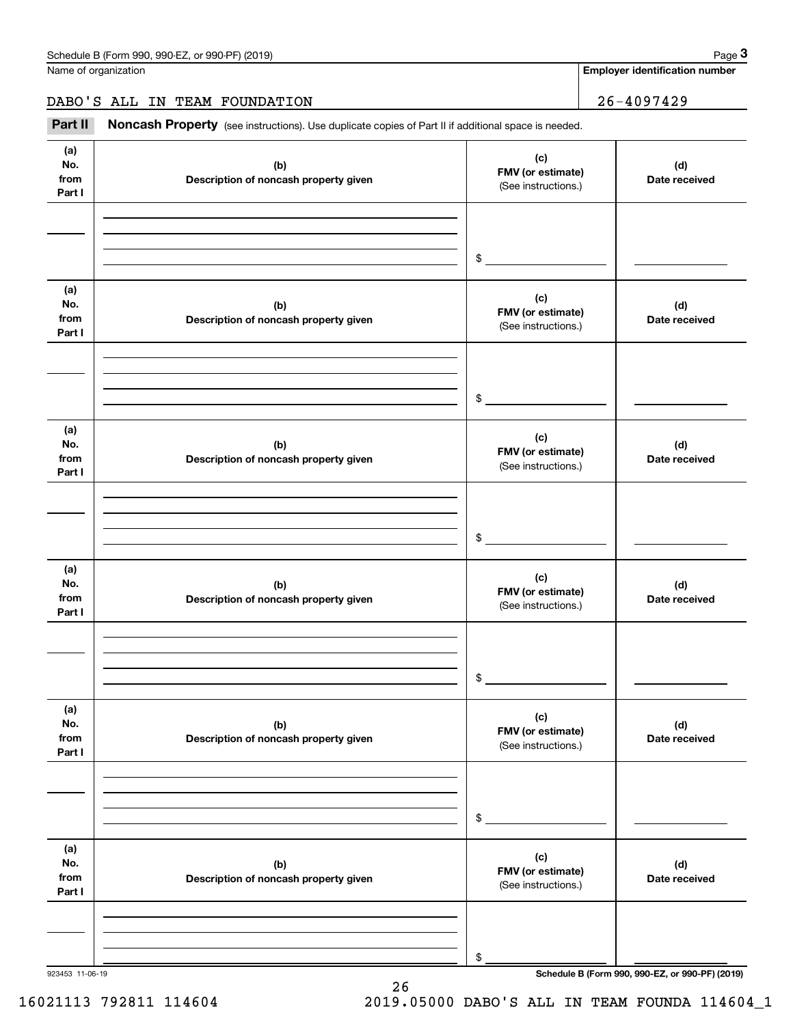Name of organization

**Employer identification number**

### DABO'S ALL IN TEAM FOUNDATION 26-4097429

Chedule B (Form 990, 990-EZ, or 990-PF) (2019)<br> **26 ALL IN TEAM FOUNDATION**<br> **26 - 4097429**<br> **26 - 4097429**<br> **26 - 4097429** 

| (a)<br>No.<br>from<br>Part I | (b)<br>Description of noncash property given | (c)<br>FMV (or estimate)<br>(See instructions.) | (d)<br>Date received                            |
|------------------------------|----------------------------------------------|-------------------------------------------------|-------------------------------------------------|
|                              |                                              | $\frac{1}{2}$                                   |                                                 |
| (a)<br>No.<br>from<br>Part I | (b)<br>Description of noncash property given | (c)<br>FMV (or estimate)<br>(See instructions.) | (d)<br>Date received                            |
|                              |                                              | $\frac{1}{2}$                                   |                                                 |
| (a)<br>No.<br>from<br>Part I | (b)<br>Description of noncash property given | (c)<br>FMV (or estimate)<br>(See instructions.) | (d)<br>Date received                            |
|                              |                                              | $\frac{1}{2}$                                   |                                                 |
| (a)<br>No.<br>from<br>Part I | (b)<br>Description of noncash property given | (c)<br>FMV (or estimate)<br>(See instructions.) | (d)<br>Date received                            |
|                              |                                              | $\frac{1}{2}$                                   |                                                 |
| (a)<br>No.<br>from<br>Part I | (b)<br>Description of noncash property given | (c)<br>FMV (or estimate)<br>(See instructions.) | (d)<br>Date received                            |
|                              |                                              | \$                                              |                                                 |
| (a)<br>No.<br>from<br>Part I | (b)<br>Description of noncash property given | (c)<br>FMV (or estimate)<br>(See instructions.) | (d)<br>Date received                            |
|                              |                                              | \$                                              |                                                 |
| 923453 11-06-19              |                                              |                                                 | Schedule B (Form 990, 990-EZ, or 990-PF) (2019) |

26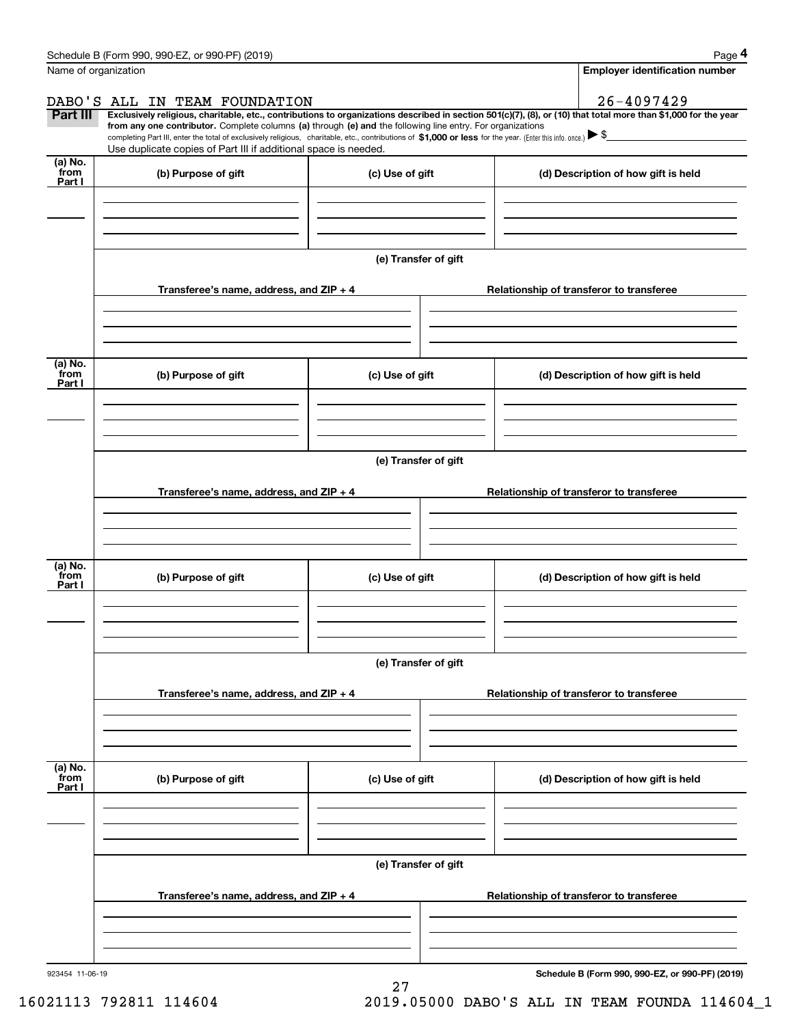|                      | Schedule B (Form 990, 990-EZ, or 990-PF) (2019)                                                                                                                                   |                                       | Page 4                                                                                                                                                         |  |  |  |  |
|----------------------|-----------------------------------------------------------------------------------------------------------------------------------------------------------------------------------|---------------------------------------|----------------------------------------------------------------------------------------------------------------------------------------------------------------|--|--|--|--|
| Name of organization |                                                                                                                                                                                   | <b>Employer identification number</b> |                                                                                                                                                                |  |  |  |  |
|                      | DABO'S ALL IN TEAM FOUNDATION                                                                                                                                                     |                                       | 26-4097429                                                                                                                                                     |  |  |  |  |
| <b>Part III</b>      | from any one contributor. Complete columns (a) through (e) and the following line entry. For organizations                                                                        |                                       | Exclusively religious, charitable, etc., contributions to organizations described in section 501(c)(7), (8), or (10) that total more than \$1,000 for the year |  |  |  |  |
|                      | completing Part III, enter the total of exclusively religious, charitable, etc., contributions of \$1,000 or less for the year. (Enter this info. once.) $\blacktriangleright$ \$ |                                       |                                                                                                                                                                |  |  |  |  |
| (a) No.              | Use duplicate copies of Part III if additional space is needed.                                                                                                                   |                                       |                                                                                                                                                                |  |  |  |  |
| from<br>Part I       | (b) Purpose of gift                                                                                                                                                               | (c) Use of gift                       | (d) Description of how gift is held                                                                                                                            |  |  |  |  |
|                      |                                                                                                                                                                                   |                                       |                                                                                                                                                                |  |  |  |  |
|                      |                                                                                                                                                                                   |                                       |                                                                                                                                                                |  |  |  |  |
|                      |                                                                                                                                                                                   |                                       |                                                                                                                                                                |  |  |  |  |
|                      |                                                                                                                                                                                   | (e) Transfer of gift                  |                                                                                                                                                                |  |  |  |  |
|                      |                                                                                                                                                                                   |                                       |                                                                                                                                                                |  |  |  |  |
|                      | Transferee's name, address, and ZIP + 4                                                                                                                                           |                                       | Relationship of transferor to transferee                                                                                                                       |  |  |  |  |
|                      |                                                                                                                                                                                   |                                       |                                                                                                                                                                |  |  |  |  |
|                      |                                                                                                                                                                                   |                                       |                                                                                                                                                                |  |  |  |  |
| (a) No.              |                                                                                                                                                                                   |                                       |                                                                                                                                                                |  |  |  |  |
| from<br>Part I       | (b) Purpose of gift                                                                                                                                                               | (c) Use of gift                       | (d) Description of how gift is held                                                                                                                            |  |  |  |  |
|                      |                                                                                                                                                                                   |                                       |                                                                                                                                                                |  |  |  |  |
|                      |                                                                                                                                                                                   |                                       |                                                                                                                                                                |  |  |  |  |
|                      |                                                                                                                                                                                   |                                       |                                                                                                                                                                |  |  |  |  |
|                      | (e) Transfer of gift                                                                                                                                                              |                                       |                                                                                                                                                                |  |  |  |  |
|                      | Transferee's name, address, and ZIP + 4                                                                                                                                           |                                       |                                                                                                                                                                |  |  |  |  |
|                      |                                                                                                                                                                                   |                                       | Relationship of transferor to transferee                                                                                                                       |  |  |  |  |
|                      |                                                                                                                                                                                   |                                       |                                                                                                                                                                |  |  |  |  |
|                      |                                                                                                                                                                                   |                                       |                                                                                                                                                                |  |  |  |  |
| (a) No.              |                                                                                                                                                                                   |                                       |                                                                                                                                                                |  |  |  |  |
| from<br>Part I       | (b) Purpose of gift                                                                                                                                                               | (c) Use of gift                       | (d) Description of how gift is held                                                                                                                            |  |  |  |  |
|                      |                                                                                                                                                                                   |                                       |                                                                                                                                                                |  |  |  |  |
|                      |                                                                                                                                                                                   |                                       |                                                                                                                                                                |  |  |  |  |
|                      |                                                                                                                                                                                   |                                       |                                                                                                                                                                |  |  |  |  |
|                      | (e) Transfer of gift                                                                                                                                                              |                                       |                                                                                                                                                                |  |  |  |  |
|                      | Transferee's name, address, and ZIP + 4                                                                                                                                           |                                       | Relationship of transferor to transferee                                                                                                                       |  |  |  |  |
|                      |                                                                                                                                                                                   |                                       |                                                                                                                                                                |  |  |  |  |
|                      |                                                                                                                                                                                   |                                       |                                                                                                                                                                |  |  |  |  |
|                      |                                                                                                                                                                                   |                                       |                                                                                                                                                                |  |  |  |  |
| (a) No.<br>from      | (b) Purpose of gift                                                                                                                                                               | (c) Use of gift                       | (d) Description of how gift is held                                                                                                                            |  |  |  |  |
| Part I               |                                                                                                                                                                                   |                                       |                                                                                                                                                                |  |  |  |  |
|                      |                                                                                                                                                                                   |                                       |                                                                                                                                                                |  |  |  |  |
|                      |                                                                                                                                                                                   |                                       |                                                                                                                                                                |  |  |  |  |
|                      | (e) Transfer of gift                                                                                                                                                              |                                       |                                                                                                                                                                |  |  |  |  |
|                      |                                                                                                                                                                                   |                                       |                                                                                                                                                                |  |  |  |  |
|                      | Transferee's name, address, and $ZIP + 4$                                                                                                                                         |                                       | Relationship of transferor to transferee                                                                                                                       |  |  |  |  |
|                      |                                                                                                                                                                                   |                                       |                                                                                                                                                                |  |  |  |  |
|                      |                                                                                                                                                                                   |                                       |                                                                                                                                                                |  |  |  |  |
| 923454 11-06-19      |                                                                                                                                                                                   |                                       | Schedule B (Form 990, 990-EZ, or 990-PF) (2019)                                                                                                                |  |  |  |  |
|                      |                                                                                                                                                                                   |                                       |                                                                                                                                                                |  |  |  |  |

27

**Schedule B (Form 990, 990-EZ, or 990-PF) (2019)**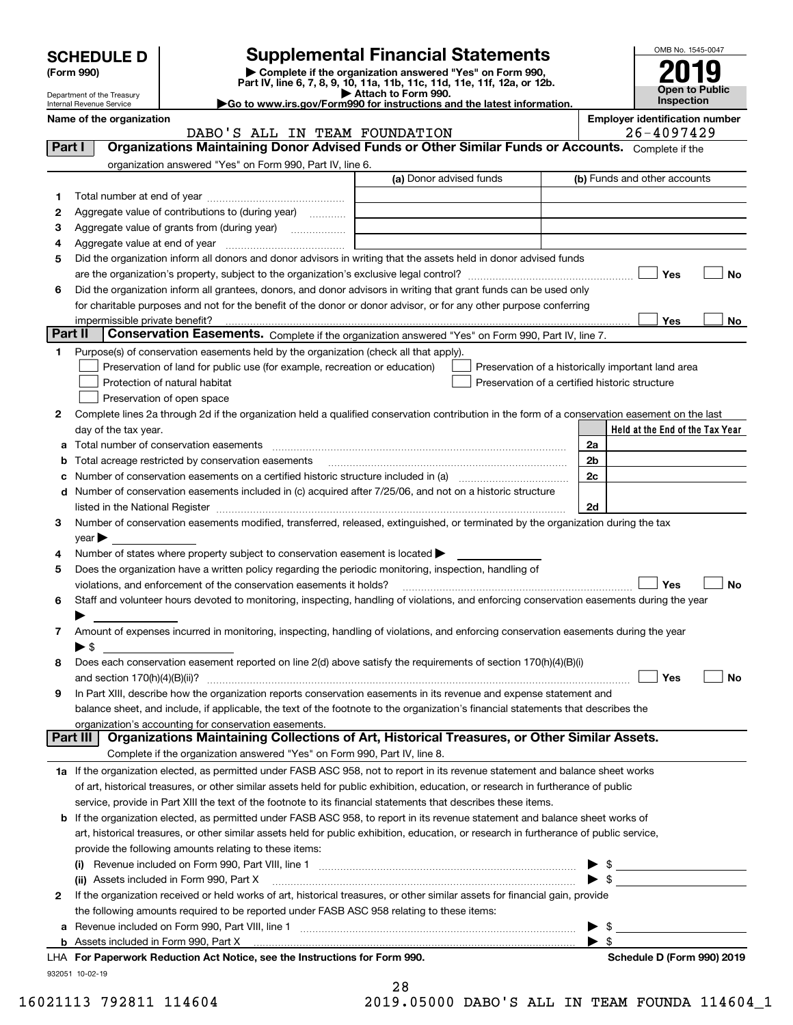| <b>SCHEDULE D</b> |
|-------------------|
|-------------------|

# **SCHEDULE D Supplemental Financial Statements**

(Form 990)<br>
Pepartment of the Treasury<br>
Department of the Treasury<br>
Department of the Treasury<br>
Department of the Treasury<br> **Co to www.irs.gov/Form990 for instructions and the latest information.**<br> **Co to www.irs.gov/Form9** 



Department of the Treasury Internal Revenue Service

**Name of the organization Employer identification number**

|         | DABO'S ALL IN TEAM FOUNDATION                                                                                                                                                                                                  |                         | 26-4097429                                         |
|---------|--------------------------------------------------------------------------------------------------------------------------------------------------------------------------------------------------------------------------------|-------------------------|----------------------------------------------------|
| Part I  | Organizations Maintaining Donor Advised Funds or Other Similar Funds or Accounts. Complete if the                                                                                                                              |                         |                                                    |
|         | organization answered "Yes" on Form 990, Part IV, line 6.                                                                                                                                                                      |                         |                                                    |
|         |                                                                                                                                                                                                                                | (a) Donor advised funds | (b) Funds and other accounts                       |
| 1       |                                                                                                                                                                                                                                |                         |                                                    |
| 2       | Aggregate value of contributions to (during year)                                                                                                                                                                              |                         |                                                    |
| з       |                                                                                                                                                                                                                                |                         |                                                    |
| 4       |                                                                                                                                                                                                                                |                         |                                                    |
| 5       | Did the organization inform all donors and donor advisors in writing that the assets held in donor advised funds                                                                                                               |                         |                                                    |
|         |                                                                                                                                                                                                                                |                         | <b>No</b><br>Yes                                   |
| 6       | Did the organization inform all grantees, donors, and donor advisors in writing that grant funds can be used only                                                                                                              |                         |                                                    |
|         | for charitable purposes and not for the benefit of the donor or donor advisor, or for any other purpose conferring                                                                                                             |                         |                                                    |
|         |                                                                                                                                                                                                                                |                         | Yes<br>No                                          |
| Part II | Conservation Easements. Complete if the organization answered "Yes" on Form 990, Part IV, line 7.                                                                                                                              |                         |                                                    |
| 1       | Purpose(s) of conservation easements held by the organization (check all that apply).                                                                                                                                          |                         |                                                    |
|         | Preservation of land for public use (for example, recreation or education)                                                                                                                                                     |                         | Preservation of a historically important land area |
|         | Protection of natural habitat                                                                                                                                                                                                  |                         | Preservation of a certified historic structure     |
|         | Preservation of open space                                                                                                                                                                                                     |                         |                                                    |
| 2       | Complete lines 2a through 2d if the organization held a qualified conservation contribution in the form of a conservation easement on the last                                                                                 |                         |                                                    |
|         | day of the tax year.                                                                                                                                                                                                           |                         | Held at the End of the Tax Year                    |
| a       |                                                                                                                                                                                                                                |                         | 2a                                                 |
| b       | Total acreage restricted by conservation easements                                                                                                                                                                             |                         | 2 <sub>b</sub>                                     |
| с       | Number of conservation easements on a certified historic structure included in (a) manufacture included in (a)                                                                                                                 |                         | 2c                                                 |
|         | d Number of conservation easements included in (c) acquired after 7/25/06, and not on a historic structure                                                                                                                     |                         |                                                    |
|         | listed in the National Register [[11] matter contract the National Register [11] matter is not all the National Register [11] matter is not all the National Register [11] matter is not all the National Register [11] matter |                         | 2d                                                 |
| з       | Number of conservation easements modified, transferred, released, extinguished, or terminated by the organization during the tax                                                                                               |                         |                                                    |
|         | $year \blacktriangleright$                                                                                                                                                                                                     |                         |                                                    |
| 4       | Number of states where property subject to conservation easement is located >                                                                                                                                                  |                         |                                                    |
| 5       | Does the organization have a written policy regarding the periodic monitoring, inspection, handling of                                                                                                                         |                         |                                                    |
|         | violations, and enforcement of the conservation easements it holds?                                                                                                                                                            |                         | Yes<br><b>No</b>                                   |
| 6       | Staff and volunteer hours devoted to monitoring, inspecting, handling of violations, and enforcing conservation easements during the year                                                                                      |                         |                                                    |
|         |                                                                                                                                                                                                                                |                         |                                                    |
| 7       | Amount of expenses incurred in monitoring, inspecting, handling of violations, and enforcing conservation easements during the year                                                                                            |                         |                                                    |
|         | $\blacktriangleright$ s                                                                                                                                                                                                        |                         |                                                    |
| 8       | Does each conservation easement reported on line 2(d) above satisfy the requirements of section 170(h)(4)(B)(i)                                                                                                                |                         |                                                    |
|         |                                                                                                                                                                                                                                |                         | Yes<br>No                                          |
| 9       | In Part XIII, describe how the organization reports conservation easements in its revenue and expense statement and                                                                                                            |                         |                                                    |
|         | balance sheet, and include, if applicable, the text of the footnote to the organization's financial statements that describes the                                                                                              |                         |                                                    |
|         | organization's accounting for conservation easements.                                                                                                                                                                          |                         |                                                    |
|         | Organizations Maintaining Collections of Art, Historical Treasures, or Other Similar Assets.<br><b>Part III</b>                                                                                                                |                         |                                                    |
|         | Complete if the organization answered "Yes" on Form 990, Part IV, line 8.                                                                                                                                                      |                         |                                                    |
|         | 1a If the organization elected, as permitted under FASB ASC 958, not to report in its revenue statement and balance sheet works                                                                                                |                         |                                                    |
|         | of art, historical treasures, or other similar assets held for public exhibition, education, or research in furtherance of public                                                                                              |                         |                                                    |
|         | service, provide in Part XIII the text of the footnote to its financial statements that describes these items.                                                                                                                 |                         |                                                    |
| b       | If the organization elected, as permitted under FASB ASC 958, to report in its revenue statement and balance sheet works of                                                                                                    |                         |                                                    |
|         | art, historical treasures, or other similar assets held for public exhibition, education, or research in furtherance of public service,                                                                                        |                         |                                                    |
|         | provide the following amounts relating to these items:                                                                                                                                                                         |                         |                                                    |
|         |                                                                                                                                                                                                                                |                         | \$                                                 |
|         | (ii) Assets included in Form 990, Part X                                                                                                                                                                                       |                         | -\$                                                |
| 2       | If the organization received or held works of art, historical treasures, or other similar assets for financial gain, provide                                                                                                   |                         |                                                    |
|         | the following amounts required to be reported under FASB ASC 958 relating to these items:                                                                                                                                      |                         |                                                    |
|         |                                                                                                                                                                                                                                |                         | -\$                                                |
| а       |                                                                                                                                                                                                                                |                         | - \$                                               |
|         |                                                                                                                                                                                                                                |                         |                                                    |
|         | LHA For Paperwork Reduction Act Notice, see the Instructions for Form 990.                                                                                                                                                     |                         | Schedule D (Form 990) 2019                         |
|         | 932051 10-02-19                                                                                                                                                                                                                | ററ                      |                                                    |

28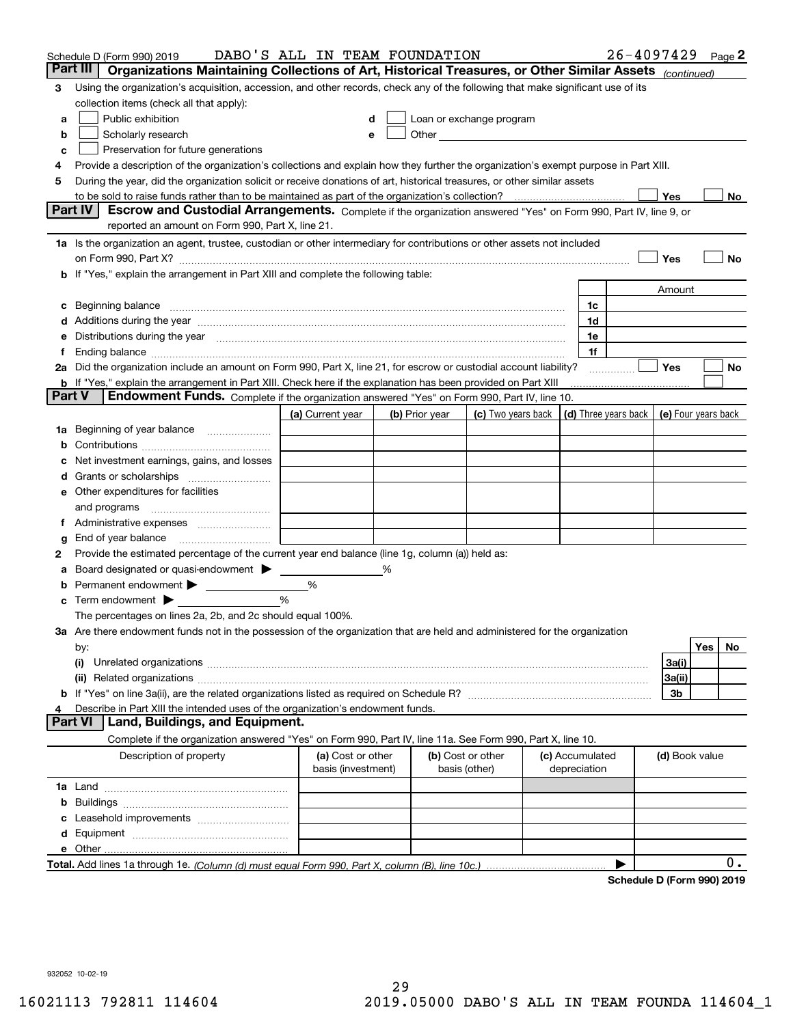|        | Schedule D (Form 990) 2019                                                                                                                                                                                                     | DABO'S ALL IN TEAM FOUNDATION           |                |                                                                                                                                                                                                                               |                 |              | 26-4097429                        |                     |     | Page 2 |
|--------|--------------------------------------------------------------------------------------------------------------------------------------------------------------------------------------------------------------------------------|-----------------------------------------|----------------|-------------------------------------------------------------------------------------------------------------------------------------------------------------------------------------------------------------------------------|-----------------|--------------|-----------------------------------|---------------------|-----|--------|
|        | Part III<br>Organizations Maintaining Collections of Art, Historical Treasures, or Other Similar Assets (continued)                                                                                                            |                                         |                |                                                                                                                                                                                                                               |                 |              |                                   |                     |     |        |
| 3      | Using the organization's acquisition, accession, and other records, check any of the following that make significant use of its                                                                                                |                                         |                |                                                                                                                                                                                                                               |                 |              |                                   |                     |     |        |
|        | collection items (check all that apply):                                                                                                                                                                                       |                                         |                |                                                                                                                                                                                                                               |                 |              |                                   |                     |     |        |
| a      | Public exhibition                                                                                                                                                                                                              |                                         |                | Loan or exchange program                                                                                                                                                                                                      |                 |              |                                   |                     |     |        |
| b      | Scholarly research                                                                                                                                                                                                             | е                                       |                | Other and the contract of the contract of the contract of the contract of the contract of the contract of the contract of the contract of the contract of the contract of the contract of the contract of the contract of the |                 |              |                                   |                     |     |        |
| с      | Preservation for future generations                                                                                                                                                                                            |                                         |                |                                                                                                                                                                                                                               |                 |              |                                   |                     |     |        |
| 4      | Provide a description of the organization's collections and explain how they further the organization's exempt purpose in Part XIII.                                                                                           |                                         |                |                                                                                                                                                                                                                               |                 |              |                                   |                     |     |        |
| 5      | During the year, did the organization solicit or receive donations of art, historical treasures, or other similar assets                                                                                                       |                                         |                |                                                                                                                                                                                                                               |                 |              |                                   |                     |     |        |
|        | to be sold to raise funds rather than to be maintained as part of the organization's collection?                                                                                                                               |                                         |                |                                                                                                                                                                                                                               |                 |              |                                   | Yes                 |     | No     |
|        | <b>Part IV</b><br>Escrow and Custodial Arrangements. Complete if the organization answered "Yes" on Form 990, Part IV, line 9, or                                                                                              |                                         |                |                                                                                                                                                                                                                               |                 |              |                                   |                     |     |        |
|        | reported an amount on Form 990, Part X, line 21.                                                                                                                                                                               |                                         |                |                                                                                                                                                                                                                               |                 |              |                                   |                     |     |        |
|        | 1a Is the organization an agent, trustee, custodian or other intermediary for contributions or other assets not included                                                                                                       |                                         |                |                                                                                                                                                                                                                               |                 |              |                                   |                     |     |        |
|        | on Form 990, Part X? [11] matter contracts and contracts and contracts are contracted as a form 990, Part X?                                                                                                                   |                                         |                |                                                                                                                                                                                                                               |                 |              |                                   | Yes                 |     | No     |
|        | b If "Yes," explain the arrangement in Part XIII and complete the following table:                                                                                                                                             |                                         |                |                                                                                                                                                                                                                               |                 |              |                                   |                     |     |        |
|        |                                                                                                                                                                                                                                |                                         |                |                                                                                                                                                                                                                               |                 |              |                                   | Amount              |     |        |
| c      | Beginning balance material content contracts and content and content and content and content and content and content and content and content and content and content and content and content and content and content and conte |                                         |                |                                                                                                                                                                                                                               |                 | 1c           |                                   |                     |     |        |
|        | Additions during the year manufactured and an account of the state of the state of the state of the state of the state of the state of the state of the state of the state of the state of the state of the state of the state |                                         |                |                                                                                                                                                                                                                               |                 | 1d           |                                   |                     |     |        |
|        | Distributions during the year manufactured and an account of the state of the state of the state of the state o                                                                                                                |                                         |                |                                                                                                                                                                                                                               |                 | 1e<br>1f     |                                   |                     |     |        |
| Ť.,    | 2a Did the organization include an amount on Form 990, Part X, line 21, for escrow or custodial account liability?                                                                                                             |                                         |                |                                                                                                                                                                                                                               |                 |              |                                   | Yes                 |     | No     |
|        | <b>b</b> If "Yes," explain the arrangement in Part XIII. Check here if the explanation has been provided on Part XIII                                                                                                          |                                         |                |                                                                                                                                                                                                                               |                 |              | .                                 |                     |     |        |
| Part V | Endowment Funds. Complete if the organization answered "Yes" on Form 990, Part IV, line 10.                                                                                                                                    |                                         |                |                                                                                                                                                                                                                               |                 |              |                                   |                     |     |        |
|        |                                                                                                                                                                                                                                | (a) Current year                        | (b) Prior year | (c) Two years back                                                                                                                                                                                                            |                 |              | (d) Three years back              | (e) Four years back |     |        |
| 1a     | Beginning of year balance                                                                                                                                                                                                      |                                         |                |                                                                                                                                                                                                                               |                 |              |                                   |                     |     |        |
|        |                                                                                                                                                                                                                                |                                         |                |                                                                                                                                                                                                                               |                 |              |                                   |                     |     |        |
|        | Net investment earnings, gains, and losses                                                                                                                                                                                     |                                         |                |                                                                                                                                                                                                                               |                 |              |                                   |                     |     |        |
| d      |                                                                                                                                                                                                                                |                                         |                |                                                                                                                                                                                                                               |                 |              |                                   |                     |     |        |
|        | e Other expenditures for facilities                                                                                                                                                                                            |                                         |                |                                                                                                                                                                                                                               |                 |              |                                   |                     |     |        |
|        | and programs                                                                                                                                                                                                                   |                                         |                |                                                                                                                                                                                                                               |                 |              |                                   |                     |     |        |
|        |                                                                                                                                                                                                                                |                                         |                |                                                                                                                                                                                                                               |                 |              |                                   |                     |     |        |
| g      | End of year balance                                                                                                                                                                                                            |                                         |                |                                                                                                                                                                                                                               |                 |              |                                   |                     |     |        |
| 2      | Provide the estimated percentage of the current year end balance (line 1g, column (a)) held as:                                                                                                                                |                                         |                |                                                                                                                                                                                                                               |                 |              |                                   |                     |     |        |
| а      | Board designated or quasi-endowment                                                                                                                                                                                            |                                         | ℅              |                                                                                                                                                                                                                               |                 |              |                                   |                     |     |        |
|        | Permanent endowment > <u>example</u>                                                                                                                                                                                           | %                                       |                |                                                                                                                                                                                                                               |                 |              |                                   |                     |     |        |
|        | Term endowment $\blacktriangleright$                                                                                                                                                                                           | %                                       |                |                                                                                                                                                                                                                               |                 |              |                                   |                     |     |        |
|        | The percentages on lines 2a, 2b, and 2c should equal 100%.                                                                                                                                                                     |                                         |                |                                                                                                                                                                                                                               |                 |              |                                   |                     |     |        |
|        | 3a Are there endowment funds not in the possession of the organization that are held and administered for the organization                                                                                                     |                                         |                |                                                                                                                                                                                                                               |                 |              |                                   |                     |     |        |
|        | by:                                                                                                                                                                                                                            |                                         |                |                                                                                                                                                                                                                               |                 |              |                                   |                     | Yes | No     |
|        | (i)                                                                                                                                                                                                                            |                                         |                |                                                                                                                                                                                                                               |                 |              |                                   | 3a(i)               |     |        |
|        |                                                                                                                                                                                                                                |                                         |                |                                                                                                                                                                                                                               |                 |              |                                   | 3a(ii)              |     |        |
|        |                                                                                                                                                                                                                                |                                         |                |                                                                                                                                                                                                                               |                 |              |                                   | 3b                  |     |        |
|        | Describe in Part XIII the intended uses of the organization's endowment funds.                                                                                                                                                 |                                         |                |                                                                                                                                                                                                                               |                 |              |                                   |                     |     |        |
|        | Land, Buildings, and Equipment.<br>Part VI                                                                                                                                                                                     |                                         |                |                                                                                                                                                                                                                               |                 |              |                                   |                     |     |        |
|        | Complete if the organization answered "Yes" on Form 990, Part IV, line 11a. See Form 990, Part X, line 10.                                                                                                                     |                                         |                |                                                                                                                                                                                                                               |                 |              |                                   |                     |     |        |
|        | Description of property                                                                                                                                                                                                        | (a) Cost or other<br>basis (investment) |                | (b) Cost or other<br>basis (other)                                                                                                                                                                                            | (c) Accumulated | depreciation |                                   | (d) Book value      |     |        |
|        |                                                                                                                                                                                                                                |                                         |                |                                                                                                                                                                                                                               |                 |              |                                   |                     |     |        |
| b      |                                                                                                                                                                                                                                |                                         |                |                                                                                                                                                                                                                               |                 |              |                                   |                     |     |        |
|        |                                                                                                                                                                                                                                |                                         |                |                                                                                                                                                                                                                               |                 |              |                                   |                     |     |        |
|        |                                                                                                                                                                                                                                |                                         |                |                                                                                                                                                                                                                               |                 |              |                                   |                     |     |        |
|        |                                                                                                                                                                                                                                |                                         |                |                                                                                                                                                                                                                               |                 |              |                                   |                     |     |        |
|        |                                                                                                                                                                                                                                |                                         |                |                                                                                                                                                                                                                               |                 |              |                                   |                     |     | 0.     |
|        |                                                                                                                                                                                                                                |                                         |                |                                                                                                                                                                                                                               |                 |              | <b>Cohodule D (Form 000) 0040</b> |                     |     |        |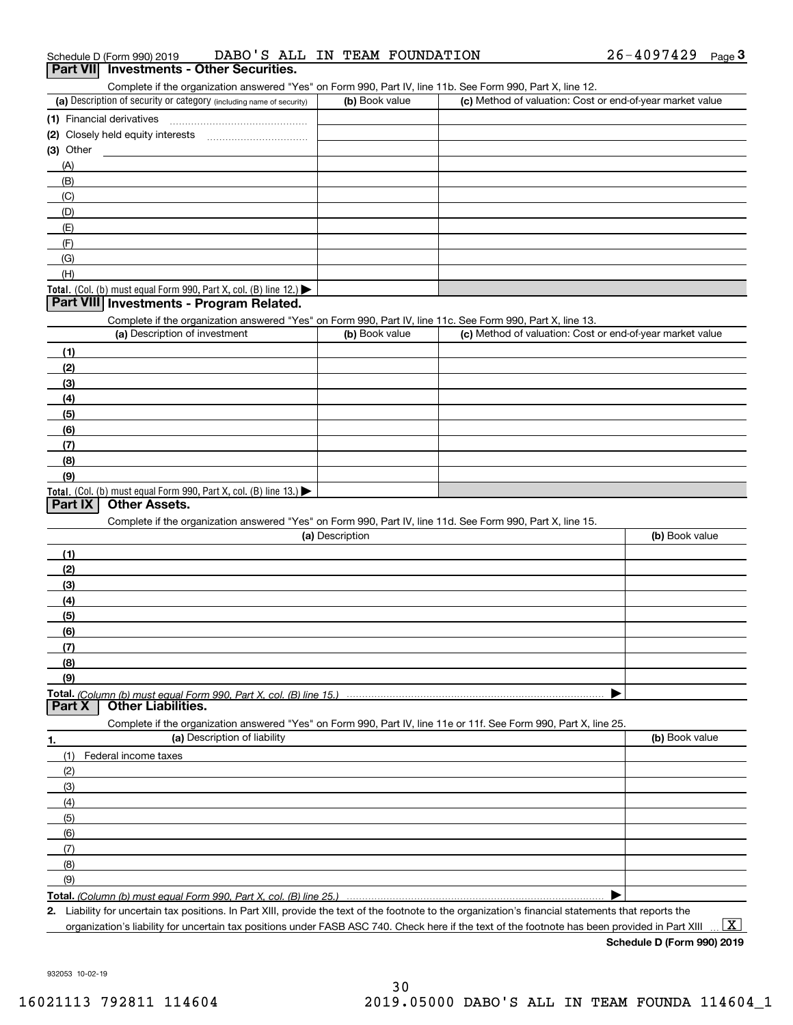| Schedule D (Form 990) 2019               |  | DABO'S ALL IN TEAM FOUNDATION                                                                              | $26 - 4097429$ | $P$ age $3$ |
|------------------------------------------|--|------------------------------------------------------------------------------------------------------------|----------------|-------------|
| Part VII Investments - Other Securities. |  |                                                                                                            |                |             |
|                                          |  | Complete if the organization answered "Yes" on Form 990. Part IV. line 11b. See Form 990. Part X. line 12. |                |             |

| (a) Description of security or category (including name of security)                   | (b) Book value | (c) Method of valuation: Cost or end-of-year market value |
|----------------------------------------------------------------------------------------|----------------|-----------------------------------------------------------|
| (1) Financial derivatives                                                              |                |                                                           |
| (2) Closely held equity interests                                                      |                |                                                           |
| (3) Other                                                                              |                |                                                           |
| (A)                                                                                    |                |                                                           |
| (B)                                                                                    |                |                                                           |
| (C)                                                                                    |                |                                                           |
| (D)                                                                                    |                |                                                           |
| (E)                                                                                    |                |                                                           |
| (F)                                                                                    |                |                                                           |
| (G)                                                                                    |                |                                                           |
| (H)                                                                                    |                |                                                           |
| Total. (Col. (b) must equal Form 990, Part X, col. (B) line 12.) $\blacktriangleright$ |                |                                                           |

#### **Part VIII Investments - Program Related.**

Complete if the organization answered "Yes" on Form 990, Part IV, line 11c. See Form 990, Part X, line 13.

| (a) Description of investment                                       | (b) Book value | (c) Method of valuation: Cost or end-of-year market value |
|---------------------------------------------------------------------|----------------|-----------------------------------------------------------|
| (1)                                                                 |                |                                                           |
| (2)                                                                 |                |                                                           |
| $\frac{1}{2}$                                                       |                |                                                           |
| (4)                                                                 |                |                                                           |
| $\left(5\right)$                                                    |                |                                                           |
| (6)                                                                 |                |                                                           |
| (7)                                                                 |                |                                                           |
| (8)                                                                 |                |                                                           |
| (9)                                                                 |                |                                                           |
| Total. (Col. (b) must equal Form 990, Part X, col. (B) line $13.$ ) |                |                                                           |

#### **Part IX Other Assets.**

Complete if the organization answered "Yes" on Form 990, Part IV, line 11d. See Form 990, Part X, line 15.

| (a) Description                                                                                                   | (b) Book value |
|-------------------------------------------------------------------------------------------------------------------|----------------|
| (1)                                                                                                               |                |
| (2)                                                                                                               |                |
| (3)                                                                                                               |                |
| (4)                                                                                                               |                |
| (5)                                                                                                               |                |
| (6)                                                                                                               |                |
| (7)                                                                                                               |                |
| (8)                                                                                                               |                |
| (9)                                                                                                               |                |
|                                                                                                                   |                |
| <b>Part X</b><br><b>Other Liabilities.</b>                                                                        |                |
| Complete if the organization answered "Yes" on Form 990, Part IV, line 11e or 11f. See Form 990, Part X, line 25. |                |
|                                                                                                                   |                |

| 1.                | (a) Description of liability | (b) Book value |
|-------------------|------------------------------|----------------|
| (1)               | Federal income taxes         |                |
| (2)               |                              |                |
| (3)               |                              |                |
| (4)               |                              |                |
| (5)               |                              |                |
| (6)               |                              |                |
| $\left( 7\right)$ |                              |                |
| (8)               |                              |                |
| (9)               |                              |                |
|                   |                              |                |

*(Column (b) must equal Form 990, Part X, col. (B) line 25.)* 

**2.**Liability for uncertain tax positions. In Part XIII, provide the text of the footnote to the organization's financial statements that reports the organization's liability for uncertain tax positions under FASB ASC 740. Check here if the text of the footnote has been provided in Part XIII

**Schedule D (Form 990) 2019**

 $\boxed{\text{X}}$ 

932053 10-02-19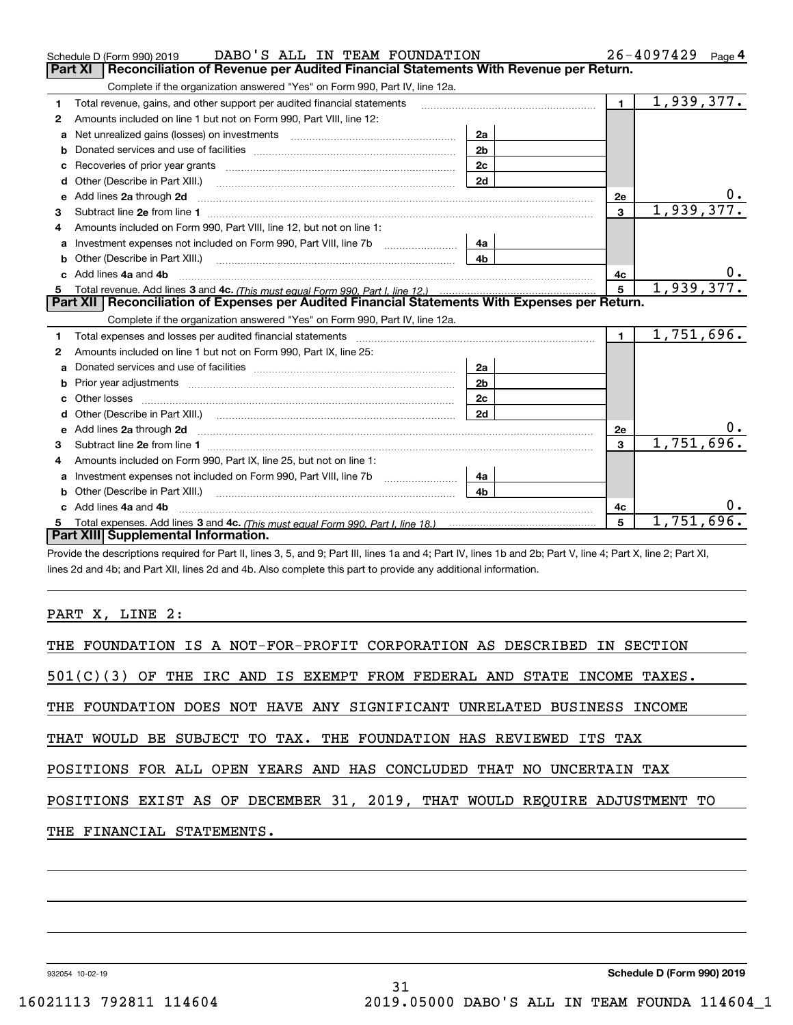|    | DABO'S ALL IN TEAM FOUNDATION<br>Schedule D (Form 990) 2019                                                                                                                                                                    |                | 26-4097429<br>Page 4 |             |
|----|--------------------------------------------------------------------------------------------------------------------------------------------------------------------------------------------------------------------------------|----------------|----------------------|-------------|
|    | Reconciliation of Revenue per Audited Financial Statements With Revenue per Return.<br>Part XI                                                                                                                                 |                |                      |             |
|    | Complete if the organization answered "Yes" on Form 990, Part IV, line 12a.                                                                                                                                                    |                |                      |             |
| 1  | Total revenue, gains, and other support per audited financial statements                                                                                                                                                       |                | $\mathbf{1}$         | 1,939,377.  |
| 2  | Amounts included on line 1 but not on Form 990, Part VIII, line 12:                                                                                                                                                            |                |                      |             |
| a  |                                                                                                                                                                                                                                | 2a             |                      |             |
| b  |                                                                                                                                                                                                                                | 2 <sub>b</sub> |                      |             |
|    | Recoveries of prior year grants [11] matter contracts and prior year grants [11] matter contracts and prior year grants and all the contracts and all the contracts of prior year grants and all the contracts of the contract | 2c             |                      |             |
| d  | Other (Describe in Part XIII.) <b>Construction Construction</b> Chern Construction Chern Chern Chern Chern Chern Chern                                                                                                         | 2d             |                      |             |
| е  | Add lines 2a through 2d                                                                                                                                                                                                        |                | <b>2e</b>            | $0_{\cdot}$ |
| з  |                                                                                                                                                                                                                                |                | $\mathbf{3}$         | 1,939,377.  |
| 4  | Amounts included on Form 990, Part VIII, line 12, but not on line 1:                                                                                                                                                           |                |                      |             |
| a  |                                                                                                                                                                                                                                | 4a             |                      |             |
|    |                                                                                                                                                                                                                                | 4 <sub>b</sub> |                      |             |
|    | c Add lines 4a and 4b                                                                                                                                                                                                          |                | 4c                   |             |
|    |                                                                                                                                                                                                                                | 5 <sup>1</sup> | 1,939,377.           |             |
|    | Part XII   Reconciliation of Expenses per Audited Financial Statements With Expenses per Return.                                                                                                                               |                |                      |             |
|    | Complete if the organization answered "Yes" on Form 990, Part IV, line 12a.                                                                                                                                                    |                |                      |             |
| 1. | Total expenses and losses per audited financial statements                                                                                                                                                                     |                | $\mathbf 1$          | 1,751,696.  |
| 2  | Amounts included on line 1 but not on Form 990, Part IX, line 25:                                                                                                                                                              |                |                      |             |
| a  |                                                                                                                                                                                                                                | 2a             |                      |             |
| b  |                                                                                                                                                                                                                                | 2 <sub>b</sub> |                      |             |
|    |                                                                                                                                                                                                                                | 2c             |                      |             |
| d  |                                                                                                                                                                                                                                | 2d             |                      |             |
| е  | Add lines 2a through 2d <b>contract and a contract and a contract a</b> contract a contract and a contract a contract a                                                                                                        |                | 2e                   |             |
| з  |                                                                                                                                                                                                                                |                | $\mathbf{3}$         | 1,751,696.  |
| 4  | Amounts included on Form 990, Part IX, line 25, but not on line 1:                                                                                                                                                             |                |                      |             |
| a  |                                                                                                                                                                                                                                |                |                      |             |
|    |                                                                                                                                                                                                                                | 4a             |                      |             |
| b  | Other (Describe in Part XIII.)                                                                                                                                                                                                 | 4 <sub>h</sub> |                      |             |
|    | c Add lines 4a and 4b                                                                                                                                                                                                          |                | 4c                   |             |
|    |                                                                                                                                                                                                                                |                | 5                    | 1,751,696.  |
|    | Part XIII Supplemental Information.                                                                                                                                                                                            |                |                      |             |

Provide the descriptions required for Part II, lines 3, 5, and 9; Part III, lines 1a and 4; Part IV, lines 1b and 2b; Part V, line 4; Part X, line 2; Part XI, lines 2d and 4b; and Part XII, lines 2d and 4b. Also complete this part to provide any additional information.

#### PART X, LINE 2:

| THE FOUNDATION IS A NOT-FOR-PROFIT CORPORATION AS DESCRIBED IN SECTION    |
|---------------------------------------------------------------------------|
| $501(C)(3)$ OF THE IRC AND IS EXEMPT FROM FEDERAL AND STATE INCOME TAXES. |
| THE FOUNDATION DOES NOT HAVE ANY SIGNIFICANT UNRELATED BUSINESS INCOME    |
| THAT WOULD BE SUBJECT TO TAX. THE FOUNDATION HAS REVIEWED ITS TAX         |
| POSITIONS FOR ALL OPEN YEARS AND HAS CONCLUDED THAT NO UNCERTAIN TAX      |
| POSITIONS EXIST AS OF DECEMBER 31, 2019, THAT WOULD REQUIRE ADJUSTMENT TO |
| THE FINANCIAL STATEMENTS.                                                 |
|                                                                           |
|                                                                           |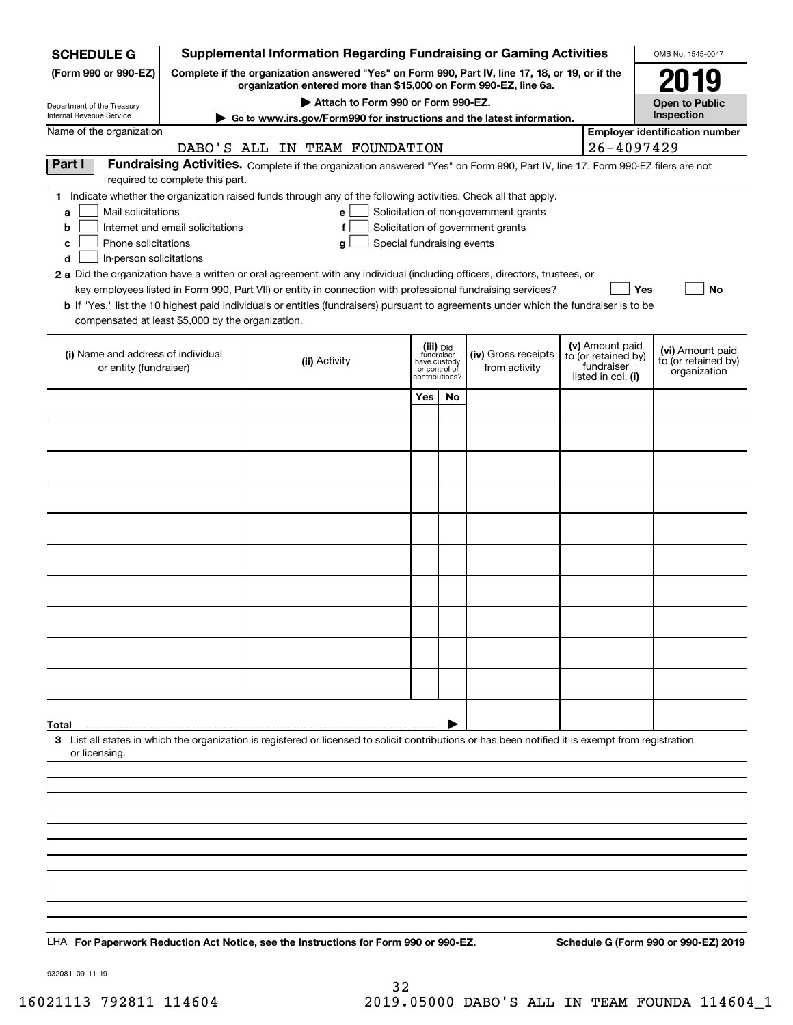| <b>Supplemental Information Regarding Fundraising or Gaming Activities</b><br><b>SCHEDULE G</b>                                                                                                                                                                                                                                                                                                                                                                                                                                         |                                  |  |                                                                                                                               |                                                                            |    |                                                                            | OMB No. 1545-0047 |                                                                            |                                                         |
|-----------------------------------------------------------------------------------------------------------------------------------------------------------------------------------------------------------------------------------------------------------------------------------------------------------------------------------------------------------------------------------------------------------------------------------------------------------------------------------------------------------------------------------------|----------------------------------|--|-------------------------------------------------------------------------------------------------------------------------------|----------------------------------------------------------------------------|----|----------------------------------------------------------------------------|-------------------|----------------------------------------------------------------------------|---------------------------------------------------------|
| Complete if the organization answered "Yes" on Form 990, Part IV, line 17, 18, or 19, or if the<br>(Form 990 or 990-EZ)<br>organization entered more than \$15,000 on Form 990-EZ, line 6a.                                                                                                                                                                                                                                                                                                                                             |                                  |  |                                                                                                                               |                                                                            |    |                                                                            | 2019              |                                                                            |                                                         |
| Attach to Form 990 or Form 990-EZ.<br>Department of the Treasury                                                                                                                                                                                                                                                                                                                                                                                                                                                                        |                                  |  |                                                                                                                               |                                                                            |    |                                                                            |                   | <b>Open to Public</b>                                                      |                                                         |
| <b>Internal Revenue Service</b><br>Go to www.irs.gov/Form990 for instructions and the latest information.                                                                                                                                                                                                                                                                                                                                                                                                                               |                                  |  |                                                                                                                               |                                                                            |    |                                                                            |                   | Inspection                                                                 |                                                         |
| Name of the organization                                                                                                                                                                                                                                                                                                                                                                                                                                                                                                                |                                  |  | DABO'S ALL IN TEAM FOUNDATION                                                                                                 |                                                                            |    |                                                                            |                   | $26 - 4097429$                                                             | <b>Employer identification number</b>                   |
| Part I                                                                                                                                                                                                                                                                                                                                                                                                                                                                                                                                  | required to complete this part.  |  | Fundraising Activities. Complete if the organization answered "Yes" on Form 990, Part IV, line 17. Form 990-EZ filers are not |                                                                            |    |                                                                            |                   |                                                                            |                                                         |
| 1 Indicate whether the organization raised funds through any of the following activities. Check all that apply.<br>Mail solicitations<br>a<br>b<br>Phone solicitations<br>с<br>In-person solicitations<br>d<br>2 a Did the organization have a written or oral agreement with any individual (including officers, directors, trustees, or<br>b If "Yes," list the 10 highest paid individuals or entities (fundraisers) pursuant to agreements under which the fundraiser is to be<br>compensated at least \$5,000 by the organization. | Internet and email solicitations |  | e l<br>f<br>a<br>key employees listed in Form 990, Part VII) or entity in connection with professional fundraising services?  | Special fundraising events                                                 |    | Solicitation of non-government grants<br>Solicitation of government grants |                   | <b>Yes</b>                                                                 | No                                                      |
| (i) Name and address of individual<br>or entity (fundraiser)                                                                                                                                                                                                                                                                                                                                                                                                                                                                            |                                  |  | (ii) Activity                                                                                                                 | (iii) Did<br>fundraiser<br>have custody<br>or control of<br>contributions? |    | (iv) Gross receipts<br>from activity                                       |                   | (v) Amount paid<br>to (or retained by)<br>fundraiser<br>listed in col. (i) | (vi) Amount paid<br>to (or retained by)<br>organization |
|                                                                                                                                                                                                                                                                                                                                                                                                                                                                                                                                         |                                  |  |                                                                                                                               | Yes                                                                        | No |                                                                            |                   |                                                                            |                                                         |
|                                                                                                                                                                                                                                                                                                                                                                                                                                                                                                                                         |                                  |  |                                                                                                                               |                                                                            |    |                                                                            |                   |                                                                            |                                                         |
|                                                                                                                                                                                                                                                                                                                                                                                                                                                                                                                                         |                                  |  |                                                                                                                               |                                                                            |    |                                                                            |                   |                                                                            |                                                         |
|                                                                                                                                                                                                                                                                                                                                                                                                                                                                                                                                         |                                  |  |                                                                                                                               |                                                                            |    |                                                                            |                   |                                                                            |                                                         |
|                                                                                                                                                                                                                                                                                                                                                                                                                                                                                                                                         |                                  |  |                                                                                                                               |                                                                            |    |                                                                            |                   |                                                                            |                                                         |
|                                                                                                                                                                                                                                                                                                                                                                                                                                                                                                                                         |                                  |  |                                                                                                                               |                                                                            |    |                                                                            |                   |                                                                            |                                                         |
|                                                                                                                                                                                                                                                                                                                                                                                                                                                                                                                                         |                                  |  |                                                                                                                               |                                                                            |    |                                                                            |                   |                                                                            |                                                         |
|                                                                                                                                                                                                                                                                                                                                                                                                                                                                                                                                         |                                  |  |                                                                                                                               |                                                                            |    |                                                                            |                   |                                                                            |                                                         |
|                                                                                                                                                                                                                                                                                                                                                                                                                                                                                                                                         |                                  |  |                                                                                                                               |                                                                            |    |                                                                            |                   |                                                                            |                                                         |
|                                                                                                                                                                                                                                                                                                                                                                                                                                                                                                                                         |                                  |  |                                                                                                                               |                                                                            |    |                                                                            |                   |                                                                            |                                                         |
|                                                                                                                                                                                                                                                                                                                                                                                                                                                                                                                                         |                                  |  |                                                                                                                               |                                                                            |    |                                                                            |                   |                                                                            |                                                         |
|                                                                                                                                                                                                                                                                                                                                                                                                                                                                                                                                         |                                  |  |                                                                                                                               |                                                                            |    |                                                                            |                   |                                                                            |                                                         |
|                                                                                                                                                                                                                                                                                                                                                                                                                                                                                                                                         |                                  |  |                                                                                                                               |                                                                            |    |                                                                            |                   |                                                                            |                                                         |
|                                                                                                                                                                                                                                                                                                                                                                                                                                                                                                                                         |                                  |  |                                                                                                                               |                                                                            |    |                                                                            |                   |                                                                            |                                                         |
| Total<br>3 List all states in which the organization is registered or licensed to solicit contributions or has been notified it is exempt from registration                                                                                                                                                                                                                                                                                                                                                                             |                                  |  |                                                                                                                               |                                                                            |    |                                                                            |                   |                                                                            |                                                         |
| or licensing.                                                                                                                                                                                                                                                                                                                                                                                                                                                                                                                           |                                  |  |                                                                                                                               |                                                                            |    |                                                                            |                   |                                                                            |                                                         |
|                                                                                                                                                                                                                                                                                                                                                                                                                                                                                                                                         |                                  |  |                                                                                                                               |                                                                            |    |                                                                            |                   |                                                                            |                                                         |
|                                                                                                                                                                                                                                                                                                                                                                                                                                                                                                                                         |                                  |  |                                                                                                                               |                                                                            |    |                                                                            |                   |                                                                            |                                                         |
|                                                                                                                                                                                                                                                                                                                                                                                                                                                                                                                                         |                                  |  |                                                                                                                               |                                                                            |    |                                                                            |                   |                                                                            |                                                         |
|                                                                                                                                                                                                                                                                                                                                                                                                                                                                                                                                         |                                  |  |                                                                                                                               |                                                                            |    |                                                                            |                   |                                                                            |                                                         |
|                                                                                                                                                                                                                                                                                                                                                                                                                                                                                                                                         |                                  |  |                                                                                                                               |                                                                            |    |                                                                            |                   |                                                                            |                                                         |
|                                                                                                                                                                                                                                                                                                                                                                                                                                                                                                                                         |                                  |  |                                                                                                                               |                                                                            |    |                                                                            |                   |                                                                            |                                                         |
|                                                                                                                                                                                                                                                                                                                                                                                                                                                                                                                                         |                                  |  |                                                                                                                               |                                                                            |    |                                                                            |                   |                                                                            |                                                         |
| LHA For Paperwork Reduction Act Notice, see the Instructions for Form 990 or 990-EZ.                                                                                                                                                                                                                                                                                                                                                                                                                                                    |                                  |  |                                                                                                                               |                                                                            |    |                                                                            |                   |                                                                            | Schedule G (Form 990 or 990-EZ) 2019                    |

932081 09-11-19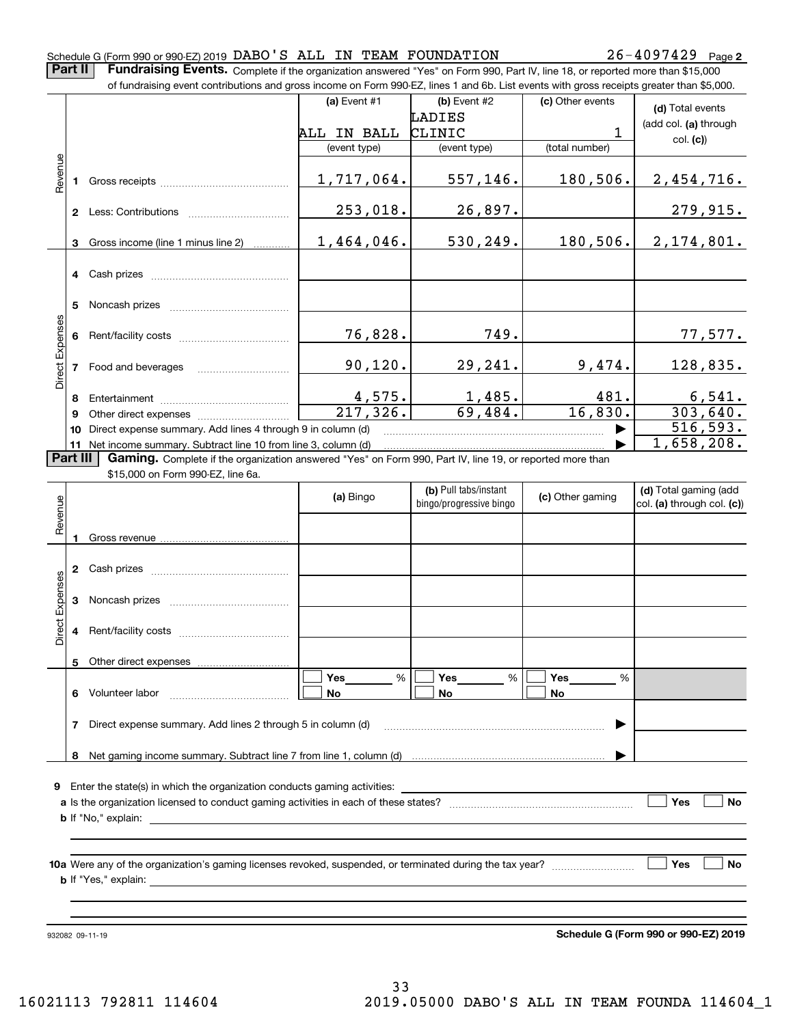#### Schedule G (Form 990 or 990-EZ) 2019 Page DABO'S ALL IN TEAM FOUNDATION 26-4097429

**Part II** | Fundraising Events. Complete if the organization answered "Yes" on Form 990, Part IV, line 18, or reported more than \$15,000

|                 | of fundraising event contributions and gross income on Form 990-EZ, lines 1 and 6b. List events with gross receipts greater than \$5,000. |                                                                                                                                                    |                         |                          |                       |                            |  |  |  |  |  |  |  |
|-----------------|-------------------------------------------------------------------------------------------------------------------------------------------|----------------------------------------------------------------------------------------------------------------------------------------------------|-------------------------|--------------------------|-----------------------|----------------------------|--|--|--|--|--|--|--|
|                 |                                                                                                                                           |                                                                                                                                                    | (a) Event #1            | (b) Event #2             | (c) Other events      | (d) Total events           |  |  |  |  |  |  |  |
|                 |                                                                                                                                           |                                                                                                                                                    |                         | LADIES                   |                       | (add col. (a) through      |  |  |  |  |  |  |  |
|                 |                                                                                                                                           |                                                                                                                                                    | ALL IN BALL             | CLINIC                   | 1                     | col. (c)                   |  |  |  |  |  |  |  |
|                 |                                                                                                                                           |                                                                                                                                                    | (event type)            | (event type)             | (total number)        |                            |  |  |  |  |  |  |  |
| Revenue         |                                                                                                                                           |                                                                                                                                                    |                         |                          |                       |                            |  |  |  |  |  |  |  |
|                 |                                                                                                                                           |                                                                                                                                                    | 1,717,064.              | 557,146.                 | 180,506.              | 2,454,716.                 |  |  |  |  |  |  |  |
|                 |                                                                                                                                           |                                                                                                                                                    |                         |                          |                       |                            |  |  |  |  |  |  |  |
|                 |                                                                                                                                           | 2 Less: Contributions                                                                                                                              | 253,018.                | 26,897.                  |                       | 279,915.                   |  |  |  |  |  |  |  |
|                 |                                                                                                                                           |                                                                                                                                                    |                         |                          |                       |                            |  |  |  |  |  |  |  |
|                 |                                                                                                                                           | 3 Gross income (line 1 minus line 2)                                                                                                               | 1,464,046.              | 530, 249.                | 180,506.              | 2,174,801.                 |  |  |  |  |  |  |  |
|                 |                                                                                                                                           |                                                                                                                                                    |                         |                          |                       |                            |  |  |  |  |  |  |  |
|                 |                                                                                                                                           | 4 Cash prizes                                                                                                                                      |                         |                          |                       |                            |  |  |  |  |  |  |  |
|                 | 5.                                                                                                                                        |                                                                                                                                                    |                         |                          |                       |                            |  |  |  |  |  |  |  |
|                 |                                                                                                                                           |                                                                                                                                                    |                         |                          |                       |                            |  |  |  |  |  |  |  |
|                 |                                                                                                                                           |                                                                                                                                                    | 76,828.                 | 749.                     |                       | 77,577 <b>.</b>            |  |  |  |  |  |  |  |
|                 |                                                                                                                                           |                                                                                                                                                    |                         |                          |                       |                            |  |  |  |  |  |  |  |
| Direct Expenses |                                                                                                                                           | 7 Food and beverages                                                                                                                               | 90, 120.                | 29,241.                  | 9,474.                | 128,835.                   |  |  |  |  |  |  |  |
|                 |                                                                                                                                           |                                                                                                                                                    |                         |                          |                       |                            |  |  |  |  |  |  |  |
|                 | 8                                                                                                                                         |                                                                                                                                                    | $\frac{4,575}{217,326}$ | $\frac{1,485}{69,484}$ . | 481.                  | $\frac{6,541.}{303,640.}$  |  |  |  |  |  |  |  |
|                 | 9                                                                                                                                         |                                                                                                                                                    |                         |                          | 16,830.               |                            |  |  |  |  |  |  |  |
|                 | 10                                                                                                                                        | Direct expense summary. Add lines 4 through 9 in column (d)                                                                                        |                         |                          |                       | $\overline{51}6, 593.$     |  |  |  |  |  |  |  |
|                 |                                                                                                                                           | 11 Net income summary. Subtract line 10 from line 3, column (d)                                                                                    |                         |                          |                       | 1,658,208.                 |  |  |  |  |  |  |  |
|                 | Part III                                                                                                                                  | Gaming. Complete if the organization answered "Yes" on Form 990, Part IV, line 19, or reported more than<br>\$15,000 on Form 990-EZ, line 6a.      |                         |                          |                       |                            |  |  |  |  |  |  |  |
|                 |                                                                                                                                           |                                                                                                                                                    |                         | (b) Pull tabs/instant    |                       | (d) Total gaming (add      |  |  |  |  |  |  |  |
|                 |                                                                                                                                           |                                                                                                                                                    | (a) Bingo               | bingo/progressive bingo  | (c) Other gaming      | col. (a) through col. (c)) |  |  |  |  |  |  |  |
| Revenue         |                                                                                                                                           |                                                                                                                                                    |                         |                          |                       |                            |  |  |  |  |  |  |  |
|                 | 1                                                                                                                                         |                                                                                                                                                    |                         |                          |                       |                            |  |  |  |  |  |  |  |
|                 |                                                                                                                                           |                                                                                                                                                    |                         |                          |                       |                            |  |  |  |  |  |  |  |
|                 |                                                                                                                                           |                                                                                                                                                    |                         |                          |                       |                            |  |  |  |  |  |  |  |
|                 |                                                                                                                                           |                                                                                                                                                    |                         |                          |                       |                            |  |  |  |  |  |  |  |
| Expenses        |                                                                                                                                           |                                                                                                                                                    |                         |                          |                       |                            |  |  |  |  |  |  |  |
|                 |                                                                                                                                           |                                                                                                                                                    |                         |                          |                       |                            |  |  |  |  |  |  |  |
| Direct          |                                                                                                                                           |                                                                                                                                                    |                         |                          |                       |                            |  |  |  |  |  |  |  |
|                 |                                                                                                                                           |                                                                                                                                                    |                         |                          |                       |                            |  |  |  |  |  |  |  |
|                 |                                                                                                                                           | Other direct expenses                                                                                                                              |                         |                          |                       |                            |  |  |  |  |  |  |  |
|                 |                                                                                                                                           | 6 Volunteer labor                                                                                                                                  | Yes<br>%<br>No          | Yes<br>%<br>No           | <b>Yes</b><br>%<br>No |                            |  |  |  |  |  |  |  |
|                 |                                                                                                                                           |                                                                                                                                                    |                         |                          |                       |                            |  |  |  |  |  |  |  |
|                 | 7                                                                                                                                         | Direct expense summary. Add lines 2 through 5 in column (d)                                                                                        |                         |                          |                       |                            |  |  |  |  |  |  |  |
|                 |                                                                                                                                           |                                                                                                                                                    |                         |                          |                       |                            |  |  |  |  |  |  |  |
|                 |                                                                                                                                           |                                                                                                                                                    |                         |                          |                       |                            |  |  |  |  |  |  |  |
|                 |                                                                                                                                           |                                                                                                                                                    |                         |                          |                       |                            |  |  |  |  |  |  |  |
|                 |                                                                                                                                           | 9 Enter the state(s) in which the organization conducts gaming activities:                                                                         |                         |                          |                       |                            |  |  |  |  |  |  |  |
|                 |                                                                                                                                           |                                                                                                                                                    |                         |                          | Yes<br>No             |                            |  |  |  |  |  |  |  |
|                 |                                                                                                                                           | <b>b</b> If "No," explain:<br><u> 1980 - Johann Barbara, marka a shekara tsa 1980 - An tsa 1980 - An tsa 1980 - An tsa 1980 - An tsa 1980 - An</u> |                         |                          |                       |                            |  |  |  |  |  |  |  |
|                 |                                                                                                                                           |                                                                                                                                                    |                         |                          |                       |                            |  |  |  |  |  |  |  |
|                 |                                                                                                                                           |                                                                                                                                                    |                         |                          |                       |                            |  |  |  |  |  |  |  |
|                 |                                                                                                                                           |                                                                                                                                                    |                         |                          |                       | Yes<br>No                  |  |  |  |  |  |  |  |
|                 |                                                                                                                                           |                                                                                                                                                    |                         |                          |                       |                            |  |  |  |  |  |  |  |
|                 |                                                                                                                                           |                                                                                                                                                    |                         |                          |                       |                            |  |  |  |  |  |  |  |
|                 |                                                                                                                                           |                                                                                                                                                    |                         |                          |                       |                            |  |  |  |  |  |  |  |

932082 09-11-19

**Schedule G (Form 990 or 990-EZ) 2019**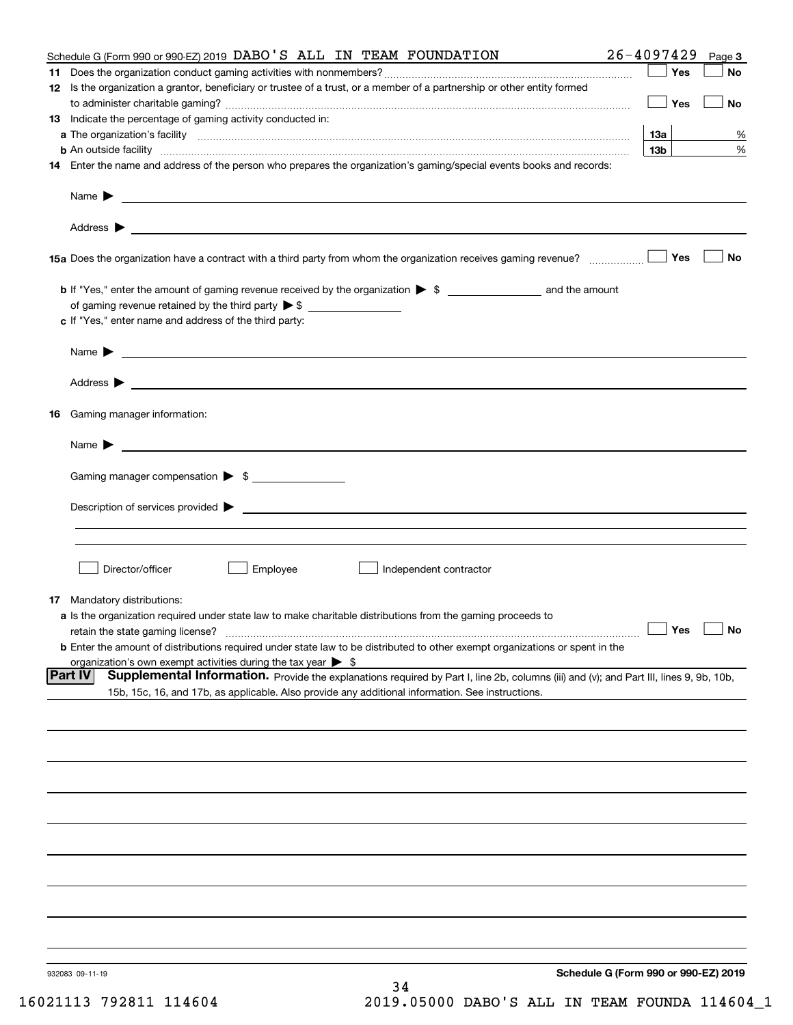|    | Schedule G (Form 990 or 990-EZ) 2019 DABO 'S ALL IN TEAM FOUNDATION                                                                                                                                                                                          | $26 - 4097429$                       | Page 3    |
|----|--------------------------------------------------------------------------------------------------------------------------------------------------------------------------------------------------------------------------------------------------------------|--------------------------------------|-----------|
| 11 |                                                                                                                                                                                                                                                              | Yes                                  | No        |
|    | 12 Is the organization a grantor, beneficiary or trustee of a trust, or a member of a partnership or other entity formed                                                                                                                                     | Yes                                  | No        |
|    | 13 Indicate the percentage of gaming activity conducted in:                                                                                                                                                                                                  |                                      |           |
|    |                                                                                                                                                                                                                                                              | 13а                                  | %         |
|    |                                                                                                                                                                                                                                                              | 13 <sub>b</sub>                      | %         |
|    | 14 Enter the name and address of the person who prepares the organization's gaming/special events books and records:                                                                                                                                         |                                      |           |
|    |                                                                                                                                                                                                                                                              |                                      |           |
|    |                                                                                                                                                                                                                                                              |                                      |           |
|    |                                                                                                                                                                                                                                                              | Yes                                  | No        |
|    |                                                                                                                                                                                                                                                              |                                      |           |
|    | of gaming revenue retained by the third party $\triangleright$ \$                                                                                                                                                                                            |                                      |           |
|    | c If "Yes," enter name and address of the third party:                                                                                                                                                                                                       |                                      |           |
|    |                                                                                                                                                                                                                                                              |                                      |           |
|    | Name $\blacktriangleright$ $\bot$                                                                                                                                                                                                                            |                                      |           |
|    | Address <b>b</b>                                                                                                                                                                                                                                             |                                      |           |
|    | 16 Gaming manager information:                                                                                                                                                                                                                               |                                      |           |
|    | Name $\blacktriangleright$                                                                                                                                                                                                                                   |                                      |           |
|    | Gaming manager compensation > \$                                                                                                                                                                                                                             |                                      |           |
|    |                                                                                                                                                                                                                                                              |                                      |           |
|    |                                                                                                                                                                                                                                                              |                                      |           |
|    |                                                                                                                                                                                                                                                              |                                      |           |
|    | Employee<br>Director/officer<br>Independent contractor                                                                                                                                                                                                       |                                      |           |
|    | 17 Mandatory distributions:                                                                                                                                                                                                                                  |                                      |           |
|    | a Is the organization required under state law to make charitable distributions from the gaming proceeds to                                                                                                                                                  |                                      |           |
|    | retain the state gaming license?                                                                                                                                                                                                                             | $\Box$ Yes                           | $\Box$ No |
|    | <b>b</b> Enter the amount of distributions required under state law to be distributed to other exempt organizations or spent in the                                                                                                                          |                                      |           |
|    | organization's own exempt activities during the tax year $\triangleright$ \$                                                                                                                                                                                 |                                      |           |
|    | <b>Part IV</b><br>Supplemental Information. Provide the explanations required by Part I, line 2b, columns (iii) and (v); and Part III, lines 9, 9b, 10b,<br>15b, 15c, 16, and 17b, as applicable. Also provide any additional information. See instructions. |                                      |           |
|    |                                                                                                                                                                                                                                                              |                                      |           |
|    |                                                                                                                                                                                                                                                              |                                      |           |
|    |                                                                                                                                                                                                                                                              |                                      |           |
|    |                                                                                                                                                                                                                                                              |                                      |           |
|    |                                                                                                                                                                                                                                                              |                                      |           |
|    |                                                                                                                                                                                                                                                              |                                      |           |
|    |                                                                                                                                                                                                                                                              |                                      |           |
|    |                                                                                                                                                                                                                                                              |                                      |           |
|    |                                                                                                                                                                                                                                                              |                                      |           |
|    |                                                                                                                                                                                                                                                              |                                      |           |
|    | 932083 09-11-19                                                                                                                                                                                                                                              | Schedule G (Form 990 or 990-EZ) 2019 |           |
|    | 34                                                                                                                                                                                                                                                           |                                      |           |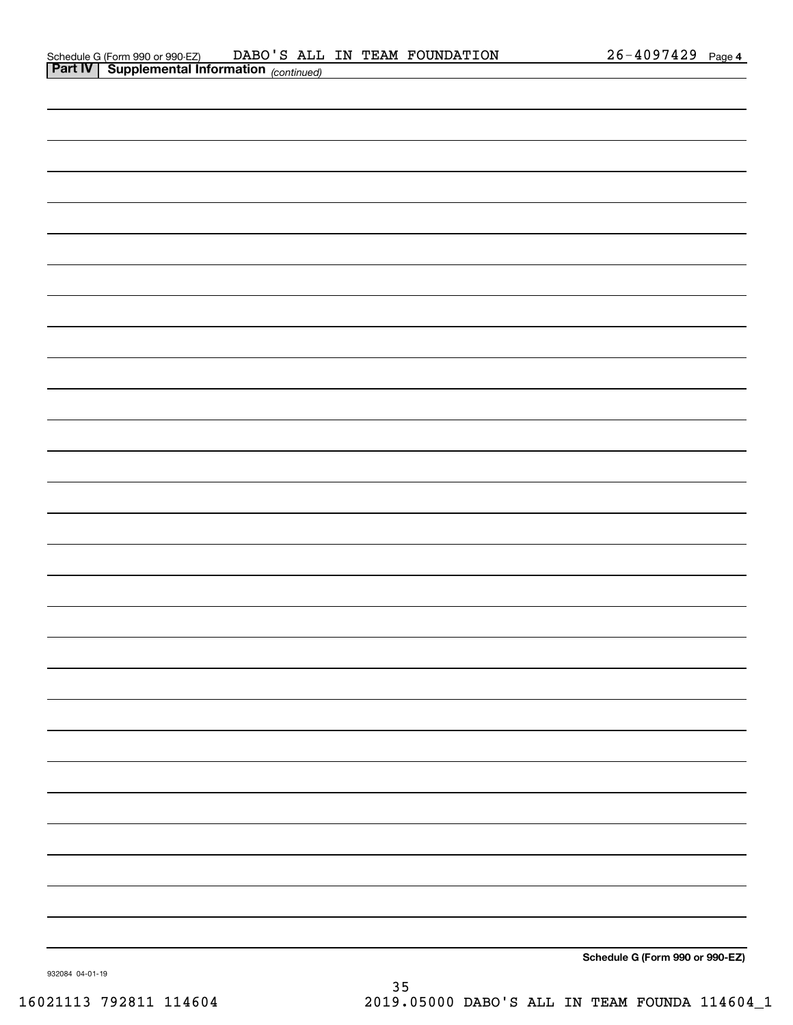| <b>Part IV</b> Supplemental Information $_{(continued)}$ |  |                                 |
|----------------------------------------------------------|--|---------------------------------|
|                                                          |  |                                 |
|                                                          |  |                                 |
|                                                          |  |                                 |
|                                                          |  |                                 |
|                                                          |  |                                 |
|                                                          |  |                                 |
|                                                          |  |                                 |
|                                                          |  |                                 |
|                                                          |  |                                 |
|                                                          |  |                                 |
|                                                          |  |                                 |
|                                                          |  |                                 |
|                                                          |  |                                 |
|                                                          |  |                                 |
|                                                          |  |                                 |
|                                                          |  |                                 |
|                                                          |  |                                 |
|                                                          |  |                                 |
|                                                          |  |                                 |
|                                                          |  |                                 |
|                                                          |  |                                 |
|                                                          |  |                                 |
|                                                          |  |                                 |
|                                                          |  |                                 |
|                                                          |  |                                 |
|                                                          |  |                                 |
|                                                          |  |                                 |
|                                                          |  |                                 |
|                                                          |  |                                 |
|                                                          |  | Cohodule C (Form 000 or 000 F7) |

**Schedule G (Form 990 or 990-EZ)**

932084 04-01-19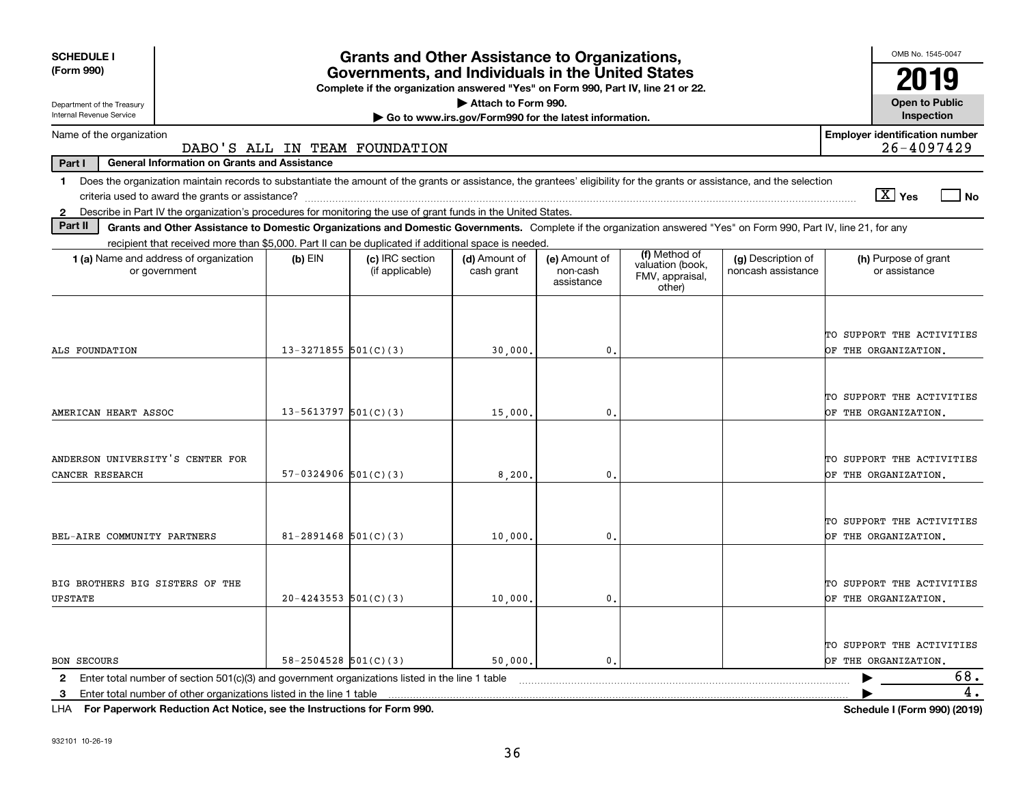| <b>SCHEDULE I</b><br>(Form 990)                                                                                                                                                                                                                                           |                            | <b>Grants and Other Assistance to Organizations,</b>                                                                                  |                                                       |                                         |                                                                |                                          | OMB No. 1545-0047                                       |  |  |  |  |
|---------------------------------------------------------------------------------------------------------------------------------------------------------------------------------------------------------------------------------------------------------------------------|----------------------------|---------------------------------------------------------------------------------------------------------------------------------------|-------------------------------------------------------|-----------------------------------------|----------------------------------------------------------------|------------------------------------------|---------------------------------------------------------|--|--|--|--|
|                                                                                                                                                                                                                                                                           |                            | Governments, and Individuals in the United States<br>Complete if the organization answered "Yes" on Form 990, Part IV, line 21 or 22. |                                                       |                                         |                                                                |                                          | 019                                                     |  |  |  |  |
| Department of the Treasury                                                                                                                                                                                                                                                |                            |                                                                                                                                       | Attach to Form 990.                                   |                                         |                                                                |                                          | <b>Open to Public</b>                                   |  |  |  |  |
| <b>Internal Revenue Service</b>                                                                                                                                                                                                                                           |                            |                                                                                                                                       | Go to www.irs.gov/Form990 for the latest information. |                                         |                                                                |                                          | Inspection                                              |  |  |  |  |
| Name of the organization                                                                                                                                                                                                                                                  |                            | DABO'S ALL IN TEAM FOUNDATION                                                                                                         |                                                       |                                         |                                                                |                                          | <b>Employer identification number</b><br>$26 - 4097429$ |  |  |  |  |
| Part I<br><b>General Information on Grants and Assistance</b>                                                                                                                                                                                                             |                            |                                                                                                                                       |                                                       |                                         |                                                                |                                          |                                                         |  |  |  |  |
| Does the organization maintain records to substantiate the amount of the grants or assistance, the grantees' eligibility for the grants or assistance, and the selection<br>$\mathbf 1$                                                                                   |                            |                                                                                                                                       |                                                       |                                         |                                                                |                                          |                                                         |  |  |  |  |
| $\boxed{\text{X}}$ Yes<br>$ $ No<br>2 Describe in Part IV the organization's procedures for monitoring the use of grant funds in the United States.                                                                                                                       |                            |                                                                                                                                       |                                                       |                                         |                                                                |                                          |                                                         |  |  |  |  |
| Part II                                                                                                                                                                                                                                                                   |                            |                                                                                                                                       |                                                       |                                         |                                                                |                                          |                                                         |  |  |  |  |
| Grants and Other Assistance to Domestic Organizations and Domestic Governments. Complete if the organization answered "Yes" on Form 990, Part IV, line 21, for any<br>recipient that received more than \$5,000. Part II can be duplicated if additional space is needed. |                            |                                                                                                                                       |                                                       |                                         |                                                                |                                          |                                                         |  |  |  |  |
| 1 (a) Name and address of organization<br>or government                                                                                                                                                                                                                   | $(b)$ EIN                  | (c) IRC section<br>(if applicable)                                                                                                    | (d) Amount of<br>cash grant                           | (e) Amount of<br>non-cash<br>assistance | (f) Method of<br>valuation (book,<br>FMV, appraisal,<br>other) | (g) Description of<br>noncash assistance | (h) Purpose of grant<br>or assistance                   |  |  |  |  |
| ALS FOUNDATION                                                                                                                                                                                                                                                            | $13 - 3271855$ 501(C)(3)   |                                                                                                                                       | 30,000,                                               | 0.                                      |                                                                |                                          | TO SUPPORT THE ACTIVITIES<br>OF THE ORGANIZATION.       |  |  |  |  |
| AMERICAN HEART ASSOC                                                                                                                                                                                                                                                      | $13 - 5613797$ 501(C)(3)   |                                                                                                                                       | 15,000                                                | $\mathbf{0}$ .                          |                                                                |                                          | TO SUPPORT THE ACTIVITIES<br>OF THE ORGANIZATION.       |  |  |  |  |
| ANDERSON UNIVERSITY'S CENTER FOR<br>CANCER RESEARCH                                                                                                                                                                                                                       | $57-0324906$ $501(C)(3)$   |                                                                                                                                       | 8,200                                                 | 0                                       |                                                                |                                          | TO SUPPORT THE ACTIVITIES<br>OF THE ORGANIZATION.       |  |  |  |  |
| BEL-AIRE COMMUNITY PARTNERS                                                                                                                                                                                                                                               | $81 - 2891468$ 501(C)(3)   |                                                                                                                                       | 10,000                                                | 0.                                      |                                                                |                                          | TO SUPPORT THE ACTIVITIES<br>OF THE ORGANIZATION.       |  |  |  |  |
| BIG BROTHERS BIG SISTERS OF THE<br><b>UPSTATE</b>                                                                                                                                                                                                                         | $20 - 4243553$ 501(C)(3)   |                                                                                                                                       | 10,000                                                | 0.                                      |                                                                |                                          | TO SUPPORT THE ACTIVITIES<br>OF THE ORGANIZATION.       |  |  |  |  |
| <b>BON SECOURS</b>                                                                                                                                                                                                                                                        | $58 - 2504528$ $501(C)(3)$ |                                                                                                                                       | 50,000.                                               | 0                                       |                                                                |                                          | TO SUPPORT THE ACTIVITIES<br>OF THE ORGANIZATION.       |  |  |  |  |
| Enter total number of section 501(c)(3) and government organizations listed in the line 1 table<br>$\mathbf{2}$                                                                                                                                                           |                            |                                                                                                                                       |                                                       |                                         |                                                                |                                          | 68.                                                     |  |  |  |  |
| Enter total number of other organizations listed in the line 1 table<br>3                                                                                                                                                                                                 |                            |                                                                                                                                       |                                                       |                                         |                                                                |                                          | 4.                                                      |  |  |  |  |

**For Paperwork Reduction Act Notice, see the Instructions for Form 990. Schedule I (Form 990) (2019)** LHA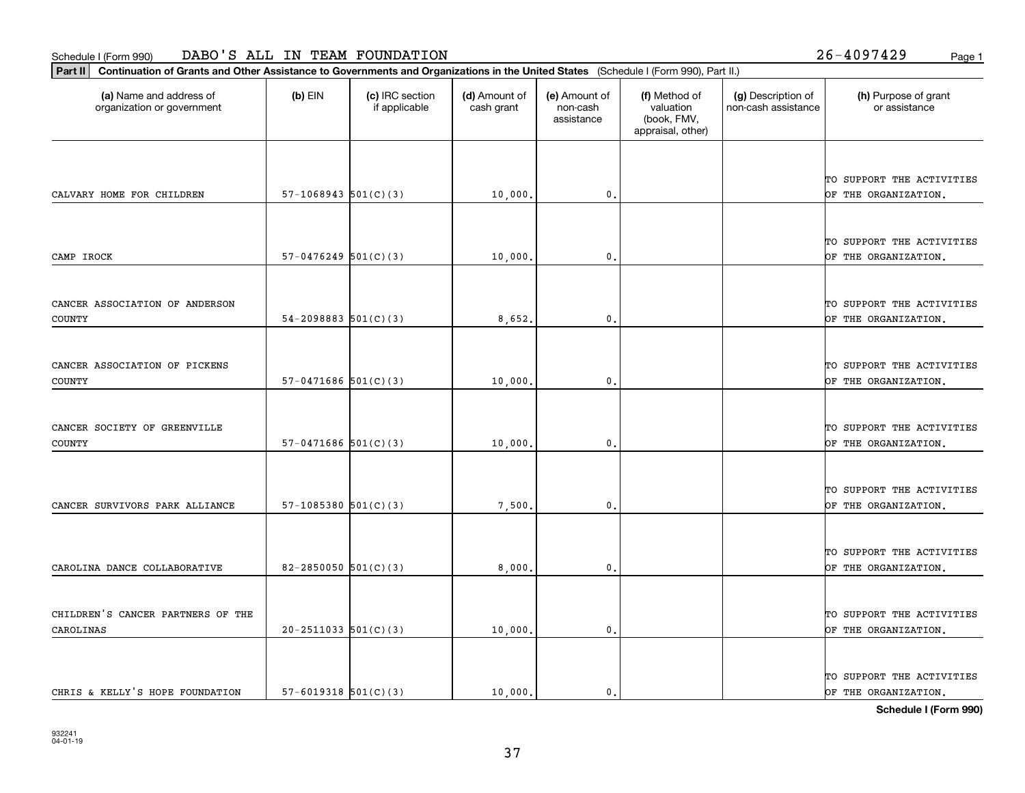**Part II Continuation of Grants and Other Assistance to Governments and Organizations in the United States**  (Schedule I (Form 990), Part II.)

| (a) Name and address of<br>organization or government | $(b)$ EIN                  | (c) IRC section<br>if applicable | (d) Amount of<br>cash grant | (e) Amount of<br>non-cash<br>assistance | (f) Method of<br>valuation<br>(book, FMV,<br>appraisal, other) | (g) Description of<br>non-cash assistance | (h) Purpose of grant<br>or assistance             |
|-------------------------------------------------------|----------------------------|----------------------------------|-----------------------------|-----------------------------------------|----------------------------------------------------------------|-------------------------------------------|---------------------------------------------------|
| CALVARY HOME FOR CHILDREN                             | $57-1068943$ $501(C)(3)$   |                                  | 10,000                      | $\mathbf{0}$ .                          |                                                                |                                           | TO SUPPORT THE ACTIVITIES<br>OF THE ORGANIZATION. |
| CAMP IROCK                                            | $57-0476249$ $501(C)(3)$   |                                  | 10,000                      | $\mathsf{0}\,$ .                        |                                                                |                                           | TO SUPPORT THE ACTIVITIES<br>OF THE ORGANIZATION. |
| CANCER ASSOCIATION OF ANDERSON<br><b>COUNTY</b>       | $54 - 2098883$ $501(C)(3)$ |                                  | 8,652.                      | $\mathbf{0}$ .                          |                                                                |                                           | TO SUPPORT THE ACTIVITIES<br>OF THE ORGANIZATION. |
| CANCER ASSOCIATION OF PICKENS<br><b>COUNTY</b>        | $57-0471686$ $501(C)(3)$   |                                  | 10,000                      | $\mathbf{0}$ .                          |                                                                |                                           | TO SUPPORT THE ACTIVITIES<br>OF THE ORGANIZATION, |
| CANCER SOCIETY OF GREENVILLE<br>COUNTY                | $57-0471686$ $501(C)(3)$   |                                  | 10,000                      | $\mathbf{0}$ .                          |                                                                |                                           | TO SUPPORT THE ACTIVITIES<br>OF THE ORGANIZATION. |
| CANCER SURVIVORS PARK ALLIANCE                        | $57-1085380$ $501(C)(3)$   |                                  | 7,500                       | $\mathbf{0}$ .                          |                                                                |                                           | TO SUPPORT THE ACTIVITIES<br>OF THE ORGANIZATION. |
| CAROLINA DANCE COLLABORATIVE                          | $82 - 2850050$ $501(C)(3)$ |                                  | 8,000                       | 0.                                      |                                                                |                                           | TO SUPPORT THE ACTIVITIES<br>OF THE ORGANIZATION. |
| CHILDREN'S CANCER PARTNERS OF THE<br>CAROLINAS        | $20 - 2511033$ $501(C)(3)$ |                                  | 10,000                      | $\mathbf{0}$ .                          |                                                                |                                           | TO SUPPORT THE ACTIVITIES<br>OF THE ORGANIZATION, |
|                                                       |                            |                                  |                             |                                         |                                                                |                                           | TO SUPPORT THE ACTIVITIES                         |

**Schedule I (Form 990)**

CHRIS & KELLY'S HOPE FOUNDATION  $\begin{vmatrix} 57-6019318 & 501(C)(3) \end{vmatrix}$  10,000. 0. 0. 0.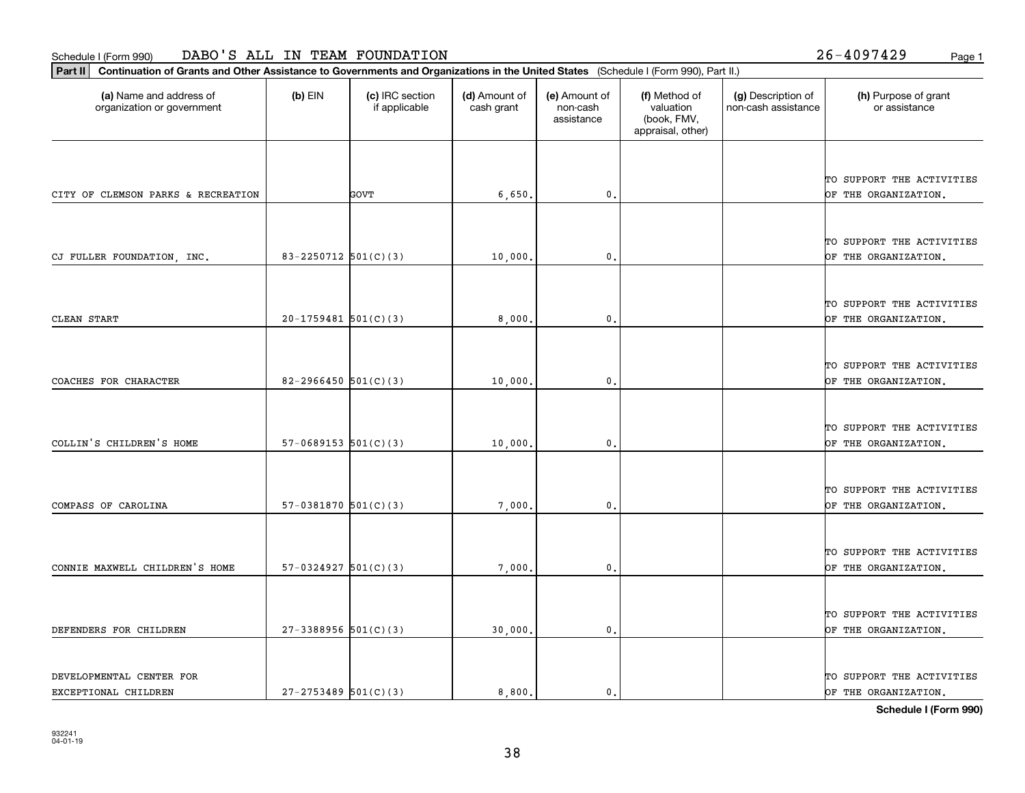**Part II Continuation of Grants and Other Assistance to Governments and Organizations in the United States**  (Schedule I (Form 990), Part II.)

| (a) Name and address of<br>organization or government | $(b)$ EIN                | (c) IRC section<br>if applicable | (d) Amount of<br>cash grant | (e) Amount of<br>non-cash<br>assistance | (f) Method of<br>valuation<br>(book, FMV,<br>appraisal, other) | (g) Description of<br>non-cash assistance | (h) Purpose of grant<br>or assistance |
|-------------------------------------------------------|--------------------------|----------------------------------|-----------------------------|-----------------------------------------|----------------------------------------------------------------|-------------------------------------------|---------------------------------------|
|                                                       |                          |                                  |                             |                                         |                                                                |                                           |                                       |
|                                                       |                          |                                  |                             |                                         |                                                                |                                           | TO SUPPORT THE ACTIVITIES             |
| CITY OF CLEMSON PARKS & RECREATION                    |                          | <b>GOVT</b>                      | 6,650                       | $\mathbf{0}$                            |                                                                |                                           | OF THE ORGANIZATION.                  |
|                                                       |                          |                                  |                             |                                         |                                                                |                                           |                                       |
|                                                       |                          |                                  |                             |                                         |                                                                |                                           | TO SUPPORT THE ACTIVITIES             |
| CJ FULLER FOUNDATION, INC.                            | 83-2250712 $501(C)(3)$   |                                  | 10,000.                     | $\mathbf{0}$ .                          |                                                                |                                           | OF THE ORGANIZATION.                  |
|                                                       |                          |                                  |                             |                                         |                                                                |                                           |                                       |
|                                                       |                          |                                  |                             |                                         |                                                                |                                           | TO SUPPORT THE ACTIVITIES             |
| CLEAN START                                           | $20-1759481$ 501(C)(3)   |                                  | 8,000                       | $\mathbf{0}$                            |                                                                |                                           | OF THE ORGANIZATION.                  |
|                                                       |                          |                                  |                             |                                         |                                                                |                                           |                                       |
|                                                       |                          |                                  |                             |                                         |                                                                |                                           | TO SUPPORT THE ACTIVITIES             |
| COACHES FOR CHARACTER                                 | 82-2966450 $501(C)(3)$   |                                  | 10,000.                     | $\mathbf{0}$ .                          |                                                                |                                           | OF THE ORGANIZATION.                  |
|                                                       |                          |                                  |                             |                                         |                                                                |                                           |                                       |
|                                                       |                          |                                  |                             |                                         |                                                                |                                           | TO SUPPORT THE ACTIVITIES             |
| COLLIN'S CHILDREN'S HOME                              | $57-0689153$ $501(C)(3)$ |                                  | 10,000                      | 0.                                      |                                                                |                                           | OF THE ORGANIZATION.                  |
|                                                       |                          |                                  |                             |                                         |                                                                |                                           |                                       |
|                                                       |                          |                                  |                             |                                         |                                                                |                                           | TO SUPPORT THE ACTIVITIES             |
| COMPASS OF CAROLINA                                   | 57-0381870 $501(C)(3)$   |                                  | 7,000.                      | $\mathfrak{o}$ .                        |                                                                |                                           | OF THE ORGANIZATION.                  |
|                                                       |                          |                                  |                             |                                         |                                                                |                                           |                                       |
|                                                       |                          |                                  |                             |                                         |                                                                |                                           | TO SUPPORT THE ACTIVITIES             |
| CONNIE MAXWELL CHILDREN'S HOME                        | $57-0324927$ $501(C)(3)$ |                                  | 7,000.                      | $\mathfrak{o}$ .                        |                                                                |                                           | OF THE ORGANIZATION.                  |
|                                                       |                          |                                  |                             |                                         |                                                                |                                           |                                       |
|                                                       |                          |                                  |                             |                                         |                                                                |                                           | TO SUPPORT THE ACTIVITIES             |
| DEFENDERS FOR CHILDREN                                | $27-3388956$ 501(C)(3)   |                                  | 30,000                      | $\mathbf{0}$ .                          |                                                                |                                           | OF THE ORGANIZATION.                  |
|                                                       |                          |                                  |                             |                                         |                                                                |                                           |                                       |
| DEVELOPMENTAL CENTER FOR                              |                          |                                  |                             |                                         |                                                                |                                           | TO SUPPORT THE ACTIVITIES             |
| EXCEPTIONAL CHILDREN                                  | $27 - 2753489$ 501(C)(3) |                                  | 8,800.                      | 0.                                      |                                                                |                                           | OF THE ORGANIZATION.                  |

⊤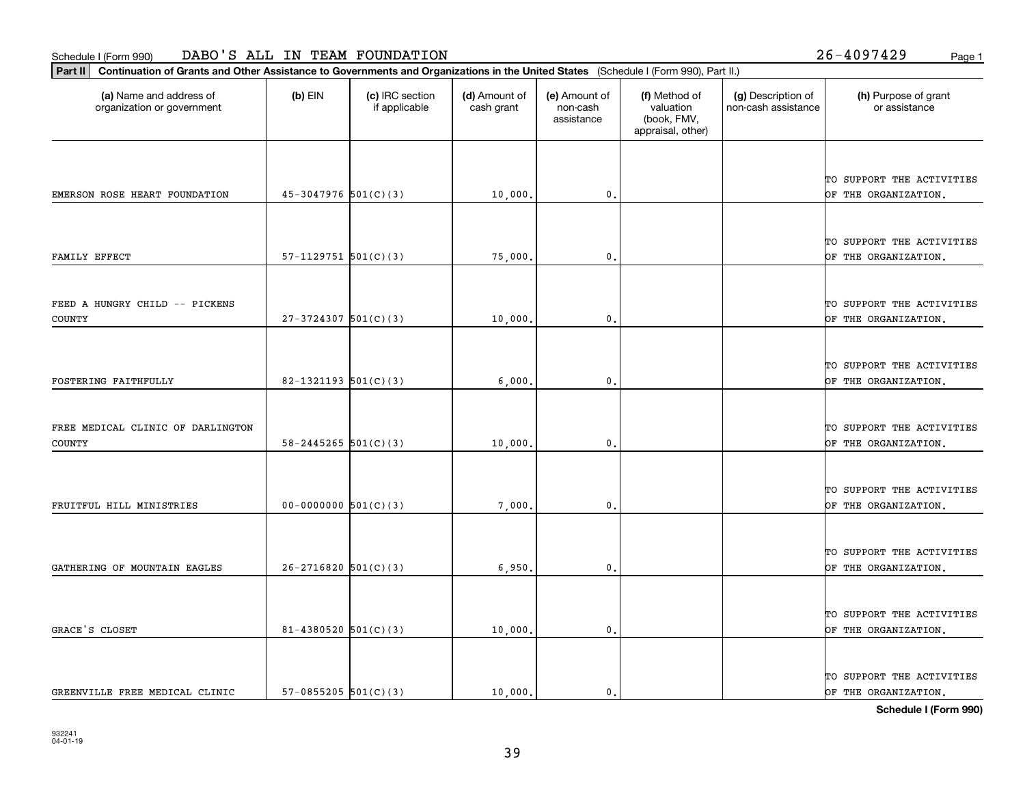| Continuation of Grants and Other Assistance to Governments and Organizations in the United States (Schedule I (Form 990), Part II.)<br>  Part II |                            |                                  |                             |                                         |                                                                |                                           |                                                   |
|--------------------------------------------------------------------------------------------------------------------------------------------------|----------------------------|----------------------------------|-----------------------------|-----------------------------------------|----------------------------------------------------------------|-------------------------------------------|---------------------------------------------------|
| (a) Name and address of<br>organization or government                                                                                            | $(b)$ EIN                  | (c) IRC section<br>if applicable | (d) Amount of<br>cash grant | (e) Amount of<br>non-cash<br>assistance | (f) Method of<br>valuation<br>(book, FMV,<br>appraisal, other) | (g) Description of<br>non-cash assistance | (h) Purpose of grant<br>or assistance             |
|                                                                                                                                                  |                            |                                  |                             |                                         |                                                                |                                           |                                                   |
|                                                                                                                                                  |                            |                                  |                             |                                         |                                                                |                                           | TO SUPPORT THE ACTIVITIES                         |
| EMERSON ROSE HEART FOUNDATION                                                                                                                    | $45-3047976$ 501(C)(3)     |                                  | 10,000                      | 0.                                      |                                                                |                                           | OF THE ORGANIZATION.                              |
|                                                                                                                                                  |                            |                                  |                             |                                         |                                                                |                                           |                                                   |
|                                                                                                                                                  |                            |                                  |                             |                                         |                                                                |                                           | TO SUPPORT THE ACTIVITIES                         |
| FAMILY EFFECT                                                                                                                                    | $57-1129751$ $501(C)(3)$   |                                  | 75,000                      | $\mathbf{0}$                            |                                                                |                                           | OF THE ORGANIZATION.                              |
|                                                                                                                                                  |                            |                                  |                             |                                         |                                                                |                                           |                                                   |
| FEED A HUNGRY CHILD -- PICKENS                                                                                                                   |                            |                                  |                             |                                         |                                                                |                                           | TO SUPPORT THE ACTIVITIES                         |
| COUNTY                                                                                                                                           | $27-3724307$ 501(C)(3)     |                                  | 10,000                      | 0.                                      |                                                                |                                           | OF THE ORGANIZATION.                              |
|                                                                                                                                                  |                            |                                  |                             |                                         |                                                                |                                           |                                                   |
|                                                                                                                                                  |                            |                                  |                             |                                         |                                                                |                                           |                                                   |
|                                                                                                                                                  | $82 - 1321193$ 501(C)(3)   |                                  |                             | $\mathbf{0}$ .                          |                                                                |                                           | TO SUPPORT THE ACTIVITIES<br>OF THE ORGANIZATION. |
| FOSTERING FAITHFULLY                                                                                                                             |                            |                                  | 6,000                       |                                         |                                                                |                                           |                                                   |
|                                                                                                                                                  |                            |                                  |                             |                                         |                                                                |                                           |                                                   |
| FREE MEDICAL CLINIC OF DARLINGTON                                                                                                                |                            |                                  |                             |                                         |                                                                |                                           | TO SUPPORT THE ACTIVITIES                         |
| COUNTY                                                                                                                                           | $58 - 2445265$ $501(C)(3)$ |                                  | 10,000                      | $\mathbf{0}$ .                          |                                                                |                                           | OF THE ORGANIZATION.                              |
|                                                                                                                                                  |                            |                                  |                             |                                         |                                                                |                                           |                                                   |
|                                                                                                                                                  |                            |                                  |                             |                                         |                                                                |                                           | TO SUPPORT THE ACTIVITIES                         |
| FRUITFUL HILL MINISTRIES                                                                                                                         | $00-0000000$ $501(C)(3)$   |                                  | 7,000                       | $\mathfrak{o}$ .                        |                                                                |                                           | OF THE ORGANIZATION.                              |
|                                                                                                                                                  |                            |                                  |                             |                                         |                                                                |                                           |                                                   |
|                                                                                                                                                  |                            |                                  |                             |                                         |                                                                |                                           | TO SUPPORT THE ACTIVITIES                         |
| GATHERING OF MOUNTAIN EAGLES                                                                                                                     | $26 - 2716820$ 501(C)(3)   |                                  | 6,950                       | 0.                                      |                                                                |                                           | OF THE ORGANIZATION.                              |
|                                                                                                                                                  |                            |                                  |                             |                                         |                                                                |                                           |                                                   |
|                                                                                                                                                  |                            |                                  |                             |                                         |                                                                |                                           | TO SUPPORT THE ACTIVITIES                         |
| GRACE'S CLOSET                                                                                                                                   | $81 - 4380520$ 501(C)(3)   |                                  | 10,000                      | 0.                                      |                                                                |                                           | OF THE ORGANIZATION.                              |

TO SUPPORT THE ACTIVITIES GREENVILLE FREE MEDICAL CLINIC  $\begin{vmatrix} 57-0855205 & 501(C)(3) \end{vmatrix}$  10,000. 0. 0. 0.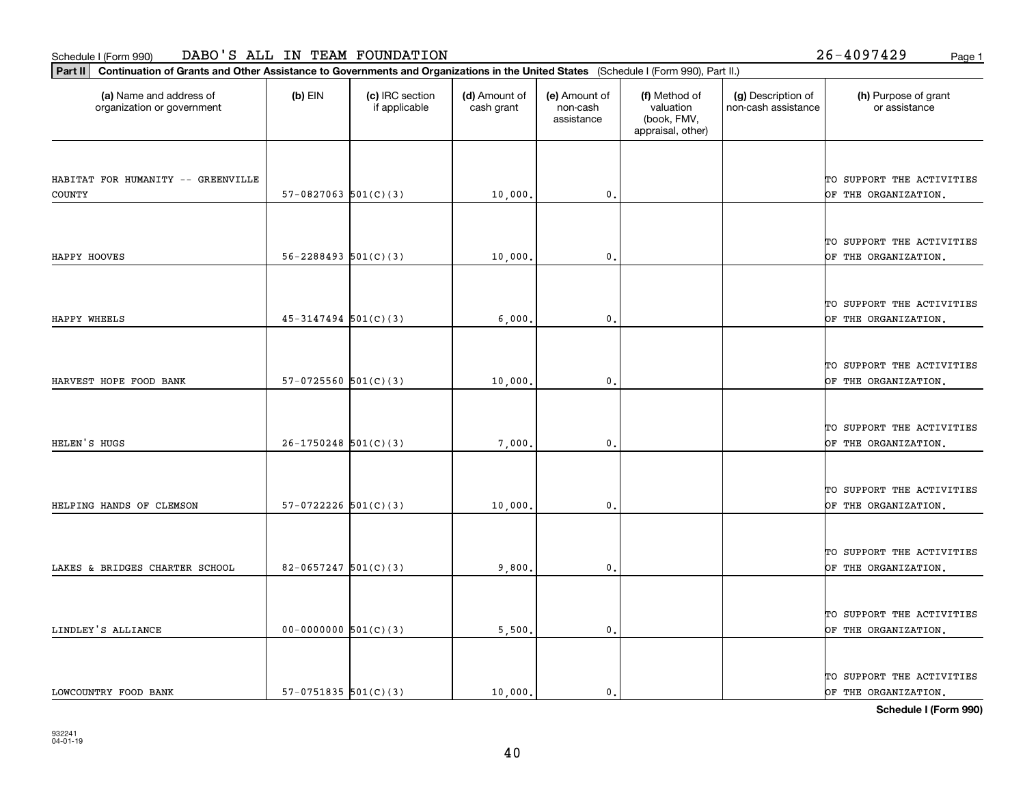**Part II Continuation of Grants and Other Assistance to Governments and Organizations in the United States**  (Schedule I (Form 990), Part II.)

| (a) Name and address of<br>organization or government | $(b)$ EIN                  | (c) IRC section<br>if applicable | (d) Amount of<br>cash grant | (e) Amount of<br>non-cash<br>assistance | (f) Method of<br>valuation<br>(book, FMV,<br>appraisal, other) | (g) Description of<br>non-cash assistance | (h) Purpose of grant<br>or assistance             |
|-------------------------------------------------------|----------------------------|----------------------------------|-----------------------------|-----------------------------------------|----------------------------------------------------------------|-------------------------------------------|---------------------------------------------------|
|                                                       |                            |                                  |                             |                                         |                                                                |                                           |                                                   |
| HABITAT FOR HUMANITY -- GREENVILLE<br>COUNTY          | $57-0827063$ $501(C)(3)$   |                                  | 10,000                      | $\mathbf{0}$ .                          |                                                                |                                           | TO SUPPORT THE ACTIVITIES<br>OF THE ORGANIZATION. |
|                                                       |                            |                                  |                             |                                         |                                                                |                                           |                                                   |
| HAPPY HOOVES                                          | $56 - 2288493$ $501(C)(3)$ |                                  | 10,000                      | $\mathbf{0}$                            |                                                                |                                           | TO SUPPORT THE ACTIVITIES<br>OF THE ORGANIZATION. |
|                                                       |                            |                                  |                             |                                         |                                                                |                                           |                                                   |
| HAPPY WHEELS                                          | $45-3147494$ $501(C)(3)$   |                                  | 6,000                       | $\mathbf{0}$                            |                                                                |                                           | TO SUPPORT THE ACTIVITIES<br>OF THE ORGANIZATION, |
|                                                       |                            |                                  |                             |                                         |                                                                |                                           |                                                   |
| HARVEST HOPE FOOD BANK                                | $57-0725560$ $501(C)(3)$   |                                  | 10,000.                     | $\mathbf{0}$                            |                                                                |                                           | TO SUPPORT THE ACTIVITIES<br>OF THE ORGANIZATION. |
|                                                       |                            |                                  |                             |                                         |                                                                |                                           |                                                   |
| HELEN'S HUGS                                          | $26-1750248$ 501(C)(3)     |                                  | 7,000                       | $\mathbf{0}$ .                          |                                                                |                                           | TO SUPPORT THE ACTIVITIES<br>OF THE ORGANIZATION. |
|                                                       |                            |                                  |                             |                                         |                                                                |                                           |                                                   |
| HELPING HANDS OF CLEMSON                              | $57-0722226$ $501(C)(3)$   |                                  | 10,000                      | 0.                                      |                                                                |                                           | TO SUPPORT THE ACTIVITIES<br>OF THE ORGANIZATION. |
|                                                       |                            |                                  |                             |                                         |                                                                |                                           |                                                   |
| LAKES & BRIDGES CHARTER SCHOOL                        | $82-0657247$ 501(C)(3)     |                                  | 9,800                       | $\mathbf{0}$ .                          |                                                                |                                           | TO SUPPORT THE ACTIVITIES<br>OF THE ORGANIZATION. |
|                                                       |                            |                                  |                             |                                         |                                                                |                                           |                                                   |
| LINDLEY'S ALLIANCE                                    | $00-0000000$ $501(C)(3)$   |                                  | 5,500.                      | $\mathbf{0}$ .                          |                                                                |                                           | TO SUPPORT THE ACTIVITIES<br>OF THE ORGANIZATION, |
|                                                       |                            |                                  |                             |                                         |                                                                |                                           |                                                   |
| LOWCOUNTRY FOOD BANK                                  | $57-0751835$ $501(C)(3)$   |                                  | 10,000.                     | $\mathbf{0}$ .                          |                                                                |                                           | TO SUPPORT THE ACTIVITIES<br>OF THE ORGANIZATION. |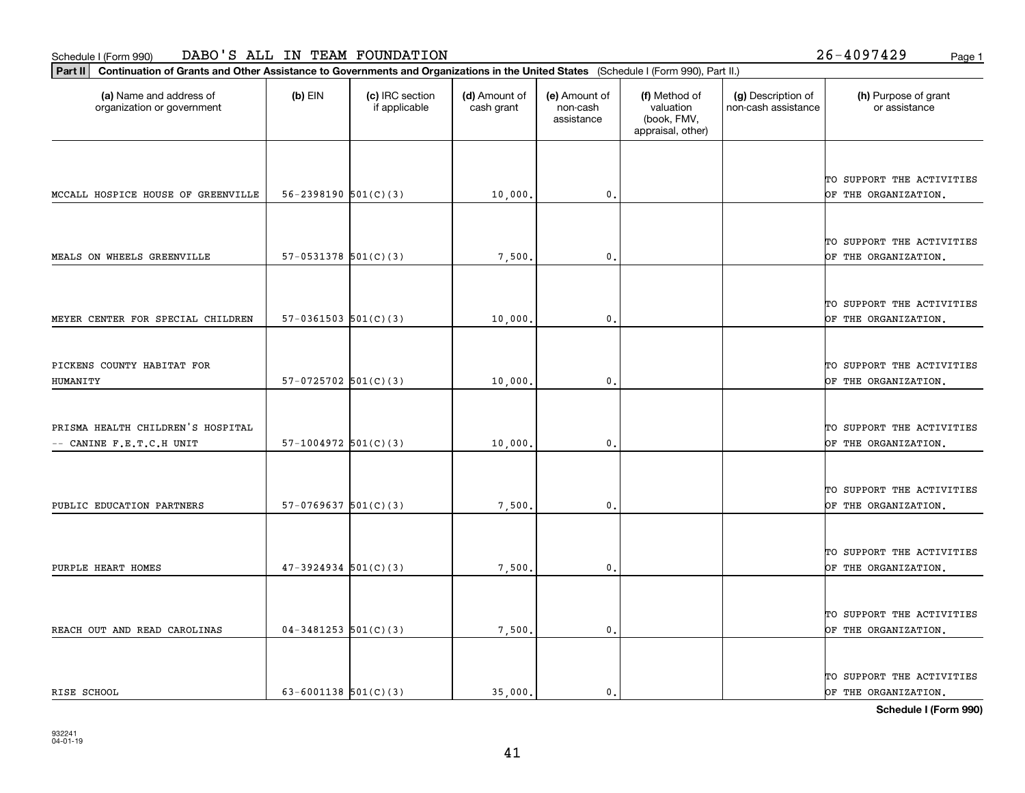**Part II Continuation of Grants and Other Assistance to Governments and Organizations in the United States**  (Schedule I (Form 990), Part II.)

| (a) Name and address of<br>organization or government | $(b)$ EIN                  | (c) IRC section<br>if applicable | (d) Amount of<br>cash grant | (e) Amount of<br>non-cash<br>assistance | (f) Method of<br>valuation<br>(book, FMV,<br>appraisal, other) | (g) Description of<br>non-cash assistance | (h) Purpose of grant<br>or assistance             |
|-------------------------------------------------------|----------------------------|----------------------------------|-----------------------------|-----------------------------------------|----------------------------------------------------------------|-------------------------------------------|---------------------------------------------------|
|                                                       |                            |                                  |                             |                                         |                                                                |                                           |                                                   |
|                                                       |                            |                                  |                             |                                         |                                                                |                                           | TO SUPPORT THE ACTIVITIES                         |
| MCCALL HOSPICE HOUSE OF GREENVILLE                    | $56 - 2398190$ $501(C)(3)$ |                                  | 10,000.                     | 0.                                      |                                                                |                                           | OF THE ORGANIZATION.                              |
|                                                       |                            |                                  |                             |                                         |                                                                |                                           |                                                   |
| MEALS ON WHEELS GREENVILLE                            | $57-0531378$ $501(C)(3)$   |                                  | 7,500.                      | 0.                                      |                                                                |                                           | TO SUPPORT THE ACTIVITIES<br>OF THE ORGANIZATION. |
|                                                       |                            |                                  |                             |                                         |                                                                |                                           |                                                   |
| MEYER CENTER FOR SPECIAL CHILDREN                     | $57-0361503$ $501(C)(3)$   |                                  | 10,000.                     | 0.                                      |                                                                |                                           | TO SUPPORT THE ACTIVITIES<br>OF THE ORGANIZATION. |
|                                                       |                            |                                  |                             |                                         |                                                                |                                           |                                                   |
| PICKENS COUNTY HABITAT FOR                            |                            |                                  |                             |                                         |                                                                |                                           | TO SUPPORT THE ACTIVITIES                         |
| HUMANITY                                              | $57-0725702$ 501(C)(3)     |                                  | 10,000                      | $\mathbf{0}$                            |                                                                |                                           | OF THE ORGANIZATION.                              |
| PRISMA HEALTH CHILDREN'S HOSPITAL                     |                            |                                  |                             |                                         |                                                                |                                           | TO SUPPORT THE ACTIVITIES                         |
| -- CANINE F.E.T.C.H UNIT                              | $57-1004972$ $501(C)(3)$   |                                  | 10,000                      | 0.                                      |                                                                |                                           | OF THE ORGANIZATION.                              |
|                                                       |                            |                                  |                             |                                         |                                                                |                                           |                                                   |
| PUBLIC EDUCATION PARTNERS                             | $57-0769637$ $501(C)(3)$   |                                  | 7,500.                      | $\mathbf{0}$ .                          |                                                                |                                           | TO SUPPORT THE ACTIVITIES<br>OF THE ORGANIZATION. |
|                                                       |                            |                                  |                             |                                         |                                                                |                                           |                                                   |
| PURPLE HEART HOMES                                    | $47-3924934$ 501(C)(3)     |                                  | 7,500,                      | 0.                                      |                                                                |                                           | TO SUPPORT THE ACTIVITIES<br>OF THE ORGANIZATION. |
|                                                       |                            |                                  |                             |                                         |                                                                |                                           |                                                   |
| REACH OUT AND READ CAROLINAS                          | $04-3481253$ 501(C)(3)     |                                  | 7,500.                      | 0.                                      |                                                                |                                           | TO SUPPORT THE ACTIVITIES<br>OF THE ORGANIZATION. |
|                                                       |                            |                                  |                             |                                         |                                                                |                                           |                                                   |
| RISE SCHOOL                                           | $63 - 6001138$ $501(C)(3)$ |                                  | 35,000.                     | $\mathbf{0}$ .                          |                                                                |                                           | TO SUPPORT THE ACTIVITIES<br>OF THE ORGANIZATION. |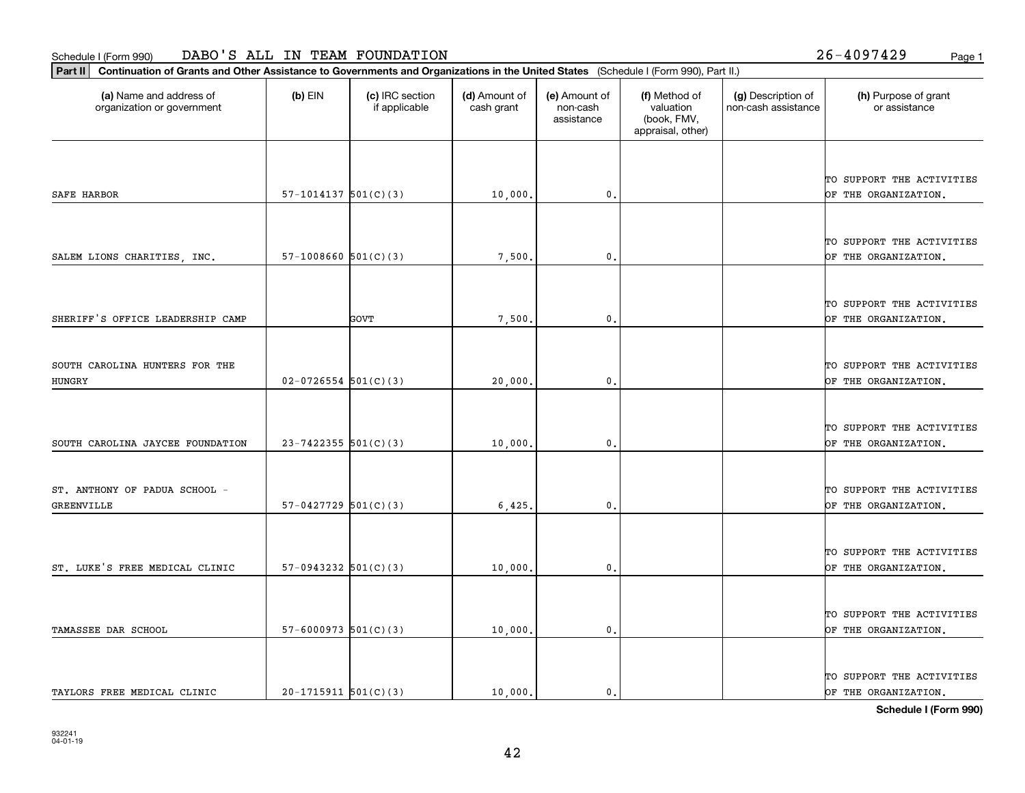**Part II Continuation of Grants and Other Assistance to Governments and Organizations in the United States**  (Schedule I (Form 990), Part II.)

| (a) Name and address of<br>organization or government | $(b)$ EIN                  | (c) IRC section<br>if applicable | (d) Amount of<br>cash grant | (e) Amount of<br>non-cash<br>assistance | (f) Method of<br>valuation<br>(book, FMV,<br>appraisal, other) | (g) Description of<br>non-cash assistance | (h) Purpose of grant<br>or assistance             |
|-------------------------------------------------------|----------------------------|----------------------------------|-----------------------------|-----------------------------------------|----------------------------------------------------------------|-------------------------------------------|---------------------------------------------------|
|                                                       |                            |                                  |                             |                                         |                                                                |                                           |                                                   |
| SAFE HARBOR                                           | $57-1014137$ $501(C)(3)$   |                                  | 10,000                      | 0.                                      |                                                                |                                           | TO SUPPORT THE ACTIVITIES<br>OF THE ORGANIZATION. |
|                                                       |                            |                                  |                             |                                         |                                                                |                                           |                                                   |
| SALEM LIONS CHARITIES, INC.                           | $57-1008660$ $501(C)(3)$   |                                  | 7,500                       | 0.                                      |                                                                |                                           | TO SUPPORT THE ACTIVITIES<br>OF THE ORGANIZATION. |
|                                                       |                            |                                  |                             |                                         |                                                                |                                           |                                                   |
| SHERIFF'S OFFICE LEADERSHIP CAMP                      |                            | <b>GOVT</b>                      | 7,500                       | 0.                                      |                                                                |                                           | TO SUPPORT THE ACTIVITIES<br>OF THE ORGANIZATION. |
|                                                       |                            |                                  |                             |                                         |                                                                |                                           |                                                   |
| SOUTH CAROLINA HUNTERS FOR THE<br><b>HUNGRY</b>       | $02 - 0726554$ 501(C)(3)   |                                  | 20,000                      | 0.                                      |                                                                |                                           | TO SUPPORT THE ACTIVITIES<br>OF THE ORGANIZATION. |
|                                                       |                            |                                  |                             |                                         |                                                                |                                           |                                                   |
| SOUTH CAROLINA JAYCEE FOUNDATION                      | $23 - 7422355$ 501(C)(3)   |                                  | 10,000                      | 0.                                      |                                                                |                                           | TO SUPPORT THE ACTIVITIES<br>OF THE ORGANIZATION. |
|                                                       |                            |                                  |                             |                                         |                                                                |                                           |                                                   |
| ST. ANTHONY OF PADUA SCHOOL -<br><b>GREENVILLE</b>    | $57-0427729$ 501(C)(3)     |                                  | 6,425                       | 0.                                      |                                                                |                                           | TO SUPPORT THE ACTIVITIES<br>OF THE ORGANIZATION. |
|                                                       |                            |                                  |                             |                                         |                                                                |                                           |                                                   |
| ST. LUKE'S FREE MEDICAL CLINIC                        | $57-0943232$ $501(C)(3)$   |                                  | 10,000                      | $\mathfrak o$ .                         |                                                                |                                           | TO SUPPORT THE ACTIVITIES<br>OF THE ORGANIZATION. |
|                                                       |                            |                                  |                             |                                         |                                                                |                                           |                                                   |
| TAMASSEE DAR SCHOOL                                   | $57 - 6000973$ $501(C)(3)$ |                                  | 10,000                      | 0.                                      |                                                                |                                           | TO SUPPORT THE ACTIVITIES<br>OF THE ORGANIZATION. |
|                                                       |                            |                                  |                             |                                         |                                                                |                                           |                                                   |
|                                                       |                            |                                  |                             |                                         |                                                                |                                           | TO SUPPORT THE ACTIVITIES                         |

**Schedule I (Form 990)**

TAYLORS FREE MEDICAL CLINIC  $\begin{vmatrix} 20-1715911 & 501(C)(3) \end{vmatrix}$  10,000. 0. 0.  $\begin{vmatrix} 0 & 0 \end{vmatrix}$   $\begin{vmatrix} 0 & 0 \end{vmatrix}$   $\begin{vmatrix} 0 & 0 \end{vmatrix}$   $\begin{vmatrix} 0 & 0 \end{vmatrix}$   $\begin{vmatrix} 0 & 0 \end{vmatrix}$   $\begin{vmatrix} 0 & 0 \end{vmatrix}$   $\begin{vmatrix} 0 & 0 \end{vmatrix}$   $\begin{$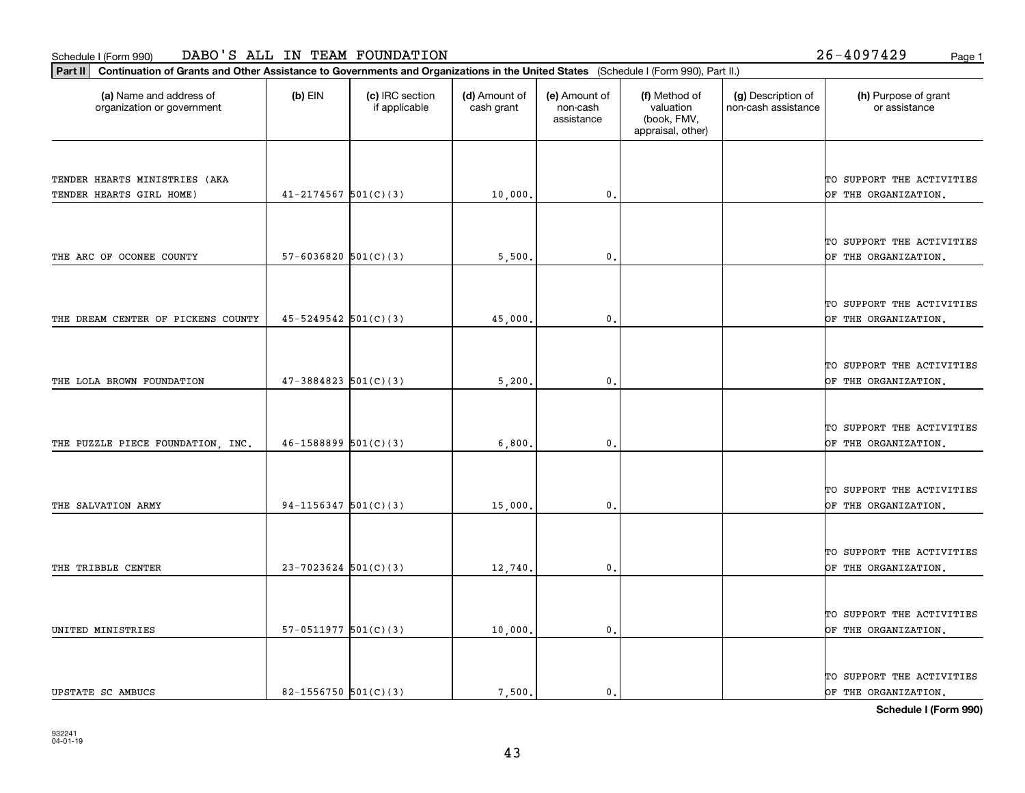**Part II Continuation of Grants and Other Assistance to Governments and Organizations in the United States**  (Schedule I (Form 990), Part II.)

| (a) Name and address of<br>organization or government | $(b)$ EIN                  | (c) IRC section<br>if applicable | (d) Amount of<br>cash grant | (e) Amount of<br>non-cash<br>assistance | (f) Method of<br>valuation<br>(book, FMV,<br>appraisal, other) | (g) Description of<br>non-cash assistance | (h) Purpose of grant<br>or assistance |
|-------------------------------------------------------|----------------------------|----------------------------------|-----------------------------|-----------------------------------------|----------------------------------------------------------------|-------------------------------------------|---------------------------------------|
|                                                       |                            |                                  |                             |                                         |                                                                |                                           |                                       |
| TENDER HEARTS MINISTRIES (AKA                         |                            |                                  |                             |                                         |                                                                |                                           | TO SUPPORT THE ACTIVITIES             |
| TENDER HEARTS GIRL HOME)                              | $41 - 2174567$ 501(C)(3)   |                                  | 10,000.                     | $\mathfrak{o}$ .                        |                                                                |                                           | OF THE ORGANIZATION.                  |
|                                                       |                            |                                  |                             |                                         |                                                                |                                           |                                       |
|                                                       |                            |                                  |                             |                                         |                                                                |                                           | TO SUPPORT THE ACTIVITIES             |
| THE ARC OF OCONEE COUNTY                              | $57 - 6036820$ $501(C)(3)$ |                                  | 5,500.                      | 0.                                      |                                                                |                                           | OF THE ORGANIZATION.                  |
|                                                       |                            |                                  |                             |                                         |                                                                |                                           |                                       |
|                                                       |                            |                                  |                             |                                         |                                                                |                                           | TO SUPPORT THE ACTIVITIES             |
| THE DREAM CENTER OF PICKENS COUNTY                    | $45 - 5249542$ $501(C)(3)$ |                                  | 45,000                      | $\mathbf{0}$                            |                                                                |                                           | OF THE ORGANIZATION.                  |
|                                                       |                            |                                  |                             |                                         |                                                                |                                           |                                       |
|                                                       |                            |                                  |                             |                                         |                                                                |                                           | TO SUPPORT THE ACTIVITIES             |
| THE LOLA BROWN FOUNDATION                             | $47 - 3884823$ 501(C)(3)   |                                  | 5,200                       | 0.                                      |                                                                |                                           | OF THE ORGANIZATION.                  |
|                                                       |                            |                                  |                             |                                         |                                                                |                                           |                                       |
|                                                       |                            |                                  |                             |                                         |                                                                |                                           | TO SUPPORT THE ACTIVITIES             |
| THE PUZZLE PIECE FOUNDATION, INC.                     | $46 - 1588899$ $501(C)(3)$ |                                  | 6,800                       | $\mathbf{0}$                            |                                                                |                                           | OF THE ORGANIZATION.                  |
|                                                       |                            |                                  |                             |                                         |                                                                |                                           |                                       |
|                                                       |                            |                                  |                             |                                         |                                                                |                                           | TO SUPPORT THE ACTIVITIES             |
| THE SALVATION ARMY                                    | 94-1156347 $501(C)(3)$     |                                  | 15,000                      | $\mathbf{0}$                            |                                                                |                                           | OF THE ORGANIZATION.                  |
|                                                       |                            |                                  |                             |                                         |                                                                |                                           |                                       |
|                                                       |                            |                                  |                             |                                         |                                                                |                                           | TO SUPPORT THE ACTIVITIES             |
| THE TRIBBLE CENTER                                    | $23 - 7023624$ 501(C)(3)   |                                  | 12,740.                     | 0.                                      |                                                                |                                           | OF THE ORGANIZATION.                  |
|                                                       |                            |                                  |                             |                                         |                                                                |                                           |                                       |
|                                                       |                            |                                  |                             |                                         |                                                                |                                           | TO SUPPORT THE ACTIVITIES             |
| UNITED MINISTRIES                                     | $57-0511977$ $501(C)(3)$   |                                  | 10,000.                     | $\mathfrak{o}$ .                        |                                                                |                                           | OF THE ORGANIZATION.                  |
|                                                       |                            |                                  |                             |                                         |                                                                |                                           |                                       |
|                                                       |                            |                                  |                             |                                         |                                                                |                                           | TO SUPPORT THE ACTIVITIES             |

⊤

UPSTATE SC AMBUCS 82-1556750 501(C)(3) 7,500. 0. OF THE ORGANIZATION.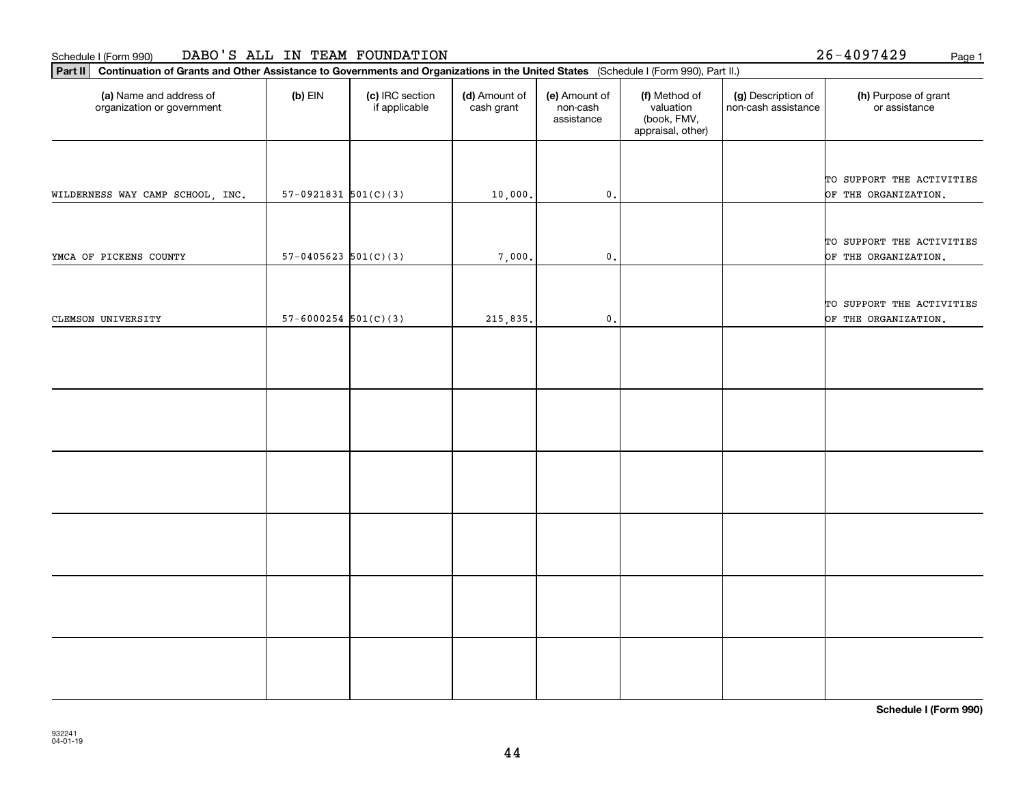**Part II Continuation of Grants and Other Assistance to Governments and Organizations in the United States**  (Schedule I (Form 990), Part II.)

932241 04-01-19

| (a) Name and address of<br>organization or government | $(b)$ EIN                  | (c) IRC section<br>if applicable | (d) Amount of<br>cash grant | (e) Amount of<br>non-cash<br>assistance | (f) Method of<br>valuation<br>(book, FMV,<br>appraisal, other) | (g) Description of<br>non-cash assistance | (h) Purpose of grant<br>or assistance             |
|-------------------------------------------------------|----------------------------|----------------------------------|-----------------------------|-----------------------------------------|----------------------------------------------------------------|-------------------------------------------|---------------------------------------------------|
| WILDERNESS WAY CAMP SCHOOL, INC.                      | $57-0921831$ $501(C)(3)$   |                                  | 10,000.                     | $\mathfrak o$ .                         |                                                                |                                           | TO SUPPORT THE ACTIVITIES<br>OF THE ORGANIZATION. |
| YMCA OF PICKENS COUNTY                                | $57-0405623$ $501(C)(3)$   |                                  | 7,000.                      | $\mathfrak o$ .                         |                                                                |                                           | TO SUPPORT THE ACTIVITIES<br>OF THE ORGANIZATION. |
| CLEMSON UNIVERSITY                                    | $57 - 6000254$ $501(C)(3)$ |                                  | 215,835.                    | $\mathfrak o$ .                         |                                                                |                                           | TO SUPPORT THE ACTIVITIES<br>OF THE ORGANIZATION. |
|                                                       |                            |                                  |                             |                                         |                                                                |                                           |                                                   |
|                                                       |                            |                                  |                             |                                         |                                                                |                                           |                                                   |
|                                                       |                            |                                  |                             |                                         |                                                                |                                           |                                                   |
|                                                       |                            |                                  |                             |                                         |                                                                |                                           |                                                   |
|                                                       |                            |                                  |                             |                                         |                                                                |                                           |                                                   |
|                                                       |                            |                                  |                             |                                         |                                                                |                                           |                                                   |

26-4097429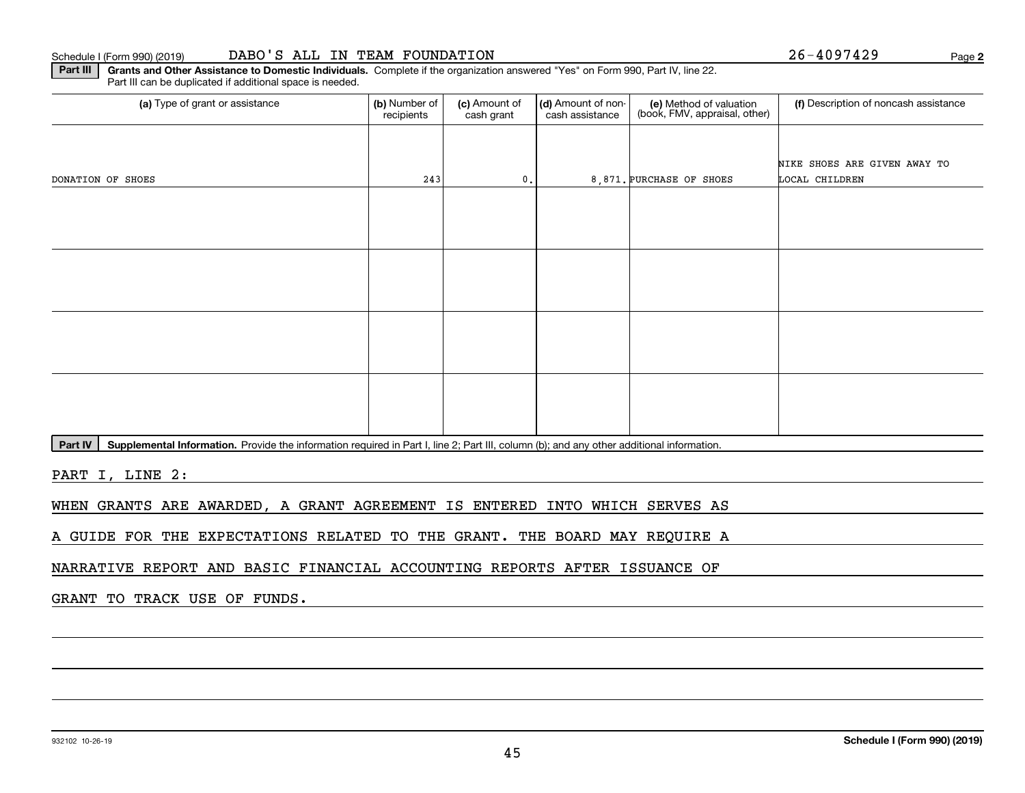#### Schedule I (Form 990) (2019) **DABO ' S ALL IN TEAM FOUNDATION** Page

**2**

**Part III | Grants and Other Assistance to Domestic Individuals. Complete if the organization answered "Yes" on Form 990, Part IV, line 22.** Part III can be duplicated if additional space is needed.

| (a) Type of grant or assistance | (b) Number of<br>recipients | (c) Amount of<br>cash grant | (d) Amount of non-<br>cash assistance | (e) Method of valuation<br>(book, FMV, appraisal, other) | (f) Description of noncash assistance |
|---------------------------------|-----------------------------|-----------------------------|---------------------------------------|----------------------------------------------------------|---------------------------------------|
|                                 |                             |                             |                                       |                                                          |                                       |
|                                 |                             |                             |                                       |                                                          | NIKE SHOES ARE GIVEN AWAY TO          |
| DONATION OF SHOES               | 243                         | $\mathbf 0$ .               |                                       | 8,871. PURCHASE OF SHOES                                 | LOCAL CHILDREN                        |
|                                 |                             |                             |                                       |                                                          |                                       |
|                                 |                             |                             |                                       |                                                          |                                       |
|                                 |                             |                             |                                       |                                                          |                                       |
|                                 |                             |                             |                                       |                                                          |                                       |
|                                 |                             |                             |                                       |                                                          |                                       |
|                                 |                             |                             |                                       |                                                          |                                       |
|                                 |                             |                             |                                       |                                                          |                                       |
|                                 |                             |                             |                                       |                                                          |                                       |
|                                 |                             |                             |                                       |                                                          |                                       |
|                                 |                             |                             |                                       |                                                          |                                       |
|                                 |                             |                             |                                       |                                                          |                                       |
|                                 |                             |                             |                                       |                                                          |                                       |

Part IV | Supplemental Information. Provide the information required in Part I, line 2; Part III, column (b); and any other additional information.

PART I, LINE 2:

WHEN GRANTS ARE AWARDED, A GRANT AGREEMENT IS ENTERED INTO WHICH SERVES AS

A GUIDE FOR THE EXPECTATIONS RELATED TO THE GRANT. THE BOARD MAY REQUIRE A

NARRATIVE REPORT AND BASIC FINANCIAL ACCOUNTING REPORTS AFTER ISSUANCE OF

GRANT TO TRACK USE OF FUNDS.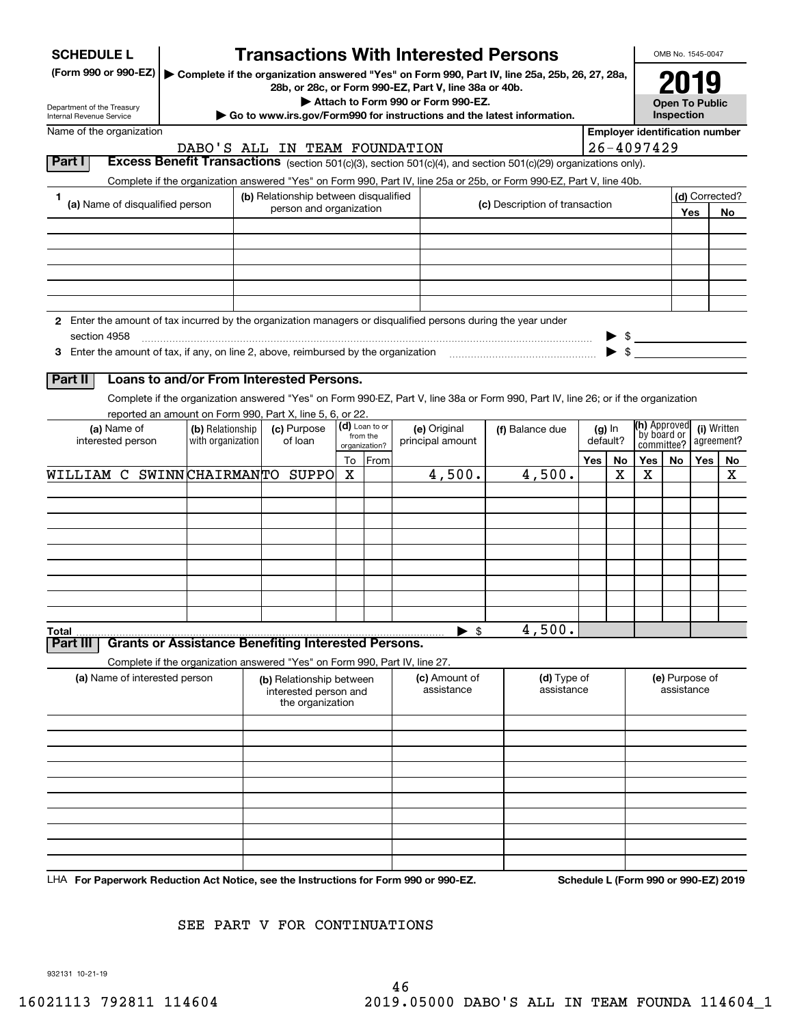| <b>SCHEDULE L</b>                                                                                                    |                   |                                       |                                                                            |         |                           |  | <b>Transactions With Interested Persons</b>           |  |                                                                                                                                    |                      |                          |                                      | OMB No. 1545-0047                       |     |                      |
|----------------------------------------------------------------------------------------------------------------------|-------------------|---------------------------------------|----------------------------------------------------------------------------|---------|---------------------------|--|-------------------------------------------------------|--|------------------------------------------------------------------------------------------------------------------------------------|----------------------|--------------------------|--------------------------------------|-----------------------------------------|-----|----------------------|
| (Form 990 or 990-EZ)   Complete if the organization answered "Yes" on Form 990, Part IV, line 25a, 25b, 26, 27, 28a, |                   |                                       |                                                                            |         |                           |  | 28b, or 28c, or Form 990-EZ, Part V, line 38a or 40b. |  |                                                                                                                                    |                      |                          |                                      |                                         |     |                      |
| Department of the Treasury<br>Internal Revenue Service                                                               |                   |                                       |                                                                            |         |                           |  | Attach to Form 990 or Form 990-EZ.                    |  | $\blacktriangleright$ Go to www.irs.gov/Form990 for instructions and the latest information.                                       |                      |                          |                                      | <b>Open To Public</b><br>Inspection     |     |                      |
| Name of the organization                                                                                             |                   | <b>Employer identification number</b> |                                                                            |         |                           |  |                                                       |  |                                                                                                                                    |                      |                          |                                      |                                         |     |                      |
|                                                                                                                      |                   |                                       | DABO'S ALL IN TEAM FOUNDATION                                              |         |                           |  |                                                       |  |                                                                                                                                    |                      |                          | $26 - 4097429$                       |                                         |     |                      |
| Part I                                                                                                               |                   |                                       |                                                                            |         |                           |  |                                                       |  | Excess Benefit Transactions (section 501(c)(3), section 501(c)(4), and section 501(c)(29) organizations only).                     |                      |                          |                                      |                                         |     |                      |
|                                                                                                                      |                   |                                       |                                                                            |         |                           |  |                                                       |  | Complete if the organization answered "Yes" on Form 990, Part IV, line 25a or 25b, or Form 990-EZ, Part V, line 40b.               |                      |                          |                                      |                                         |     |                      |
| 1.<br>(a) Name of disqualified person                                                                                |                   |                                       | (b) Relationship between disqualified<br>person and organization           |         |                           |  |                                                       |  | (c) Description of transaction                                                                                                     |                      |                          |                                      |                                         | Yes | (d) Corrected?<br>No |
|                                                                                                                      |                   |                                       |                                                                            |         |                           |  |                                                       |  |                                                                                                                                    |                      |                          |                                      |                                         |     |                      |
|                                                                                                                      |                   |                                       |                                                                            |         |                           |  |                                                       |  |                                                                                                                                    |                      |                          |                                      |                                         |     |                      |
|                                                                                                                      |                   |                                       |                                                                            |         |                           |  |                                                       |  |                                                                                                                                    |                      |                          |                                      |                                         |     |                      |
|                                                                                                                      |                   |                                       |                                                                            |         |                           |  |                                                       |  |                                                                                                                                    |                      |                          |                                      |                                         |     |                      |
| 2 Enter the amount of tax incurred by the organization managers or disqualified persons during the year under        |                   |                                       |                                                                            |         |                           |  |                                                       |  |                                                                                                                                    |                      |                          |                                      |                                         |     |                      |
| section 4958                                                                                                         |                   |                                       |                                                                            |         |                           |  |                                                       |  |                                                                                                                                    |                      | $\blacktriangleright$ \$ | $\bullet$ \$                         |                                         |     |                      |
|                                                                                                                      |                   |                                       |                                                                            |         |                           |  |                                                       |  |                                                                                                                                    |                      |                          |                                      |                                         |     |                      |
| Part II                                                                                                              |                   |                                       | Loans to and/or From Interested Persons.                                   |         |                           |  |                                                       |  |                                                                                                                                    |                      |                          |                                      |                                         |     |                      |
|                                                                                                                      |                   |                                       |                                                                            |         |                           |  |                                                       |  | Complete if the organization answered "Yes" on Form 990-EZ, Part V, line 38a or Form 990, Part IV, line 26; or if the organization |                      |                          |                                      |                                         |     |                      |
| (a) Name of                                                                                                          | (b) Relationship  |                                       | reported an amount on Form 990, Part X, line 5, 6, or 22.<br>(c) Purpose   |         | (d) Loan to or            |  | (e) Original                                          |  |                                                                                                                                    |                      |                          | (h) Approved                         |                                         |     | (i) Written          |
| interested person                                                                                                    | with organization |                                       | of loan                                                                    |         | from the<br>organization? |  | principal amount                                      |  | (f) Balance due                                                                                                                    | $(g)$ In<br>default? |                          |                                      | by board or<br>agreement?<br>committee? |     |                      |
| WILLIAM C SWINNCHAIRMANTO SUPPO                                                                                      |                   |                                       |                                                                            | To<br>x | From                      |  | 4,500.                                                |  | 4,500.                                                                                                                             | Yes                  | No<br>х                  | Yes<br>x                             | No                                      | Yes | No.<br>x             |
|                                                                                                                      |                   |                                       |                                                                            |         |                           |  |                                                       |  |                                                                                                                                    |                      |                          |                                      |                                         |     |                      |
|                                                                                                                      |                   |                                       |                                                                            |         |                           |  |                                                       |  |                                                                                                                                    |                      |                          |                                      |                                         |     |                      |
|                                                                                                                      |                   |                                       |                                                                            |         |                           |  |                                                       |  |                                                                                                                                    |                      |                          |                                      |                                         |     |                      |
|                                                                                                                      |                   |                                       |                                                                            |         |                           |  |                                                       |  |                                                                                                                                    |                      |                          |                                      |                                         |     |                      |
|                                                                                                                      |                   |                                       |                                                                            |         |                           |  |                                                       |  |                                                                                                                                    |                      |                          |                                      |                                         |     |                      |
|                                                                                                                      |                   |                                       |                                                                            |         |                           |  |                                                       |  |                                                                                                                                    |                      |                          |                                      |                                         |     |                      |
| Total                                                                                                                |                   |                                       |                                                                            |         |                           |  | $\blacktriangleright$ \$                              |  | 4,500.                                                                                                                             |                      |                          |                                      |                                         |     |                      |
| Part III                                                                                                             |                   |                                       | <b>Grants or Assistance Benefiting Interested Persons.</b>                 |         |                           |  |                                                       |  |                                                                                                                                    |                      |                          |                                      |                                         |     |                      |
|                                                                                                                      |                   |                                       | Complete if the organization answered "Yes" on Form 990, Part IV, line 27. |         |                           |  |                                                       |  |                                                                                                                                    |                      |                          |                                      |                                         |     |                      |
| (a) Name of interested person                                                                                        |                   |                                       | (b) Relationship between<br>interested person and<br>the organization      |         |                           |  | (c) Amount of<br>assistance                           |  | (d) Type of<br>assistance                                                                                                          |                      |                          |                                      | (e) Purpose of<br>assistance            |     |                      |
|                                                                                                                      |                   |                                       |                                                                            |         |                           |  |                                                       |  |                                                                                                                                    |                      |                          |                                      |                                         |     |                      |
|                                                                                                                      |                   |                                       |                                                                            |         |                           |  |                                                       |  |                                                                                                                                    |                      |                          |                                      |                                         |     |                      |
|                                                                                                                      |                   |                                       |                                                                            |         |                           |  |                                                       |  |                                                                                                                                    |                      |                          |                                      |                                         |     |                      |
|                                                                                                                      |                   |                                       |                                                                            |         |                           |  |                                                       |  |                                                                                                                                    |                      |                          |                                      |                                         |     |                      |
|                                                                                                                      |                   |                                       |                                                                            |         |                           |  |                                                       |  |                                                                                                                                    |                      |                          |                                      |                                         |     |                      |
|                                                                                                                      |                   |                                       |                                                                            |         |                           |  |                                                       |  |                                                                                                                                    |                      |                          |                                      |                                         |     |                      |
|                                                                                                                      |                   |                                       |                                                                            |         |                           |  |                                                       |  |                                                                                                                                    |                      |                          |                                      |                                         |     |                      |
| LHA For Paperwork Reduction Act Notice, see the Instructions for Form 990 or 990-EZ.                                 |                   |                                       |                                                                            |         |                           |  |                                                       |  |                                                                                                                                    |                      |                          | Schedule L (Form 990 or 990-EZ) 2019 |                                         |     |                      |

SEE PART V FOR CONTINUATIONS

932131 10-21-19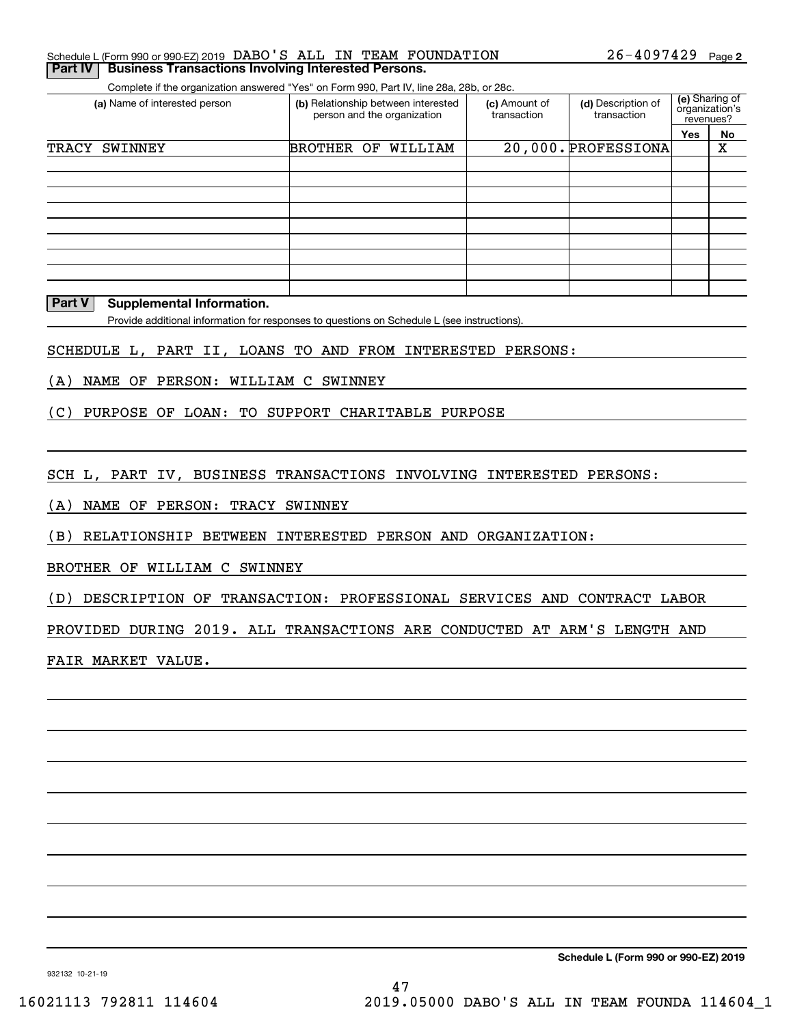| Schedule L (Form 990 or 990-EZ) 2019 DABO'S ALL IN TEAM FOUNDATION |  |  | $26 - 4097429$ Page 2 |  |
|--------------------------------------------------------------------|--|--|-----------------------|--|
| <b>Part IV Business Transactions Involving Interested Persons.</b> |  |  |                       |  |

Complete if the organization answered "Yes" on Form 990, Part IV, line 28a, 28b, or 28c.

| (a) Name of interested person |            | (b) Relationship between interested<br>person and the organization | (c) Amount of<br>transaction | (d) Description of<br>transaction | revenues? | (e) Sharing of<br>organization's |
|-------------------------------|------------|--------------------------------------------------------------------|------------------------------|-----------------------------------|-----------|----------------------------------|
|                               |            |                                                                    |                              |                                   | Yes       | No                               |
| <b>TRACY</b><br>SWINNEY       | BROTHER OF | WILLIAM                                                            |                              | 20,000. PROFESSIONA               |           | X                                |
|                               |            |                                                                    |                              |                                   |           |                                  |
|                               |            |                                                                    |                              |                                   |           |                                  |
|                               |            |                                                                    |                              |                                   |           |                                  |
|                               |            |                                                                    |                              |                                   |           |                                  |
|                               |            |                                                                    |                              |                                   |           |                                  |
|                               |            |                                                                    |                              |                                   |           |                                  |
|                               |            |                                                                    |                              |                                   |           |                                  |
|                               |            |                                                                    |                              |                                   |           |                                  |
|                               |            |                                                                    |                              |                                   |           |                                  |

#### **Part V Supplemental Information.**

Provide additional information for responses to questions on Schedule L (see instructions).

SCHEDULE L, PART II, LOANS TO AND FROM INTERESTED PERSONS:

(A) NAME OF PERSON: WILLIAM C SWINNEY

(C) PURPOSE OF LOAN: TO SUPPORT CHARITABLE PURPOSE

SCH L, PART IV, BUSINESS TRANSACTIONS INVOLVING INTERESTED PERSONS:

(A) NAME OF PERSON: TRACY SWINNEY

(B) RELATIONSHIP BETWEEN INTERESTED PERSON AND ORGANIZATION:

BROTHER OF WILLIAM C SWINNEY

(D) DESCRIPTION OF TRANSACTION: PROFESSIONAL SERVICES AND CONTRACT LABOR

PROVIDED DURING 2019. ALL TRANSACTIONS ARE CONDUCTED AT ARM'S LENGTH AND

FAIR MARKET VALUE.

**Schedule L (Form 990 or 990-EZ) 2019**

932132 10-21-19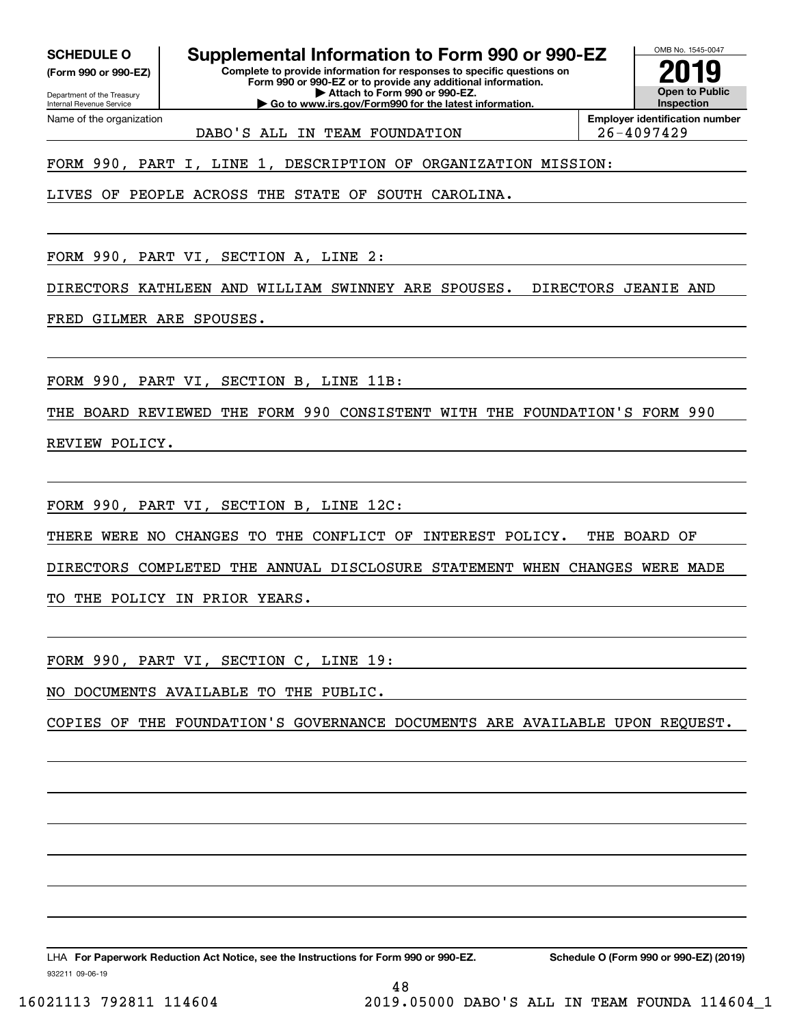**(Form 990 or 990-EZ)**

Department of the Treasury Internal Revenue Service Name of the organization

**SCHEDULE O Supplemental Information to Form 990 or 990-EZ**

**Complete to provide information for responses to specific questions on Form 990 or 990-EZ or to provide any additional information. | Attach to Form 990 or 990-EZ. | Go to www.irs.gov/Form990 for the latest information.**

**Open to Public InspectionEmployer identification number 2019**

OMB No. 1545-0047

DABO'S ALL IN TEAM FOUNDATION 26-4097429

FORM 990, PART I, LINE 1, DESCRIPTION OF ORGANIZATION MISSION:

LIVES OF PEOPLE ACROSS THE STATE OF SOUTH CAROLINA.

FORM 990, PART VI, SECTION A, LINE 2:

DIRECTORS KATHLEEN AND WILLIAM SWINNEY ARE SPOUSES. DIRECTORS JEANIE AND

FRED GILMER ARE SPOUSES.

FORM 990, PART VI, SECTION B, LINE 11B:

THE BOARD REVIEWED THE FORM 990 CONSISTENT WITH THE FOUNDATION'S FORM 990 REVIEW POLICY.

FORM 990, PART VI, SECTION B, LINE 12C:

THERE WERE NO CHANGES TO THE CONFLICT OF INTEREST POLICY. THE BOARD OF

DIRECTORS COMPLETED THE ANNUAL DISCLOSURE STATEMENT WHEN CHANGES WERE MADE

TO THE POLICY IN PRIOR YEARS.

FORM 990, PART VI, SECTION C, LINE 19:

NO DOCUMENTS AVAILABLE TO THE PUBLIC.

COPIES OF THE FOUNDATION'S GOVERNANCE DOCUMENTS ARE AVAILABLE UPON REQUEST.

48

932211 09-06-19 LHA For Paperwork Reduction Act Notice, see the Instructions for Form 990 or 990-EZ. Schedule O (Form 990 or 990-EZ) (2019)